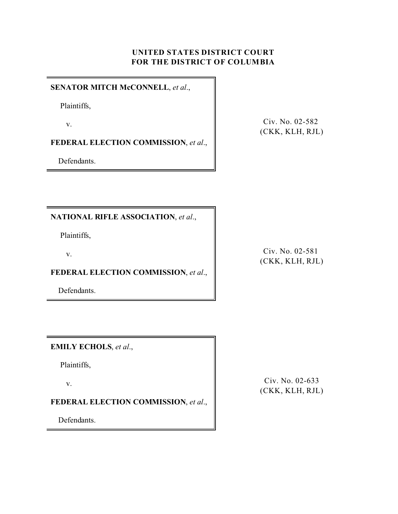# **UNITED STATES DISTRICT COURT FOR THE DISTRICT OF COLUMBIA**

#### **SENATOR MITCH McCONNELL**, *et al*.,

Plaintiffs,

v.

**FEDERAL ELECTION COMMISSION**, *et al*.,

Defendants.

Civ. No. 02-582 (CKK, KLH, RJL)

**NATIONAL RIFLE ASSOCIATION**, *et al*.,

Plaintiffs,

v.

**FEDERAL ELECTION COMMISSION**, *et al*.,

Defendants.

Civ. No. 02-581 (CKK, KLH, RJL)

**EMILY ECHOLS**, *et al*.,

Plaintiffs,

v.

**FEDERAL ELECTION COMMISSION**, *et al*.,

Defendants.

Civ. No. 02-633 (CKK, KLH, RJL)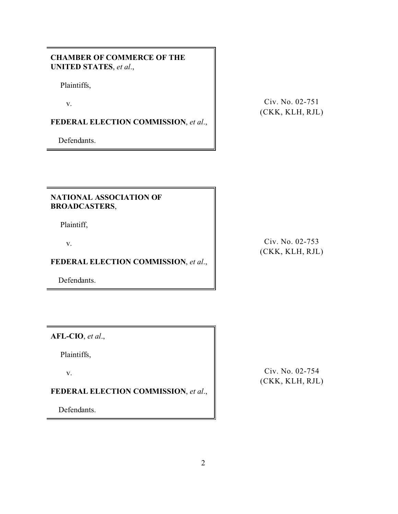### **CHAMBER OF COMMERCE OF THE UNITED STATES**, *et al*.,

Plaintiffs,

v.

# **FEDERAL ELECTION COMMISSION**, *et al*.,

Defendants.

Civ. No. 02-751 (CKK, KLH, RJL)

#### **NATIONAL ASSOCIATION OF BROADCASTERS**,

Plaintiff,

v.

# **FEDERAL ELECTION COMMISSION**, *et al*.,

Defendants.

Civ. No. 02-753 (CKK, KLH, RJL)

**AFL-CIO**, *et al*.,

Plaintiffs,

v.

# **FEDERAL ELECTION COMMISSION**, *et al*.,

Defendants.

Civ. No. 02-754 (CKK, KLH, RJL)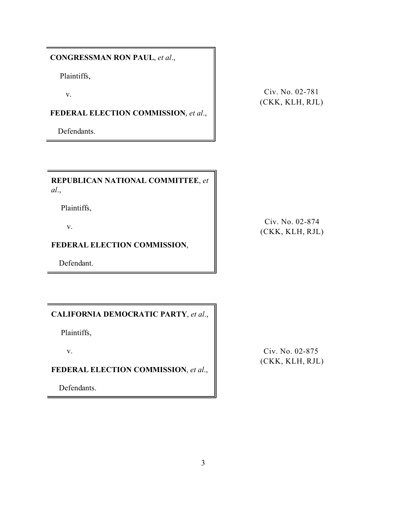**CONGRESSMAN RON PAUL**, *et al*.,

Plaintiffs,

v.

**FEDERAL ELECTION COMMISSION**, *et al*.,

Defendants.

Civ. No. 02-781 (CKK, KLH, RJL)

**REPUBLICAN NATIONAL COMMITTEE**, *et al*.,

Plaintiffs,

v.

### **FEDERAL ELECTION COMMISSION**,

Defendant.

### **CALIFORNIA DEMOCRATIC PARTY**, *et al*.,

Plaintiffs,

v.

# **FEDERAL ELECTION COMMISSION**, *et al*.,

Defendants.

Civ. No. 02-874 (CKK, KLH, RJL)

Civ. No. 02-875 (CKK, KLH, RJL)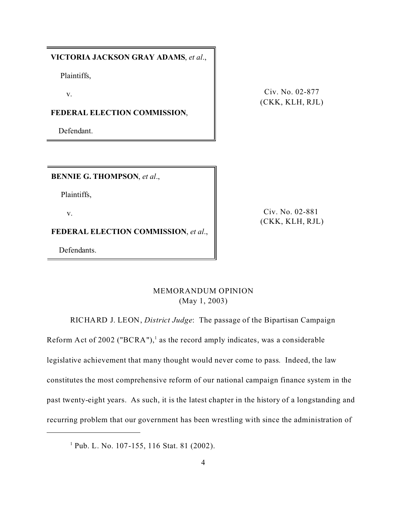#### **VICTORIA JACKSON GRAY ADAMS**, *et al*.,

Plaintiffs,

v.

**FEDERAL ELECTION COMMISSION**,

Defendant.

Civ. No. 02-877 (CKK, KLH, RJL)

**BENNIE G. THOMPSON**, *et al*.,

Plaintiffs,

v.

Civ. No. 02-881 (CKK, KLH, RJL)

**FEDERAL ELECTION COMMISSION**, *et al*.,

Defendants.

# MEMORANDUM OPINION (May 1, 2003)

RICHARD J. LEON, *District Judge*: The passage of the Bipartisan Campaign

Reform Act of 2002 ("BCRA"),<sup>1</sup> as the record amply indicates, was a considerable legislative achievement that many thought would never come to pass. Indeed, the law constitutes the most comprehensive reform of our national campaign finance system in the past twenty-eight years. As such, it is the latest chapter in the history of a longstanding and recurring problem that our government has been wrestling with since the administration of

<sup>1</sup> Pub. L. No. 107-155, 116 Stat. 81 (2002).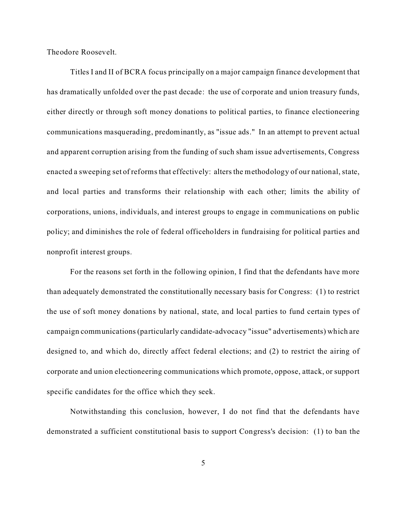Theodore Roosevelt.

Titles I and II of BCRA focus principally on a major campaign finance development that has dramatically unfolded over the past decade: the use of corporate and union treasury funds, either directly or through soft money donations to political parties, to finance electioneering communications masquerading, predominantly, as "issue ads." In an attempt to prevent actual and apparent corruption arising from the funding of such sham issue advertisements, Congress enacted a sweeping set of reforms that effectively: alters the methodology of our national, state, and local parties and transforms their relationship with each other; limits the ability of corporations, unions, individuals, and interest groups to engage in communications on public policy; and diminishes the role of federal officeholders in fundraising for political parties and nonprofit interest groups.

For the reasons set forth in the following opinion, I find that the defendants have more than adequately demonstrated the constitutionally necessary basis for Congress: (1) to restrict the use of soft money donations by national, state, and local parties to fund certain types of campaign communications (particularly candidate-advocacy "issue" advertisements) which are designed to, and which do, directly affect federal elections; and (2) to restrict the airing of corporate and union electioneering communications which promote, oppose, attack, or support specific candidates for the office which they seek.

Notwithstanding this conclusion, however, I do not find that the defendants have demonstrated a sufficient constitutional basis to support Congress's decision: (1) to ban the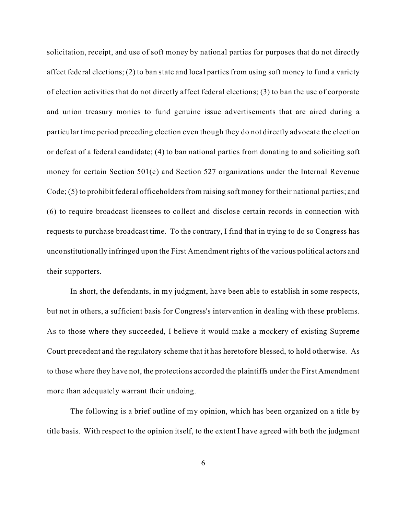solicitation, receipt, and use of soft money by national parties for purposes that do not directly affect federal elections; (2) to ban state and local parties from using soft money to fund a variety of election activities that do not directly affect federal elections; (3) to ban the use of corporate and union treasury monies to fund genuine issue advertisements that are aired during a particular time period preceding election even though they do not directly advocate the election or defeat of a federal candidate; (4) to ban national parties from donating to and soliciting soft money for certain Section 501(c) and Section 527 organizations under the Internal Revenue Code; (5) to prohibit federal officeholders from raising soft money for their national parties; and (6) to require broadcast licensees to collect and disclose certain records in connection with requests to purchase broadcast time. To the contrary, I find that in trying to do so Congress has unconstitutionally infringed upon the First Amendment rights of the various political actors and their supporters.

In short, the defendants, in my judgment, have been able to establish in some respects, but not in others, a sufficient basis for Congress's intervention in dealing with these problems. As to those where they succeeded, I believe it would make a mockery of existing Supreme Court precedent and the regulatory scheme that it has heretofore blessed, to hold otherwise. As to those where they have not, the protections accorded the plaintiffs under the First Amendment more than adequately warrant their undoing.

The following is a brief outline of my opinion, which has been organized on a title by title basis. With respect to the opinion itself, to the extent I have agreed with both the judgment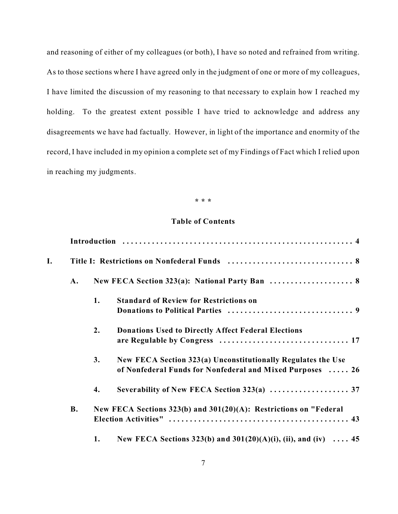and reasoning of either of my colleagues (or both), I have so noted and refrained from writing. As to those sections where I have agreed only in the judgment of one or more of my colleagues, I have limited the discussion of my reasoning to that necessary to explain how I reached my holding. To the greatest extent possible I have tried to acknowledge and address any disagreements we have had factually. However, in light of the importance and enormity of the record, I have included in my opinion a complete set of my Findings of Fact which I relied upon in reaching my judgments.

#### **\* \* \***

#### **Table of Contents**

| I. |           |    |                                                                                                                           |  |
|----|-----------|----|---------------------------------------------------------------------------------------------------------------------------|--|
|    |           |    |                                                                                                                           |  |
|    |           | 1. | <b>Standard of Review for Restrictions on</b>                                                                             |  |
|    |           | 2. | <b>Donations Used to Directly Affect Federal Elections</b>                                                                |  |
|    |           | 3. | New FECA Section 323(a) Unconstitutionally Regulates the Use<br>of Nonfederal Funds for Nonfederal and Mixed Purposes  26 |  |
|    |           | 4. | Severability of New FECA Section 323(a)  37                                                                               |  |
|    | <b>B.</b> |    | New FECA Sections $323(b)$ and $301(20)(A)$ : Restrictions on "Federal                                                    |  |
|    |           | 1. | New FECA Sections 323(b) and $301(20)(A)(i)$ , (ii), and (iv)  45                                                         |  |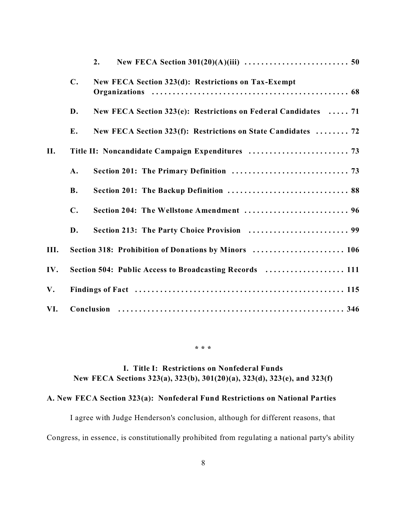|      |                                                         | 2.                                                              |  |  |  |
|------|---------------------------------------------------------|-----------------------------------------------------------------|--|--|--|
|      | $\mathbf{C}$ .                                          | New FECA Section 323(d): Restrictions on Tax-Exempt             |  |  |  |
|      | D.                                                      | New FECA Section 323(e): Restrictions on Federal Candidates  71 |  |  |  |
|      | E.                                                      | New FECA Section 323(f): Restrictions on State Candidates  72   |  |  |  |
| II.  |                                                         |                                                                 |  |  |  |
|      | A.                                                      |                                                                 |  |  |  |
|      | <b>B.</b>                                               |                                                                 |  |  |  |
|      | $\mathbf{C}$ .                                          | Section 204: The Wellstone Amendment  96                        |  |  |  |
|      | D.                                                      |                                                                 |  |  |  |
| III. | Section 318: Prohibition of Donations by Minors  106    |                                                                 |  |  |  |
| IV.  | Section 504: Public Access to Broadcasting Records  111 |                                                                 |  |  |  |
| V.   |                                                         |                                                                 |  |  |  |
| VI.  |                                                         |                                                                 |  |  |  |

**\* \* \***

# **I. Title I: Restrictions on Nonfederal Funds New FECA Sections 323(a), 323(b), 301(20)(a), 323(d), 323(e), and 323(f)**

# **A. New FECA Section 323(a): Nonfederal Fund Restrictions on National Parties**

I agree with Judge Henderson's conclusion, although for different reasons, that Congress, in essence, is constitutionally prohibited from regulating a national party's ability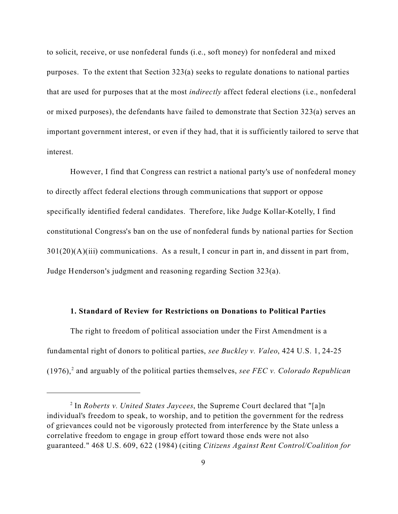to solicit, receive, or use nonfederal funds (i.e., soft money) for nonfederal and mixed purposes. To the extent that Section 323(a) seeks to regulate donations to national parties that are used for purposes that at the most *indirectly* affect federal elections (i.e., nonfederal or mixed purposes), the defendants have failed to demonstrate that Section 323(a) serves an important government interest, or even if they had, that it is sufficiently tailored to serve that interest.

However, I find that Congress can restrict a national party's use of nonfederal money to directly affect federal elections through communications that support or oppose specifically identified federal candidates. Therefore, like Judge Kollar-Kotelly, I find constitutional Congress's ban on the use of nonfederal funds by national parties for Section  $301(20)(A)(iii)$  communications. As a result, I concur in part in, and dissent in part from, Judge Henderson's judgment and reasoning regarding Section 323(a).

#### **1. Standard of Review for Restrictions on Donations to Political Parties**

The right to freedom of political association under the First Amendment is a fundamental right of donors to political parties, *see Buckley v. Valeo*, 424 U.S. 1, 24-25  $(1976),<sup>2</sup>$  and arguably of the political parties themselves, *see FEC v. Colorado Republican* 

<sup>2</sup> In *Roberts v. United States Jaycees*, the Supreme Court declared that "[a]n individual's freedom to speak, to worship, and to petition the government for the redress of grievances could not be vigorously protected from interference by the State unless a correlative freedom to engage in group effort toward those ends were not also guaranteed." 468 U.S. 609, 622 (1984) (citing *Citizens Against Rent Control/Coalition for*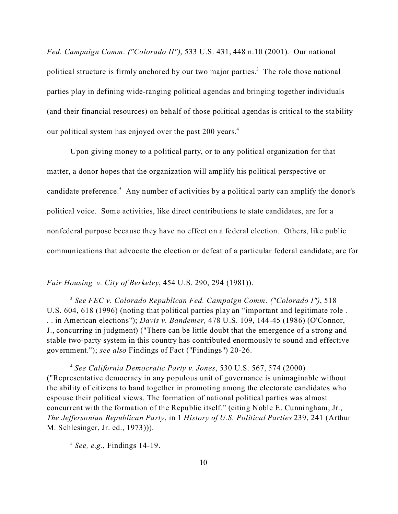*Fed. Campaign Comm. ("Colorado II")*, 533 U.S. 431, 448 n.10 (2001). Our national political structure is firmly anchored by our two major parties.<sup>3</sup> The role those national parties play in defining wide-ranging political agendas and bringing together individuals (and their financial resources) on behalf of those political agendas is critical to the stability our political system has enjoyed over the past 200 years.<sup>4</sup>

Upon giving money to a political party, or to any political organization for that matter, a donor hopes that the organization will amplify his political perspective or candidate preference.<sup>5</sup> Any number of activities by a political party can amplify the donor's political voice. Some activities, like direct contributions to state candidates, are for a nonfederal purpose because they have no effect on a federal election. Others, like public communications that advocate the election or defeat of a particular federal candidate, are for

*Fair Housing v. City of Berkeley*, 454 U.S. 290, 294 (1981)).

3  *See FEC v. Colorado Republican Fed. Campaign Comm. ("Colorado I")*, 518 U.S. 604, 618 (1996) (noting that political parties play an "important and legitimate role . . . in American elections"); *Davis v. Bandemer,* 478 U.S. 109, 144-45 (1986) (O'Connor, J., concurring in judgment) ("There can be little doubt that the emergence of a strong and stable two-party system in this country has contributed enormously to sound and effective government."); *see also* Findings of Fact ("Findings") 20-26.

4 *See California Democratic Party v. Jones*, 530 U.S. 567, 574 (2000) ("Representative democracy in any populous unit of governance is unimaginable without the ability of citizens to band together in promoting among the electorate candidates who espouse their political views. The formation of national political parties was almost concurrent with the formation of the Republic itself." (citing Noble E. Cunningham, Jr., *The Jeffersonian Republican Party*, in 1 *History of U.S. Political Parties* 239, 241 (Arthur M. Schlesinger, Jr. ed., 1973))).

5  *See, e.g.*, Findings 14-19.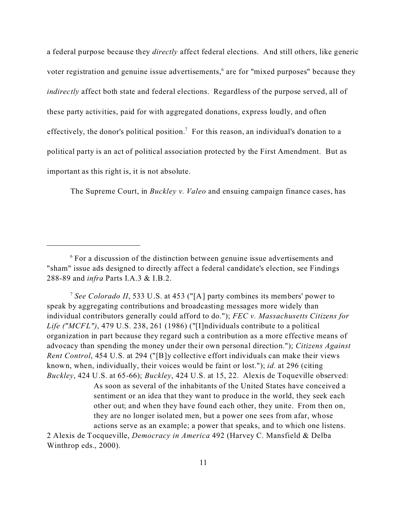a federal purpose because they *directly* affect federal elections. And still others, like generic voter registration and genuine issue advertisements,<sup>6</sup> are for "mixed purposes" because they *indirectly* affect both state and federal elections. Regardless of the purpose served, all of these party activities, paid for with aggregated donations, express loudly, and often effectively, the donor's political position.<sup>7</sup> For this reason, an individual's donation to a political party is an act of political association protected by the First Amendment. But as important as this right is, it is not absolute.

The Supreme Court, in *Buckley v. Valeo* and ensuing campaign finance cases, has

7 *See Colorado II*, 533 U.S. at 453 ("[A] party combines its members' power to speak by aggregating contributions and broadcasting messages more widely than individual contributors generally could afford to do."); *FEC v. Massachusetts Citizens for Life ("MCFL")*, 479 U.S. 238, 261 (1986) ("[I]ndividuals contribute to a political organization in part because they regard such a contribution as a more effective means of advocacy than spending the money under their own personal direction."); *Citizens Against Rent Control*, 454 U.S. at 294 ("[B]y collective effort individuals can make their views known, when, individually, their voices would be faint or lost."); *id.* at 296 (citing *Buckley*, 424 U.S. at 65-66); *Buckley*, 424 U.S. at 15, 22. Alexis de Toqueville observed:

> As soon as several of the inhabitants of the United States have conceived a sentiment or an idea that they want to produce in the world, they seek each other out; and when they have found each other, they unite. From then on, they are no longer isolated men, but a power one sees from afar, whose actions serve as an example; a power that speaks, and to which one listens.

2 Alexis de Tocqueville, *Democracy in America* 492 (Harvey C. Mansfield & Delba Winthrop eds., 2000).

<sup>6</sup> For a discussion of the distinction between genuine issue advertisements and "sham" issue ads designed to directly affect a federal candidate's election, see Findings 288-89 and *infra* Parts I.A.3 & I.B.2.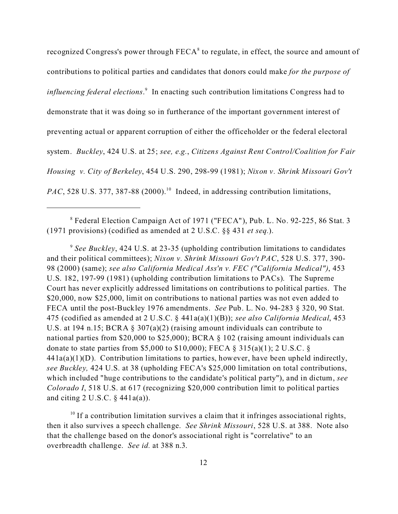recognized Congress's power through  $\text{FECA}^8$  to regulate, in effect, the source and amount of contributions to political parties and candidates that donors could make *for the purpose of influencing federal elections.*<sup>9</sup> In enacting such contribution limitations Congress had to demonstrate that it was doing so in furtherance of the important government interest of preventing actual or apparent corruption of either the officeholder or the federal electoral system. *Buckley*, 424 U.S. at 25; *see, e.g.*, *Citizens Against Rent Control/Coalition for Fair Housing v. City of Berkeley*, 454 U.S. 290, 298-99 (1981); *Nixon v. Shrink Missouri Gov't PAC*, 528 U.S. 377, 387-88 (2000).<sup>10</sup> Indeed, in addressing contribution limitations,

8 Federal Election Campaign Act of 1971 ("FECA"), Pub. L. No. 92-225, 86 Stat. 3 (1971 provisions) (codified as amended at 2 U.S.C. §§ 431 *et seq.*).

<sup>9</sup> See Buckley, 424 U.S. at 23-35 (upholding contribution limitations to candidates and their political committees); *Nixon v. Shrink Missouri Gov't PAC*, 528 U.S. 377, 390- 98 (2000) (same); *see also California Medical Ass'n v. FEC ("California Medical")*, 453 U.S. 182, 197-99 (1981) (upholding contribution limitations to PACs). The Supreme Court has never explicitly addressed limitations on contributions to political parties. The \$20,000, now \$25,000, limit on contributions to national parties was not even added to FECA until the post-Buckley 1976 amendments. *See* Pub. L. No. 94-283 § 320, 90 Stat. 475 (codified as amended at 2 U.S.C. § 441a(a)(1)(B)); *see also California Medical*, 453 U.S. at 194 n.15; BCRA § 307(a)(2) (raising amount individuals can contribute to national parties from \$20,000 to \$25,000); BCRA § 102 (raising amount individuals can donate to state parties from \$5,000 to \$10,000); FECA § 315(a)(1); 2 U.S.C. §  $441a(a)(1)(D)$ . Contribution limitations to parties, however, have been upheld indirectly, *see Buckley,* 424 U.S. at 38 (upholding FECA's \$25,000 limitation on total contributions, which included "huge contributions to the candidate's political party"), and in dictum, *see Colorado I*, 518 U.S. at 617 (recognizing \$20,000 contribution limit to political parties and citing  $2 \text{ U.S.C. } §$  441 $a(a)$ ).

 $10$  If a contribution limitation survives a claim that it infringes associational rights, then it also survives a speech challenge. *See Shrink Missouri*, 528 U.S. at 388. Note also that the challenge based on the donor's associational right is "correlative" to an overbreadth challenge. *See id.* at 388 n.3.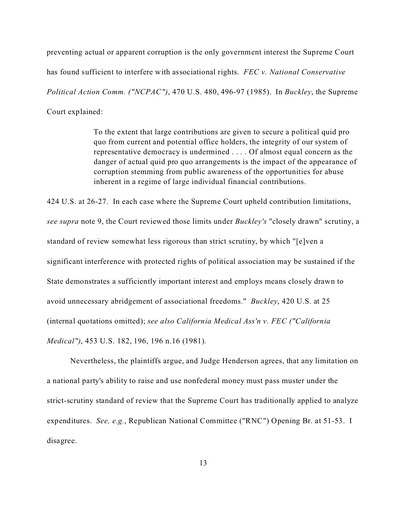preventing actual or apparent corruption is the only government interest the Supreme Court has found sufficient to interfere with associational rights. *FEC v. National Conservative Political Action Comm. ("NCPAC")*, 470 U.S. 480, 496-97 (1985). In *Buckley*, the Supreme Court explained:

> To the extent that large contributions are given to secure a political quid pro quo from current and potential office holders, the integrity of our system of representative democracy is undermined . . . . Of almost equal concern as the danger of actual quid pro quo arrangements is the impact of the appearance of corruption stemming from public awareness of the opportunities for abuse inherent in a regime of large individual financial contributions.

424 U.S. at 26-27. In each case where the Supreme Court upheld contribution limitations, *see supra* note 9, the Court reviewed those limits under *Buckley's* "closely drawn" scrutiny, a standard of review somewhat less rigorous than strict scrutiny, by which "[e]ven a significant interference with protected rights of political association may be sustained if the State demonstrates a sufficiently important interest and employs means closely drawn to avoid unnecessary abridgement of associational freedoms." *Buckley*, 420 U.S. at 25 (internal quotations omitted); *see also California Medical Ass'n v. FEC ("California Medical")*, 453 U.S. 182, 196, 196 n.16 (1981)*.*

Nevertheless, the plaintiffs argue, and Judge Henderson agrees, that any limitation on a national party's ability to raise and use nonfederal money must pass muster under the strict-scrutiny standard of review that the Supreme Court has traditionally applied to analyze expenditures. *See, e.g.*, Republican National Committee ("RNC") Opening Br. at 51-53. I disagree.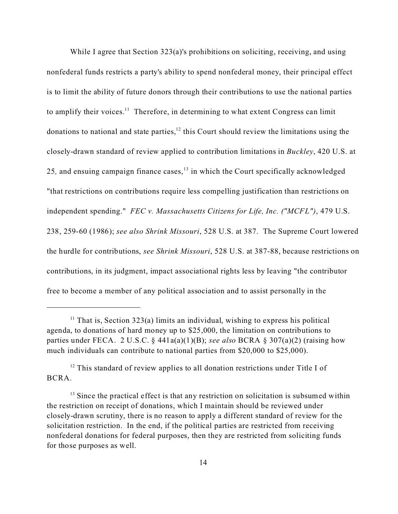While I agree that Section 323(a)'s prohibitions on soliciting, receiving, and using nonfederal funds restricts a party's ability to spend nonfederal money, their principal effect is to limit the ability of future donors through their contributions to use the national parties to amplify their voices.<sup>11</sup> Therefore, in determining to what extent Congress can limit donations to national and state parties,<sup>12</sup> this Court should review the limitations using the closely-drawn standard of review applied to contribution limitations in *Buckley*, 420 U.S. at 25, and ensuing campaign finance cases,<sup>13</sup> in which the Court specifically acknowledged "that restrictions on contributions require less compelling justification than restrictions on independent spending." *FEC v. Massachusetts Citizens for Life, Inc. ("MCFL")*, 479 U.S. 238, 259-60 (1986); *see also Shrink Missouri*, 528 U.S. at 387. The Supreme Court lowered the hurdle for contributions, *see Shrink Missouri*, 528 U.S. at 387-88, because restrictions on contributions, in its judgment, impact associational rights less by leaving "the contributor free to become a member of any political association and to assist personally in the

<sup>&</sup>lt;sup>11</sup> That is, Section 323(a) limits an individual, wishing to express his political agenda, to donations of hard money up to \$25,000, the limitation on contributions to parties under FECA. 2 U.S.C. § 441a(a)(1)(B); *see also* BCRA § 307(a)(2) (raising how much individuals can contribute to national parties from \$20,000 to \$25,000).

 $12$  This standard of review applies to all donation restrictions under Title I of BCRA.

 $13$  Since the practical effect is that any restriction on solicitation is subsumed within the restriction on receipt of donations, which I maintain should be reviewed under closely-drawn scrutiny, there is no reason to apply a different standard of review for the solicitation restriction. In the end, if the political parties are restricted from receiving nonfederal donations for federal purposes, then they are restricted from soliciting funds for those purposes as well.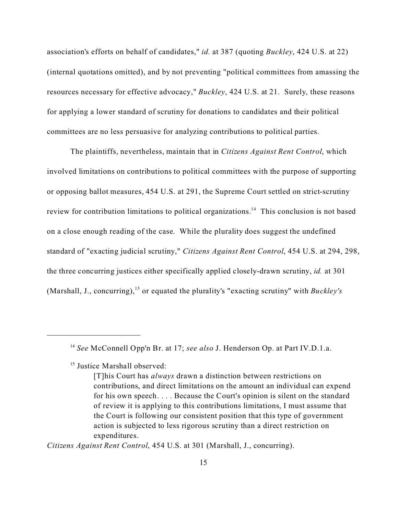association's efforts on behalf of candidates," *id.* at 387 (quoting *Buckley*, 424 U.S. at 22) (internal quotations omitted), and by not preventing "political committees from amassing the resources necessary for effective advocacy," *Buckley*, 424 U.S. at 21. Surely, these reasons for applying a lower standard of scrutiny for donations to candidates and their political committees are no less persuasive for analyzing contributions to political parties.

The plaintiffs, nevertheless, maintain that in *Citizens Against Rent Control*, which involved limitations on contributions to political committees with the purpose of supporting or opposing ballot measures, 454 U.S. at 291, the Supreme Court settled on strict-scrutiny review for contribution limitations to political organizations.<sup>14</sup> This conclusion is not based on a close enough reading of the case. While the plurality does suggest the undefined standard of "exacting judicial scrutiny," *Citizens Against Rent Control*, 454 U.S. at 294, 298, the three concurring justices either specifically applied closely-drawn scrutiny, *id.* at 301 (Marshall, J., concurring),<sup>15</sup> or equated the plurality's "exacting scrutiny" with *Buckley's*

<sup>15</sup> Justice Marshall observed:

*Citizens Against Rent Control*, 454 U.S. at 301 (Marshall, J., concurring).

<sup>14</sup> *See* McConnell Opp'n Br. at 17; *see also* J. Henderson Op. at Part IV.D.1.a.

<sup>[</sup>T]his Court has *always* drawn a distinction between restrictions on contributions, and direct limitations on the amount an individual can expend for his own speech. . . . Because the Court's opinion is silent on the standard of review it is applying to this contributions limitations, I must assume that the Court is following our consistent position that this type of government action is subjected to less rigorous scrutiny than a direct restriction on expenditures.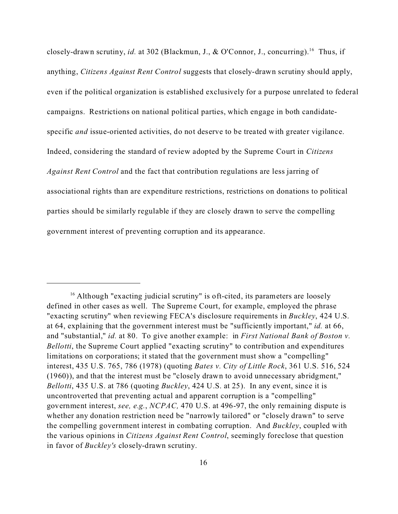closely-drawn scrutiny, *id.* at 302 (Blackmun, J., & O'Connor, J., concurring).<sup>16</sup> Thus, if anything, *Citizens Against Rent Control* suggests that closely-drawn scrutiny should apply, even if the political organization is established exclusively for a purpose unrelated to federal campaigns. Restrictions on national political parties, which engage in both candidatespecific *and* issue-oriented activities, do not deserve to be treated with greater vigilance. Indeed, considering the standard of review adopted by the Supreme Court in *Citizens Against Rent Control* and the fact that contribution regulations are less jarring of associational rights than are expenditure restrictions, restrictions on donations to political parties should be similarly regulable if they are closely drawn to serve the compelling government interest of preventing corruption and its appearance.

<sup>&</sup>lt;sup>16</sup> Although "exacting judicial scrutiny" is oft-cited, its parameters are loosely defined in other cases as well. The Supreme Court, for example, employed the phrase "exacting scrutiny" when reviewing FECA's disclosure requirements in *Buckley*, 424 U.S. at 64, explaining that the government interest must be "sufficiently important," *id.* at 66, and "substantial," *id.* at 80. To give another example: in *First National Bank of Boston v. Bellotti*, the Supreme Court applied "exacting scrutiny" to contribution and expenditures limitations on corporations; it stated that the government must show a "compelling" interest, 435 U.S. 765, 786 (1978) (quoting *Bates v. City of Little Rock*, 361 U.S. 516, 524 (1960)), and that the interest must be "closely drawn to avoid unnecessary abridgment," *Bellotti*, 435 U.S. at 786 (quoting *Buckley*, 424 U.S. at 25). In any event, since it is uncontroverted that preventing actual and apparent corruption is a "compelling" government interest, *see, e.g.*, *NCPAC,* 470 U.S. at 496-97, the only remaining dispute is whether any donation restriction need be "narrowly tailored" or "closely drawn" to serve the compelling government interest in combating corruption. And *Buckley*, coupled with the various opinions in *Citizens Against Rent Control*, seemingly foreclose that question in favor of *Buckley's* closely-drawn scrutiny.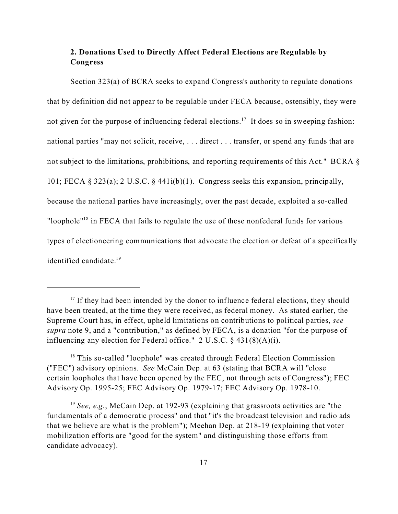## **2. Donations Used to Directly Affect Federal Elections are Regulable by Congress**

Section 323(a) of BCRA seeks to expand Congress's authority to regulate donations that by definition did not appear to be regulable under FECA because, ostensibly, they were not given for the purpose of influencing federal elections.<sup>17</sup> It does so in sweeping fashion: national parties "may not solicit, receive, . . . direct . . . transfer, or spend any funds that are not subject to the limitations, prohibitions, and reporting requirements of this Act." BCRA § 101; FECA § 323(a); 2 U.S.C. § 441i(b)(1). Congress seeks this expansion, principally, because the national parties have increasingly, over the past decade, exploited a so-called "loophole"<sup>18</sup> in FECA that fails to regulate the use of these nonfederal funds for various types of electioneering communications that advocate the election or defeat of a specifically identified candidate.<sup>19</sup>

 $17$  If they had been intended by the donor to influence federal elections, they should have been treated, at the time they were received, as federal money. As stated earlier, the Supreme Court has, in effect, upheld limitations on contributions to political parties, *see supra* note 9, and a "contribution," as defined by FECA, is a donation "for the purpose of influencing any election for Federal office." 2 U.S.C. § 431(8)(A)(i).

<sup>&</sup>lt;sup>18</sup> This so-called "loophole" was created through Federal Election Commission ("FEC") advisory opinions. *See* McCain Dep. at 63 (stating that BCRA will "close certain loopholes that have been opened by the FEC, not through acts of Congress"); FEC Advisory Op. 1995-25; FEC Advisory Op. 1979-17; FEC Advisory Op. 1978-10.

<sup>&</sup>lt;sup>19</sup> See, e.g., McCain Dep. at 192-93 (explaining that grassroots activities are "the fundamentals of a democratic process" and that "it's the broadcast television and radio ads that we believe are what is the problem"); Meehan Dep. at 218-19 (explaining that voter mobilization efforts are "good for the system" and distinguishing those efforts from candidate advocacy).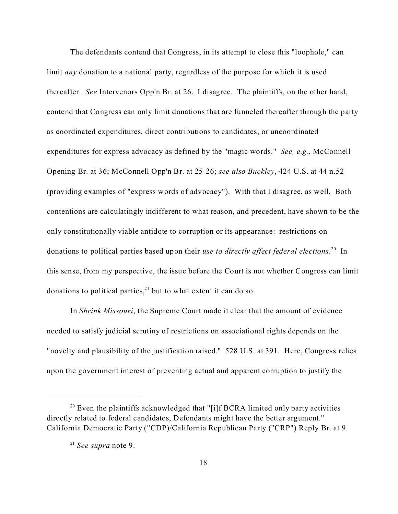The defendants contend that Congress, in its attempt to close this "loophole," can limit *any* donation to a national party, regardless of the purpose for which it is used thereafter. *See* Intervenors Opp'n Br. at 26.I disagree. The plaintiffs, on the other hand, contend that Congress can only limit donations that are funneled thereafter through the party as coordinated expenditures, direct contributions to candidates, or uncoordinated expenditures for express advocacy as defined by the "magic words." *See, e.g.*, McConnell Opening Br. at 36; McConnell Opp'n Br. at 25-26; *see also Buckley*, 424 U.S. at 44 n.52 (providing examples of "express words of advocacy"). With that I disagree, as well. Both contentions are calculatingly indifferent to what reason, and precedent, have shown to be the only constitutionally viable antidote to corruption or its appearance: restrictions on donations to political parties based upon their *use to directly affect federal elections*. <sup>20</sup> In this sense, from my perspective, the issue before the Court is not whether Congress can limit donations to political parties, $21$  but to what extent it can do so.

In *Shrink Missouri*, the Supreme Court made it clear that the amount of evidence needed to satisfy judicial scrutiny of restrictions on associational rights depends on the "novelty and plausibility of the justification raised." 528 U.S. at 391. Here, Congress relies upon the government interest of preventing actual and apparent corruption to justify the

 $20$  Even the plaintiffs acknowledged that "[i]f BCRA limited only party activities directly related to federal candidates, Defendants might have the better argument." California Democratic Party ("CDP)/California Republican Party ("CRP") Reply Br. at 9.

<sup>21</sup> *See supra* note 9.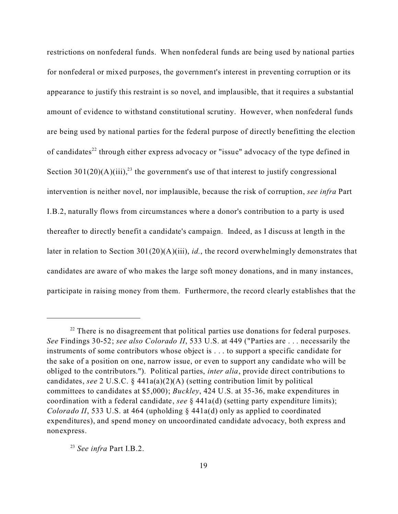restrictions on nonfederal funds. When nonfederal funds are being used by national parties for nonfederal or mixed purposes, the government's interest in preventing corruption or its appearance to justify this restraint is so novel, and implausible, that it requires a substantial amount of evidence to withstand constitutional scrutiny. However, when nonfederal funds are being used by national parties for the federal purpose of directly benefitting the election of candidates<sup>22</sup> through either express advocacy or "issue" advocacy of the type defined in Section 301(20)(A)(iii),<sup>23</sup> the government's use of that interest to justify congressional intervention is neither novel, nor implausible, because the risk of corruption, *see infra* Part I.B.2, naturally flows from circumstances where a donor's contribution to a party is used thereafter to directly benefit a candidate's campaign. Indeed, as I discuss at length in the later in relation to Section 301(20)(A)(iii), *id.*, the record overwhelmingly demonstrates that candidates are aware of who makes the large soft money donations, and in many instances, participate in raising money from them. Furthermore, the record clearly establishes that the

 $22$  There is no disagreement that political parties use donations for federal purposes. *See* Findings 30-52; *see also Colorado II*, 533 U.S. at 449 ("Parties are . . . necessarily the instruments of some contributors whose object is . . . to support a specific candidate for the sake of a position on one, narrow issue, or even to support any candidate who will be obliged to the contributors."). Political parties, *inter alia*, provide direct contributions to candidates, *see* 2 U.S.C. § 441a(a)(2)(A) (setting contribution limit by political committees to candidates at \$5,000); *Buckley*, 424 U.S. at 35-36, make expenditures in coordination with a federal candidate, *see* § 441a(d) (setting party expenditure limits); *Colorado II*, 533 U.S. at 464 (upholding  $\frac{1}{2}$  441a(d) only as applied to coordinated expenditures), and spend money on uncoordinated candidate advocacy, both express and nonexpress.

<sup>23</sup> *See infra* Part I.B.2.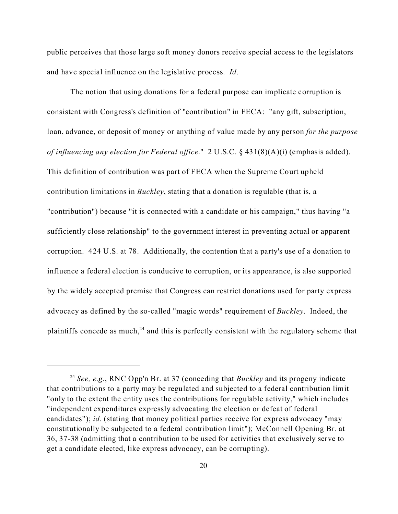public perceives that those large soft money donors receive special access to the legislators and have special influence on the legislative process. *Id*.

The notion that using donations for a federal purpose can implicate corruption is consistent with Congress's definition of "contribution" in FECA: "any gift, subscription, loan, advance, or deposit of money or anything of value made by any person *for the purpose of influencing any election for Federal office*." 2 U.S.C. § 431(8)(A)(i) (emphasis added). This definition of contribution was part of FECA when the Supreme Court upheld contribution limitations in *Buckley*, stating that a donation is regulable (that is, a "contribution") because "it is connected with a candidate or his campaign," thus having "a sufficiently close relationship" to the government interest in preventing actual or apparent corruption. 424 U.S. at 78. Additionally, the contention that a party's use of a donation to influence a federal election is conducive to corruption, or its appearance, is also supported by the widely accepted premise that Congress can restrict donations used for party express advocacy as defined by the so-called "magic words" requirement of *Buckley*. Indeed, the plaintiffs concede as much,<sup>24</sup> and this is perfectly consistent with the regulatory scheme that

<sup>24</sup> *See, e.g.*, RNC Opp'n Br. at 37 (conceding that *Buckley* and its progeny indicate that contributions to a party may be regulated and subjected to a federal contribution limit "only to the extent the entity uses the contributions for regulable activity," which includes "independent expenditures expressly advocating the election or defeat of federal candidates"); *id.* (stating that money political parties receive for express advocacy "may constitutionally be subjected to a federal contribution limit"); McConnell Opening Br. at 36, 37-38 (admitting that a contribution to be used for activities that exclusively serve to get a candidate elected, like express advocacy, can be corrupting).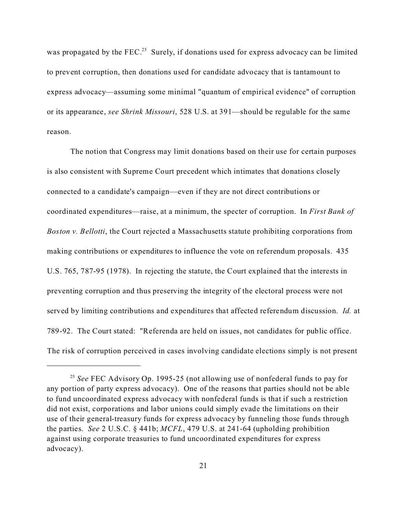was propagated by the FEC.<sup>25</sup> Surely, if donations used for express advocacy can be limited to prevent corruption, then donations used for candidate advocacy that is tantamount to express advocacy—assuming some minimal "quantum of empirical evidence" of corruption or its appearance, *see Shrink Missouri*, 528 U.S. at 391—should be regulable for the same reason.

The notion that Congress may limit donations based on their use for certain purposes is also consistent with Supreme Court precedent which intimates that donations closely connected to a candidate's campaign—even if they are not direct contributions or coordinated expenditures—raise, at a minimum, the specter of corruption. In *First Bank of Boston v. Bellotti*, the Court rejected a Massachusetts statute prohibiting corporations from making contributions or expenditures to influence the vote on referendum proposals. 435 U.S. 765, 787-95 (1978). In rejecting the statute, the Court explained that the interests in preventing corruption and thus preserving the integrity of the electoral process were not served by limiting contributions and expenditures that affected referendum discussion. *Id.* at 789-92. The Court stated: "Referenda are held on issues, not candidates for public office. The risk of corruption perceived in cases involving candidate elections simply is not present

<sup>25</sup> *See* FEC Advisory Op. 1995-25 (not allowing use of nonfederal funds to pay for any portion of party express advocacy). One of the reasons that parties should not be able to fund uncoordinated express advocacy with nonfederal funds is that if such a restriction did not exist, corporations and labor unions could simply evade the limitations on their use of their general-treasury funds for express advocacy by funneling those funds through the parties. *See* 2 U.S.C. § 441b; *MCFL*, 479 U.S. at 241-64 (upholding prohibition against using corporate treasuries to fund uncoordinated expenditures for express advocacy).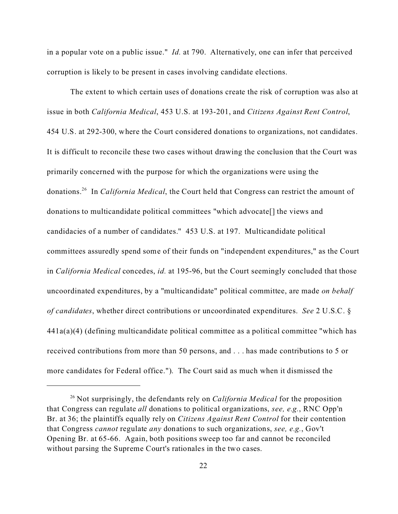in a popular vote on a public issue." *Id.* at 790. Alternatively, one can infer that perceived corruption is likely to be present in cases involving candidate elections.

The extent to which certain uses of donations create the risk of corruption was also at issue in both *California Medical*, 453 U.S. at 193-201, and *Citizens Against Rent Control*, 454 U.S. at 292-300, where the Court considered donations to organizations, not candidates. It is difficult to reconcile these two cases without drawing the conclusion that the Court was primarily concerned with the purpose for which the organizations were using the donations.<sup>26</sup> In *California Medical*, the Court held that Congress can restrict the amount of donations to multicandidate political committees "which advocate[] the views and candidacies of a number of candidates." 453 U.S. at 197. Multicandidate political committees assuredly spend some of their funds on "independent expenditures," as the Court in *California Medical* concedes, *id.* at 195-96, but the Court seemingly concluded that those uncoordinated expenditures, by a "multicandidate" political committee, are made *on behalf of candidates*, whether direct contributions or uncoordinated expenditures. *See* 2 U.S.C. § 441a(a)(4) (defining multicandidate political committee as a political committee "which has received contributions from more than 50 persons, and . . . has made contributions to 5 or more candidates for Federal office."). The Court said as much when it dismissed the

<sup>26</sup> Not surprisingly, the defendants rely on *California Medical* for the proposition that Congress can regulate *all* donations to political organizations, *see, e.g.*, RNC Opp'n Br. at 36; the plaintiffs equally rely on *Citizens Against Rent Control* for their contention that Congress *cannot* regulate *any* donations to such organizations, *see, e.g.*, Gov't Opening Br. at 65-66. Again, both positions sweep too far and cannot be reconciled without parsing the Supreme Court's rationales in the two cases.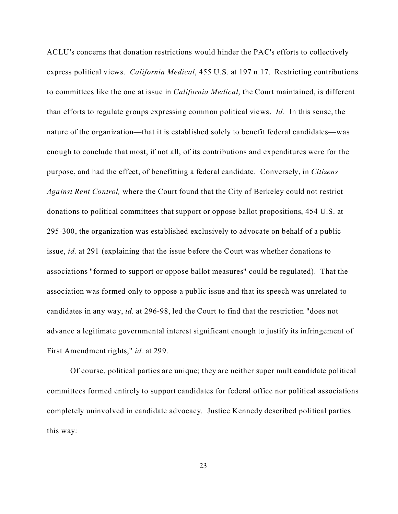ACLU's concerns that donation restrictions would hinder the PAC's efforts to collectively express political views. *California Medical*, 455 U.S. at 197 n.17. Restricting contributions to committees like the one at issue in *California Medical*, the Court maintained, is different than efforts to regulate groups expressing common political views. *Id.* In this sense, the nature of the organization—that it is established solely to benefit federal candidates—was enough to conclude that most, if not all, of its contributions and expenditures were for the purpose, and had the effect, of benefitting a federal candidate. Conversely, in *Citizens Against Rent Control,* where the Court found that the City of Berkeley could not restrict donations to political committees that support or oppose ballot propositions, 454 U.S. at 295-300, the organization was established exclusively to advocate on behalf of a public issue, *id.* at 291 (explaining that the issue before the Court was whether donations to associations "formed to support or oppose ballot measures" could be regulated). That the association was formed only to oppose a public issue and that its speech was unrelated to candidates in any way, *id.* at 296-98, led the Court to find that the restriction "does not advance a legitimate governmental interest significant enough to justify its infringement of First Amendment rights," *id.* at 299.

Of course, political parties are unique; they are neither super multicandidate political committees formed entirely to support candidates for federal office nor political associations completely uninvolved in candidate advocacy. Justice Kennedy described political parties this way: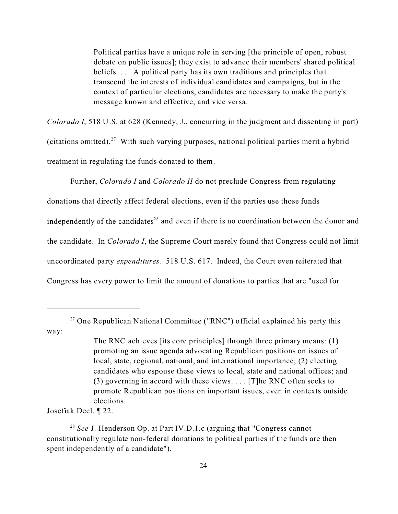Political parties have a unique role in serving [the principle of open, robust debate on public issues]; they exist to advance their members' shared political beliefs. . . . A political party has its own traditions and principles that transcend the interests of individual candidates and campaigns; but in the context of particular elections, candidates are necessary to make the party's message known and effective, and vice versa.

*Colorado I*, 518 U.S. at 628 (Kennedy, J., concurring in the judgment and dissenting in part) (citations omitted).<sup>27</sup> With such varying purposes, national political parties merit a hybrid treatment in regulating the funds donated to them.

Further, *Colorado I* and *Colorado II* do not preclude Congress from regulating donations that directly affect federal elections, even if the parties use those funds independently of the candidates<sup>28</sup> and even if there is no coordination between the donor and the candidate. In *Colorado I*, the Supreme Court merely found that Congress could not limit uncoordinated party *expenditures.* 518 U.S. 617. Indeed, the Court even reiterated that Congress has every power to limit the amount of donations to parties that are "used for

Josefiak Decl. ¶ 22.

<sup>&</sup>lt;sup>27</sup> One Republican National Committee ("RNC") official explained his party this way:

The RNC achieves [its core principles] through three primary means: (1) promoting an issue agenda advocating Republican positions on issues of local, state, regional, national, and international importance; (2) electing candidates who espouse these views to local, state and national offices; and (3) governing in accord with these views. . . . [T]he RNC often seeks to promote Republican positions on important issues, even in contexts outside elections.

<sup>&</sup>lt;sup>28</sup> See J. Henderson Op. at Part IV.D.1.c (arguing that "Congress cannot" constitutionally regulate non-federal donations to political parties if the funds are then spent independently of a candidate").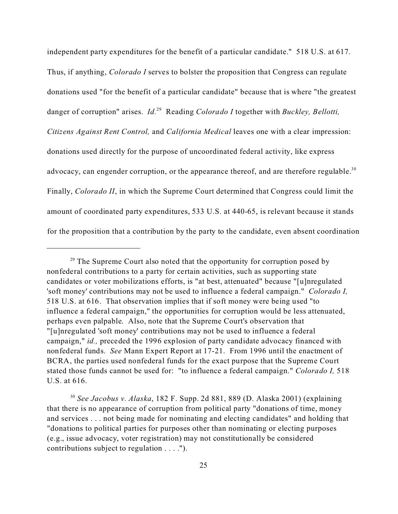independent party expenditures for the benefit of a particular candidate." 518 U.S. at 617*.*  Thus, if anything, *Colorado I* serves to bolster the proposition that Congress can regulate donations used "for the benefit of a particular candidate" because that is where "the greatest danger of corruption" arises. *Id.*<sup>29</sup> Reading *Colorado I* together with *Buckley, Bellotti, Citizens Against Rent Control,* and *California Medical* leaves one with a clear impression: donations used directly for the purpose of uncoordinated federal activity, like express advocacy, can engender corruption, or the appearance thereof, and are therefore regulable.<sup>30</sup> Finally, *Colorado II*, in which the Supreme Court determined that Congress could limit the amount of coordinated party expenditures, 533 U.S. at 440-65, is relevant because it stands for the proposition that a contribution by the party to the candidate, even absent coordination

 $29$  The Supreme Court also noted that the opportunity for corruption posed by nonfederal contributions to a party for certain activities, such as supporting state candidates or voter mobilizations efforts, is "at best, attenuated" because "[u]nregulated 'soft money' contributions may not be used to influence a federal campaign." *Colorado I,* 518 U.S. at 616. That observation implies that if soft money were being used "to influence a federal campaign," the opportunities for corruption would be less attenuated, perhaps even palpable. Also, note that the Supreme Court's observation that "[u]nregulated 'soft money' contributions may not be used to influence a federal campaign," *id.,* preceded the 1996 explosion of party candidate advocacy financed with nonfederal funds. *See* Mann Expert Report at 17-21. From 1996 until the enactment of BCRA, the parties used nonfederal funds for the exact purpose that the Supreme Court stated those funds cannot be used for: "to influence a federal campaign." *Colorado I,* 518 U.S. at 616.

<sup>30</sup> *See Jacobus v. Alaska*, 182 F. Supp. 2d 881, 889 (D. Alaska 2001) (explaining that there is no appearance of corruption from political party "donations of time, money and services . . . not being made for nominating and electing candidates" and holding that "donations to political parties for purposes other than nominating or electing purposes (e.g., issue advocacy, voter registration) may not constitutionally be considered contributions subject to regulation . . . .").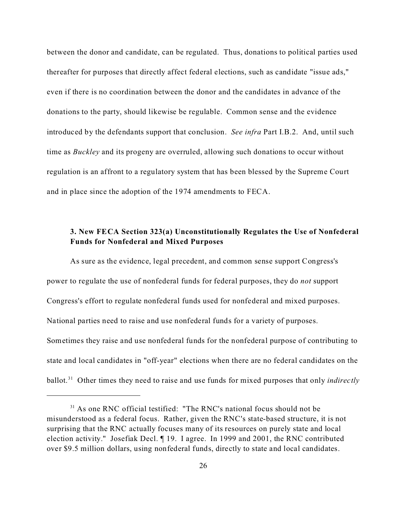between the donor and candidate, can be regulated. Thus, donations to political parties used thereafter for purposes that directly affect federal elections, such as candidate "issue ads," even if there is no coordination between the donor and the candidates in advance of the donations to the party, should likewise be regulable. Common sense and the evidence introduced by the defendants support that conclusion. *See infra* Part I.B.2. And, until such time as *Buckley* and its progeny are overruled, allowing such donations to occur without regulation is an affront to a regulatory system that has been blessed by the Supreme Court and in place since the adoption of the 1974 amendments to FECA.

### **3. New FECA Section 323(a) Unconstitutionally Regulates the Use of Nonfederal Funds for Nonfederal and Mixed Purposes**

As sure as the evidence, legal precedent, and common sense support Congress's power to regulate the use of nonfederal funds for federal purposes, they do *not* support Congress's effort to regulate nonfederal funds used for nonfederal and mixed purposes. National parties need to raise and use nonfederal funds for a variety of purposes. Sometimes they raise and use nonfederal funds for the nonfederal purpose of contributing to state and local candidates in "off-year" elections when there are no federal candidates on the ballot.<sup>31</sup> Other times they need to raise and use funds for mixed purposes that only *indirectly*

<sup>&</sup>lt;sup>31</sup> As one RNC official testified: "The RNC's national focus should not be misunderstood as a federal focus. Rather, given the RNC's state-based structure, it is not surprising that the RNC actually focuses many of its resources on purely state and local election activity." Josefiak Decl. ¶ 19. I agree. In 1999 and 2001, the RNC contributed over \$9.5 million dollars, using nonfederal funds, directly to state and local candidates.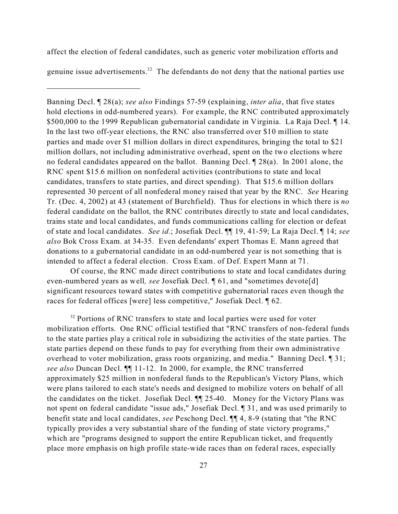affect the election of federal candidates, such as generic voter mobilization efforts and

genuine issue advertisements.<sup>32</sup> The defendants do not deny that the national parties use

Banning Decl. ¶ 28(a); *see also* Findings 57-59 (explaining, *inter alia*, that five states hold elections in odd-numbered years). For example, the RNC contributed approximately \$500,000 to the 1999 Republican gubernatorial candidate in Virginia. La Raja Decl. ¶ 14. In the last two off-year elections, the RNC also transferred over \$10 million to state parties and made over \$1 million dollars in direct expenditures, bringing the total to \$21 million dollars, not including administrative overhead, spent on the two elections where no federal candidates appeared on the ballot. Banning Decl. ¶ 28(a). In 2001 alone, the RNC spent \$15.6 million on nonfederal activities (contributions to state and local candidates, transfers to state parties, and direct spending). That \$15.6 million dollars represented 30 percent of all nonfederal money raised that year by the RNC. *See* Hearing Tr. (Dec. 4, 2002) at 43 (statement of Burchfield). Thus for elections in which there is *no* federal candidate on the ballot, the RNC contributes directly to state and local candidates, trains state and local candidates, and funds communications calling for election or defeat of state and local candidates. *See id.*; Josefiak Decl. ¶¶ 19, 41-59; La Raja Decl. ¶ 14; *see also* Bok Cross Exam. at 34-35. Even defendants' expert Thomas E. Mann agreed that donations to a gubernatorial candidate in an odd-numbered year is not something that is intended to affect a federal election. Cross Exam. of Def. Expert Mann at 71.

Of course, the RNC made direct contributions to state and local candidates during even-numbered years as well*, see* Josefiak Decl. ¶ 61, and "sometimes devote[d] significant resources toward states with competitive gubernatorial races even though the races for federal offices [were] less competitive," Josefiak Decl. ¶ 62.

 $32$  Portions of RNC transfers to state and local parties were used for voter mobilization efforts. One RNC official testified that "RNC transfers of non-federal funds to the state parties play a critical role in subsidizing the activities of the state parties. The state parties depend on these funds to pay for everything from their own administrative overhead to voter mobilization, grass roots organizing, and media." Banning Decl. ¶ 31; *see also* Duncan Decl. ¶¶ 11-12. In 2000, for example, the RNC transferred approximately \$25 million in nonfederal funds to the Republican's Victory Plans, which were plans tailored to each state's needs and designed to mobilize voters on behalf of all the candidates on the ticket. Josefiak Decl. ¶¶ 25-40. Money for the Victory Plans was not spent on federal candidate "issue ads," Josefiak Decl. ¶ 31, and was used primarily to benefit state and local candidates, *see* Peschong Decl. ¶¶ 4, 8-9 (stating that "the RNC typically provides a very substantial share of the funding of state victory programs," which are "programs designed to support the entire Republican ticket, and frequently place more emphasis on high profile state-wide races than on federal races, especially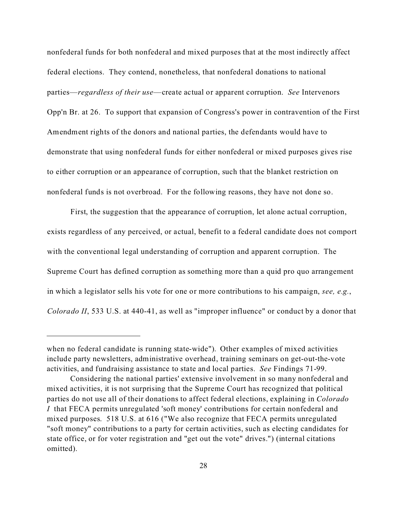nonfederal funds for both nonfederal and mixed purposes that at the most indirectly affect federal elections.They contend, nonetheless, that nonfederal donations to national parties—*regardless of their use*—create actual or apparent corruption. *See* Intervenors Opp'n Br. at 26. To support that expansion of Congress's power in contravention of the First Amendment rights of the donors and national parties, the defendants would have to demonstrate that using nonfederal funds for either nonfederal or mixed purposes gives rise to either corruption or an appearance of corruption, such that the blanket restriction on nonfederal funds is not overbroad. For the following reasons, they have not done so.

First, the suggestion that the appearance of corruption, let alone actual corruption, exists regardless of any perceived, or actual, benefit to a federal candidate does not comport with the conventional legal understanding of corruption and apparent corruption. The Supreme Court has defined corruption as something more than a quid pro quo arrangement in which a legislator sells his vote for one or more contributions to his campaign, *see, e.g.*, *Colorado II*, 533 U.S. at 440-41, as well as "improper influence" or conduct by a donor that

when no federal candidate is running state-wide"). Other examples of mixed activities include party newsletters, administrative overhead, training seminars on get-out-the-vote activities, and fundraising assistance to state and local parties. *See* Findings 71-99.

Considering the national parties' extensive involvement in so many nonfederal and mixed activities, it is not surprising that the Supreme Court has recognized that political parties do not use all of their donations to affect federal elections, explaining in *Colorado I* that FECA permits unregulated 'soft money' contributions for certain nonfederal and mixed purposes. 518 U.S. at 616 ("We also recognize that FECA permits unregulated "soft money" contributions to a party for certain activities, such as electing candidates for state office, or for voter registration and "get out the vote" drives.") (internal citations omitted).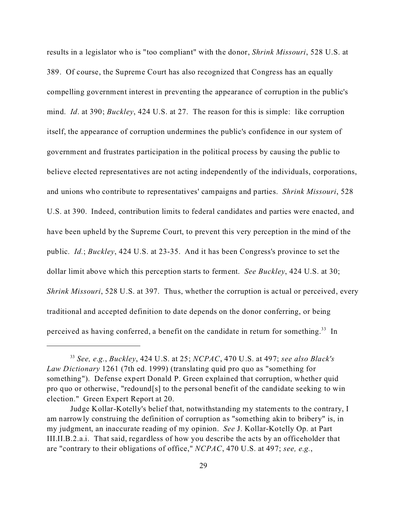results in a legislator who is "too compliant" with the donor, *Shrink Missouri*, 528 U.S. at 389. Of course, the Supreme Court has also recognized that Congress has an equally compelling government interest in preventing the appearance of corruption in the public's mind. *Id*. at 390; *Buckley*, 424 U.S. at 27. The reason for this is simple: like corruption itself, the appearance of corruption undermines the public's confidence in our system of government and frustrates participation in the political process by causing the public to believe elected representatives are not acting independently of the individuals, corporations, and unions who contribute to representatives' campaigns and parties. *Shrink Missouri*, 528 U.S. at 390. Indeed, contribution limits to federal candidates and parties were enacted, and have been upheld by the Supreme Court, to prevent this very perception in the mind of the public. *Id.*; *Buckley*, 424 U.S. at 23-35. And it has been Congress's province to set the dollar limit above which this perception starts to ferment. *See Buckley*, 424 U.S. at 30; *Shrink Missouri*, 528 U.S. at 397. Thus, whether the corruption is actual or perceived, every traditional and accepted definition to date depends on the donor conferring, or being perceived as having conferred, a benefit on the candidate in return for something.<sup>33</sup> In

<sup>33</sup> *See, e.g.*, *Buckley*, 424 U.S. at 25; *NCPAC*, 470 U.S. at 497; *see also Black's Law Dictionary* 1261 (7th ed. 1999) (translating quid pro quo as "something for something"). Defense expert Donald P. Green explained that corruption, whether quid pro quo or otherwise, "redound[s] to the personal benefit of the candidate seeking to win election." Green Expert Report at 20.

Judge Kollar-Kotelly's belief that, notwithstanding my statements to the contrary, I am narrowly construing the definition of corruption as "something akin to bribery" is, in my judgment, an inaccurate reading of my opinion. *See* J. Kollar-Kotelly Op. at Part III.II.B.2.a.i. That said, regardless of how you describe the acts by an officeholder that are "contrary to their obligations of office," *NCPAC*, 470 U.S. at 497; *see, e.g.*,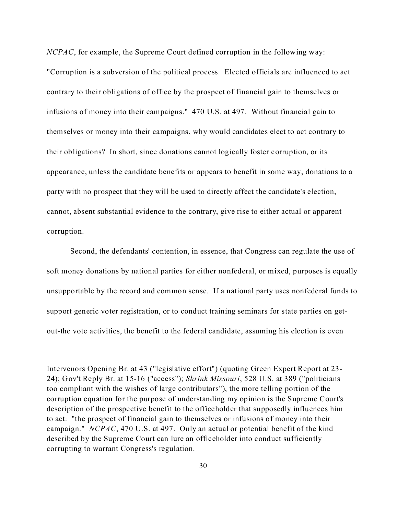*NCPAC*, for example, the Supreme Court defined corruption in the following way: "Corruption is a subversion of the political process. Elected officials are influenced to act contrary to their obligations of office by the prospect of financial gain to themselves or infusions of money into their campaigns." 470 U.S. at 497. Without financial gain to themselves or money into their campaigns, why would candidates elect to act contrary to their obligations? In short, since donations cannot logically foster corruption, or its appearance, unless the candidate benefits or appears to benefit in some way, donations to a party with no prospect that they will be used to directly affect the candidate's election, cannot, absent substantial evidence to the contrary, give rise to either actual or apparent corruption.

Second, the defendants' contention, in essence, that Congress can regulate the use of soft money donations by national parties for either nonfederal, or mixed, purposes is equally unsupportable by the record and common sense. If a national party uses nonfederal funds to support generic voter registration, or to conduct training seminars for state parties on getout-the vote activities, the benefit to the federal candidate, assuming his election is even

Intervenors Opening Br. at 43 ("legislative effort") (quoting Green Expert Report at 23- 24); Gov't Reply Br. at 15-16 ("access"); *Shrink Missouri*, 528 U.S. at 389 ("politicians too compliant with the wishes of large contributors"), the more telling portion of the corruption equation for the purpose of understanding my opinion is the Supreme Court's description of the prospective benefit to the officeholder that supposedly influences him to act: "the prospect of financial gain to themselves or infusions of money into their campaign." *NCPAC*, 470 U.S. at 497. Only an actual or potential benefit of the kind described by the Supreme Court can lure an officeholder into conduct sufficiently corrupting to warrant Congress's regulation.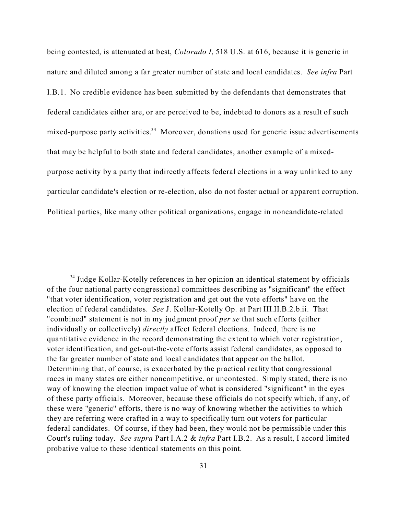being contested, is attenuated at best, *Colorado I*, 518 U.S. at 616, because it is generic in nature and diluted among a far greater number of state and local candidates. *See infra* Part I.B.1. No credible evidence has been submitted by the defendants that demonstrates that federal candidates either are, or are perceived to be, indebted to donors as a result of such mixed-purpose party activities.<sup>34</sup> Moreover, donations used for generic issue advertisements that may be helpful to both state and federal candidates, another example of a mixedpurpose activity by a party that indirectly affects federal elections in a way unlinked to any particular candidate's election or re-election, also do not foster actual or apparent corruption. Political parties, like many other political organizations, engage in noncandidate-related

<sup>34</sup> Judge Kollar-Kotelly references in her opinion an identical statement by officials of the four national party congressional committees describing as "significant" the effect "that voter identification, voter registration and get out the vote efforts" have on the election of federal candidates. *See* J. Kollar-Kotelly Op. at Part III.II.B.2.b.ii. That "combined" statement is not in my judgment proof *per se* that such efforts (either individually or collectively) *directly* affect federal elections. Indeed, there is no quantitative evidence in the record demonstrating the extent to which voter registration, voter identification, and get-out-the-vote efforts assist federal candidates, as opposed to the far greater number of state and local candidates that appear on the ballot. Determining that, of course, is exacerbated by the practical reality that congressional races in many states are either noncompetitive, or uncontested. Simply stated, there is no way of knowing the election impact value of what is considered "significant" in the eyes of these party officials. Moreover, because these officials do not specify which, if any, of these were "generic" efforts, there is no way of knowing whether the activities to which they are referring were crafted in a way to specifically turn out voters for particular federal candidates. Of course, if they had been, they would not be permissible under this Court's ruling today. *See supra* Part I.A.2 & *infra* Part I.B.2. As a result, I accord limited probative value to these identical statements on this point.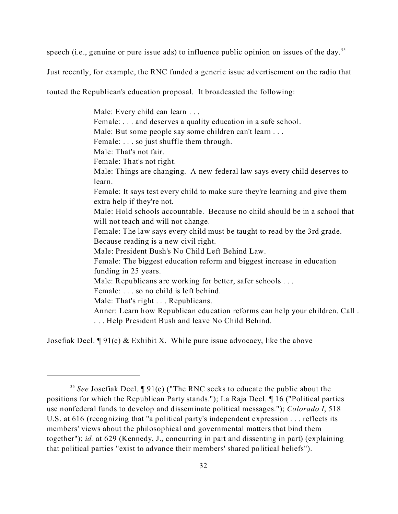speech (i.e., genuine or pure issue ads) to influence public opinion on issues of the day.<sup>35</sup>

Just recently, for example, the RNC funded a generic issue advertisement on the radio that

touted the Republican's education proposal. It broadcasted the following:

Male: Every child can learn . . . Female: ... and deserves a quality education in a safe school. Male: But some people say some children can't learn . . . Female: . . . so just shuffle them through. Male: That's not fair. Female: That's not right. Male: Things are changing. A new federal law says every child deserves to learn. Female: It says test every child to make sure they're learning and give them extra help if they're not. Male: Hold schools accountable. Because no child should be in a school that will not teach and will not change. Female: The law says every child must be taught to read by the 3rd grade. Because reading is a new civil right. Male: President Bush's No Child Left Behind Law. Female: The biggest education reform and biggest increase in education funding in 25 years. Male: Republicans are working for better, safer schools ... Female: . . . so no child is left behind. Male: That's right . . . Republicans. Anncr: Learn how Republican education reforms can help your children. Call . . . . Help President Bush and leave No Child Behind.

Josefiak Decl. ¶ 91(e) & Exhibit X. While pure issue advocacy, like the above

<sup>&</sup>lt;sup>35</sup> See Josefiak Decl. ¶ 91(e) ("The RNC seeks to educate the public about the positions for which the Republican Party stands."); La Raja Decl. ¶ 16 ("Political parties use nonfederal funds to develop and disseminate political messages."); *Colorado I*, 518 U.S. at 616 (recognizing that "a political party's independent expression . . . reflects its members' views about the philosophical and governmental matters that bind them together"); *id.* at 629 (Kennedy, J., concurring in part and dissenting in part) (explaining that political parties "exist to advance their members' shared political beliefs").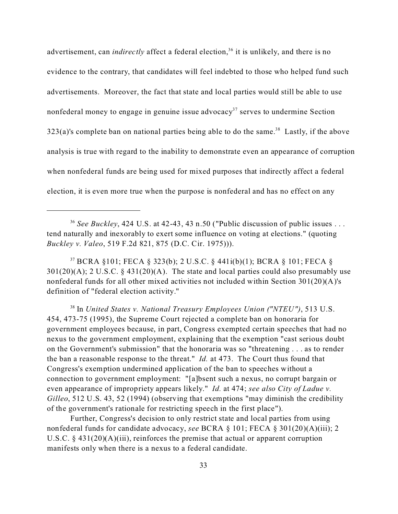advertisement, can *indirectly* affect a federal election,<sup>36</sup> it is unlikely, and there is no evidence to the contrary, that candidates will feel indebted to those who helped fund such advertisements. Moreover, the fact that state and local parties would still be able to use nonfederal money to engage in genuine issue advocacy<sup>37</sup> serves to undermine Section  $323(a)$ 's complete ban on national parties being able to do the same.<sup>38</sup> Lastly, if the above analysis is true with regard to the inability to demonstrate even an appearance of corruption when nonfederal funds are being used for mixed purposes that indirectly affect a federal election, it is even more true when the purpose is nonfederal and has no effect on any

<sup>36</sup> See Buckley, 424 U.S. at 42-43, 43 n.50 ("Public discussion of public issues ... tend naturally and inexorably to exert some influence on voting at elections." (quoting *Buckley v. Valeo*, 519 F.2d 821, 875 (D.C. Cir. 1975))).

<sup>37</sup> BCRA §101; FECA § 323(b); 2 U.S.C. § 441i(b)(1); BCRA § 101; FECA §  $301(20)(A)$ ; 2 U.S.C. § 431(20)(A). The state and local parties could also presumably use nonfederal funds for all other mixed activities not included within Section 301(20)(A)'s definition of "federal election activity."

<sup>38</sup> In *United States v. National Treasury Employees Union ("NTEU")*, 513 U.S. 454, 473-75 (1995), the Supreme Court rejected a complete ban on honoraria for government employees because, in part, Congress exempted certain speeches that had no nexus to the government employment, explaining that the exemption "cast serious doubt on the Government's submission" that the honoraria was so "threatening . . . as to render the ban a reasonable response to the threat." *Id.* at 473. The Court thus found that Congress's exemption undermined application of the ban to speeches without a connection to government employment: "[a]bsent such a nexus, no corrupt bargain or even appearance of impropriety appears likely." *Id.* at 474; *see also City of Ladue v. Gilleo*, 512 U.S. 43, 52 (1994) (observing that exemptions "may diminish the credibility of the government's rationale for restricting speech in the first place").

Further, Congress's decision to only restrict state and local parties from using nonfederal funds for candidate advocacy, *see* BCRA § 101; FECA § 301(20)(A)(iii); 2 U.S.C.  $\S$  431(20)(A)(iii), reinforces the premise that actual or apparent corruption manifests only when there is a nexus to a federal candidate.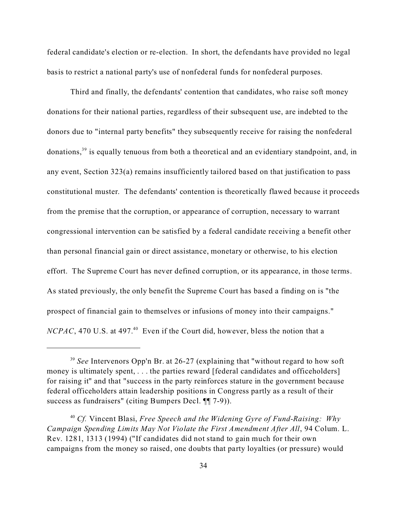federal candidate's election or re-election. In short, the defendants have provided no legal basis to restrict a national party's use of nonfederal funds for nonfederal purposes.

Third and finally, the defendants' contention that candidates, who raise soft money donations for their national parties, regardless of their subsequent use, are indebted to the donors due to "internal party benefits" they subsequently receive for raising the nonfederal donations,<sup>39</sup> is equally tenuous from both a theoretical and an evidentiary standpoint, and, in any event, Section 323(a) remains insufficiently tailored based on that justification to pass constitutional muster. The defendants' contention is theoretically flawed because it proceeds from the premise that the corruption, or appearance of corruption, necessary to warrant congressional intervention can be satisfied by a federal candidate receiving a benefit other than personal financial gain or direct assistance, monetary or otherwise, to his election effort. The Supreme Court has never defined corruption, or its appearance, in those terms. As stated previously, the only benefit the Supreme Court has based a finding on is "the prospect of financial gain to themselves or infusions of money into their campaigns." *NCPAC*, 470 U.S. at 497.<sup>40</sup> Even if the Court did, however, bless the notion that a

<sup>&</sup>lt;sup>39</sup> See Intervenors Opp'n Br. at 26-27 (explaining that "without regard to how soft money is ultimately spent, ... the parties reward [federal candidates and officeholders] for raising it" and that "success in the party reinforces stature in the government because federal officeholders attain leadership positions in Congress partly as a result of their success as fundraisers" (citing Bumpers Decl. ¶¶ 7-9)).

<sup>40</sup> *Cf.* Vincent Blasi, *Free Speech and the Widening Gyre of Fund-Raising: Why Campaign Spending Limits May Not Violate the First Amendment After All*, 94 Colum. L. Rev. 1281, 1313 (1994) ("If candidates did not stand to gain much for their own campaigns from the money so raised, one doubts that party loyalties (or pressure) would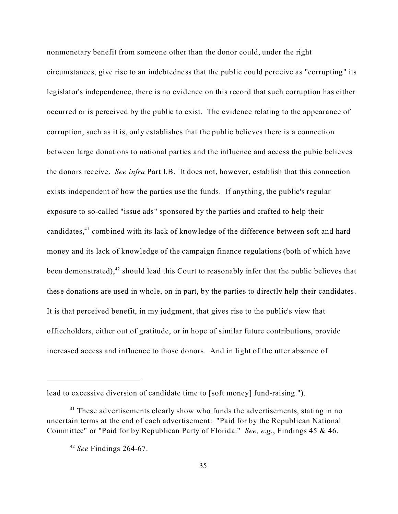nonmonetary benefit from someone other than the donor could, under the right circumstances, give rise to an indebtedness that the public could perceive as "corrupting" its legislator's independence, there is no evidence on this record that such corruption has either occurred or is perceived by the public to exist. The evidence relating to the appearance of corruption, such as it is, only establishes that the public believes there is a connection between large donations to national parties and the influence and access the pubic believes the donors receive. *See infra* Part I.B. It does not, however, establish that this connection exists independent of how the parties use the funds. If anything, the public's regular exposure to so-called "issue ads" sponsored by the parties and crafted to help their candidates,<sup>41</sup> combined with its lack of knowledge of the difference between soft and hard money and its lack of knowledge of the campaign finance regulations (both of which have been demonstrated), $42$  should lead this Court to reasonably infer that the public believes that these donations are used in whole, on in part, by the parties to directly help their candidates. It is that perceived benefit, in my judgment, that gives rise to the public's view that officeholders, either out of gratitude, or in hope of similar future contributions, provide increased access and influence to those donors. And in light of the utter absence of

lead to excessive diversion of candidate time to [soft money] fund-raising.").

<sup>&</sup>lt;sup>41</sup> These advertisements clearly show who funds the advertisements, stating in no uncertain terms at the end of each advertisement: "Paid for by the Republican National Committee" or "Paid for by Republican Party of Florida." *See, e.g.*, Findings 45 & 46.

<sup>42</sup> *See* Findings 264-67.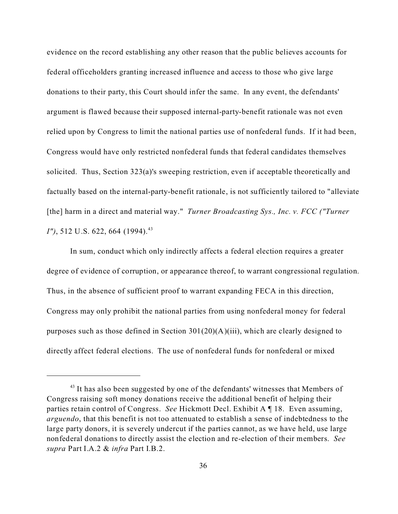evidence on the record establishing any other reason that the public believes accounts for federal officeholders granting increased influence and access to those who give large donations to their party, this Court should infer the same. In any event, the defendants' argument is flawed because their supposed internal-party-benefit rationale was not even relied upon by Congress to limit the national parties use of nonfederal funds. If it had been, Congress would have only restricted nonfederal funds that federal candidates themselves solicited. Thus, Section 323(a)'s sweeping restriction, even if acceptable theoretically and factually based on the internal-party-benefit rationale, is not sufficiently tailored to "alleviate [the] harm in a direct and material way." *Turner Broadcasting Sys., Inc. v. FCC ("Turner I"*), 512 U.S. 622, 664 (1994).<sup>43</sup>

In sum, conduct which only indirectly affects a federal election requires a greater degree of evidence of corruption, or appearance thereof, to warrant congressional regulation. Thus, in the absence of sufficient proof to warrant expanding FECA in this direction, Congress may only prohibit the national parties from using nonfederal money for federal purposes such as those defined in Section 301(20)(A)(iii), which are clearly designed to directly affect federal elections. The use of nonfederal funds for nonfederal or mixed

<sup>&</sup>lt;sup>43</sup> It has also been suggested by one of the defendants' witnesses that Members of Congress raising soft money donations receive the additional benefit of helping their parties retain control of Congress. *See* Hickmott Decl. Exhibit A ¶ 18. Even assuming, *arguendo*, that this benefit is not too attenuated to establish a sense of indebtedness to the large party donors, it is severely undercut if the parties cannot, as we have held, use large nonfederal donations to directly assist the election and re-election of their members. *See supra* Part I.A.2 & *infra* Part I.B.2.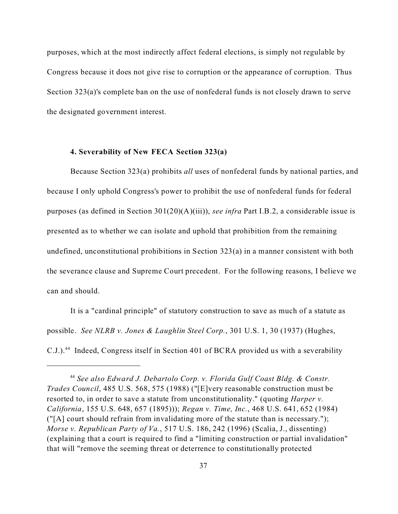purposes, which at the most indirectly affect federal elections, is simply not regulable by Congress because it does not give rise to corruption or the appearance of corruption. Thus Section 323(a)'s complete ban on the use of nonfederal funds is not closely drawn to serve the designated government interest.

#### **4. Severability of New FECA Section 323(a)**

Because Section 323(a) prohibits *all* uses of nonfederal funds by national parties, and because I only uphold Congress's power to prohibit the use of nonfederal funds for federal purposes (as defined in Section 301(20)(A)(iii)), *see infra* Part I.B.2, a considerable issue is presented as to whether we can isolate and uphold that prohibition from the remaining undefined, unconstitutional prohibitions in Section 323(a) in a manner consistent with both the severance clause and Supreme Court precedent. For the following reasons, I believe we can and should.

It is a "cardinal principle" of statutory construction to save as much of a statute as possible. *See NLRB v. Jones & Laughlin Steel Corp.*, 301 U.S. 1, 30 (1937) (Hughes, C.J.).<sup>44</sup> Indeed, Congress itself in Section 401 of BCRA provided us with a severability

<sup>44</sup> *See also Edward J. Debartolo Corp. v. Florida Gulf Coast Bldg. & Constr. Trades Council*, 485 U.S. 568, 575 (1988) ("[E]very reasonable construction must be resorted to, in order to save a statute from unconstitutionality." (quoting *Harper v. California*, 155 U.S. 648, 657 (1895))); *Regan v. Time, Inc.*, 468 U.S. 641, 652 (1984) ("[A] court should refrain from invalidating more of the statute than is necessary."); *Morse v. Republican Party of Va.*, 517 U.S. 186, 242 (1996) (Scalia, J., dissenting) (explaining that a court is required to find a "limiting construction or partial invalidation" that will "remove the seeming threat or deterrence to constitutionally protected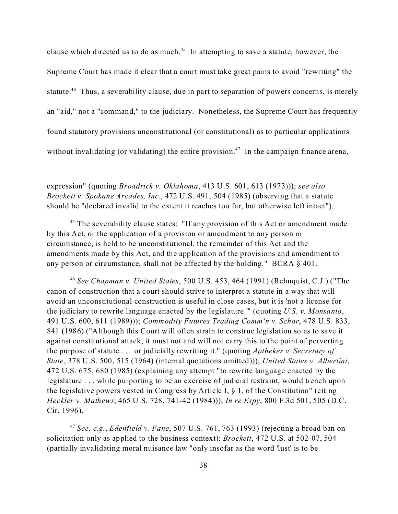clause which directed us to do as much.<sup>45</sup> In attempting to save a statute, however, the Supreme Court has made it clear that a court must take great pains to avoid "rewriting" the statute.<sup>46</sup> Thus, a severability clause, due in part to separation of powers concerns, is merely an "aid," not a "command," to the judiciary. Nonetheless, the Supreme Court has frequently found statutory provisions unconstitutional (or constitutional) as to particular applications without invalidating (or validating) the entire provision.<sup>47</sup> In the campaign finance arena,

expression" (quoting *Broadrick v. Oklahoma*, 413 U.S. 601, 613 (1973))); *see also Brockett v. Spokane Arcades, Inc.*, 472 U.S. 491, 504 (1985) (observing that a statute should be "declared invalid to the extent it reaches too far, but otherwise left intact").

<sup>45</sup> The severability clause states: "If any provision of this Act or amendment made by this Act, or the application of a provision or amendment to any person or circumstance, is held to be unconstitutional, the remainder of this Act and the amendments made by this Act, and the application of the provisions and amendment to any person or circumstance, shall not be affected by the holding." BCRA § 401.

<sup>46</sup> *See Chapman v. United States*, 500 U.S. 453, 464 (1991) (Rehnquist, C.J.) ("The canon of construction that a court should strive to interpret a statute in a way that will avoid an unconstitutional construction is useful in close cases, but it is 'not a license for the judiciary to rewrite language enacted by the legislature.'" (quoting *U.S. v. Monsanto*, 491 U.S. 600, 611 (1989))); *Commodity Futures Trading Comm'n v. Schor*, 478 U.S. 833, 841 (1986) ("Although this Court will often strain to construe legislation so as to save it against constitutional attack, it must not and will not carry this to the point of perverting the purpose of statute . . . or judicially rewriting it." (quoting *Aptheker v. Secretary of State*, 378 U.S. 500, 515 (1964) (internal quotations omitted))); *United States v. Albertini*, 472 U.S. 675, 680 (1985) (explaining any attempt "to rewrite language enacted by the legislature . . . while purporting to be an exercise of judicial restraint, would trench upon the legislative powers vested in Congress by Article I, § 1, of the Constitution" (citing *Heckler v. Mathews*, 465 U.S. 728, 741-42 (1984))); *In re Espy*, 800 F.3d 501, 505 (D.C. Cir. 1996).

<sup>47</sup> *See, e.g.*, *Edenfield v. Fane*, 507 U.S. 761, 763 (1993) (rejecting a broad ban on solicitation only as applied to the business context); *Brockett*, 472 U.S. at 502-07, 504 (partially invalidating moral nuisance law "only insofar as the word 'lust' is to be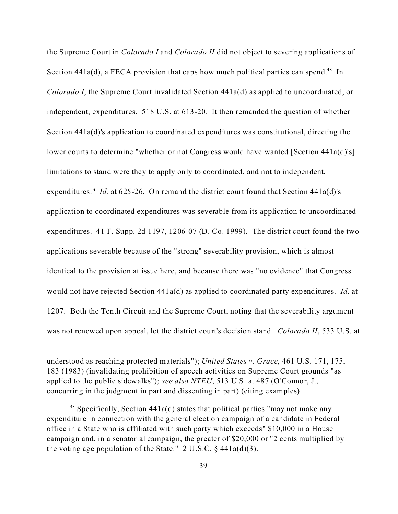the Supreme Court in *Colorado I* and *Colorado II* did not object to severing applications of Section  $441a(d)$ , a FECA provision that caps how much political parties can spend.<sup>48</sup> In *Colorado I*, the Supreme Court invalidated Section 441a(d) as applied to uncoordinated, or independent, expenditures. 518 U.S. at 613-20. It then remanded the question of whether Section 441a(d)'s application to coordinated expenditures was constitutional, directing the lower courts to determine "whether or not Congress would have wanted [Section 441a(d)'s] limitations to stand were they to apply only to coordinated, and not to independent, expenditures." *Id.* at 625-26. On remand the district court found that Section 441a(d)'s application to coordinated expenditures was severable from its application to uncoordinated expenditures. 41 F. Supp. 2d 1197, 1206-07 (D. Co. 1999). The district court found the two applications severable because of the "strong" severability provision, which is almost identical to the provision at issue here, and because there was "no evidence" that Congress would not have rejected Section 441a(d) as applied to coordinated party expenditures. *Id.* at 1207. Both the Tenth Circuit and the Supreme Court, noting that the severability argument was not renewed upon appeal, let the district court's decision stand. *Colorado II*, 533 U.S. at

understood as reaching protected materials"); *United States v. Grace*, 461 U.S. 171, 175, 183 (1983) (invalidating prohibition of speech activities on Supreme Court grounds "as applied to the public sidewalks"); *see also NTEU*, 513 U.S. at 487 (O'Connor, J., concurring in the judgment in part and dissenting in part) (citing examples).

 $48$  Specifically, Section 441a(d) states that political parties "may not make any expenditure in connection with the general election campaign of a candidate in Federal office in a State who is affiliated with such party which exceeds" \$10,000 in a House campaign and, in a senatorial campaign, the greater of \$20,000 or "2 cents multiplied by the voting age population of the State."  $2 \text{ U.S.C. } §$  441a(d)(3).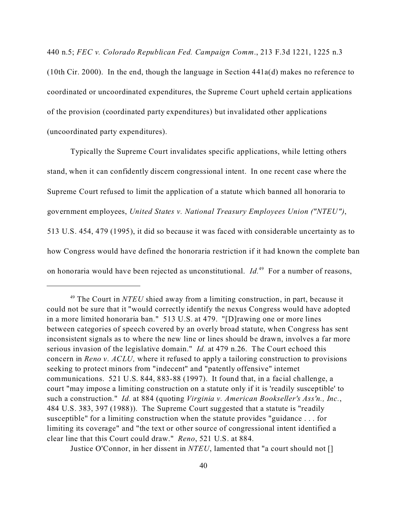440 n.5; *FEC v. Colorado Republican Fed. Campaign Comm*., 213 F.3d 1221, 1225 n.3 (10th Cir. 2000). In the end, though the language in Section  $441a(d)$  makes no reference to coordinated or uncoordinated expenditures, the Supreme Court upheld certain applications of the provision (coordinated party expenditures) but invalidated other applications (uncoordinated party expenditures).

Typically the Supreme Court invalidates specific applications, while letting others stand, when it can confidently discern congressional intent. In one recent case where the Supreme Court refused to limit the application of a statute which banned all honoraria to government employees, *United States v. National Treasury Employees Union ("NTEU")*, 513 U.S. 454, 479 (1995), it did so because it was faced with considerable uncertainty as to how Congress would have defined the honoraria restriction if it had known the complete ban on honoraria would have been rejected as unconstitutional. *Id.*<sup>49</sup> For a number of reasons,

Justice O'Connor, in her dissent in *NTEU*, lamented that "a court should not []

<sup>49</sup> The Court in *NTEU* shied away from a limiting construction, in part, because it could not be sure that it "would correctly identify the nexus Congress would have adopted in a more limited honoraria ban." 513 U.S. at 479."[D]rawing one or more lines between categories of speech covered by an overly broad statute, when Congress has sent inconsistent signals as to where the new line or lines should be drawn, involves a far more serious invasion of the legislative domain." *Id.* at 479 n.26. The Court echoed this concern in *Reno v. ACLU,* where it refused to apply a tailoring construction to provisions seeking to protect minors from "indecent" and "patently offensive" internet communications. 521 U.S. 844, 883-88 (1997). It found that, in a facial challenge, a court "may impose a limiting construction on a statute only if it is 'readily susceptible' to such a construction." *Id.* at 884 (quoting *Virginia v. American Bookseller's Ass'n., Inc.*, 484 U.S. 383, 397 (1988)). The Supreme Court suggested that a statute is "readily susceptible" for a limiting construction when the statute provides "guidance . . . for limiting its coverage" and "the text or other source of congressional intent identified a clear line that this Court could draw." *Reno*, 521 U.S. at 884.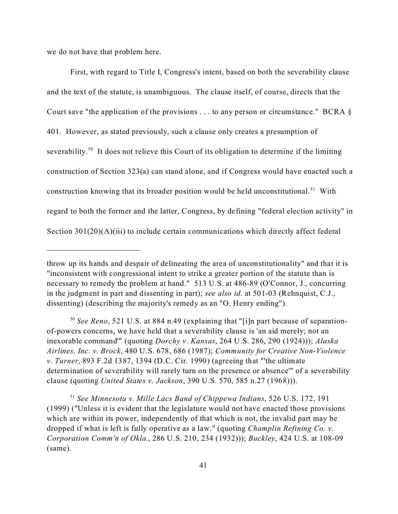we do not have that problem here.

First, with regard to Title I, Congress's intent, based on both the severability clause and the text of the statute, is unambiguous. The clause itself, of course, directs that the Court save "the application of the provisions . . . to any person or circumstance." BCRA § 401. However, as stated previously, such a clause only creates a presumption of severability.<sup>50</sup> It does not relieve this Court of its obligation to determine if the limiting construction of Section 323(a) can stand alone, and if Congress would have enacted such a construction knowing that its broader position would be held unconstitutional.<sup>51</sup> With regard to both the former and the latter, Congress, by defining "federal election activity" in Section 301(20)(A)(iii) to include certain communications which directly affect federal

throw up its hands and despair of delineating the area of unconstitutionality" and that it is "inconsistent with congressional intent to strike a greater portion of the statute than is necessary to remedy the problem at hand." 513 U.S. at 486-89 (O'Connor, J., concurring in the judgment in part and dissenting in part); *see also id.* at 501-03 (Rehnquist, C.J., dissenting) (describing the majority's remedy as an "O. Henry ending").

<sup>50</sup> *See Reno*, 521 U.S. at 884 n.49 (explaining that "[i]n part because of separationof-powers concerns, we have held that a severability clause is 'an aid merely; not an inexorable command'" (quoting *Dorchy v. Kansas*, 264 U.S. 286, 290 (1924))); *Alaska Airlines, Inc. v. Brock*, 480 U.S. 678, 686 (1987); *Community for Creative Non-Violence v. Turner*, 893 F.2d 1387, 1394 (D.C. Cir. 1990) (agreeing that "'the ultimate determination of severability will rarely turn on the presence or absence'" of a severability clause (quoting *United States v. Jackson*, 390 U.S. 570, 585 n.27 (1968))).

<sup>51</sup> *See Minnesota v. Mille Lacs Band of Chippewa Indians*, 526 U.S. 172, 191 (1999) ("Unless it is evident that the legislature would not have enacted those provisions which are within its power, independently of that which is not, the invalid part may be dropped if what is left is fully operative as a law." (quoting *Champlin Refining Co. v. Corporation Comm'n of Okla.*, 286 U.S. 210, 234 (1932))); *Buckley*, 424 U.S. at 108-09 (same).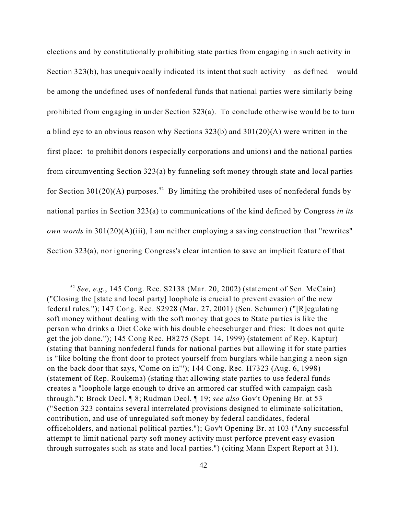elections and by constitutionally prohibiting state parties from engaging in such activity in Section 323(b), has unequivocally indicated its intent that such activity—as defined—would be among the undefined uses of nonfederal funds that national parties were similarly being prohibited from engaging in under Section 323(a). To conclude otherwise would be to turn a blind eye to an obvious reason why Sections 323(b) and 301(20)(A) were written in the first place: to prohibit donors (especially corporations and unions) and the national parties from circumventing Section 323(a) by funneling soft money through state and local parties for Section 301(20)(A) purposes.<sup>52</sup> By limiting the prohibited uses of nonfederal funds by national parties in Section 323(a) to communications of the kind defined by Congress *in its own words* in 301(20)(A)(iii), I am neither employing a saving construction that "rewrites" Section 323(a), nor ignoring Congress's clear intention to save an implicit feature of that

<sup>52</sup> *See, e.g.*, 145 Cong. Rec. S2138 (Mar. 20, 2002) (statement of Sen. McCain) ("Closing the [state and local party] loophole is crucial to prevent evasion of the new federal rules."); 147 Cong. Rec. S2928 (Mar. 27, 2001) (Sen. Schumer) ("[R]egulating soft money without dealing with the soft money that goes to State parties is like the person who drinks a Diet Coke with his double cheeseburger and fries: It does not quite get the job done."); 145 Cong Rec. H8275 (Sept. 14, 1999) (statement of Rep. Kaptur) (stating that banning nonfederal funds for national parties but allowing it for state parties is "like bolting the front door to protect yourself from burglars while hanging a neon sign on the back door that says, 'Come on in'"); 144 Cong. Rec. H7323 (Aug. 6, 1998) (statement of Rep. Roukema) (stating that allowing state parties to use federal funds creates a "loophole large enough to drive an armored car stuffed with campaign cash through."); Brock Decl. ¶ 8; Rudman Decl. ¶ 19; *see also* Gov't Opening Br. at 53 ("Section 323 contains several interrelated provisions designed to eliminate solicitation, contribution, and use of unregulated soft money by federal candidates, federal officeholders, and national political parties."); Gov't Opening Br. at 103 ("Any successful attempt to limit national party soft money activity must perforce prevent easy evasion through surrogates such as state and local parties.") (citing Mann Expert Report at 31).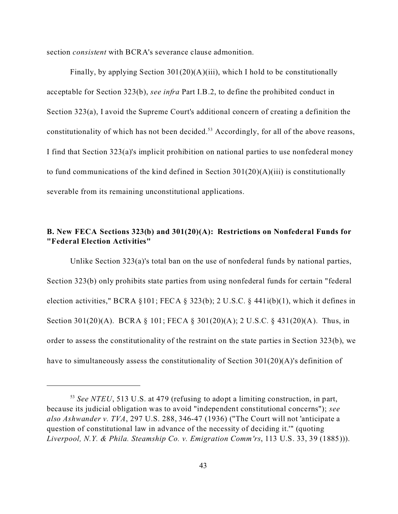section *consistent* with BCRA's severance clause admonition.

Finally, by applying Section 301(20)(A)(iii), which I hold to be constitutionally acceptable for Section 323(b), *see infra* Part I.B.2, to define the prohibited conduct in Section 323(a), I avoid the Supreme Court's additional concern of creating a definition the constitutionality of which has not been decided.<sup>53</sup> Accordingly, for all of the above reasons, I find that Section 323(a)'s implicit prohibition on national parties to use nonfederal money to fund communications of the kind defined in Section  $301(20)(A)(iii)$  is constitutionally severable from its remaining unconstitutional applications.

# **B. New FECA Sections 323(b) and 301(20)(A): Restrictions on Nonfederal Funds for "Federal Election Activities"**

Unlike Section 323(a)'s total ban on the use of nonfederal funds by national parties, Section 323(b) only prohibits state parties from using nonfederal funds for certain "federal election activities," BCRA  $\S 101$ ; FECA  $\S 323(b)$ ; 2 U.S.C.  $\S 441i(b)(1)$ , which it defines in Section 301(20)(A). BCRA § 101; FECA § 301(20)(A); 2 U.S.C. § 431(20)(A). Thus, in order to assess the constitutionality of the restraint on the state parties in Section 323(b), we have to simultaneously assess the constitutionality of Section 301(20)(A)'s definition of

<sup>53</sup> *See NTEU*, 513 U.S. at 479 (refusing to adopt a limiting construction, in part, because its judicial obligation was to avoid "independent constitutional concerns"); *see also Ashwander v. TVA*, 297 U.S. 288, 346-47 (1936) ("The Court will not 'anticipate a question of constitutional law in advance of the necessity of deciding it.'" (quoting *Liverpool, N.Y. & Phila. Steamship Co. v. Emigration Comm'rs*, 113 U.S. 33, 39 (1885))).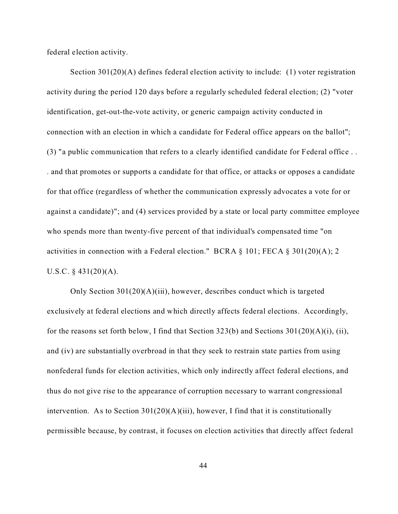federal election activity.

Section 301(20)(A) defines federal election activity to include: (1) voter registration activity during the period 120 days before a regularly scheduled federal election; (2) "voter identification, get-out-the-vote activity, or generic campaign activity conducted in connection with an election in which a candidate for Federal office appears on the ballot"; (3) "a public communication that refers to a clearly identified candidate for Federal office . . . and that promotes or supports a candidate for that office, or attacks or opposes a candidate for that office (regardless of whether the communication expressly advocates a vote for or against a candidate)"; and (4) services provided by a state or local party committee employee who spends more than twenty-five percent of that individual's compensated time "on activities in connection with a Federal election." BCRA § 101; FECA § 301(20)(A); 2 U.S.C.  $§$  431(20)(A).

Only Section 301(20)(A)(iii), however, describes conduct which is targeted exclusively at federal elections and which directly affects federal elections. Accordingly, for the reasons set forth below, I find that Section 323(b) and Sections  $301(20)(A)(i)$ , (ii), and (iv) are substantially overbroad in that they seek to restrain state parties from using nonfederal funds for election activities, which only indirectly affect federal elections, and thus do not give rise to the appearance of corruption necessary to warrant congressional intervention. As to Section  $301(20)(A)(iii)$ , however, I find that it is constitutionally permissible because, by contrast, it focuses on election activities that directly affect federal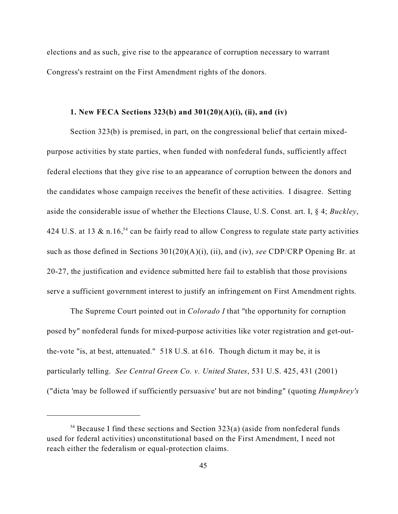elections and as such, give rise to the appearance of corruption necessary to warrant Congress's restraint on the First Amendment rights of the donors.

## **1. New FECA Sections 323(b) and 301(20)(A)(i), (ii), and (iv)**

Section 323(b) is premised, in part, on the congressional belief that certain mixedpurpose activities by state parties, when funded with nonfederal funds, sufficiently affect federal elections that they give rise to an appearance of corruption between the donors and the candidates whose campaign receives the benefit of these activities. I disagree. Setting aside the considerable issue of whether the Elections Clause, U.S. Const*.* art. I, § 4; *Buckley*, 424 U.S. at 13  $\&$  n.16,<sup>54</sup> can be fairly read to allow Congress to regulate state party activities such as those defined in Sections 301(20)(A)(i), (ii), and (iv), *see* CDP/CRP Opening Br. at 20-27, the justification and evidence submitted here fail to establish that those provisions serve a sufficient government interest to justify an infringement on First Amendment rights.

The Supreme Court pointed out in *Colorado I* that "the opportunity for corruption posed by" nonfederal funds for mixed-purpose activities like voter registration and get-outthe-vote "is, at best, attenuated." 518 U.S. at 616. Though dictum it may be, it is particularly telling. *See Central Green Co. v. United States*, 531 U.S. 425, 431 (2001) ("dicta 'may be followed if sufficiently persuasive' but are not binding" (quoting *Humphrey's*

 $54$  Because I find these sections and Section 323(a) (aside from nonfederal funds used for federal activities) unconstitutional based on the First Amendment, I need not reach either the federalism or equal-protection claims.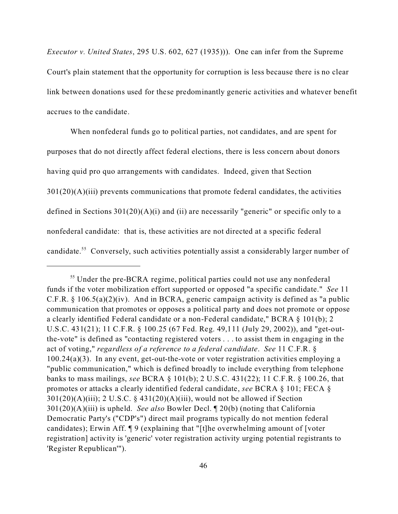*Executor v. United States*, 295 U.S. 602, 627 (1935))). One can infer from the Supreme Court's plain statement that the opportunity for corruption is less because there is no clear link between donations used for these predominantly generic activities and whatever benefit accrues to the candidate.

When nonfederal funds go to political parties, not candidates, and are spent for purposes that do not directly affect federal elections, there is less concern about donors having quid pro quo arrangements with candidates. Indeed, given that Section  $301(20)(A)(iii)$  prevents communications that promote federal candidates, the activities defined in Sections  $301(20)(A)(i)$  and (ii) are necessarily "generic" or specific only to a nonfederal candidate: that is, these activities are not directed at a specific federal candidate.<sup>55</sup> Conversely, such activities potentially assist a considerably larger number of

<sup>&</sup>lt;sup>55</sup> Under the pre-BCRA regime, political parties could not use any nonfederal funds if the voter mobilization effort supported or opposed "a specific candidate." *See* 11 C.F.R.  $\S$  106.5(a)(2)(iv). And in BCRA, generic campaign activity is defined as "a public communication that promotes or opposes a political party and does not promote or oppose a clearly identified Federal candidate or a non-Federal candidate," BCRA § 101(b); 2 U.S.C. 431(21); 11 C.F.R. § 100.25 (67 Fed. Reg. 49,111 (July 29, 2002)), and "get-outthe-vote" is defined as "contacting registered voters . . . to assist them in engaging in the act of voting," *regardless of a reference to a federal candidate*. *See* 11 C.F.R. § 100.24(a)(3). In any event, get-out-the-vote or voter registration activities employing a "public communication," which is defined broadly to include everything from telephone banks to mass mailings, *see* BCRA § 101(b); 2 U.S.C. 431(22); 11 C.F.R. § 100.26, that promotes or attacks a clearly identified federal candidate, *see* BCRA § 101; FECA §  $301(20)(A)(iii)$ ; 2 U.S.C. § 431(20)(A)(iii), would not be allowed if Section 301(20)(A)(iii) is upheld. *See also* Bowler Decl. ¶ 20(b) (noting that California Democratic Party's ("CDP's") direct mail programs typically do not mention federal candidates); Erwin Aff. ¶ 9 (explaining that "[t]he overwhelming amount of [voter registration] activity is 'generic' voter registration activity urging potential registrants to 'Register Republican'").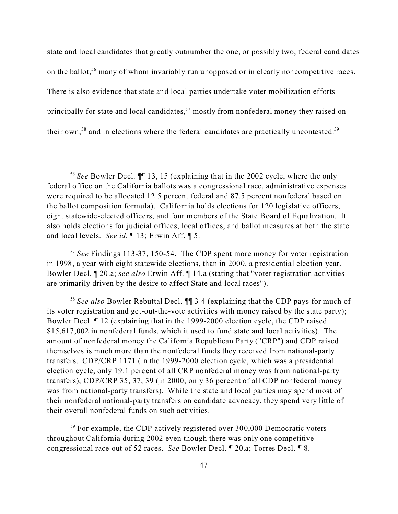state and local candidates that greatly outnumber the one, or possibly two, federal candidates on the ballot,<sup>56</sup> many of whom invariably run unopposed or in clearly noncompetitive races. There is also evidence that state and local parties undertake voter mobilization efforts principally for state and local candidates,  $57$  mostly from nonfederal money they raised on their own,<sup>58</sup> and in elections where the federal candidates are practically uncontested.<sup>59</sup>

<sup>57</sup> *See* Findings 113-37, 150-54. The CDP spent more money for voter registration in 1998, a year with eight statewide elections, than in 2000, a presidential election year. Bowler Decl. ¶ 20.a; *see also* Erwin Aff. ¶ 14.a (stating that "voter registration activities are primarily driven by the desire to affect State and local races").

<sup>58</sup> *See also* Bowler Rebuttal Decl. ¶¶ 3-4 (explaining that the CDP pays for much of its voter registration and get-out-the-vote activities with money raised by the state party); Bowler Decl. ¶ 12 (explaining that in the 1999-2000 election cycle, the CDP raised \$15,617,002 in nonfederal funds, which it used to fund state and local activities). The amount of nonfederal money the California Republican Party ("CRP") and CDP raised themselves is much more than the nonfederal funds they received from national-party transfers. CDP/CRP 1171 (in the 1999-2000 election cycle, which was a presidential election cycle, only 19.1 percent of all CRP nonfederal money was from national-party transfers); CDP/CRP 35, 37, 39 (in 2000, only 36 percent of all CDP nonfederal money was from national-party transfers). While the state and local parties may spend most of their nonfederal national-party transfers on candidate advocacy, they spend very little of their overall nonfederal funds on such activities.

<sup>59</sup> For example, the CDP actively registered over 300,000 Democratic voters throughout California during 2002 even though there was only one competitive congressional race out of 52 races. *See* Bowler Decl. ¶ 20.a; Torres Decl. ¶ 8.

<sup>56</sup> *See* Bowler Decl. ¶¶ 13, 15 (explaining that in the 2002 cycle, where the only federal office on the California ballots was a congressional race, administrative expenses were required to be allocated 12.5 percent federal and 87.5 percent nonfederal based on the ballot composition formula). California holds elections for 120 legislative officers, eight statewide-elected officers, and four members of the State Board of Equalization. It also holds elections for judicial offices, local offices, and ballot measures at both the state and local levels. *See id.* ¶ 13; Erwin Aff. ¶ 5.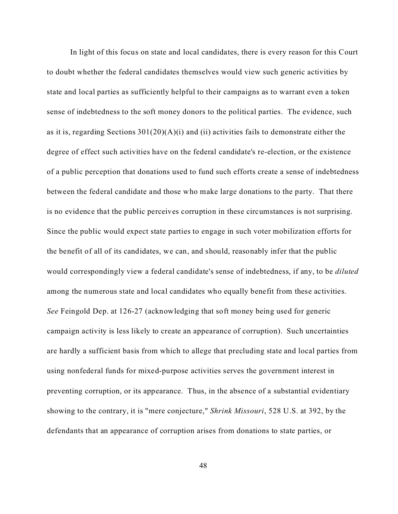In light of this focus on state and local candidates, there is every reason for this Court to doubt whether the federal candidates themselves would view such generic activities by state and local parties as sufficiently helpful to their campaigns as to warrant even a token sense of indebtedness to the soft money donors to the political parties. The evidence, such as it is, regarding Sections  $301(20)(A)(i)$  and (ii) activities fails to demonstrate either the degree of effect such activities have on the federal candidate's re-election, or the existence of a public perception that donations used to fund such efforts create a sense of indebtedness between the federal candidate and those who make large donations to the party. That there is no evidence that the public perceives corruption in these circumstances is not surprising. Since the public would expect state parties to engage in such voter mobilization efforts for the benefit of all of its candidates, we can, and should, reasonably infer that the public would correspondingly view a federal candidate's sense of indebtedness, if any, to be *diluted* among the numerous state and local candidates who equally benefit from these activities. *See* Feingold Dep. at 126-27 (acknowledging that soft money being used for generic campaign activity is less likely to create an appearance of corruption). Such uncertainties are hardly a sufficient basis from which to allege that precluding state and local parties from using nonfederal funds for mixed-purpose activities serves the government interest in preventing corruption, or its appearance. Thus, in the absence of a substantial evidentiary showing to the contrary, it is "mere conjecture," *Shrink Missouri*, 528 U.S. at 392, by the defendants that an appearance of corruption arises from donations to state parties, or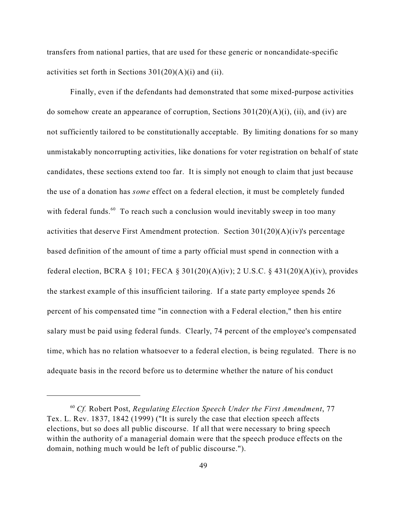transfers from national parties, that are used for these generic or noncandidate-specific activities set forth in Sections  $301(20)(A)(i)$  and (ii).

Finally, even if the defendants had demonstrated that some mixed-purpose activities do somehow create an appearance of corruption, Sections  $301(20)(A)(i)$ , (ii), and (iv) are not sufficiently tailored to be constitutionally acceptable. By limiting donations for so many unmistakably noncorrupting activities, like donations for voter registration on behalf of state candidates, these sections extend too far. It is simply not enough to claim that just because the use of a donation has *some* effect on a federal election, it must be completely funded with federal funds.<sup>60</sup> To reach such a conclusion would inevitably sweep in too many activities that deserve First Amendment protection. Section 301(20)(A)(iv)'s percentage based definition of the amount of time a party official must spend in connection with a federal election, BCRA § 101; FECA § 301(20)(A)(iv); 2 U.S.C. § 431(20)(A)(iv), provides the starkest example of this insufficient tailoring. If a state party employee spends 26 percent of his compensated time "in connection with a Federal election," then his entire salary must be paid using federal funds. Clearly, 74 percent of the employee's compensated time, which has no relation whatsoever to a federal election, is being regulated. There is no adequate basis in the record before us to determine whether the nature of his conduct

<sup>60</sup> *Cf.* Robert Post, *Regulating Election Speech Under the First Amendment*, 77 Tex. L. Rev. 1837, 1842 (1999) ("It is surely the case that election speech affects elections, but so does all public discourse. If all that were necessary to bring speech within the authority of a managerial domain were that the speech produce effects on the domain, nothing much would be left of public discourse.").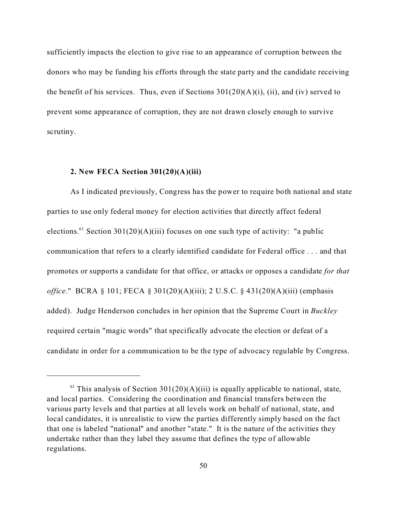sufficiently impacts the election to give rise to an appearance of corruption between the donors who may be funding his efforts through the state party and the candidate receiving the benefit of his services. Thus, even if Sections  $301(20)(A)(i)$ , (ii), and (iv) served to prevent some appearance of corruption, they are not drawn closely enough to survive scrutiny.

#### **2. New FECA Section 301(20)(A)(iii)**

As I indicated previously, Congress has the power to require both national and state parties to use only federal money for election activities that directly affect federal elections.<sup>61</sup> Section 301(20)(A)(iii) focuses on one such type of activity: "a public communication that refers to a clearly identified candidate for Federal office . . . and that promotes or supports a candidate for that office, or attacks or opposes a candidate *for that office*." BCRA § 101; FECA § 301(20)(A)(iii); 2 U.S.C. § 431(20)(A)(iii) (emphasis added). Judge Henderson concludes in her opinion that the Supreme Court in *Buckley* required certain "magic words" that specifically advocate the election or defeat of a candidate in order for a communication to be the type of advocacy regulable by Congress.

 $<sup>61</sup>$  This analysis of Section 301(20)(A)(iii) is equally applicable to national, state,</sup> and local parties. Considering the coordination and financial transfers between the various party levels and that parties at all levels work on behalf of national, state, and local candidates, it is unrealistic to view the parties differently simply based on the fact that one is labeled "national" and another "state." It is the nature of the activities they undertake rather than they label they assume that defines the type of allowable regulations.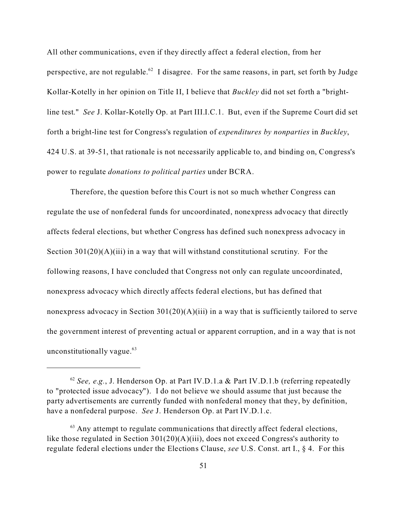All other communications, even if they directly affect a federal election, from her perspective, are not regulable.<sup>62</sup> I disagree. For the same reasons, in part, set forth by Judge Kollar-Kotelly in her opinion on Title II, I believe that *Buckley* did not set forth a "brightline test." *See* J. Kollar-Kotelly Op. at Part III.I.C.1.But, even if the Supreme Court did set forth a bright-line test for Congress's regulation of *expenditures by nonparties* in *Buckley*, 424 U.S. at 39-51, that rationale is not necessarily applicable to, and binding on, Congress's power to regulate *donations to political parties* under BCRA.

Therefore, the question before this Court is not so much whether Congress can regulate the use of nonfederal funds for uncoordinated, nonexpress advocacy that directly affects federal elections, but whether Congress has defined such nonexpress advocacy in Section  $301(20)(A)(iii)$  in a way that will withstand constitutional scrutiny. For the following reasons, I have concluded that Congress not only can regulate uncoordinated, nonexpress advocacy which directly affects federal elections, but has defined that nonexpress advocacy in Section  $301(20)(A)(iii)$  in a way that is sufficiently tailored to serve the government interest of preventing actual or apparent corruption, and in a way that is not unconstitutionally vague. $63$ 

<sup>&</sup>lt;sup>62</sup> See, e.g., J. Henderson Op. at Part IV.D.1.a & Part IV.D.1.b (referring repeatedly to "protected issue advocacy"). I do not believe we should assume that just because the party advertisements are currently funded with nonfederal money that they, by definition, have a nonfederal purpose. *See* J. Henderson Op. at Part IV.D.1.c.

 $63$  Any attempt to regulate communications that directly affect federal elections, like those regulated in Section 301(20)(A)(iii), does not exceed Congress's authority to regulate federal elections under the Elections Clause, *see* U.S. Const. art I., § 4. For this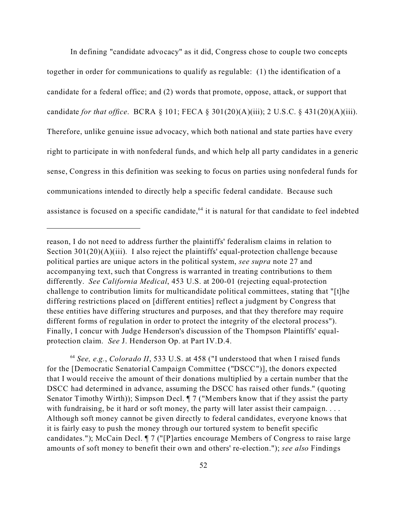In defining "candidate advocacy" as it did, Congress chose to couple two concepts together in order for communications to qualify as regulable: (1) the identification of a candidate for a federal office; and (2) words that promote, oppose, attack, or support that candidate *for that office*. BCRA § 101; FECA § 301(20)(A)(iii); 2 U.S.C. § 431(20)(A)(iii). Therefore, unlike genuine issue advocacy, which both national and state parties have every right to participate in with nonfederal funds, and which help all party candidates in a generic sense, Congress in this definition was seeking to focus on parties using nonfederal funds for communications intended to directly help a specific federal candidate. Because such assistance is focused on a specific candidate,  $64$  it is natural for that candidate to feel indebted

<sup>64</sup> *See, e.g.*, *Colorado II*, 533 U.S. at 458 ("I understood that when I raised funds for the [Democratic Senatorial Campaign Committee ("DSCC")], the donors expected that I would receive the amount of their donations multiplied by a certain number that the DSCC had determined in advance, assuming the DSCC has raised other funds." (quoting Senator Timothy Wirth)); Simpson Decl. ¶ 7 ("Members know that if they assist the party with fundraising, be it hard or soft money, the party will later assist their campaign. . . . Although soft money cannot be given directly to federal candidates, everyone knows that it is fairly easy to push the money through our tortured system to benefit specific candidates."); McCain Decl. ¶ 7 ("[P]arties encourage Members of Congress to raise large amounts of soft money to benefit their own and others' re-election."); *see also* Findings

reason, I do not need to address further the plaintiffs' federalism claims in relation to Section 301(20)(A)(iii). I also reject the plaintiffs' equal-protection challenge because political parties are unique actors in the political system, *see supra* note 27 and accompanying text, such that Congress is warranted in treating contributions to them differently. *See California Medical*, 453 U.S. at 200-01 (rejecting equal-protection challenge to contribution limits for multicandidate political committees, stating that "[t]he differing restrictions placed on [different entities] reflect a judgment by Congress that these entities have differing structures and purposes, and that they therefore may require different forms of regulation in order to protect the integrity of the electoral process"). Finally, I concur with Judge Henderson's discussion of the Thompson Plaintiffs' equalprotection claim. *See* J. Henderson Op. at Part IV.D.4.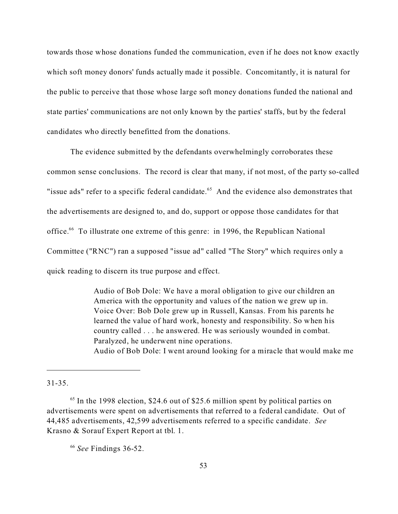towards those whose donations funded the communication, even if he does not know exactly which soft money donors' funds actually made it possible. Concomitantly, it is natural for the public to perceive that those whose large soft money donations funded the national and state parties' communications are not only known by the parties' staffs, but by the federal candidates who directly benefitted from the donations.

The evidence submitted by the defendants overwhelmingly corroborates these common sense conclusions. The record is clear that many, if not most, of the party so-called "issue ads" refer to a specific federal candidate.<sup>65</sup> And the evidence also demonstrates that the advertisements are designed to, and do, support or oppose those candidates for that office.<sup>66</sup> To illustrate one extreme of this genre: in 1996, the Republican National Committee ("RNC") ran a supposed "issue ad" called "The Story" which requires only a quick reading to discern its true purpose and effect.

> Audio of Bob Dole: We have a moral obligation to give our children an America with the opportunity and values of the nation we grew up in. Voice Over: Bob Dole grew up in Russell, Kansas. From his parents he learned the value of hard work, honesty and responsibility. So when his country called . . . he answered. He was seriously wounded in combat. Paralyzed, he underwent nine operations. Audio of Bob Dole: I went around looking for a miracle that would make me

31-35.

 $65$  In the 1998 election, \$24.6 out of \$25.6 million spent by political parties on advertisements were spent on advertisements that referred to a federal candidate. Out of 44,485 advertisements, 42,599 advertisements referred to a specific candidate. *See* Krasno & Sorauf Expert Report at tbl. 1.

<sup>66</sup> *See* Findings 36-52.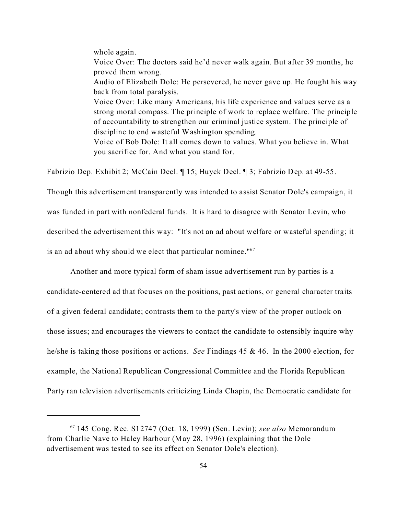whole again.

Voice Over: The doctors said he'd never walk again. But after 39 months, he proved them wrong.

Audio of Elizabeth Dole: He persevered, he never gave up. He fought his way back from total paralysis.

Voice Over: Like many Americans, his life experience and values serve as a strong moral compass. The principle of work to replace welfare. The principle of accountability to strengthen our criminal justice system. The principle of discipline to end wasteful Washington spending.

Voice of Bob Dole: It all comes down to values. What you believe in. What you sacrifice for. And what you stand for.

Fabrizio Dep. Exhibit 2; McCain Decl. ¶ 15; Huyck Decl. ¶ 3; Fabrizio Dep. at 49-55.

Though this advertisement transparently was intended to assist Senator Dole's campaign, it was funded in part with nonfederal funds. It is hard to disagree with Senator Levin, who described the advertisement this way: "It's not an ad about welfare or wasteful spending; it is an ad about why should we elect that particular nominee."<sup>67</sup>

Another and more typical form of sham issue advertisement run by parties is a candidate-centered ad that focuses on the positions, past actions, or general character traits of a given federal candidate; contrasts them to the party's view of the proper outlook on those issues; and encourages the viewers to contact the candidate to ostensibly inquire why he/she is taking those positions or actions. *See* Findings 45 & 46. In the 2000 election, for example, the National Republican Congressional Committee and the Florida Republican Party ran television advertisements criticizing Linda Chapin, the Democratic candidate for

<sup>67</sup> 145 Cong. Rec. S12747 (Oct. 18, 1999) (Sen. Levin); *see also* Memorandum from Charlie Nave to Haley Barbour (May 28, 1996) (explaining that the Dole advertisement was tested to see its effect on Senator Dole's election).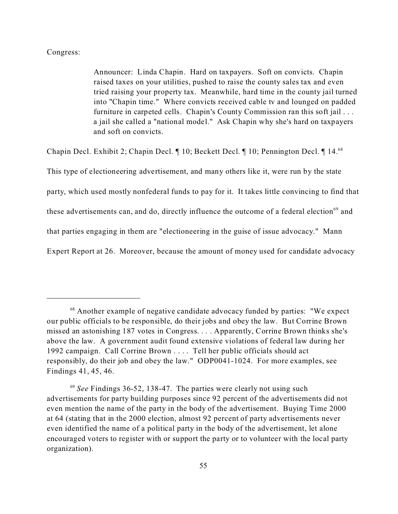### Congress:

Announcer: Linda Chapin. Hard on taxpayers. Soft on convicts. Chapin raised taxes on your utilities, pushed to raise the county sales tax and even tried raising your property tax. Meanwhile, hard time in the county jail turned into "Chapin time." Where convicts received cable tv and lounged on padded furniture in carpeted cells. Chapin's County Commission ran this soft jail . . . a jail she called a "national model." Ask Chapin why she's hard on taxpayers and soft on convicts.

Chapin Decl. Exhibit 2; Chapin Decl. ¶ 10; Beckett Decl. ¶ 10; Pennington Decl. ¶ 14.<sup>68</sup>

This type of electioneering advertisement, and many others like it, were run by the state

party, which used mostly nonfederal funds to pay for it. It takes little convincing to find that

these advertisements can, and do, directly influence the outcome of a federal election<sup>69</sup> and

that parties engaging in them are "electioneering in the guise of issue advocacy." Mann

Expert Report at 26. Moreover, because the amount of money used for candidate advocacy

<sup>&</sup>lt;sup>68</sup> Another example of negative candidate advocacy funded by parties: "We expect our public officials to be responsible, do their jobs and obey the law. But Corrine Brown missed an astonishing 187 votes in Congress. . . . Apparently, Corrine Brown thinks she's above the law. A government audit found extensive violations of federal law during her 1992 campaign. Call Corrine Brown . . . . Tell her public officials should act responsibly, do their job and obey the law." ODP0041-1024. For more examples, see Findings 41, 45, 46.

<sup>&</sup>lt;sup>69</sup> See Findings 36-52, 138-47. The parties were clearly not using such advertisements for party building purposes since 92 percent of the advertisements did not even mention the name of the party in the body of the advertisement. Buying Time 2000 at 64 (stating that in the 2000 election, almost 92 percent of party advertisements never even identified the name of a political party in the body of the advertisement, let alone encouraged voters to register with or support the party or to volunteer with the local party organization).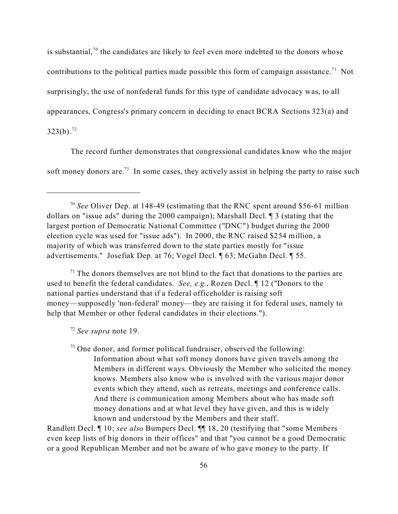is substantial,<sup>70</sup> the candidates are likely to feel even more indebted to the donors whose contributions to the political parties made possible this form of campaign assistance.<sup>71</sup> Not surprisingly, the use of nonfederal funds for this type of candidate advocacy was, to all appearances, Congress's primary concern in deciding to enact BCRA Sections 323(a) and  $323(b).^{72}$ 

The record further demonstrates that congressional candidates know who the major soft money donors are.<sup>73</sup> In some cases, they actively assist in helping the party to raise such

 $<sup>71</sup>$  The donors themselves are not blind to the fact that donations to the parties are</sup> used to benefit the federal candidates. *See, e.g.*, Rozen Decl. ¶ 12 ("Donors to the national parties understand that if a federal officeholder is raising soft money—supposedly 'non-federal' money—they are raising it for federal uses, namely to help that Member or other federal candidates in their elections.").

<sup>72</sup> *See supra* note 19.

 $73$  One donor, and former political fundraiser, observed the following: Information about what soft money donors have given travels among the Members in different ways. Obviously the Member who solicited the money knows. Members also know who is involved with the various major donor events which they attend, such as retreats, meetings and conference calls. And there is communication among Members about who has made soft money donations and at what level they have given, and this is widely known and understood by the Members and their staff.

Randlett Decl. ¶ 10; *see also* Bumpers Decl. ¶¶ 18, 20 (testifying that "some Members even keep lists of big donors in their offices" and that "you cannot be a good Democratic or a good Republican Member and not be aware of who gave money to the party. If

<sup>70</sup> *See* Oliver Dep. at 148-49 (estimating that the RNC spent around \$56-61 million dollars on "issue ads" during the 2000 campaign); Marshall Decl. ¶ 3 (stating that the largest portion of Democratic National Committee ("DNC") budget during the 2000 election cycle was used for "issue ads"). In 2000, the RNC raised \$254 million, a majority of which was transferred down to the state parties mostly for "issue advertisements." Josefiak Dep. at 76; Vogel Decl. ¶ 63; McGahn Decl. ¶ 55.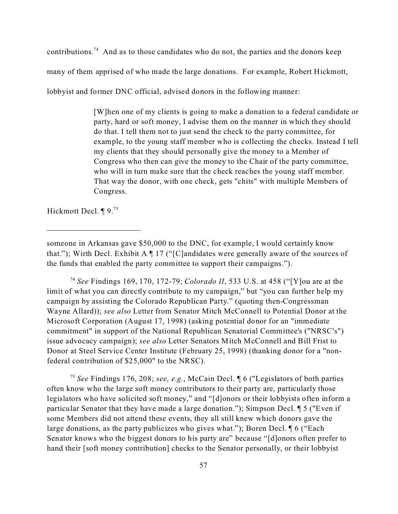contributions.<sup>74</sup> And as to those candidates who do not, the parties and the donors keep many of them apprised of who made the large donations. For example, Robert Hickmott, lobbyist and former DNC official, advised donors in the following manner:

> [W]hen one of my clients is going to make a donation to a federal candidate or party, hard or soft money, I advise them on the manner in which they should do that. I tell them not to just send the check to the party committee, for example, to the young staff member who is collecting the checks. Instead I tell my clients that they should personally give the money to a Member of Congress who then can give the money to the Chair of the party committee, who will in turn make sure that the check reaches the young staff member. That way the donor, with one check, gets "chits" with multiple Members of Congress.

Hickmott Decl. ¶ 9.<sup>75</sup>

<sup>74</sup> *See* Findings 169, 170, 172-79; *Colorado II*, 533 U.S. at 458 ("[Y]ou are at the limit of what you can directly contribute to my campaign," but "you can further help my campaign by assisting the Colorado Republican Party." (quoting then-Congressman Wayne Allard)); *see also* Letter from Senator Mitch McConnell to Potential Donor at the Microsoft Corporation (August 17, 1998) (asking potential donor for an "immediate commitment" in support of the National Republican Senatorial Committee's ("NRSC's") issue advocacy campaign); *see also* Letter Senators Mitch McConnell and Bill Frist to Donor at Steel Service Center Institute (February 25, 1998) (thanking donor for a "nonfederal contribution of \$25,000" to the NRSC).

<sup>75</sup> *See* Findings 176, 208; *see, e.g.*, McCain Decl. ¶ 6 ("Legislators of both parties often know who the large soft money contributors to their party are, particularly those legislators who have solicited soft money," and "[d]onors or their lobbyists often inform a particular Senator that they have made a large donation."); Simpson Decl. ¶ 5 ("Even if some Members did not attend these events, they all still knew which donors gave the large donations, as the party publicizes who gives what."); Boren Decl. ¶ 6 ("Each Senator knows who the biggest donors to his party are" because "[d]onors often prefer to hand their [soft money contribution] checks to the Senator personally, or their lobbyist

someone in Arkansas gave \$50,000 to the DNC, for example, I would certainly know that."); Wirth Decl. Exhibit A  $\P$  17 ("[C]andidates were generally aware of the sources of the funds that enabled the party committee to support their campaigns.").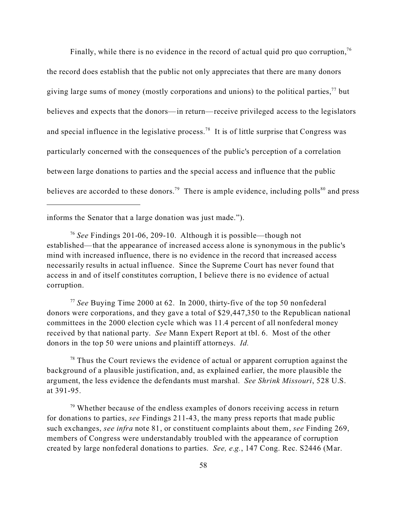Finally, while there is no evidence in the record of actual quid pro quo corruption,  $76$ the record does establish that the public not only appreciates that there are many donors giving large sums of money (mostly corporations and unions) to the political parties,  $^{77}$  but believes and expects that the donors—in return—receive privileged access to the legislators and special influence in the legislative process.<sup>78</sup> It is of little surprise that Congress was particularly concerned with the consequences of the public's perception of a correlation between large donations to parties and the special access and influence that the public believes are accorded to these donors.<sup>79</sup> There is ample evidence, including polls<sup>80</sup> and press

informs the Senator that a large donation was just made.").

<sup>76</sup> *See* Findings 201-06, 209-10. Although it is possible—though not established—that the appearance of increased access alone is synonymous in the public's mind with increased influence, there is no evidence in the record that increased access necessarily results in actual influence. Since the Supreme Court has never found that access in and of itself constitutes corruption, I believe there is no evidence of actual corruption.

<sup>77</sup> *See* Buying Time 2000 at 62. In 2000, thirty-five of the top 50 nonfederal donors were corporations, and they gave a total of \$29,447,350 to the Republican national committees in the 2000 election cycle which was 11.4 percent of all nonfederal money received by that national party.*See* Mann Expert Report at tbl. 6. Most of the other donors in the top 50 were unions and plaintiff attorneys. *Id.*

 $78$  Thus the Court reviews the evidence of actual or apparent corruption against the background of a plausible justification, and, as explained earlier, the more plausible the argument, the less evidence the defendants must marshal. *See Shrink Missouri*, 528 U.S. at 391-95.

 $79$  Whether because of the endless examples of donors receiving access in return for donations to parties, *see* Findings 211-43, the many press reports that made public such exchanges, *see infra* note 81, or constituent complaints about them, *see* Finding 269, members of Congress were understandably troubled with the appearance of corruption created by large nonfederal donations to parties. *See, e.g.*, 147 Cong. Rec. S2446 (Mar.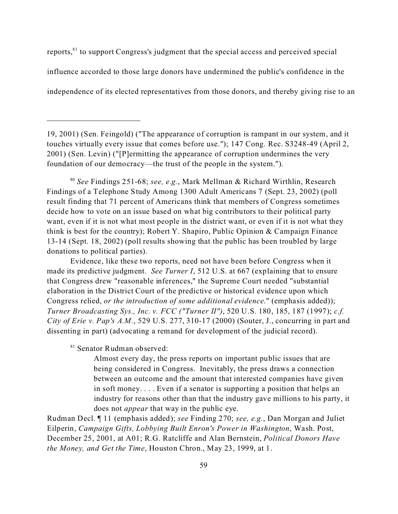reports,<sup>81</sup> to support Congress's judgment that the special access and perceived special influence accorded to those large donors have undermined the public's confidence in the independence of its elected representatives from those donors, and thereby giving rise to an

<sup>80</sup> *See* Findings 251-68; *see, e.g.*, Mark Mellman & Richard Wirthlin, Research Findings of a Telephone Study Among 1300 Adult Americans 7 (Sept. 23, 2002) (poll result finding that 71 percent of Americans think that members of Congress sometimes decide how to vote on an issue based on what big contributors to their political party want, even if it is not what most people in the district want, or even if it is not what they think is best for the country); Robert Y. Shapiro, Public Opinion & Campaign Finance 13-14 (Sept. 18, 2002) (poll results showing that the public has been troubled by large donations to political parties).

Evidence, like these two reports, need not have been before Congress when it made its predictive judgment. *See Turner I*, 512 U.S. at 667 (explaining that to ensure that Congress drew "reasonable inferences," the Supreme Court needed "substantial elaboration in the District Court of the predictive or historical evidence upon which Congress relied, *or the introduction of some additional evidence*." (emphasis added)); *Turner Broadcasting Sys., Inc. v. FCC ("Turner II")*, 520 U.S. 180, 185, 187 (1997); *c.f. City of Erie v. Pap's A.M.*, 529 U.S. 277, 310-17 (2000) (Souter, J., concurring in part and dissenting in part) (advocating a remand for development of the judicial record).

<sup>81</sup> Senator Rudman observed:

Almost every day, the press reports on important public issues that are being considered in Congress. Inevitably, the press draws a connection between an outcome and the amount that interested companies have given in soft money. . . . Even if a senator is supporting a position that helps an industry for reasons other than that the industry gave millions to his party, it does not *appear* that way in the public eye.

Rudman Decl. ¶ 11 (emphasis added); *see* Finding 270; *see, e.g.*, Dan Morgan and Juliet Eilperin, *Campaign Gifts, Lobbying Built Enron's Power in Washington*, Wash. Post, December 25, 2001, at A01; R.G. Ratcliffe and Alan Bernstein, *Political Donors Have the Money, and Get the Time*, Houston Chron., May 23, 1999, at 1.

<sup>19, 2001) (</sup>Sen. Feingold) ("The appearance of corruption is rampant in our system, and it touches virtually every issue that comes before use."); 147 Cong. Rec. S3248-49 (April 2, 2001) (Sen. Levin) ("[P]ermitting the appearance of corruption undermines the very foundation of our democracy—the trust of the people in the system.").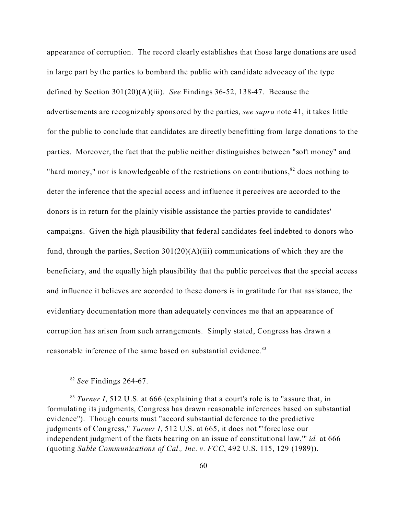appearance of corruption. The record clearly establishes that those large donations are used in large part by the parties to bombard the public with candidate advocacy of the type defined by Section 301(20)(A)(iii). *See* Findings 36-52, 138-47. Because the advertisements are recognizably sponsored by the parties, *see supra* note 41, it takes little for the public to conclude that candidates are directly benefitting from large donations to the parties. Moreover, the fact that the public neither distinguishes between "soft money" and "hard money," nor is knowledgeable of the restrictions on contributions, $82$  does nothing to deter the inference that the special access and influence it perceives are accorded to the donors is in return for the plainly visible assistance the parties provide to candidates' campaigns. Given the high plausibility that federal candidates feel indebted to donors who fund, through the parties, Section  $301(20)(A)(iii)$  communications of which they are the beneficiary, and the equally high plausibility that the public perceives that the special access and influence it believes are accorded to these donors is in gratitude for that assistance, the evidentiary documentation more than adequately convinces me that an appearance of corruption has arisen from such arrangements. Simply stated, Congress has drawn a reasonable inference of the same based on substantial evidence.<sup>83</sup>

<sup>82</sup> *See* Findings 264-67.

<sup>83</sup> *Turner I*, 512 U.S. at 666 (explaining that a court's role is to "assure that, in formulating its judgments, Congress has drawn reasonable inferences based on substantial evidence"). Though courts must "accord substantial deference to the predictive judgments of Congress," *Turner I*, 512 U.S. at 665, it does not "'foreclose our independent judgment of the facts bearing on an issue of constitutional law,'" *id.* at 666 (quoting *Sable Communications of Cal., Inc. v. FCC*, 492 U.S. 115, 129 (1989)).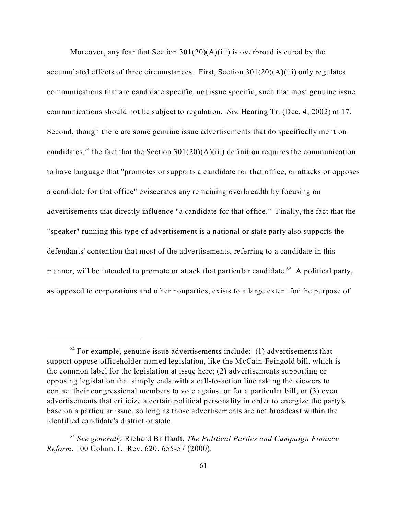Moreover, any fear that Section  $301(20)(A)(iii)$  is overbroad is cured by the accumulated effects of three circumstances. First, Section  $301(20)(A)(iii)$  only regulates communications that are candidate specific, not issue specific, such that most genuine issue communications should not be subject to regulation. *See* Hearing Tr. (Dec. 4, 2002) at 17. Second, though there are some genuine issue advertisements that do specifically mention candidates,<sup>84</sup> the fact that the Section  $301(20)(A)(iii)$  definition requires the communication to have language that "promotes or supports a candidate for that office, or attacks or opposes a candidate for that office" eviscerates any remaining overbreadth by focusing on advertisements that directly influence "a candidate for that office." Finally, the fact that the "speaker" running this type of advertisement is a national or state party also supports the defendants' contention that most of the advertisements, referring to a candidate in this manner, will be intended to promote or attack that particular candidate.<sup>85</sup> A political party, as opposed to corporations and other nonparties, exists to a large extent for the purpose of

 $84$  For example, genuine issue advertisements include: (1) advertisements that support oppose officeholder-named legislation, like the McCain-Feingold bill, which is the common label for the legislation at issue here; (2) advertisements supporting or opposing legislation that simply ends with a call-to-action line asking the viewers to contact their congressional members to vote against or for a particular bill; or (3) even advertisements that criticize a certain political personality in order to energize the party's base on a particular issue, so long as those advertisements are not broadcast within the identified candidate's district or state.

<sup>85</sup> *See generally* Richard Briffault, *The Political Parties and Campaign Finance Reform*, 100 Colum. L. Rev. 620, 655-57 (2000).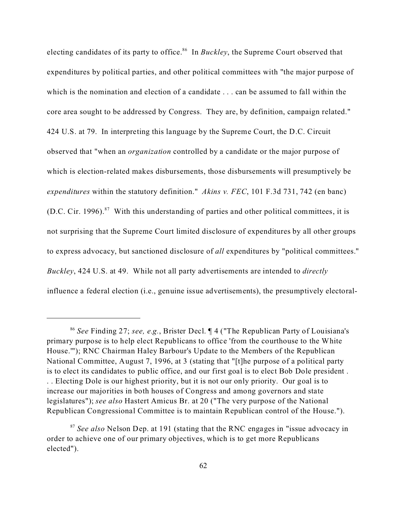electing candidates of its party to office.<sup>86</sup> In *Buckley*, the Supreme Court observed that expenditures by political parties, and other political committees with "the major purpose of which is the nomination and election of a candidate . . . can be assumed to fall within the core area sought to be addressed by Congress. They are, by definition, campaign related." 424 U.S. at 79. In interpreting this language by the Supreme Court, the D.C. Circuit observed that "when an *organization* controlled by a candidate or the major purpose of which is election-related makes disbursements, those disbursements will presumptively be *expenditures* within the statutory definition." *Akins v. FEC*, 101 F.3d 731, 742 (en banc) (D.C. Cir. 1996).<sup>87</sup> With this understanding of parties and other political committees, it is not surprising that the Supreme Court limited disclosure of expenditures by all other groups to express advocacy, but sanctioned disclosure of *all* expenditures by "political committees." *Buckley*, 424 U.S. at 49. While not all party advertisements are intended to *directly* influence a federal election (i.e., genuine issue advertisements), the presumptively electoral-

<sup>86</sup> *See* Finding 27; *see, e.g.*, Brister Decl. ¶ 4 ("The Republican Party of Louisiana's primary purpose is to help elect Republicans to office 'from the courthouse to the White House.'"); RNC Chairman Haley Barbour's Update to the Members of the Republican National Committee, August 7, 1996, at 3 (stating that "[t]he purpose of a political party is to elect its candidates to public office, and our first goal is to elect Bob Dole president . . . Electing Dole is our highest priority, but it is not our only priority. Our goal is to increase our majorities in both houses of Congress and among governors and state legislatures"); *see also* Hastert Amicus Br. at 20 ("The very purpose of the National Republican Congressional Committee is to maintain Republican control of the House.").

<sup>87</sup> *See also* Nelson Dep. at 191 (stating that the RNC engages in "issue advocacy in order to achieve one of our primary objectives, which is to get more Republicans elected").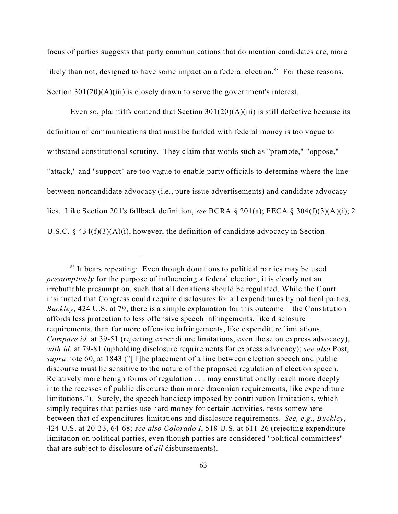focus of parties suggests that party communications that do mention candidates are, more likely than not, designed to have some impact on a federal election.<sup>88</sup> For these reasons, Section 301(20)(A)(iii) is closely drawn to serve the government's interest.

Even so, plaintiffs contend that Section  $301(20)(A)(iii)$  is still defective because its definition of communications that must be funded with federal money is too vague to withstand constitutional scrutiny. They claim that words such as "promote," "oppose," "attack," and "support" are too vague to enable party officials to determine where the line between noncandidate advocacy (i.e., pure issue advertisements) and candidate advocacy lies. Like Section 201's fallback definition, *see* BCRA § 201(a); FECA § 304(f)(3)(A)(i); 2 U.S.C. § 434(f)(3)(A)(i), however, the definition of candidate advocacy in Section

<sup>&</sup>lt;sup>88</sup> It bears repeating: Even though donations to political parties may be used *presumptively* for the purpose of influencing a federal election, it is clearly not an irrebuttable presumption, such that all donations should be regulated. While the Court insinuated that Congress could require disclosures for all expenditures by political parties, *Buckley*, 424 U.S. at 79, there is a simple explanation for this outcome—the Constitution affords less protection to less offensive speech infringements, like disclosure requirements, than for more offensive infringements, like expenditure limitations. *Compare id.* at 39-51 (rejecting expenditure limitations, even those on express advocacy), *with id.* at 79-81 (upholding disclosure requirements for express advocacy); *see also* Post, *supra* note 60, at 1843 ("[T]he placement of a line between election speech and public discourse must be sensitive to the nature of the proposed regulation of election speech. Relatively more benign forms of regulation . . . may constitutionally reach more deeply into the recesses of public discourse than more draconian requirements, like expenditure limitations."). Surely, the speech handicap imposed by contribution limitations, which simply requires that parties use hard money for certain activities, rests somewhere between that of expenditures limitations and disclosure requirements. *See, e.g.*, *Buckley*, 424 U.S. at 20-23, 64-68; *see also Colorado I*, 518 U.S. at 611-26 (rejecting expenditure limitation on political parties, even though parties are considered "political committees" that are subject to disclosure of *all* disbursements).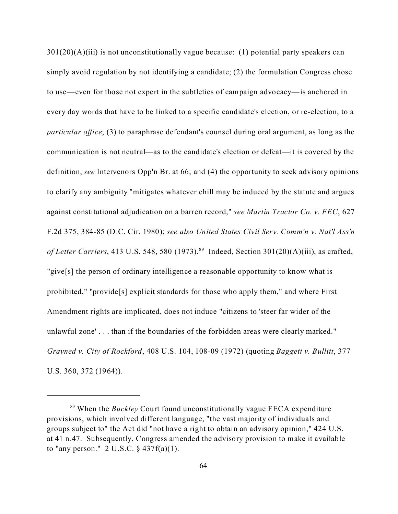$301(20)(A)(iii)$  is not unconstitutionally vague because: (1) potential party speakers can simply avoid regulation by not identifying a candidate; (2) the formulation Congress chose to use—even for those not expert in the subtleties of campaign advocacy—is anchored in every day words that have to be linked to a specific candidate's election, or re-election, to a *particular office*; (3) to paraphrase defendant's counsel during oral argument, as long as the communication is not neutral—as to the candidate's election or defeat—it is covered by the definition, *see* Intervenors Opp'n Br. at 66; and (4) the opportunity to seek advisory opinions to clarify any ambiguity "mitigates whatever chill may be induced by the statute and argues against constitutional adjudication on a barren record," *see Martin Tractor Co. v. FEC*, 627 F.2d 375, 384-85 (D.C. Cir. 1980); *see also United States Civil Serv. Comm'n v. Nat'l Ass'n of Letter Carriers*, 413 U.S. 548, 580 (1973).<sup>89</sup> Indeed, Section 301(20)(A)(iii), as crafted, "give[s] the person of ordinary intelligence a reasonable opportunity to know what is prohibited," "provide[s] explicit standards for those who apply them," and where First Amendment rights are implicated, does not induce "citizens to 'steer far wider of the unlawful zone' . . . than if the boundaries of the forbidden areas were clearly marked." *Grayned v. City of Rockford*, 408 U.S. 104, 108-09 (1972) (quoting *Baggett v. Bullitt*, 377 U.S. 360, 372 (1964)).

<sup>89</sup> When the *Buckley* Court found unconstitutionally vague FECA expenditure provisions, which involved different language, "the vast majority of individuals and groups subject to" the Act did "not have a right to obtain an advisory opinion," 424 U.S. at 41 n.47. Subsequently, Congress amended the advisory provision to make it available to "any person."  $2 \text{ U.S.C. } § 437f(a)(1)$ .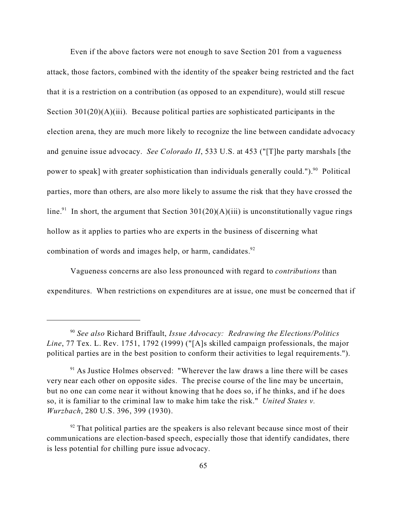Even if the above factors were not enough to save Section 201 from a vagueness attack, those factors, combined with the identity of the speaker being restricted and the fact that it is a restriction on a contribution (as opposed to an expenditure), would still rescue Section  $301(20)(A)(iii)$ . Because political parties are sophisticated participants in the election arena, they are much more likely to recognize the line between candidate advocacy and genuine issue advocacy. *See Colorado II*, 533 U.S. at 453 ("[T]he party marshals [the power to speak] with greater sophistication than individuals generally could.").<sup>90</sup> Political parties, more than others, are also more likely to assume the risk that they have crossed the line.<sup>91</sup> In short, the argument that Section 301(20)(A)(iii) is unconstitutionally vague rings hollow as it applies to parties who are experts in the business of discerning what combination of words and images help, or harm, candidates. $92$ 

Vagueness concerns are also less pronounced with regard to *contributions* than expenditures. When restrictions on expenditures are at issue, one must be concerned that if

<sup>90</sup> *See also* Richard Briffault, *Issue Advocacy: Redrawing the Elections/Politics Line*, 77 Tex. L. Rev. 1751, 1792 (1999) ("[A]s skilled campaign professionals, the major political parties are in the best position to conform their activities to legal requirements.").

 $91$  As Justice Holmes observed: "Wherever the law draws a line there will be cases very near each other on opposite sides. The precise course of the line may be uncertain, but no one can come near it without knowing that he does so, if he thinks, and if he does so, it is familiar to the criminal law to make him take the risk." *United States v. Wurzbach*, 280 U.S. 396, 399 (1930).

 $92$  That political parties are the speakers is also relevant because since most of their communications are election-based speech, especially those that identify candidates, there is less potential for chilling pure issue advocacy.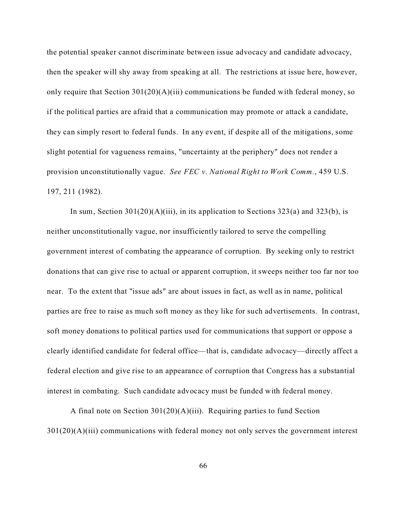the potential speaker cannot discriminate between issue advocacy and candidate advocacy, then the speaker will shy away from speaking at all. The restrictions at issue here, however, only require that Section  $301(20)(A)(iii)$  communications be funded with federal money, so if the political parties are afraid that a communication may promote or attack a candidate, they can simply resort to federal funds. In any event, if despite all of the mitigations, some slight potential for vagueness remains, "uncertainty at the periphery" does not render a provision unconstitutionally vague. *See FEC v. National Right to Work Comm.*, 459 U.S. 197, 211 (1982).

In sum, Section  $301(20)(A)(iii)$ , in its application to Sections  $323(a)$  and  $323(b)$ , is neither unconstitutionally vague, nor insufficiently tailored to serve the compelling government interest of combating the appearance of corruption. By seeking only to restrict donations that can give rise to actual or apparent corruption, it sweeps neither too far nor too near. To the extent that "issue ads" are about issues in fact, as well as in name, political parties are free to raise as much soft money as they like for such advertisements. In contrast, soft money donations to political parties used for communications that support or oppose a clearly identified candidate for federal office—that is, candidate advocacy—directly affect a federal election and give rise to an appearance of corruption that Congress has a substantial interest in combating. Such candidate advocacy must be funded with federal money.

A final note on Section 301(20)(A)(iii). Requiring parties to fund Section 301(20)(A)(iii) communications with federal money not only serves the government interest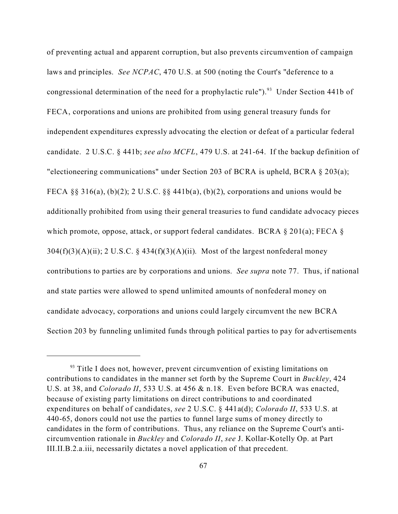of preventing actual and apparent corruption, but also prevents circumvention of campaign laws and principles. *See NCPAC*, 470 U.S. at 500 (noting the Court's "deference to a congressional determination of the need for a prophylactic rule").<sup>93</sup> Under Section 441b of FECA, corporations and unions are prohibited from using general treasury funds for independent expenditures expressly advocating the election or defeat of a particular federal candidate. 2 U.S.C. § 441b; *see also MCFL*, 479 U.S. at 241-64. If the backup definition of "electioneering communications" under Section 203 of BCRA is upheld, BCRA § 203(a); FECA §§ 316(a), (b)(2); 2 U.S.C. §§ 441b(a), (b)(2), corporations and unions would be additionally prohibited from using their general treasuries to fund candidate advocacy pieces which promote, oppose, attack, or support federal candidates. BCRA  $\S$  201(a); FECA  $\S$  $304(f)(3)(A)(ii)$ ; 2 U.S.C. §  $434(f)(3)(A)(ii)$ . Most of the largest nonfederal money contributions to parties are by corporations and unions. *See supra* note 77.Thus, if national and state parties were allowed to spend unlimited amounts of nonfederal money on candidate advocacy, corporations and unions could largely circumvent the new BCRA Section 203 by funneling unlimited funds through political parties to pay for advertisements

 $93$  Title I does not, however, prevent circumvention of existing limitations on contributions to candidates in the manner set forth by the Supreme Court in *Buckley*, 424 U.S. at 38, and *Colorado II*, 533 U.S. at 456 & n.18. Even before BCRA was enacted, because of existing party limitations on direct contributions to and coordinated expenditures on behalf of candidates, *see* 2 U.S.C. § 441a(d); *Colorado II*, 533 U.S. at 440-65, donors could not use the parties to funnel large sums of money directly to candidates in the form of contributions. Thus, any reliance on the Supreme Court's anticircumvention rationale in *Buckley* and *Colorado II*, *see* J. Kollar-Kotelly Op. at Part III.II.B.2.a.iii, necessarily dictates a novel application of that precedent.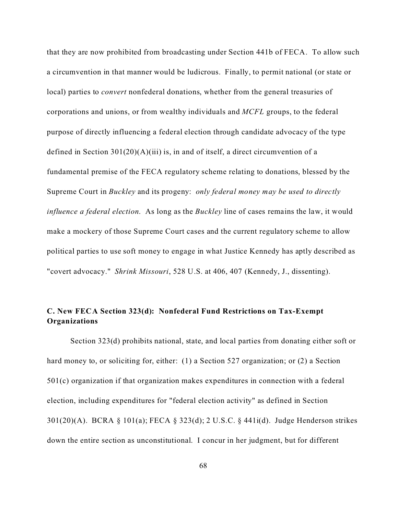that they are now prohibited from broadcasting under Section 441b of FECA. To allow such a circumvention in that manner would be ludicrous. Finally, to permit national (or state or local) parties to *convert* nonfederal donations, whether from the general treasuries of corporations and unions, or from wealthy individuals and *MCFL* groups, to the federal purpose of directly influencing a federal election through candidate advocacy of the type defined in Section  $301(20)(A)(iii)$  is, in and of itself, a direct circumvention of a fundamental premise of the FECA regulatory scheme relating to donations, blessed by the Supreme Court in *Buckley* and its progeny: *only federal money may be used to directly influence a federal election*. As long as the *Buckley* line of cases remains the law, it would make a mockery of those Supreme Court cases and the current regulatory scheme to allow political parties to use soft money to engage in what Justice Kennedy has aptly described as "covert advocacy." *Shrink Missouri*, 528 U.S. at 406, 407 (Kennedy, J., dissenting).

# **C. New FECA Section 323(d): Nonfederal Fund Restrictions on Tax-Exempt Organizations**

Section 323(d) prohibits national, state, and local parties from donating either soft or hard money to, or soliciting for, either: (1) a Section 527 organization; or (2) a Section 501(c) organization if that organization makes expenditures in connection with a federal election, including expenditures for "federal election activity" as defined in Section 301(20)(A). BCRA § 101(a); FECA § 323(d); 2 U.S.C. § 441i(d). Judge Henderson strikes down the entire section as unconstitutional. I concur in her judgment, but for different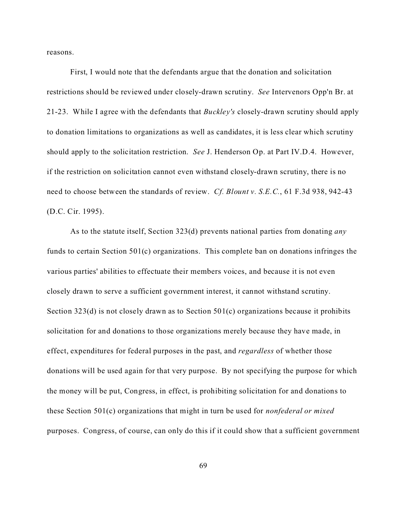reasons.

First, I would note that the defendants argue that the donation and solicitation restrictions should be reviewed under closely-drawn scrutiny. *See* Intervenors Opp'n Br. at 21-23. While I agree with the defendants that *Buckley's* closely-drawn scrutiny should apply to donation limitations to organizations as well as candidates, it is less clear which scrutiny should apply to the solicitation restriction. *See* J. Henderson Op. at Part IV.D.4. However, if the restriction on solicitation cannot even withstand closely-drawn scrutiny, there is no need to choose between the standards of review. *Cf. Blount v. S.E.C.*, 61 F.3d 938, 942-43 (D.C. Cir. 1995).

As to the statute itself, Section 323(d) prevents national parties from donating *any* funds to certain Section 501(c) organizations. This complete ban on donations infringes the various parties' abilities to effectuate their members voices, and because it is not even closely drawn to serve a sufficient government interest, it cannot withstand scrutiny. Section 323(d) is not closely drawn as to Section 501(c) organizations because it prohibits solicitation for and donations to those organizations merely because they have made, in effect, expenditures for federal purposes in the past, and *regardless* of whether those donations will be used again for that very purpose. By not specifying the purpose for which the money will be put, Congress, in effect, is prohibiting solicitation for and donations to these Section 501(c) organizations that might in turn be used for *nonfederal or mixed* purposes. Congress, of course, can only do this if it could show that a sufficient government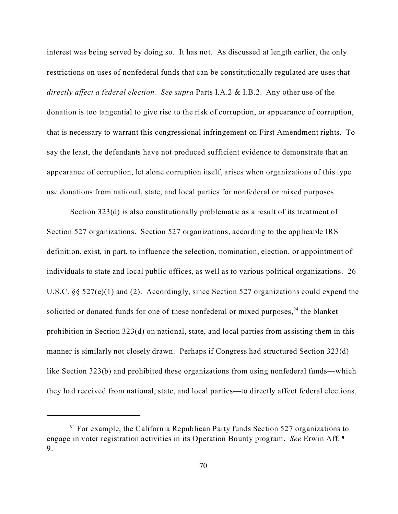interest was being served by doing so. It has not. As discussed at length earlier, the only restrictions on uses of nonfederal funds that can be constitutionally regulated are uses that *directly affect a federal election. See supra* Parts I.A.2 & I.B.2. Any other use of the donation is too tangential to give rise to the risk of corruption, or appearance of corruption, that is necessary to warrant this congressional infringement on First Amendment rights. To say the least, the defendants have not produced sufficient evidence to demonstrate that an appearance of corruption, let alone corruption itself, arises when organizations of this type use donations from national, state, and local parties for nonfederal or mixed purposes.

Section 323(d) is also constitutionally problematic as a result of its treatment of Section 527 organizations. Section 527 organizations, according to the applicable IRS definition, exist, in part, to influence the selection, nomination, election, or appointment of individuals to state and local public offices, as well as to various political organizations. 26 U.S.C. §§ 527(e)(1) and (2). Accordingly, since Section 527 organizations could expend the solicited or donated funds for one of these nonfederal or mixed purposes,  $94$  the blanket prohibition in Section 323(d) on national, state, and local parties from assisting them in this manner is similarly not closely drawn. Perhaps if Congress had structured Section 323(d) like Section 323(b) and prohibited these organizations from using nonfederal funds—which they had received from national, state, and local parties—to directly affect federal elections,

 $94$  For example, the California Republican Party funds Section 527 organizations to engage in voter registration activities in its Operation Bounty program. *See* Erwin Aff. ¶ 9.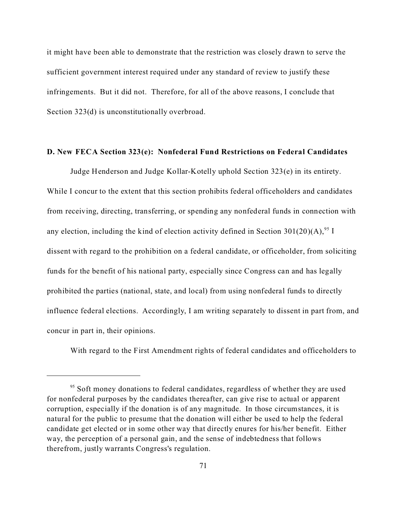it might have been able to demonstrate that the restriction was closely drawn to serve the sufficient government interest required under any standard of review to justify these infringements. But it did not. Therefore, for all of the above reasons, I conclude that Section 323(d) is unconstitutionally overbroad.

#### **D. New FECA Section 323(e): Nonfederal Fund Restrictions on Federal Candidates**

Judge Henderson and Judge Kollar-Kotelly uphold Section 323(e) in its entirety. While I concur to the extent that this section prohibits federal officeholders and candidates from receiving, directing, transferring, or spending any nonfederal funds in connection with any election, including the kind of election activity defined in Section 301(20)(A),<sup>95</sup> I dissent with regard to the prohibition on a federal candidate, or officeholder, from soliciting funds for the benefit of his national party, especially since Congress can and has legally prohibited the parties (national, state, and local) from using nonfederal funds to directly influence federal elections. Accordingly, I am writing separately to dissent in part from, and concur in part in, their opinions.

With regard to the First Amendment rights of federal candidates and officeholders to

<sup>&</sup>lt;sup>95</sup> Soft money donations to federal candidates, regardless of whether they are used for nonfederal purposes by the candidates thereafter, can give rise to actual or apparent corruption, especially if the donation is of any magnitude. In those circumstances, it is natural for the public to presume that the donation will either be used to help the federal candidate get elected or in some other way that directly enures for his/her benefit. Either way, the perception of a personal gain, and the sense of indebtedness that follows therefrom, justly warrants Congress's regulation.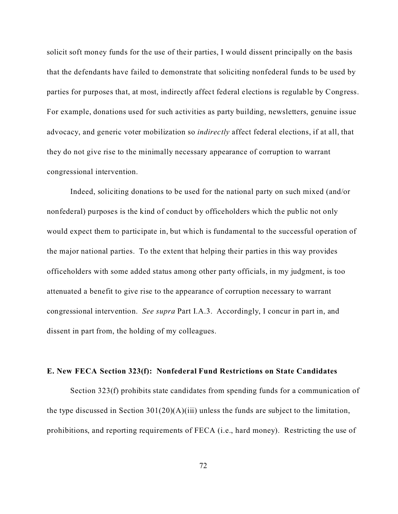solicit soft money funds for the use of their parties, I would dissent principally on the basis that the defendants have failed to demonstrate that soliciting nonfederal funds to be used by parties for purposes that, at most, indirectly affect federal elections is regulable by Congress. For example, donations used for such activities as party building, newsletters, genuine issue advocacy, and generic voter mobilization so *indirectly* affect federal elections, if at all, that they do not give rise to the minimally necessary appearance of corruption to warrant congressional intervention.

Indeed, soliciting donations to be used for the national party on such mixed (and/or nonfederal) purposes is the kind of conduct by officeholders which the public not only would expect them to participate in, but which is fundamental to the successful operation of the major national parties. To the extent that helping their parties in this way provides officeholders with some added status among other party officials, in my judgment, is too attenuated a benefit to give rise to the appearance of corruption necessary to warrant congressional intervention. *See supra* Part I.A.3. Accordingly, I concur in part in, and dissent in part from, the holding of my colleagues.

### **E. New FECA Section 323(f): Nonfederal Fund Restrictions on State Candidates**

Section 323(f) prohibits state candidates from spending funds for a communication of the type discussed in Section  $301(20)(A)(iii)$  unless the funds are subject to the limitation, prohibitions, and reporting requirements of FECA (i.e., hard money). Restricting the use of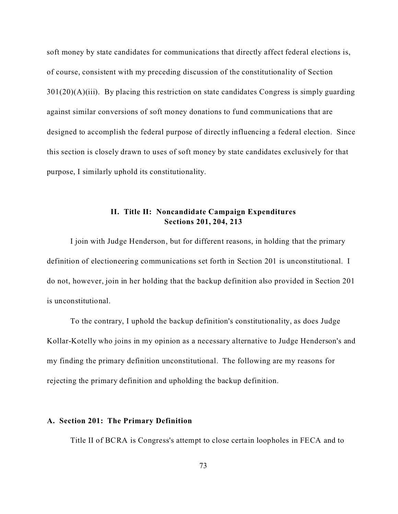soft money by state candidates for communications that directly affect federal elections is, of course, consistent with my preceding discussion of the constitutionality of Section  $301(20)(A)(iii)$ . By placing this restriction on state candidates Congress is simply guarding against similar conversions of soft money donations to fund communications that are designed to accomplish the federal purpose of directly influencing a federal election. Since this section is closely drawn to uses of soft money by state candidates exclusively for that purpose, I similarly uphold its constitutionality.

# **II. Title II: Noncandidate Campaign Expenditures Sections 201, 204, 213**

I join with Judge Henderson, but for different reasons, in holding that the primary definition of electioneering communications set forth in Section 201 is unconstitutional. I do not, however, join in her holding that the backup definition also provided in Section 201 is unconstitutional.

To the contrary, I uphold the backup definition's constitutionality, as does Judge Kollar-Kotelly who joins in my opinion as a necessary alternative to Judge Henderson's and my finding the primary definition unconstitutional. The following are my reasons for rejecting the primary definition and upholding the backup definition.

## **A. Section 201: The Primary Definition**

Title II of BCRA is Congress's attempt to close certain loopholes in FECA and to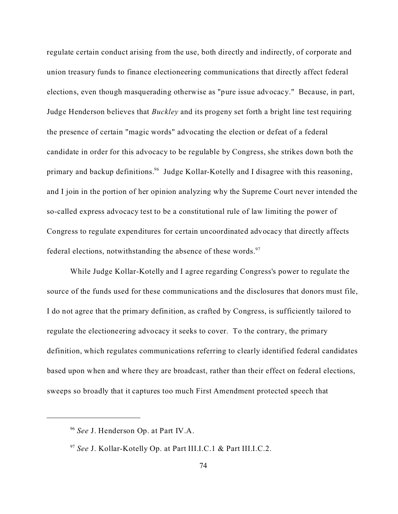regulate certain conduct arising from the use, both directly and indirectly, of corporate and union treasury funds to finance electioneering communications that directly affect federal elections, even though masquerading otherwise as "pure issue advocacy." Because, in part, Judge Henderson believes that *Buckley* and its progeny set forth a bright line test requiring the presence of certain "magic words" advocating the election or defeat of a federal candidate in order for this advocacy to be regulable by Congress, she strikes down both the primary and backup definitions.<sup>96</sup> Judge Kollar-Kotelly and I disagree with this reasoning, and I join in the portion of her opinion analyzing why the Supreme Court never intended the so-called express advocacy test to be a constitutional rule of law limiting the power of Congress to regulate expenditures for certain uncoordinated advocacy that directly affects federal elections, notwithstanding the absence of these words. $97$ 

While Judge Kollar-Kotelly and I agree regarding Congress's power to regulate the source of the funds used for these communications and the disclosures that donors must file, I do not agree that the primary definition, as crafted by Congress, is sufficiently tailored to regulate the electioneering advocacy it seeks to cover. To the contrary, the primary definition, which regulates communications referring to clearly identified federal candidates based upon when and where they are broadcast, rather than their effect on federal elections, sweeps so broadly that it captures too much First Amendment protected speech that

<sup>96</sup> *See* J. Henderson Op. at Part IV.A.

<sup>97</sup> *See* J. Kollar-Kotelly Op. at Part III.I.C.1 & Part III.I.C.2.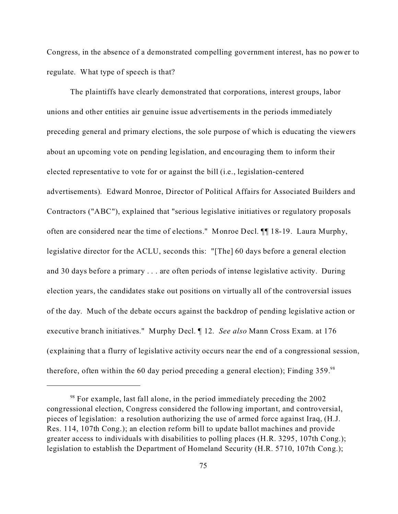Congress, in the absence of a demonstrated compelling government interest, has no power to regulate. What type of speech is that?

The plaintiffs have clearly demonstrated that corporations, interest groups, labor unions and other entities air genuine issue advertisements in the periods immediately preceding general and primary elections, the sole purpose of which is educating the viewers about an upcoming vote on pending legislation, and encouraging them to inform their elected representative to vote for or against the bill (i.e., legislation-centered advertisements). Edward Monroe, Director of Political Affairs for Associated Builders and Contractors ("ABC"), explained that "serious legislative initiatives or regulatory proposals often are considered near the time of elections." Monroe Decl. ¶¶ 18-19. Laura Murphy, legislative director for the ACLU, seconds this: "[The] 60 days before a general election and 30 days before a primary . . . are often periods of intense legislative activity. During election years, the candidates stake out positions on virtually all of the controversial issues of the day. Much of the debate occurs against the backdrop of pending legislative action or executive branch initiatives." Murphy Decl. ¶ 12. *See also* Mann Cross Exam. at 176 (explaining that a flurry of legislative activity occurs near the end of a congressional session, therefore, often within the 60 day period preceding a general election); Finding  $359.^{98}$ 

 $98$  For example, last fall alone, in the period immediately preceding the 2002 congressional election, Congress considered the following important, and controversial, pieces of legislation: a resolution authorizing the use of armed force against Iraq, (H.J. Res. 114, 107th Cong.); an election reform bill to update ballot machines and provide greater access to individuals with disabilities to polling places (H.R. 3295, 107th Cong.); legislation to establish the Department of Homeland Security (H.R. 5710, 107th Cong.);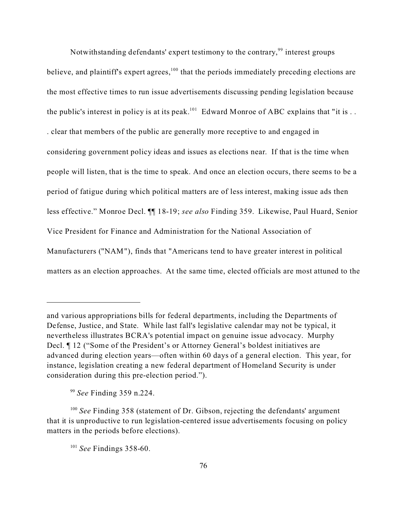Notwithstanding defendants' expert testimony to the contrary,<sup>99</sup> interest groups believe, and plaintiff's expert agrees,<sup>100</sup> that the periods immediately preceding elections are the most effective times to run issue advertisements discussing pending legislation because the public's interest in policy is at its peak.<sup>101</sup> Edward Monroe of ABC explains that "it is ... . clear that members of the public are generally more receptive to and engaged in considering government policy ideas and issues as elections near. If that is the time when people will listen, that is the time to speak. And once an election occurs, there seems to be a period of fatigue during which political matters are of less interest, making issue ads then less effective." Monroe Decl. ¶¶ 18-19; *see also* Finding 359. Likewise, Paul Huard, Senior Vice President for Finance and Administration for the National Association of Manufacturers ("NAM"), finds that "Americans tend to have greater interest in political matters as an election approaches. At the same time, elected officials are most attuned to the

and various appropriations bills for federal departments, including the Departments of Defense, Justice, and State. While last fall's legislative calendar may not be typical, it nevertheless illustrates BCRA's potential impact on genuine issue advocacy. Murphy Decl. ¶ 12 ("Some of the President's or Attorney General's boldest initiatives are advanced during election years—often within 60 days of a general election. This year, for instance, legislation creating a new federal department of Homeland Security is under consideration during this pre-election period.").

<sup>99</sup> *See* Finding 359 n.224.

<sup>100</sup> *See* Finding 358 (statement of Dr. Gibson, rejecting the defendants' argument that it is unproductive to run legislation-centered issue advertisements focusing on policy matters in the periods before elections).

<sup>101</sup> *See* Findings 358-60.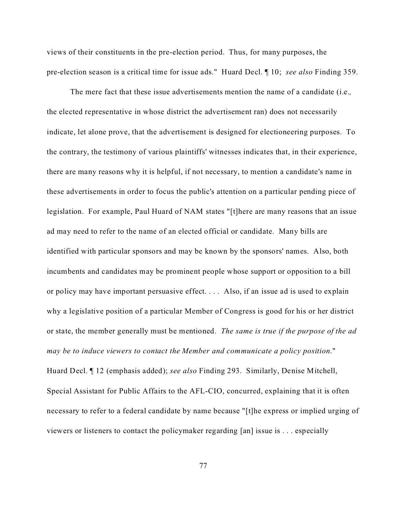views of their constituents in the pre-election period. Thus, for many purposes, the pre-election season is a critical time for issue ads." Huard Decl. ¶ 10; *see also* Finding 359.

The mere fact that these issue advertisements mention the name of a candidate (i.e.*,* the elected representative in whose district the advertisement ran) does not necessarily indicate, let alone prove, that the advertisement is designed for electioneering purposes. To the contrary, the testimony of various plaintiffs' witnesses indicates that, in their experience, there are many reasons why it is helpful, if not necessary, to mention a candidate's name in these advertisements in order to focus the public's attention on a particular pending piece of legislation. For example, Paul Huard of NAM states "[t]here are many reasons that an issue ad may need to refer to the name of an elected official or candidate. Many bills are identified with particular sponsors and may be known by the sponsors' names. Also, both incumbents and candidates may be prominent people whose support or opposition to a bill or policy may have important persuasive effect. . . . Also, if an issue ad is used to explain why a legislative position of a particular Member of Congress is good for his or her district or state, the member generally must be mentioned. *The same is true if the purpose of the ad may be to induce viewers to contact the Member and communicate a policy position*." Huard Decl. ¶ 12 (emphasis added); *see also* Finding 293. Similarly, Denise Mitchell, Special Assistant for Public Affairs to the AFL-CIO, concurred, explaining that it is often necessary to refer to a federal candidate by name because "[t]he express or implied urging of viewers or listeners to contact the policymaker regarding [an] issue is . . . especially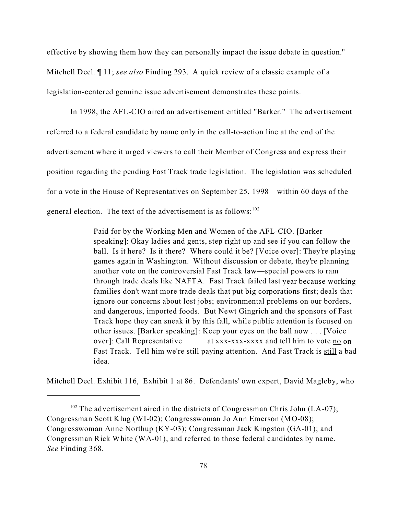effective by showing them how they can personally impact the issue debate in question." Mitchell Decl. ¶ 11; *see also* Finding 293. A quick review of a classic example of a legislation-centered genuine issue advertisement demonstrates these points.

In 1998, the AFL-CIO aired an advertisement entitled "Barker." The advertisement referred to a federal candidate by name only in the call-to-action line at the end of the advertisement where it urged viewers to call their Member of Congress and express their position regarding the pending Fast Track trade legislation. The legislation was scheduled for a vote in the House of Representatives on September 25, 1998—within 60 days of the general election. The text of the advertisement is as follows: $102$ 

> Paid for by the Working Men and Women of the AFL-CIO. [Barker speaking]: Okay ladies and gents, step right up and see if you can follow the ball. Is it here? Is it there? Where could it be? [Voice over]: They're playing games again in Washington. Without discussion or debate, they're planning another vote on the controversial Fast Track law—special powers to ram through trade deals like NAFTA. Fast Track failed last year because working families don't want more trade deals that put big corporations first; deals that ignore our concerns about lost jobs; environmental problems on our borders, and dangerous, imported foods. But Newt Gingrich and the sponsors of Fast Track hope they can sneak it by this fall, while public attention is focused on other issues. [Barker speaking]: Keep your eyes on the ball now . . . [Voice over]: Call Representative \_\_\_\_\_\_\_ at xxx-xxx-xxxx and tell him to vote no on Fast Track. Tell him we're still paying attention. And Fast Track is still a bad idea.

Mitchell Decl. Exhibit 116, Exhibit 1 at 86. Defendants' own expert, David Magleby, who

 $102$  The advertisement aired in the districts of Congressman Chris John (LA-07); Congressman Scott Klug (WI-02); Congresswoman Jo Ann Emerson (MO-08); Congresswoman Anne Northup (KY-03); Congressman Jack Kingston (GA-01); and Congressman Rick White (WA-01), and referred to those federal candidates by name. *See* Finding 368.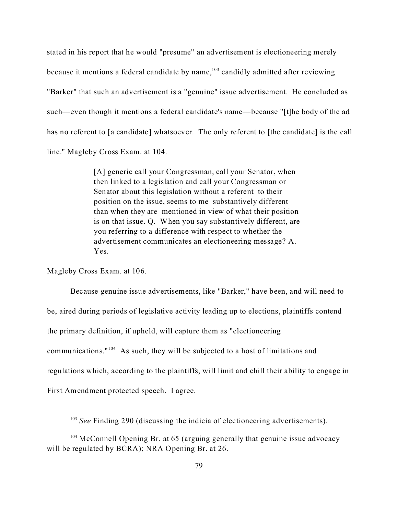stated in his report that he would "presume" an advertisement is electioneering merely because it mentions a federal candidate by name, $103$  candidly admitted after reviewing "Barker" that such an advertisement is a "genuine" issue advertisement. He concluded as such—even though it mentions a federal candidate's name—because "[t]he body of the ad has no referent to [a candidate] whatsoever. The only referent to [the candidate] is the call line." Magleby Cross Exam. at 104.

> [A] generic call your Congressman, call your Senator, when then linked to a legislation and call your Congressman or Senator about this legislation without a referent to their position on the issue, seems to me substantively different than when they are mentioned in view of what their position is on that issue. Q. When you say substantively different, are you referring to a difference with respect to whether the advertisement communicates an electioneering message? A. Yes.

Magleby Cross Exam. at 106.

Because genuine issue advertisements, like "Barker," have been, and will need to be, aired during periods of legislative activity leading up to elections, plaintiffs contend the primary definition, if upheld, will capture them as "electioneering communications."<sup>104</sup> As such, they will be subjected to a host of limitations and regulations which, according to the plaintiffs, will limit and chill their ability to engage in First Amendment protected speech. I agree.

<sup>&</sup>lt;sup>103</sup> *See* Finding 290 (discussing the indicia of electioneering advertisements).

<sup>&</sup>lt;sup>104</sup> McConnell Opening Br. at 65 (arguing generally that genuine issue advocacy will be regulated by BCRA); NRA Opening Br. at 26.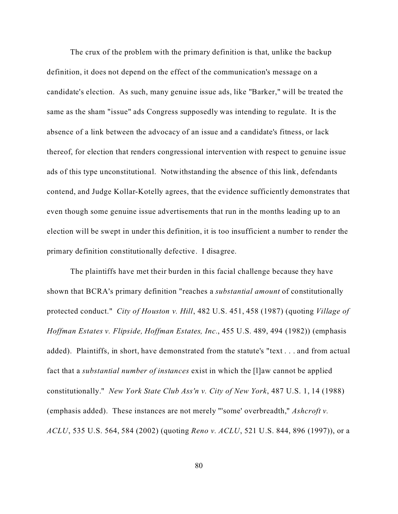The crux of the problem with the primary definition is that, unlike the backup definition, it does not depend on the effect of the communication's message on a candidate's election. As such, many genuine issue ads, like "Barker," will be treated the same as the sham "issue" ads Congress supposedly was intending to regulate. It is the absence of a link between the advocacy of an issue and a candidate's fitness, or lack thereof, for election that renders congressional intervention with respect to genuine issue ads of this type unconstitutional. Notwithstanding the absence of this link, defendants contend, and Judge Kollar-Kotelly agrees, that the evidence sufficiently demonstrates that even though some genuine issue advertisements that run in the months leading up to an election will be swept in under this definition, it is too insufficient a number to render the primary definition constitutionally defective. I disagree.

The plaintiffs have met their burden in this facial challenge because they have shown that BCRA's primary definition "reaches a *substantial amount* of constitutionally protected conduct." *City of Houston v. Hill*, 482 U.S. 451, 458 (1987) (quoting *Village of Hoffman Estates v. Flipside, Hoffman Estates, Inc.*, 455 U.S. 489, 494 (1982)) (emphasis added). Plaintiffs, in short, have demonstrated from the statute's "text . . . and from actual fact that a *substantial number of instances* exist in which the [l]aw cannot be applied constitutionally." *New York State Club Ass'n v. City of New York*, 487 U.S. 1, 14 (1988) (emphasis added). These instances are not merely "'some' overbreadth," *Ashcroft v. ACLU*, 535 U.S. 564, 584 (2002) (quoting *Reno v. ACLU*, 521 U.S. 844, 896 (1997)), or a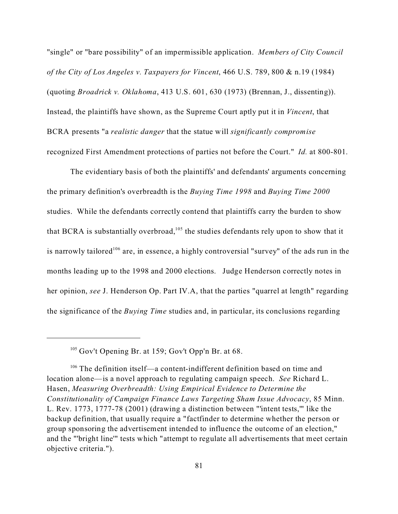"single" or "bare possibility" of an impermissible application. *Members of City Council of the City of Los Angeles v. Taxpayers for Vincent*, 466 U.S. 789, 800 & n.19 (1984) (quoting *Broadrick v. Oklahoma*, 413 U.S. 601, 630 (1973) (Brennan, J., dissenting)). Instead, the plaintiffs have shown, as the Supreme Court aptly put it in *Vincent*, that BCRA presents "a *realistic danger* that the statue will *significantly compromise* recognized First Amendment protections of parties not before the Court." *Id.* at 800-801.

The evidentiary basis of both the plaintiffs' and defendants' arguments concerning the primary definition's overbreadth is the *Buying Time 1998* and *Buying Time 2000* studies. While the defendants correctly contend that plaintiffs carry the burden to show that BCRA is substantially overbroad,<sup>105</sup> the studies defendants rely upon to show that it is narrowly tailored<sup>106</sup> are, in essence, a highly controversial "survey" of the ads run in the months leading up to the 1998 and 2000 elections. Judge Henderson correctly notes in her opinion, *see* J. Henderson Op. Part IV.A, that the parties "quarrel at length" regarding the significance of the *Buying Time* studies and, in particular, its conclusions regarding

<sup>&</sup>lt;sup>105</sup> Gov't Opening Br. at 159; Gov't Opp'n Br. at 68.

<sup>106</sup> The definition itself—a content-indifferent definition based on time and location alone—is a novel approach to regulating campaign speech. *See* Richard L. Hasen, *Measuring Overbreadth: Using Empirical Evidence to Determine the Constitutionality of Campaign Finance Laws Targeting Sham Issue Advocacy*, 85 Minn. L. Rev. 1773, 1777-78 (2001) (drawing a distinction between "'intent tests,'" like the backup definition, that usually require a "factfinder to determine whether the person or group sponsoring the advertisement intended to influence the outcome of an election," and the "'bright line'" tests which "attempt to regulate all advertisements that meet certain objective criteria.").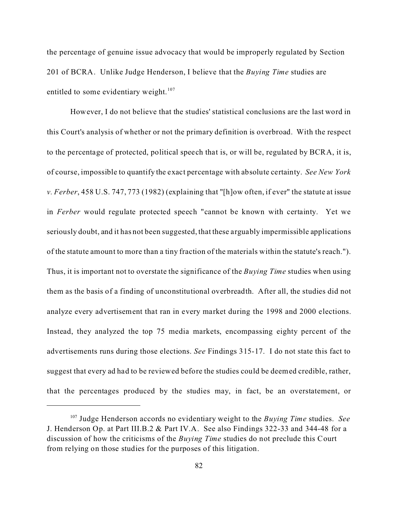the percentage of genuine issue advocacy that would be improperly regulated by Section 201 of BCRA. Unlike Judge Henderson, I believe that the *Buying Time* studies are entitled to some evidentiary weight. $107$ 

However, I do not believe that the studies' statistical conclusions are the last word in this Court's analysis of whether or not the primary definition is overbroad.With the respect to the percentage of protected, political speech that is, or will be, regulated by BCRA, it is, of course, impossible to quantify the exact percentage with absolute certainty. *See New York v. Ferber*, 458 U.S. 747, 773 (1982) (explaining that "[h]ow often, if ever" the statute at issue in *Ferber* would regulate protected speech "cannot be known with certainty. Yet we seriously doubt, and it has not been suggested, that these arguably impermissible applications of the statute amount to more than a tiny fraction of the materials within the statute's reach."). Thus, it is important not to overstate the significance of the *Buying Time* studies when using them as the basis of a finding of unconstitutional overbreadth. After all, the studies did not analyze every advertisement that ran in every market during the 1998 and 2000 elections. Instead, they analyzed the top 75 media markets, encompassing eighty percent of the advertisements runs during those elections. *See* Findings 315-17. I do not state this fact to suggest that every ad had to be reviewed before the studies could be deemed credible, rather, that the percentages produced by the studies may, in fact, be an overstatement, or

<sup>107</sup> Judge Henderson accords no evidentiary weight to the *Buying Time* studies. *See* J. Henderson Op. at Part III.B.2 & Part IV.A. See also Findings 322-33 and 344-48 for a discussion of how the criticisms of the *Buying Time* studies do not preclude this Court from relying on those studies for the purposes of this litigation.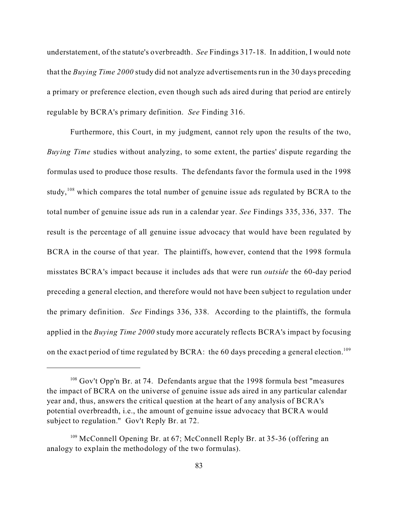understatement, of the statute's overbreadth. *See* Findings 317-18. In addition, I would note that the *Buying Time 2000* study did not analyze advertisements run in the 30 days preceding a primary or preference election, even though such ads aired during that period are entirely regulable by BCRA's primary definition. *See* Finding 316.

Furthermore, this Court, in my judgment, cannot rely upon the results of the two, *Buying Time* studies without analyzing, to some extent, the parties' dispute regarding the formulas used to produce those results. The defendants favor the formula used in the 1998 study,<sup>108</sup> which compares the total number of genuine issue ads regulated by BCRA to the total number of genuine issue ads run in a calendar year. *See* Findings 335, 336, 337. The result is the percentage of all genuine issue advocacy that would have been regulated by BCRA in the course of that year. The plaintiffs, however, contend that the 1998 formula misstates BCRA's impact because it includes ads that were run *outside* the 60-day period preceding a general election, and therefore would not have been subject to regulation under the primary definition. *See* Findings 336, 338. According to the plaintiffs, the formula applied in the *Buying Time 2000* study more accurately reflects BCRA's impact by focusing on the exact period of time regulated by BCRA: the 60 days preceding a general election.<sup>109</sup>

 $108$  Gov't Opp'n Br. at 74. Defendants argue that the 1998 formula best "measures" the impact of BCRA on the universe of genuine issue ads aired in any particular calendar year and, thus, answers the critical question at the heart of any analysis of BCRA's potential overbreadth, i.e., the amount of genuine issue advocacy that BCRA would subject to regulation." Gov't Reply Br. at 72.

<sup>&</sup>lt;sup>109</sup> McConnell Opening Br. at 67; McConnell Reply Br. at 35-36 (offering an analogy to explain the methodology of the two formulas).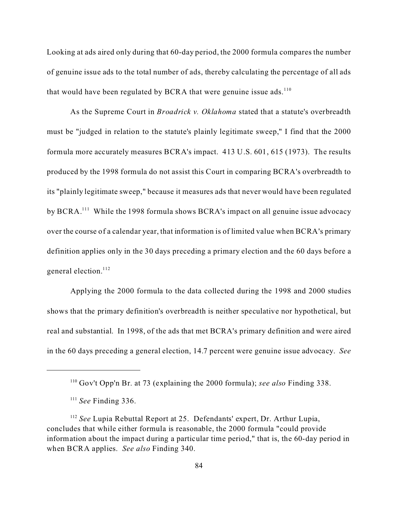Looking at ads aired only during that 60-day period, the 2000 formula compares the number of genuine issue ads to the total number of ads, thereby calculating the percentage of all ads that would have been regulated by BCRA that were genuine issue ads. $110$ 

As the Supreme Court in *Broadrick v. Oklahoma* stated that a statute's overbreadth must be "judged in relation to the statute's plainly legitimate sweep," I find that the 2000 formula more accurately measures BCRA's impact. 413 U.S. 601, 615 (1973). The results produced by the 1998 formula do not assist this Court in comparing BCRA's overbreadth to its "plainly legitimate sweep," because it measures ads that never would have been regulated by BCRA.<sup>111</sup> While the 1998 formula shows BCRA's impact on all genuine issue advocacy over the course of a calendar year, that information is of limited value when BCRA's primary definition applies only in the 30 days preceding a primary election and the 60 days before a general election.<sup>112</sup>

Applying the 2000 formula to the data collected during the 1998 and 2000 studies shows that the primary definition's overbreadth is neither speculative nor hypothetical, but real and substantial. In 1998, of the ads that met BCRA's primary definition and were aired in the 60 days preceding a general election, 14.7 percent were genuine issue advocacy. *See*

<sup>110</sup> Gov't Opp'n Br. at 73 (explaining the 2000 formula); *see also* Finding 338.

<sup>111</sup> *See* Finding 336.

<sup>112</sup> *See* Lupia Rebuttal Report at 25. Defendants' expert, Dr. Arthur Lupia, concludes that while either formula is reasonable, the 2000 formula "could provide information about the impact during a particular time period," that is, the 60-day period in when BCRA applies. *See also* Finding 340.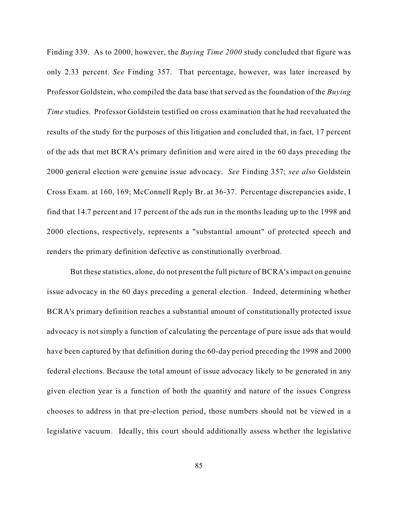Finding 339. As to 2000, however, the *Buying Time 2000* study concluded that figure was only 2.33 percent. *See* Finding 357. That percentage, however, was later increased by Professor Goldstein, who compiled the data base that served as the foundation of the *Buying Time* studies. Professor Goldstein testified on cross examination that he had reevaluated the results of the study for the purposes of this litigation and concluded that, in fact, 17 percent of the ads that met BCRA's primary definition and were aired in the 60 days preceding the 2000 general election were genuine issue advocacy. *See* Finding 357; *see also* Goldstein Cross Exam. at 160, 169; McConnell Reply Br. at 36-37. Percentage discrepancies aside, I find that 14.7 percent and 17 percent of the ads run in the months leading up to the 1998 and 2000 elections, respectively, represents a "substantial amount" of protected speech and renders the primary definition defective as constitutionally overbroad.

But these statistics, alone, do not present the full picture of BCRA's impact on genuine issue advocacy in the 60 days preceding a general election. Indeed, determining whether BCRA's primary definition reaches a substantial amount of constitutionally protected issue advocacy is not simply a function of calculating the percentage of pure issue ads that would have been captured by that definition during the 60-day period preceding the 1998 and 2000 federal elections. Because the total amount of issue advocacy likely to be generated in any given election year is a function of both the quantity and nature of the issues Congress chooses to address in that pre-election period, those numbers should not be viewed in a legislative vacuum. Ideally, this court should additionally assess whether the legislative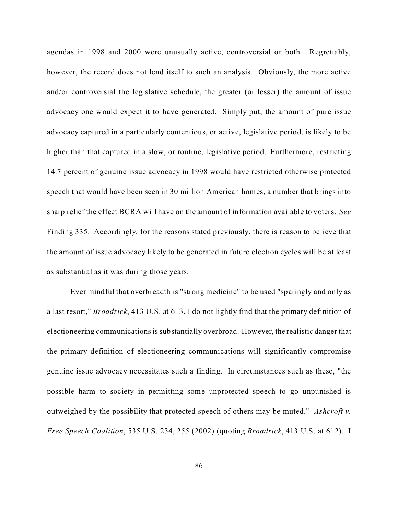agendas in 1998 and 2000 were unusually active, controversial or both. Regrettably, however, the record does not lend itself to such an analysis. Obviously, the more active and/or controversial the legislative schedule, the greater (or lesser) the amount of issue advocacy one would expect it to have generated. Simply put, the amount of pure issue advocacy captured in a particularly contentious, or active, legislative period, is likely to be higher than that captured in a slow, or routine, legislative period. Furthermore, restricting 14.7 percent of genuine issue advocacy in 1998 would have restricted otherwise protected speech that would have been seen in 30 million American homes, a number that brings into sharp relief the effect BCRA will have on the amount of information available to voters. *See* Finding 335. Accordingly, for the reasons stated previously, there is reason to believe that the amount of issue advocacy likely to be generated in future election cycles will be at least as substantial as it was during those years.

Ever mindful that overbreadth is "strong medicine" to be used "sparingly and only as a last resort," *Broadrick*, 413 U.S. at 613, I do not lightly find that the primary definition of electioneering communications is substantially overbroad. However, the realistic danger that the primary definition of electioneering communications will significantly compromise genuine issue advocacy necessitates such a finding. In circumstances such as these, "the possible harm to society in permitting some unprotected speech to go unpunished is outweighed by the possibility that protected speech of others may be muted." *Ashcroft v. Free Speech Coalition*, 535 U.S. 234, 255 (2002) (quoting *Broadrick*, 413 U.S. at 612). I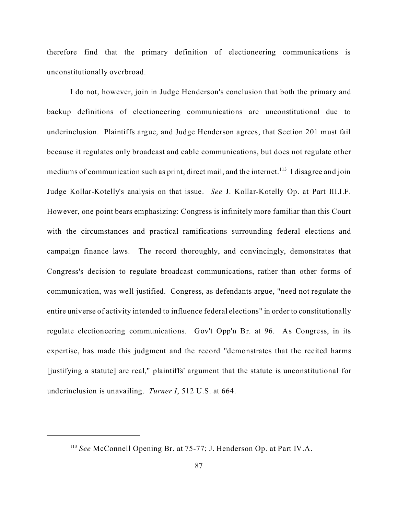therefore find that the primary definition of electioneering communications is unconstitutionally overbroad.

I do not, however, join in Judge Henderson's conclusion that both the primary and backup definitions of electioneering communications are unconstitutional due to underinclusion. Plaintiffs argue, and Judge Henderson agrees, that Section 201 must fail because it regulates only broadcast and cable communications, but does not regulate other mediums of communication such as print, direct mail, and the internet.<sup>113</sup> I disagree and join Judge Kollar-Kotelly's analysis on that issue. *See* J. Kollar-Kotelly Op. at Part III.I.F. However, one point bears emphasizing: Congress is infinitely more familiar than this Court with the circumstances and practical ramifications surrounding federal elections and campaign finance laws. The record thoroughly, and convincingly, demonstrates that Congress's decision to regulate broadcast communications, rather than other forms of communication, was well justified. Congress, as defendants argue, "need not regulate the entire universe of activity intended to influence federal elections" in order to constitutionally regulate electioneering communications. Gov't Opp'n Br. at 96. As Congress, in its expertise, has made this judgment and the record "demonstrates that the recited harms [justifying a statute] are real," plaintiffs' argument that the statute is unconstitutional for underinclusion is unavailing. *Turner I*, 512 U.S. at 664.

<sup>113</sup> *See* McConnell Opening Br. at 75-77; J. Henderson Op. at Part IV.A.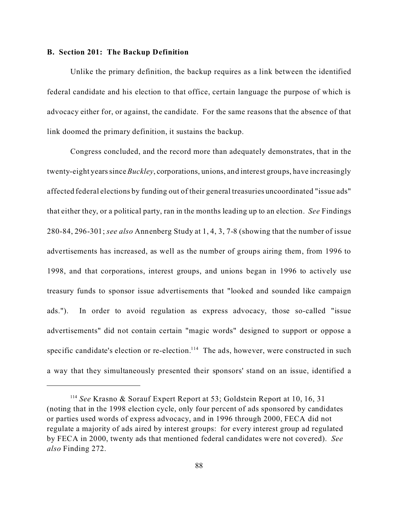#### **B. Section 201: The Backup Definition**

Unlike the primary definition, the backup requires as a link between the identified federal candidate and his election to that office, certain language the purpose of which is advocacy either for, or against, the candidate. For the same reasons that the absence of that link doomed the primary definition, it sustains the backup.

Congress concluded, and the record more than adequately demonstrates, that in the twenty-eight yearssince*Buckley*, corporations, unions, and interest groups, have increasingly affected federal elections by funding out of their general treasuries uncoordinated "issue ads" that either they, or a political party, ran in the months leading up to an election. *See* Findings 280-84, 296-301; *see also* Annenberg Study at 1, 4, 3, 7-8 (showing that the number of issue advertisements has increased, as well as the number of groups airing them, from 1996 to 1998, and that corporations, interest groups, and unions began in 1996 to actively use treasury funds to sponsor issue advertisements that "looked and sounded like campaign ads."). In order to avoid regulation as express advocacy, those so-called "issue advertisements" did not contain certain "magic words" designed to support or oppose a specific candidate's election or re-election.<sup>114</sup> The ads, however, were constructed in such a way that they simultaneously presented their sponsors' stand on an issue, identified a

<sup>114</sup> *See* Krasno & Sorauf Expert Report at 53; Goldstein Report at 10, 16, 31 (noting that in the 1998 election cycle, only four percent of ads sponsored by candidates or parties used words of express advocacy, and in 1996 through 2000, FECA did not regulate a majority of ads aired by interest groups: for every interest group ad regulated by FECA in 2000, twenty ads that mentioned federal candidates were not covered). *See also* Finding 272.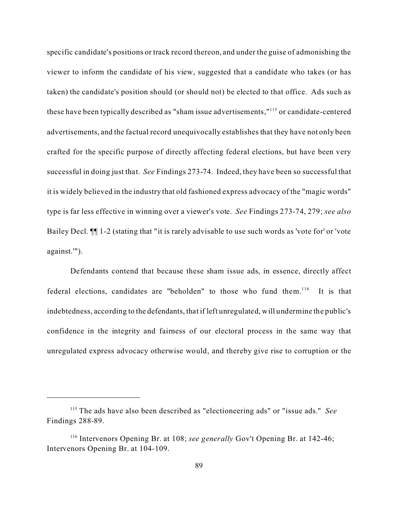specific candidate's positions or track record thereon, and under the guise of admonishing the viewer to inform the candidate of his view, suggested that a candidate who takes (or has taken) the candidate's position should (or should not) be elected to that office. Ads such as these have been typically described as "sham issue advertisements,"<sup>115</sup> or candidate-centered advertisements, and the factual record unequivocally establishes that they have not only been crafted for the specific purpose of directly affecting federal elections, but have been very successful in doing just that. *See* Findings 273-74. Indeed, they have been so successful that it is widely believed in the industry that old fashioned express advocacy of the "magic words" type is far less effective in winning over a viewer's vote. *See* Findings 273-74, 279; *see also* Bailey Decl. ¶¶ 1-2 (stating that "it is rarely advisable to use such words as 'vote for' or 'vote against.'").

Defendants contend that because these sham issue ads, in essence, directly affect federal elections, candidates are "beholden" to those who fund them.<sup>116</sup> It is that indebtedness, according to the defendants, that if left unregulated, will undermine the public's confidence in the integrity and fairness of our electoral process in the same way that unregulated express advocacy otherwise would, and thereby give rise to corruption or the

<sup>115</sup> The ads have also been described as "electioneering ads" or "issue ads." *See* Findings 288-89.

<sup>116</sup> Intervenors Opening Br. at 108; *see generally* Gov't Opening Br. at 142-46; Intervenors Opening Br. at 104-109.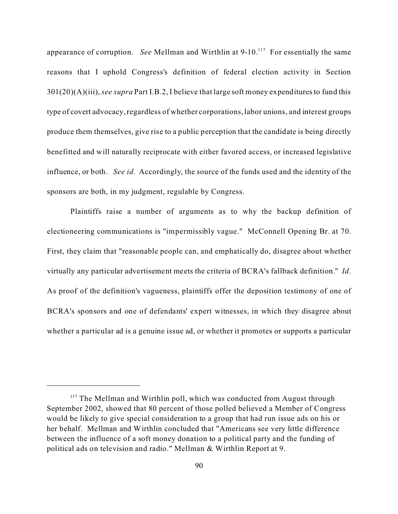appearance of corruption. *See* Mellman and Wirthlin at 9-10.<sup>117</sup> For essentially the same reasons that I uphold Congress's definition of federal election activity in Section 301(20)(A)(iii),*see supra* Part I.B.2, I believe that large soft money expenditures to fund this type of covert advocacy, regardless of whether corporations, labor unions, and interest groups produce them themselves, give rise to a public perception that the candidate is being directly benefitted and will naturally reciprocate with either favored access, or increased legislative influence, or both. *See id.* Accordingly, the source of the funds used and the identity of the sponsors are both, in my judgment, regulable by Congress.

Plaintiffs raise a number of arguments as to why the backup definition of electioneering communications is "impermissibly vague." McConnell Opening Br. at 70. First, they claim that "reasonable people can, and emphatically do, disagree about whether virtually any particular advertisement meets the criteria of BCRA's fallback definition." *Id*. As proof of the definition's vagueness, plaintiffs offer the deposition testimony of one of BCRA's sponsors and one of defendants' expert witnesses, in which they disagree about whether a particular ad is a genuine issue ad, or whether it promotes or supports a particular

<sup>&</sup>lt;sup>117</sup> The Mellman and Wirthlin poll, which was conducted from August through September 2002, showed that 80 percent of those polled believed a Member of Congress would be likely to give special consideration to a group that had run issue ads on his or her behalf. Mellman and Wirthlin concluded that "Americans see very little difference between the influence of a soft money donation to a political party and the funding of political ads on television and radio." Mellman & Wirthlin Report at 9.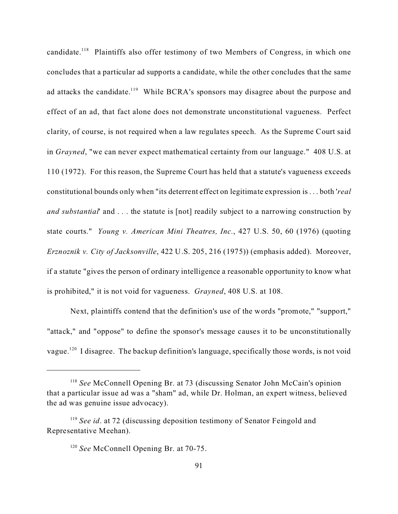candidate.<sup>118</sup> Plaintiffs also offer testimony of two Members of Congress, in which one concludes that a particular ad supports a candidate, while the other concludes that the same ad attacks the candidate.<sup>119</sup> While BCRA's sponsors may disagree about the purpose and effect of an ad, that fact alone does not demonstrate unconstitutional vagueness. Perfect clarity, of course, is not required when a law regulates speech. As the Supreme Court said in *Grayned*, "we can never expect mathematical certainty from our language." 408 U.S. at 110 (1972). For this reason, the Supreme Court has held that a statute's vagueness exceeds constitutional bounds only when "its deterrent effect on legitimate expression is . . . both '*real and substantial*' and . . . the statute is [not] readily subject to a narrowing construction by state courts." *Young v. American Mini Theatres, Inc.*, 427 U.S. 50, 60 (1976) (quoting *Erznoznik v. City of Jacksonville*, 422 U.S. 205, 216 (1975)) (emphasis added). Moreover, if a statute "gives the person of ordinary intelligence a reasonable opportunity to know what is prohibited," it is not void for vagueness. *Grayned*, 408 U.S. at 108.

Next, plaintiffs contend that the definition's use of the words "promote," "support," "attack," and "oppose" to define the sponsor's message causes it to be unconstitutionally vague.<sup>120</sup> I disagree. The backup definition's language, specifically those words, is not void

<sup>118</sup> *See* McConnell Opening Br. at 73 (discussing Senator John McCain's opinion that a particular issue ad was a "sham" ad, while Dr. Holman, an expert witness, believed the ad was genuine issue advocacy).

<sup>&</sup>lt;sup>119</sup> See *id*. at 72 (discussing deposition testimony of Senator Feingold and Representative Meehan).

<sup>&</sup>lt;sup>120</sup> See McConnell Opening Br. at 70-75.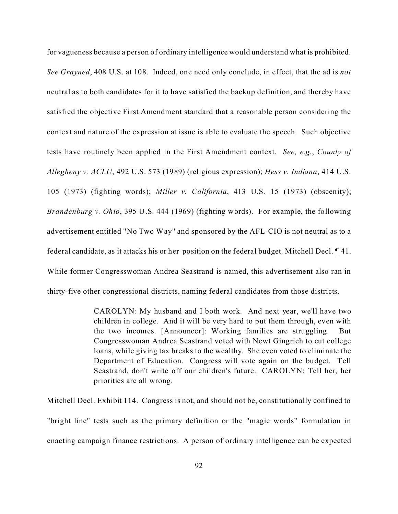for vagueness because a person of ordinary intelligence would understand what is prohibited. *See Grayned*, 408 U.S. at 108. Indeed, one need only conclude, in effect, that the ad is *not* neutral as to both candidates for it to have satisfied the backup definition, and thereby have satisfied the objective First Amendment standard that a reasonable person considering the context and nature of the expression at issue is able to evaluate the speech. Such objective tests have routinely been applied in the First Amendment context. *See, e.g.*, *County of Allegheny v. ACLU*, 492 U.S. 573 (1989) (religious expression); *Hess v. Indiana*, 414 U.S. 105 (1973) (fighting words); *Miller v. California*, 413 U.S. 15 (1973) (obscenity); *Brandenburg v. Ohio*, 395 U.S. 444 (1969) (fighting words). For example, the following advertisement entitled "No Two Way" and sponsored by the AFL-CIO is not neutral as to a federal candidate, as it attacks his or her position on the federal budget. Mitchell Decl. ¶ 41. While former Congresswoman Andrea Seastrand is named, this advertisement also ran in thirty-five other congressional districts, naming federal candidates from those districts.

> CAROLYN: My husband and I both work. And next year, we'll have two children in college. And it will be very hard to put them through, even with the two incomes. [Announcer]: Working families are struggling. But Congresswoman Andrea Seastrand voted with Newt Gingrich to cut college loans, while giving tax breaks to the wealthy. She even voted to eliminate the Department of Education. Congress will vote again on the budget. Tell Seastrand, don't write off our children's future. CAROLYN: Tell her, her priorities are all wrong.

Mitchell Decl. Exhibit 114. Congress is not, and should not be, constitutionally confined to "bright line" tests such as the primary definition or the "magic words" formulation in enacting campaign finance restrictions. A person of ordinary intelligence can be expected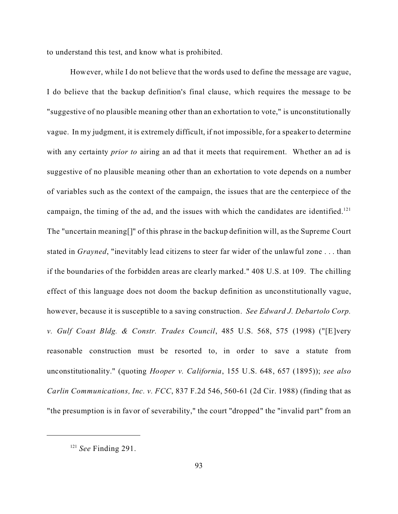to understand this test, and know what is prohibited.

However, while I do not believe that the words used to define the message are vague, I do believe that the backup definition's final clause, which requires the message to be "suggestive of no plausible meaning other than an exhortation to vote," is unconstitutionally vague. In my judgment, it is extremely difficult, if not impossible, for a speaker to determine with any certainty *prior to* airing an ad that it meets that requirement. Whether an ad is suggestive of no plausible meaning other than an exhortation to vote depends on a number of variables such as the context of the campaign, the issues that are the centerpiece of the campaign, the timing of the ad, and the issues with which the candidates are identified.<sup>121</sup> The "uncertain meaning[]" of this phrase in the backup definition will, as the Supreme Court stated in *Grayned*, "inevitably lead citizens to steer far wider of the unlawful zone . . . than if the boundaries of the forbidden areas are clearly marked." 408 U.S. at 109. The chilling effect of this language does not doom the backup definition as unconstitutionally vague, however, because it is susceptible to a saving construction. *See Edward J. Debartolo Corp. v. Gulf Coast Bldg. & Constr. Trades Council*, 485 U.S. 568, 575 (1998) ("[E]very reasonable construction must be resorted to, in order to save a statute from unconstitutionality." (quoting *Hooper v. California*, 155 U.S. 648, 657 (1895)); *see also Carlin Communications, Inc. v. FCC*, 837 F.2d 546, 560-61 (2d Cir. 1988) (finding that as "the presumption is in favor of severability," the court "dropped" the "invalid part" from an

<sup>121</sup> *See* Finding 291.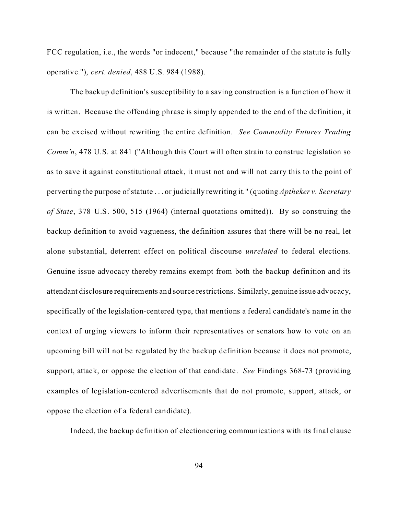FCC regulation, i.e., the words "or indecent," because "the remainder of the statute is fully operative."), *cert. denied*, 488 U.S. 984 (1988).

The backup definition's susceptibility to a saving construction is a function of how it is written. Because the offending phrase is simply appended to the end of the definition, it can be excised without rewriting the entire definition. *See Commodity Futures Trading Comm'n*, 478 U.S. at 841 ("Although this Court will often strain to construe legislation so as to save it against constitutional attack, it must not and will not carry this to the point of perverting the purpose of statute . . . or judicially rewriting it." (quoting *Aptheker v. Secretary of State*, 378 U.S. 500, 515 (1964) (internal quotations omitted)). By so construing the backup definition to avoid vagueness, the definition assures that there will be no real, let alone substantial, deterrent effect on political discourse *unrelated* to federal elections. Genuine issue advocacy thereby remains exempt from both the backup definition and its attendant disclosure requirements and source restrictions. Similarly, genuine issue advocacy, specifically of the legislation-centered type, that mentions a federal candidate's name in the context of urging viewers to inform their representatives or senators how to vote on an upcoming bill will not be regulated by the backup definition because it does not promote, support, attack, or oppose the election of that candidate. *See* Findings 368-73 (providing examples of legislation-centered advertisements that do not promote, support, attack, or oppose the election of a federal candidate).

Indeed, the backup definition of electioneering communications with its final clause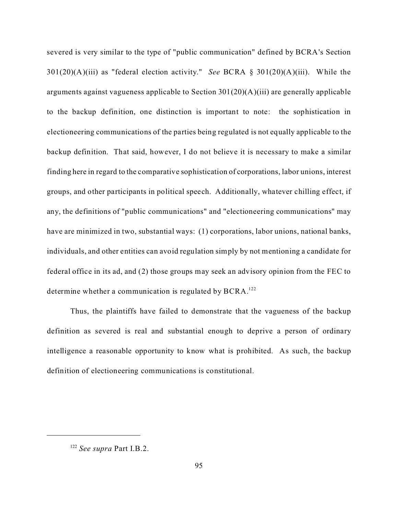severed is very similar to the type of "public communication" defined by BCRA's Section 301(20)(A)(iii) as "federal election activity." *See* BCRA § 301(20)(A)(iii). While the arguments against vagueness applicable to Section 301(20)(A)(iii) are generally applicable to the backup definition, one distinction is important to note: the sophistication in electioneering communications of the parties being regulated is not equally applicable to the backup definition. That said, however, I do not believe it is necessary to make a similar finding here in regard to the comparative sophistication of corporations, labor unions, interest groups, and other participants in political speech. Additionally, whatever chilling effect, if any, the definitions of "public communications" and "electioneering communications" may have are minimized in two, substantial ways: (1) corporations, labor unions, national banks, individuals, and other entities can avoid regulation simply by not mentioning a candidate for federal office in its ad, and (2) those groups may seek an advisory opinion from the FEC to determine whether a communication is regulated by  $BCRA$ <sup>122</sup>

Thus, the plaintiffs have failed to demonstrate that the vagueness of the backup definition as severed is real and substantial enough to deprive a person of ordinary intelligence a reasonable opportunity to know what is prohibited. As such, the backup definition of electioneering communications is constitutional.

<sup>122</sup> *See supra* Part I.B.2.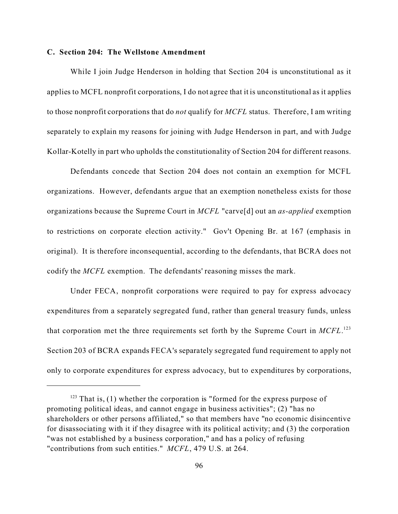#### **C. Section 204: The Wellstone Amendment**

While I join Judge Henderson in holding that Section 204 is unconstitutional as it applies to MCFL nonprofit corporations, I do not agree that it is unconstitutional as it applies to those nonprofit corporations that do *not* qualify for *MCFL* status. Therefore, I am writing separately to explain my reasons for joining with Judge Henderson in part, and with Judge Kollar-Kotelly in part who upholds the constitutionality of Section 204 for different reasons.

Defendants concede that Section 204 does not contain an exemption for MCFL organizations. However, defendants argue that an exemption nonetheless exists for those organizations because the Supreme Court in *MCFL* "carve[d] out an *as-applied* exemption to restrictions on corporate election activity." Gov't Opening Br. at 167 (emphasis in original). It is therefore inconsequential, according to the defendants, that BCRA does not codify the *MCFL* exemption. The defendants' reasoning misses the mark.

Under FECA, nonprofit corporations were required to pay for express advocacy expenditures from a separately segregated fund, rather than general treasury funds, unless that corporation met the three requirements set forth by the Supreme Court in *MCFL*. 123 Section 203 of BCRA expands FECA's separately segregated fund requirement to apply not only to corporate expenditures for express advocacy, but to expenditures by corporations,

 $123$  That is, (1) whether the corporation is "formed for the express purpose of promoting political ideas, and cannot engage in business activities"; (2) "has no shareholders or other persons affiliated," so that members have "no economic disincentive for disassociating with it if they disagree with its political activity; and (3) the corporation "was not established by a business corporation," and has a policy of refusing "contributions from such entities." *MCFL*, 479 U.S. at 264.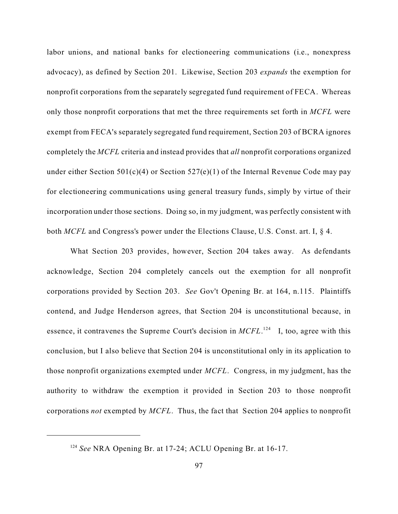labor unions, and national banks for electioneering communications (i.e., nonexpress advocacy), as defined by Section 201. Likewise, Section 203 *expands* the exemption for nonprofit corporations from the separately segregated fund requirement of FECA. Whereas only those nonprofit corporations that met the three requirements set forth in *MCFL* were exempt from FECA's separately segregated fund requirement, Section 203 of BCRA ignores completely the *MCFL* criteria and instead provides that *all* nonprofit corporations organized under either Section 501(c)(4) or Section 527(e)(1) of the Internal Revenue Code may pay for electioneering communications using general treasury funds, simply by virtue of their incorporation under those sections. Doing so, in my judgment, was perfectly consistent with both *MCFL* and Congress's power under the Elections Clause, U.S. Const. art. I, § 4.

What Section 203 provides, however, Section 204 takes away. As defendants acknowledge, Section 204 completely cancels out the exemption for all nonprofit corporations provided by Section 203. *See* Gov't Opening Br. at 164, n.115. Plaintiffs contend, and Judge Henderson agrees, that Section 204 is unconstitutional because, in essence, it contravenes the Supreme Court's decision in *MCFL*.<sup>124</sup> I, too, agree with this conclusion, but I also believe that Section 204 is unconstitutional only in its application to those nonprofit organizations exempted under *MCFL*. Congress, in my judgment, has the authority to withdraw the exemption it provided in Section 203 to those nonprofit corporations *not* exempted by *MCFL*. Thus, the fact that Section 204 applies to nonprofit

<sup>124</sup> *See* NRA Opening Br. at 17-24; ACLU Opening Br. at 16-17.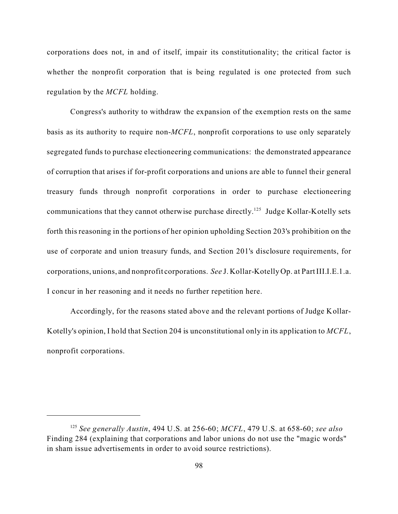corporations does not, in and of itself, impair its constitutionality; the critical factor is whether the nonprofit corporation that is being regulated is one protected from such regulation by the *MCFL* holding.

Congress's authority to withdraw the expansion of the exemption rests on the same basis as its authority to require non-*MCFL*, nonprofit corporations to use only separately segregated funds to purchase electioneering communications: the demonstrated appearance of corruption that arises if for-profit corporations and unions are able to funnel their general treasury funds through nonprofit corporations in order to purchase electioneering communications that they cannot otherwise purchase directly.<sup>125</sup> Judge Kollar-Kotelly sets forth this reasoning in the portions of her opinion upholding Section 203's prohibition on the use of corporate and union treasury funds, and Section 201's disclosure requirements, for corporations, unions, and nonprofit corporations. *See* J. Kollar-Kotelly Op. at Part III.I.E.1.a. I concur in her reasoning and it needs no further repetition here.

Accordingly, for the reasons stated above and the relevant portions of Judge Kollar-Kotelly's opinion, I hold that Section 204 is unconstitutional only in its application to *MCFL*, nonprofit corporations.

<sup>125</sup> *See generally Austin*, 494 U.S. at 256-60; *MCFL*, 479 U.S. at 658-60; *see also* Finding 284 (explaining that corporations and labor unions do not use the "magic words" in sham issue advertisements in order to avoid source restrictions).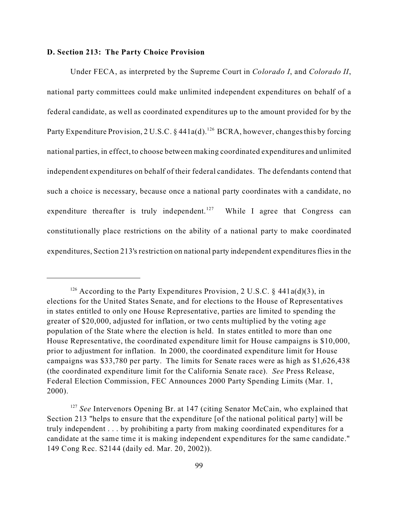### **D. Section 213: The Party Choice Provision**

Under FECA, as interpreted by the Supreme Court in *Colorado I*, and *Colorado II*, national party committees could make unlimited independent expenditures on behalf of a federal candidate, as well as coordinated expenditures up to the amount provided for by the Party Expenditure Provision, 2 U.S.C. § 441a(d).<sup>126</sup> BCRA, however, changes this by forcing national parties, in effect, to choose between making coordinated expenditures and unlimited independent expenditures on behalf of their federal candidates. The defendants contend that such a choice is necessary, because once a national party coordinates with a candidate, no expenditure thereafter is truly independent.<sup>127</sup> While I agree that Congress can constitutionally place restrictions on the ability of a national party to make coordinated expenditures, Section 213's restriction on national party independent expenditures flies in the

<sup>&</sup>lt;sup>126</sup> According to the Party Expenditures Provision, 2 U.S.C. § 441a(d)(3), in elections for the United States Senate, and for elections to the House of Representatives in states entitled to only one House Representative, parties are limited to spending the greater of \$20,000, adjusted for inflation, or two cents multiplied by the voting age population of the State where the election is held. In states entitled to more than one House Representative, the coordinated expenditure limit for House campaigns is \$10,000, prior to adjustment for inflation. In 2000, the coordinated expenditure limit for House campaigns was \$33,780 per party. The limits for Senate races were as high as \$1,626,438 (the coordinated expenditure limit for the California Senate race). *See* Press Release, Federal Election Commission, FEC Announces 2000 Party Spending Limits (Mar. 1, 2000).

<sup>&</sup>lt;sup>127</sup> See Intervenors Opening Br. at 147 (citing Senator McCain, who explained that Section 213 "helps to ensure that the expenditure [of the national political party] will be truly independent . . . by prohibiting a party from making coordinated expenditures for a candidate at the same time it is making independent expenditures for the same candidate." 149 Cong Rec. S2144 (daily ed. Mar. 20, 2002)).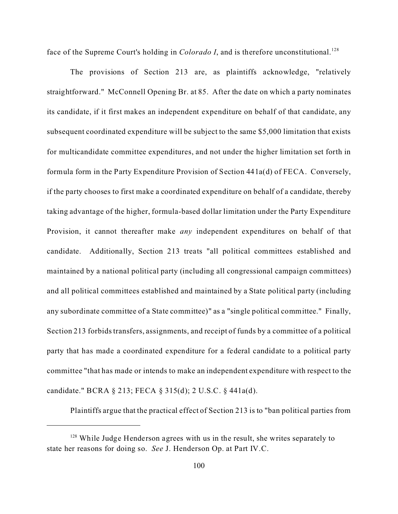face of the Supreme Court's holding in *Colorado I*, and is therefore unconstitutional.<sup>128</sup>

The provisions of Section 213 are, as plaintiffs acknowledge, "relatively straightforward." McConnell Opening Br. at 85. After the date on which a party nominates its candidate, if it first makes an independent expenditure on behalf of that candidate, any subsequent coordinated expenditure will be subject to the same \$5,000 limitation that exists for multicandidate committee expenditures, and not under the higher limitation set forth in formula form in the Party Expenditure Provision of Section 441a(d) of FECA. Conversely, if the party chooses to first make a coordinated expenditure on behalf of a candidate, thereby taking advantage of the higher, formula-based dollar limitation under the Party Expenditure Provision, it cannot thereafter make *any* independent expenditures on behalf of that candidate. Additionally, Section 213 treats "all political committees established and maintained by a national political party (including all congressional campaign committees) and all political committees established and maintained by a State political party (including any subordinate committee of a State committee)" as a "single political committee." Finally, Section 213 forbids transfers, assignments, and receipt of funds by a committee of a political party that has made a coordinated expenditure for a federal candidate to a political party committee "that has made or intends to make an independent expenditure with respect to the candidate." BCRA § 213; FECA § 315(d); 2 U.S.C. § 441a(d).

Plaintiffs argue that the practical effect of Section 213 is to "ban political parties from

 $128$  While Judge Henderson agrees with us in the result, she writes separately to state her reasons for doing so. *See* J. Henderson Op. at Part IV.C.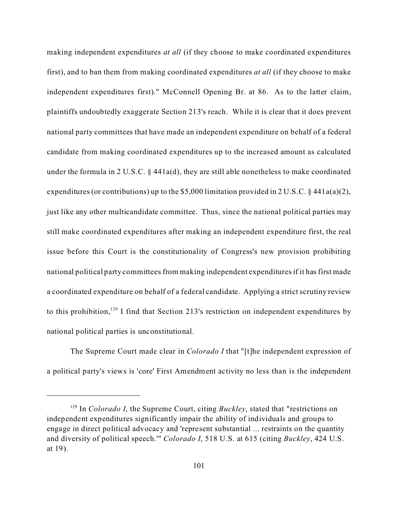making independent expenditures *at all* (if they choose to make coordinated expenditures first), and to ban them from making coordinated expenditures *at all* (if they choose to make independent expenditures first)." McConnell Opening Br. at 86. As to the latter claim, plaintiffs undoubtedly exaggerate Section 213's reach. While it is clear that it does prevent national party committees that have made an independent expenditure on behalf of a federal candidate from making coordinated expenditures up to the increased amount as calculated under the formula in 2 U.S.C.  $\S$  441a(d), they are still able nonetheless to make coordinated expenditures (or contributions) up to the \$5,000 limitation provided in 2 U.S.C. § 441a(a)(2), just like any other multicandidate committee. Thus, since the national political parties may still make coordinated expenditures after making an independent expenditure first, the real issue before this Court is the constitutionality of Congress's new provision prohibiting national political party committees from making independent expenditures if it has first made a coordinated expenditure on behalf of a federal candidate. Applying a strict scrutiny review to this prohibition,<sup>129</sup> I find that Section 213's restriction on independent expenditures by national political parties is unconstitutional.

The Supreme Court made clear in *Colorado I* that "[t]he independent expression of a political party's views is 'core' First Amendment activity no less than is the independent

<sup>129</sup> In *Colorado I*, the Supreme Court, citing *Buckley*, stated that "restrictions on independent expenditures significantly impair the ability of individuals and groups to engage in direct political advocacy and 'represent substantial ... restraints on the quantity and diversity of political speech.'" *Colorado I*, 518 U.S. at 615 (citing *Buckley*, 424 U.S. at 19).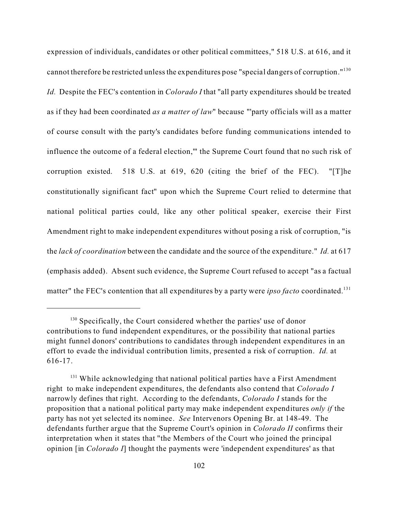expression of individuals, candidates or other political committees," 518 U.S. at 616, and it cannot therefore be restricted unless the expenditures pose "special dangers of corruption."<sup>130</sup> *Id.* Despite the FEC's contention in *Colorado I* that "all party expenditures should be treated as if they had been coordinated *as a matter of law*" because "'party officials will as a matter of course consult with the party's candidates before funding communications intended to influence the outcome of a federal election,'" the Supreme Court found that no such risk of corruption existed. 518 U.S. at 619, 620 (citing the brief of the FEC). "[T]he constitutionally significant fact" upon which the Supreme Court relied to determine that national political parties could, like any other political speaker, exercise their First Amendment right to make independent expenditures without posing a risk of corruption, "is the *lack of coordination* between the candidate and the source of the expenditure." *Id.* at 617 (emphasis added). Absent such evidence, the Supreme Court refused to accept "as a factual matter" the FEC's contention that all expenditures by a party were *ipso facto* coordinated.<sup>131</sup>

<sup>&</sup>lt;sup>130</sup> Specifically, the Court considered whether the parties' use of donor contributions to fund independent expenditures, or the possibility that national parties might funnel donors' contributions to candidates through independent expenditures in an effort to evade the individual contribution limits, presented a risk of corruption. *Id.* at 616-17.

<sup>&</sup>lt;sup>131</sup> While acknowledging that national political parties have a First Amendment right to make independent expenditures, the defendants also contend that *Colorado I* narrowly defines that right. According to the defendants, *Colorado I* stands for the proposition that a national political party may make independent expenditures *only if* the party has not yet selected its nominee. *See* Intervenors Opening Br. at 148-49. The defendants further argue that the Supreme Court's opinion in *Colorado II* confirms their interpretation when it states that "the Members of the Court who joined the principal opinion [in *Colorado I*] thought the payments were 'independent expenditures' as that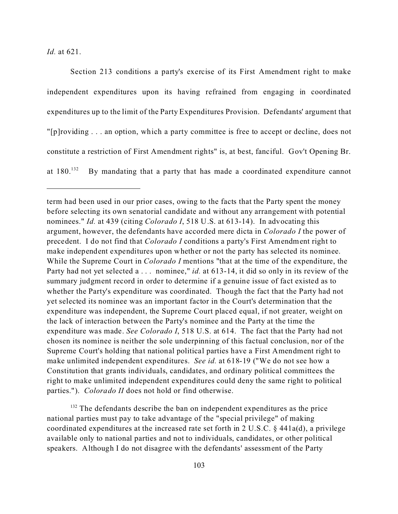*Id.* at 621.

Section 213 conditions a party's exercise of its First Amendment right to make independent expenditures upon its having refrained from engaging in coordinated expenditures up to the limit of the Party Expenditures Provision. Defendants' argument that "[p]roviding . . . an option, which a party committee is free to accept or decline, does not constitute a restriction of First Amendment rights" is, at best, fanciful. Gov't Opening Br. at  $180^{132}$  By mandating that a party that has made a coordinated expenditure cannot

term had been used in our prior cases, owing to the facts that the Party spent the money before selecting its own senatorial candidate and without any arrangement with potential nominees." *Id.* at 439 (citing *Colorado I*, 518 U.S. at 613-14). In advocating this argument, however, the defendants have accorded mere dicta in *Colorado I* the power of precedent. I do not find that *Colorado I* conditions a party's First Amendment right to make independent expenditures upon whether or not the party has selected its nominee. While the Supreme Court in *Colorado I* mentions "that at the time of the expenditure, the Party had not yet selected a . . . nominee," *id.* at 613-14, it did so only in its review of the summary judgment record in order to determine if a genuine issue of fact existed as to whether the Party's expenditure was coordinated. Though the fact that the Party had not yet selected its nominee was an important factor in the Court's determination that the expenditure was independent, the Supreme Court placed equal, if not greater, weight on the lack of interaction between the Party's nominee and the Party at the time the expenditure was made. *See Colorado I*, 518 U.S. at 614. The fact that the Party had not chosen its nominee is neither the sole underpinning of this factual conclusion, nor of the Supreme Court's holding that national political parties have a First Amendment right to make unlimited independent expenditures. *See id.* at 618-19 ("We do not see how a Constitution that grants individuals, candidates, and ordinary political committees the right to make unlimited independent expenditures could deny the same right to political parties."). *Colorado II* does not hold or find otherwise.

<sup>&</sup>lt;sup>132</sup> The defendants describe the ban on independent expenditures as the price national parties must pay to take advantage of the "special privilege" of making coordinated expenditures at the increased rate set forth in 2 U.S.C. § 441a(d), a privilege available only to national parties and not to individuals, candidates, or other political speakers. Although I do not disagree with the defendants' assessment of the Party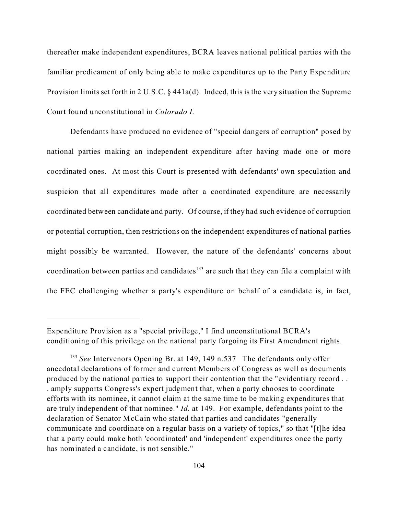thereafter make independent expenditures, BCRA leaves national political parties with the familiar predicament of only being able to make expenditures up to the Party Expenditure Provision limits set forth in 2 U.S.C. § 441a(d). Indeed, this is the very situation the Supreme Court found unconstitutional in *Colorado I*.

Defendants have produced no evidence of "special dangers of corruption" posed by national parties making an independent expenditure after having made one or more coordinated ones. At most this Court is presented with defendants' own speculation and suspicion that all expenditures made after a coordinated expenditure are necessarily coordinated between candidate and party. Of course, if they had such evidence of corruption or potential corruption, then restrictions on the independent expenditures of national parties might possibly be warranted. However, the nature of the defendants' concerns about coordination between parties and candidates<sup>133</sup> are such that they can file a complaint with the FEC challenging whether a party's expenditure on behalf of a candidate is, in fact,

Expenditure Provision as a "special privilege," I find unconstitutional BCRA's conditioning of this privilege on the national party forgoing its First Amendment rights.

<sup>&</sup>lt;sup>133</sup> See Intervenors Opening Br. at 149, 149 n.537 The defendants only offer anecdotal declarations of former and current Members of Congress as well as documents produced by the national parties to support their contention that the "evidentiary record . . . amply supports Congress's expert judgment that, when a party chooses to coordinate efforts with its nominee, it cannot claim at the same time to be making expenditures that are truly independent of that nominee." *Id.* at 149. For example, defendants point to the declaration of Senator McCain who stated that parties and candidates "generally communicate and coordinate on a regular basis on a variety of topics," so that "[t]he idea that a party could make both 'coordinated' and 'independent' expenditures once the party has nominated a candidate, is not sensible."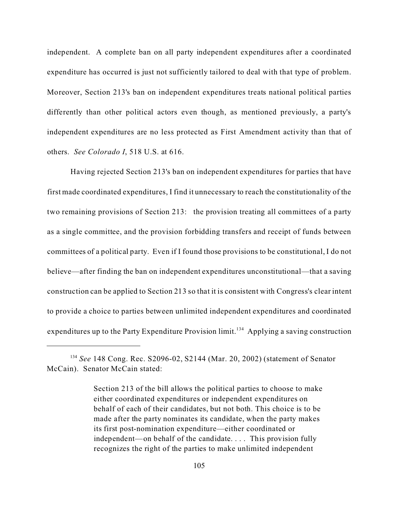independent. A complete ban on all party independent expenditures after a coordinated expenditure has occurred is just not sufficiently tailored to deal with that type of problem. Moreover, Section 213's ban on independent expenditures treats national political parties differently than other political actors even though, as mentioned previously, a party's independent expenditures are no less protected as First Amendment activity than that of others. *See Colorado I*, 518 U.S. at 616.

Having rejected Section 213's ban on independent expenditures for parties that have first made coordinated expenditures, I find it unnecessary to reach the constitutionality of the two remaining provisions of Section 213: the provision treating all committees of a party as a single committee, and the provision forbidding transfers and receipt of funds between committees of a political party. Even if I found those provisions to be constitutional, I do not believe—after finding the ban on independent expenditures unconstitutional—that a saving construction can be applied to Section 213 so that it is consistent with Congress's clear intent to provide a choice to parties between unlimited independent expenditures and coordinated expenditures up to the Party Expenditure Provision  $\lim_{x \to 34} A$ pplying a saving construction

<sup>134</sup> *See* 148 Cong. Rec. S2096-02, S2144 (Mar. 20, 2002) (statement of Senator McCain). Senator McCain stated:

Section 213 of the bill allows the political parties to choose to make either coordinated expenditures or independent expenditures on behalf of each of their candidates, but not both. This choice is to be made after the party nominates its candidate, when the party makes its first post-nomination expenditure—either coordinated or independent—on behalf of the candidate. . . . This provision fully recognizes the right of the parties to make unlimited independent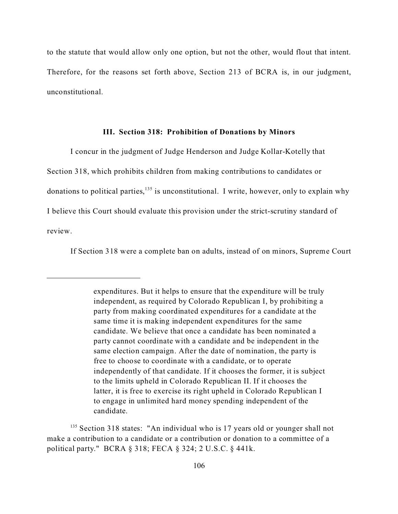to the statute that would allow only one option, but not the other, would flout that intent. Therefore, for the reasons set forth above, Section 213 of BCRA is, in our judgment, unconstitutional.

#### **III. Section 318: Prohibition of Donations by Minors**

I concur in the judgment of Judge Henderson and Judge Kollar-Kotelly that Section 318, which prohibits children from making contributions to candidates or donations to political parties,<sup>135</sup> is unconstitutional. I write, however, only to explain why I believe this Court should evaluate this provision under the strict-scrutiny standard of review.

If Section 318 were a complete ban on adults, instead of on minors, Supreme Court

expenditures. But it helps to ensure that the expenditure will be truly independent, as required by Colorado Republican I, by prohibiting a party from making coordinated expenditures for a candidate at the same time it is making independent expenditures for the same candidate. We believe that once a candidate has been nominated a party cannot coordinate with a candidate and be independent in the same election campaign. After the date of nomination, the party is free to choose to coordinate with a candidate, or to operate independently of that candidate. If it chooses the former, it is subject to the limits upheld in Colorado Republican II. If it chooses the latter, it is free to exercise its right upheld in Colorado Republican I to engage in unlimited hard money spending independent of the candidate.

<sup>&</sup>lt;sup>135</sup> Section 318 states: "An individual who is 17 years old or younger shall not make a contribution to a candidate or a contribution or donation to a committee of a political party." BCRA § 318; FECA § 324; 2 U.S.C. § 441k.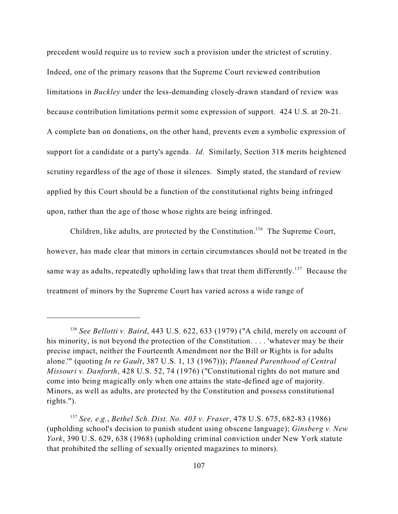precedent would require us to review such a provision under the strictest of scrutiny. Indeed, one of the primary reasons that the Supreme Court reviewed contribution limitations in *Buckley* under the less-demanding closely-drawn standard of review was because contribution limitations permit some expression of support. 424 U.S. at 20-21. A complete ban on donations, on the other hand, prevents even a symbolic expression of support for a candidate or a party's agenda. *Id.* Similarly, Section 318 merits heightened scrutiny regardless of the age of those it silences. Simply stated, the standard of review applied by this Court should be a function of the constitutional rights being infringed upon, rather than the age of those whose rights are being infringed.

Children, like adults, are protected by the Constitution.<sup>136</sup> The Supreme Court, however, has made clear that minors in certain circumstances should not be treated in the same way as adults, repeatedly upholding laws that treat them differently.<sup>137</sup> Because the treatment of minors by the Supreme Court has varied across a wide range of

<sup>136</sup> *See Bellotti v. Baird*, 443 U.S. 622, 633 (1979) ("A child, merely on account of his minority, is not beyond the protection of the Constitution. . . . 'whatever may be their precise impact, neither the Fourteenth Amendment nor the Bill or Rights is for adults alone.'" (quoting *In re Gault*, 387 U.S. 1, 13 (1967))); *Planned Parenthood of Central Missouri v. Danforth*, 428 U.S. 52, 74 (1976) ("Constitutional rights do not mature and come into being magically only when one attains the state-defined age of majority. Minors, as well as adults, are protected by the Constitution and possess constitutional rights.").

<sup>137</sup> *See, e.g.*, *Bethel Sch. Dist. No. 403 v. Fraser*, 478 U.S. 675, 682-83 (1986) (upholding school's decision to punish student using obscene language); *Ginsberg v. New York*, 390 U.S. 629, 638 (1968) (upholding criminal conviction under New York statute that prohibited the selling of sexually oriented magazines to minors).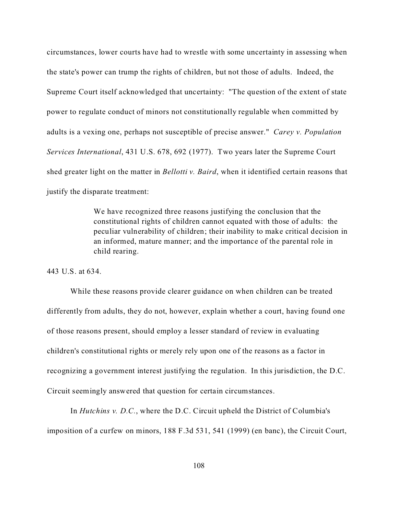circumstances, lower courts have had to wrestle with some uncertainty in assessing when the state's power can trump the rights of children, but not those of adults. Indeed, the Supreme Court itself acknowledged that uncertainty: "The question of the extent of state power to regulate conduct of minors not constitutionally regulable when committed by adults is a vexing one, perhaps not susceptible of precise answer." *Carey v. Population Services International*, 431 U.S. 678, 692 (1977). Two years later the Supreme Court shed greater light on the matter in *Bellotti v. Baird*, when it identified certain reasons that justify the disparate treatment:

> We have recognized three reasons justifying the conclusion that the constitutional rights of children cannot equated with those of adults: the peculiar vulnerability of children; their inability to make critical decision in an informed, mature manner; and the importance of the parental role in child rearing.

443 U.S. at 634.

While these reasons provide clearer guidance on when children can be treated differently from adults, they do not, however, explain whether a court, having found one of those reasons present, should employ a lesser standard of review in evaluating children's constitutional rights or merely rely upon one of the reasons as a factor in recognizing a government interest justifying the regulation. In this jurisdiction, the D.C. Circuit seemingly answered that question for certain circumstances.

In *Hutchins v. D.C.*, where the D.C. Circuit upheld the District of Columbia's imposition of a curfew on minors, 188 F.3d 531, 541 (1999) (en banc), the Circuit Court,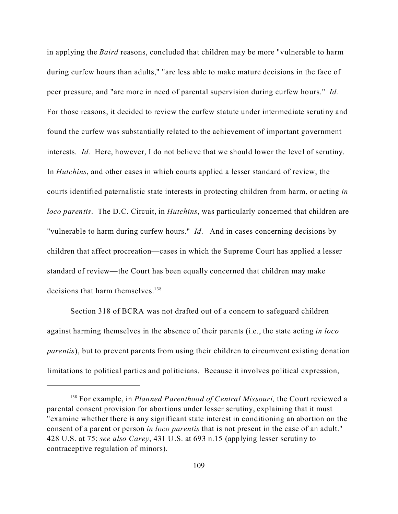in applying the *Baird* reasons, concluded that children may be more "vulnerable to harm during curfew hours than adults," "are less able to make mature decisions in the face of peer pressure, and "are more in need of parental supervision during curfew hours." *Id.* For those reasons, it decided to review the curfew statute under intermediate scrutiny and found the curfew was substantially related to the achievement of important government interests. *Id.* Here, however, I do not believe that we should lower the level of scrutiny. In *Hutchins*, and other cases in which courts applied a lesser standard of review, the courts identified paternalistic state interests in protecting children from harm, or acting *in loco parentis*. The D.C. Circuit, in *Hutchins*, was particularly concerned that children are "vulnerable to harm during curfew hours." *Id*. And in cases concerning decisions by children that affect procreation—cases in which the Supreme Court has applied a lesser standard of review—the Court has been equally concerned that children may make decisions that harm themselves.<sup>138</sup>

Section 318 of BCRA was not drafted out of a concern to safeguard children against harming themselves in the absence of their parents (i.e., the state acting *in loco parentis*), but to prevent parents from using their children to circumvent existing donation limitations to political parties and politicians. Because it involves political expression,

<sup>138</sup> For example, in *Planned Parenthood of Central Missouri,* the Court reviewed a parental consent provision for abortions under lesser scrutiny, explaining that it must "examine whether there is any significant state interest in conditioning an abortion on the consent of a parent or person *in loco parentis* that is not present in the case of an adult." 428 U.S. at 75; *see also Carey*, 431 U.S. at 693 n.15 (applying lesser scrutiny to contraceptive regulation of minors).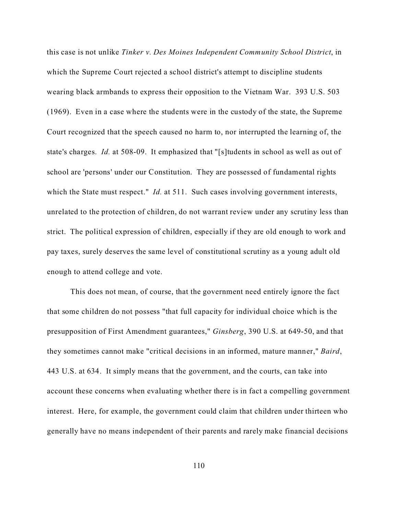this case is not unlike *Tinker v. Des Moines Independent Community School District*, in which the Supreme Court rejected a school district's attempt to discipline students wearing black armbands to express their opposition to the Vietnam War. 393 U.S. 503 (1969). Even in a case where the students were in the custody of the state, the Supreme Court recognized that the speech caused no harm to, nor interrupted the learning of, the state's charges. *Id.* at 508-09.It emphasized that "[s]tudents in school as well as out of school are 'persons' under our Constitution. They are possessed of fundamental rights which the State must respect." *Id.* at 511. Such cases involving government interests, unrelated to the protection of children, do not warrant review under any scrutiny less than strict. The political expression of children, especially if they are old enough to work and pay taxes, surely deserves the same level of constitutional scrutiny as a young adult old enough to attend college and vote.

This does not mean, of course, that the government need entirely ignore the fact that some children do not possess "that full capacity for individual choice which is the presupposition of First Amendment guarantees," *Ginsberg*, 390 U.S. at 649-50, and that they sometimes cannot make "critical decisions in an informed, mature manner," *Baird*, 443 U.S. at 634. It simply means that the government, and the courts, can take into account these concerns when evaluating whether there is in fact a compelling government interest. Here, for example, the government could claim that children under thirteen who generally have no means independent of their parents and rarely make financial decisions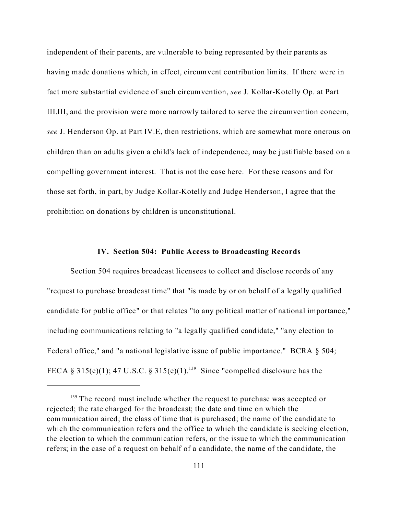independent of their parents, are vulnerable to being represented by their parents as having made donations which, in effect, circumvent contribution limits. If there were in fact more substantial evidence of such circumvention, *see* J. Kollar-Kotelly Op. at Part III.III, and the provision were more narrowly tailored to serve the circumvention concern, *see* J. Henderson Op. at Part IV.E, then restrictions, which are somewhat more onerous on children than on adults given a child's lack of independence, may be justifiable based on a compelling government interest. That is not the case here. For these reasons and for those set forth, in part, by Judge Kollar-Kotelly and Judge Henderson, I agree that the prohibition on donations by children is unconstitutional.

### **IV. Section 504: Public Access to Broadcasting Records**

Section 504 requires broadcast licensees to collect and disclose records of any "request to purchase broadcast time" that "is made by or on behalf of a legally qualified candidate for public office" or that relates "to any political matter of national importance," including communications relating to "a legally qualified candidate," "any election to Federal office," and "a national legislative issue of public importance." BCRA § 504; FECA § 315(e)(1); 47 U.S.C. § 315(e)(1).<sup>139</sup> Since "compelled disclosure has the

 $139$  The record must include whether the request to purchase was accepted or rejected; the rate charged for the broadcast; the date and time on which the communication aired; the class of time that is purchased; the name of the candidate to which the communication refers and the office to which the candidate is seeking election, the election to which the communication refers, or the issue to which the communication refers; in the case of a request on behalf of a candidate, the name of the candidate, the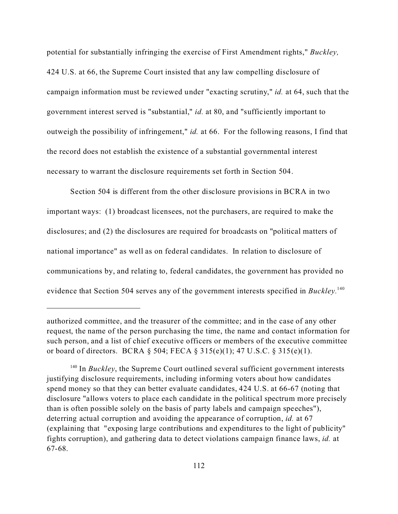potential for substantially infringing the exercise of First Amendment rights," *Buckley,* 424 U.S. at 66, the Supreme Court insisted that any law compelling disclosure of campaign information must be reviewed under "exacting scrutiny," *id.* at 64, such that the government interest served is "substantial," *id.* at 80, and "sufficiently important to outweigh the possibility of infringement," *id.* at 66. For the following reasons, I find that the record does not establish the existence of a substantial governmental interest necessary to warrant the disclosure requirements set forth in Section 504.

Section 504 is different from the other disclosure provisions in BCRA in two important ways: (1) broadcast licensees, not the purchasers, are required to make the disclosures; and (2) the disclosures are required for broadcasts on "political matters of national importance" as well as on federal candidates. In relation to disclosure of communications by, and relating to, federal candidates, the government has provided no evidence that Section 504 serves any of the government interests specified in *Buckley*.<sup>140</sup>

authorized committee, and the treasurer of the committee; and in the case of any other request, the name of the person purchasing the time, the name and contact information for such person, and a list of chief executive officers or members of the executive committee or board of directors. BCRA § 504; FECA § 315(e)(1); 47 U.S.C. § 315(e)(1).

<sup>140</sup> In *Buckley*, the Supreme Court outlined several sufficient government interests justifying disclosure requirements, including informing voters about how candidates spend money so that they can better evaluate candidates, 424 U.S. at 66-67 (noting that disclosure "allows voters to place each candidate in the political spectrum more precisely than is often possible solely on the basis of party labels and campaign speeches"), deterring actual corruption and avoiding the appearance of corruption, *id.* at 67 (explaining that "exposing large contributions and expenditures to the light of publicity" fights corruption), and gathering data to detect violations campaign finance laws, *id.* at 67-68.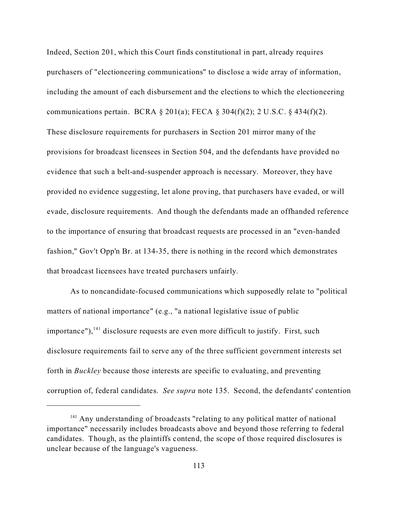Indeed, Section 201, which this Court finds constitutional in part, already requires purchasers of "electioneering communications" to disclose a wide array of information, including the amount of each disbursement and the elections to which the electioneering communications pertain. BCRA  $\S 201(a)$ ; FECA  $\S 304(f)(2)$ ; 2 U.S.C.  $\S 434(f)(2)$ . These disclosure requirements for purchasers in Section 201 mirror many of the provisions for broadcast licensees in Section 504, and the defendants have provided no evidence that such a belt-and-suspender approach is necessary. Moreover, they have provided no evidence suggesting, let alone proving, that purchasers have evaded, or will evade, disclosure requirements. And though the defendants made an offhanded reference to the importance of ensuring that broadcast requests are processed in an "even-handed fashion," Gov't Opp'n Br. at 134-35, there is nothing in the record which demonstrates that broadcast licensees have treated purchasers unfairly.

As to noncandidate-focused communications which supposedly relate to "political matters of national importance" (e.g., "a national legislative issue of public importance"), $<sup>141</sup>$  disclosure requests are even more difficult to justify. First, such</sup> disclosure requirements fail to serve any of the three sufficient government interests set forth in *Buckley* because those interests are specific to evaluating, and preventing corruption of, federal candidates. *See supra* note 135. Second, the defendants' contention

 $141$  Any understanding of broadcasts "relating to any political matter of national importance" necessarily includes broadcasts above and beyond those referring to federal candidates. Though, as the plaintiffs contend, the scope of those required disclosures is unclear because of the language's vagueness.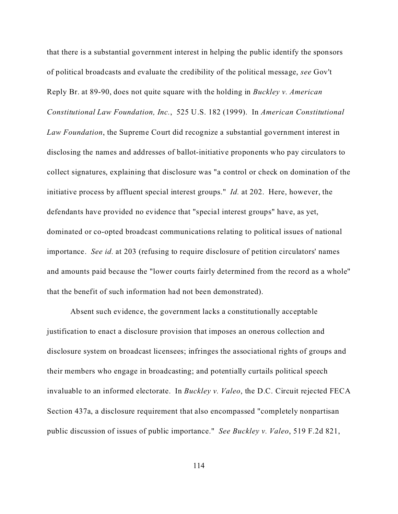that there is a substantial government interest in helping the public identify the sponsors of political broadcasts and evaluate the credibility of the political message, *see* Gov't Reply Br. at 89-90, does not quite square with the holding in *Buckley v. American Constitutional Law Foundation, Inc.*, 525 U.S. 182 (1999).In *American Constitutional Law Foundation*, the Supreme Court did recognize a substantial government interest in disclosing the names and addresses of ballot-initiative proponents who pay circulators to collect signatures, explaining that disclosure was "a control or check on domination of the initiative process by affluent special interest groups." *Id.* at 202. Here, however, the defendants have provided no evidence that "special interest groups" have, as yet, dominated or co-opted broadcast communications relating to political issues of national importance. *See id.* at 203 (refusing to require disclosure of petition circulators' names and amounts paid because the "lower courts fairly determined from the record as a whole" that the benefit of such information had not been demonstrated).

Absent such evidence, the government lacks a constitutionally acceptable justification to enact a disclosure provision that imposes an onerous collection and disclosure system on broadcast licensees; infringes the associational rights of groups and their members who engage in broadcasting; and potentially curtails political speech invaluable to an informed electorate. In *Buckley v. Valeo*, the D.C. Circuit rejected FECA Section 437a, a disclosure requirement that also encompassed "completely nonpartisan public discussion of issues of public importance." *See Buckley v. Valeo*, 519 F.2d 821,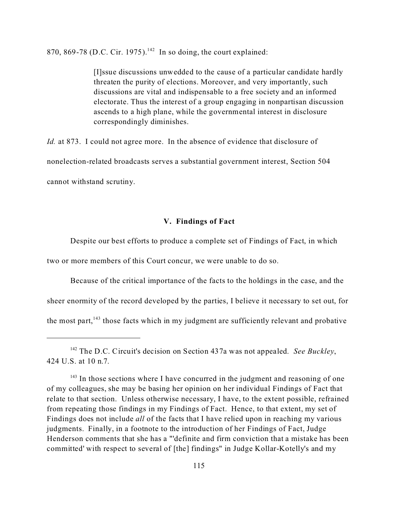870, 869-78 (D.C. Cir. 1975).<sup>142</sup> In so doing, the court explained:

[I]ssue discussions unwedded to the cause of a particular candidate hardly threaten the purity of elections. Moreover, and very importantly, such discussions are vital and indispensable to a free society and an informed electorate. Thus the interest of a group engaging in nonpartisan discussion ascends to a high plane, while the governmental interest in disclosure correspondingly diminishes.

*Id.* at 873. I could not agree more. In the absence of evidence that disclosure of nonelection-related broadcasts serves a substantial government interest, Section 504 cannot withstand scrutiny.

# **V. Findings of Fact**

Despite our best efforts to produce a complete set of Findings of Fact, in which two or more members of this Court concur, we were unable to do so.

Because of the critical importance of the facts to the holdings in the case, and the sheer enormity of the record developed by the parties, I believe it necessary to set out, for the most part, $143$  those facts which in my judgment are sufficiently relevant and probative

<sup>142</sup> The D.C. Circuit's decision on Section 437a was not appealed. *See Buckley*, 424 U.S. at 10 n.7.

 $143$  In those sections where I have concurred in the judgment and reasoning of one of my colleagues, she may be basing her opinion on her individual Findings of Fact that relate to that section. Unless otherwise necessary, I have, to the extent possible, refrained from repeating those findings in my Findings of Fact. Hence, to that extent, my set of Findings does not include *all* of the facts that I have relied upon in reaching my various judgments. Finally, in a footnote to the introduction of her Findings of Fact, Judge Henderson comments that she has a "'definite and firm conviction that a mistake has been committed' with respect to several of [the] findings" in Judge Kollar-Kotelly's and my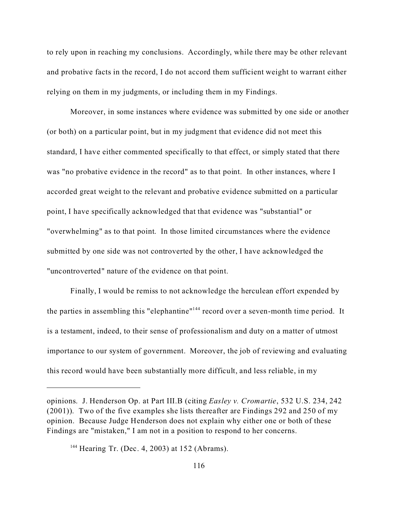to rely upon in reaching my conclusions. Accordingly, while there may be other relevant and probative facts in the record, I do not accord them sufficient weight to warrant either relying on them in my judgments, or including them in my Findings.

Moreover, in some instances where evidence was submitted by one side or another (or both) on a particular point, but in my judgment that evidence did not meet this standard, I have either commented specifically to that effect, or simply stated that there was "no probative evidence in the record" as to that point. In other instances, where I accorded great weight to the relevant and probative evidence submitted on a particular point, I have specifically acknowledged that that evidence was "substantial" or "overwhelming" as to that point. In those limited circumstances where the evidence submitted by one side was not controverted by the other, I have acknowledged the "uncontroverted" nature of the evidence on that point.

Finally, I would be remiss to not acknowledge the herculean effort expended by the parties in assembling this "elephantine"<sup>144</sup> record over a seven-month time period. It is a testament, indeed, to their sense of professionalism and duty on a matter of utmost importance to our system of government. Moreover, the job of reviewing and evaluating this record would have been substantially more difficult, and less reliable, in my

opinions. J. Henderson Op. at Part III.B (citing *Easley v. Cromartie*, 532 U.S. 234, 242 (2001)). Two of the five examples she lists thereafter are Findings 292 and 250 of my opinion. Because Judge Henderson does not explain why either one or both of these Findings are "mistaken," I am not in a position to respond to her concerns.

<sup>144</sup> Hearing Tr. (Dec. 4, 2003) at 152 (Abrams).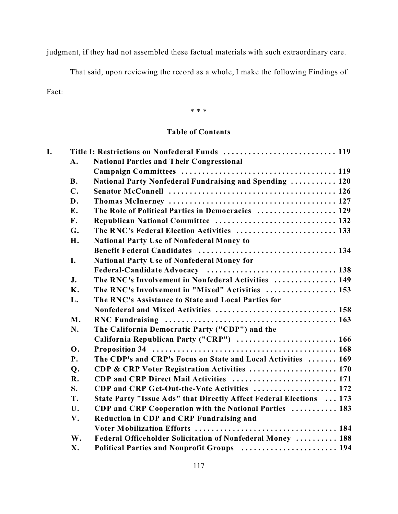judgment, if they had not assembled these factual materials with such extraordinary care.

That said, upon reviewing the record as a whole, I make the following Findings of

Fact:

\* \* \*

# **Table of Contents**

| I. |                | Title I: Restrictions on Nonfederal Funds  119                      |
|----|----------------|---------------------------------------------------------------------|
|    | $\bf{A}$ .     | <b>National Parties and Their Congressional</b>                     |
|    |                |                                                                     |
|    | <b>B.</b>      | National Party Nonfederal Fundraising and Spending  120             |
|    | $\mathbf{C}$ . |                                                                     |
|    | D.             |                                                                     |
|    | E.             | The Role of Political Parties in Democracies  129                   |
|    | F.             | Republican National Committee  132                                  |
|    | G.             | The RNC's Federal Election Activities  133                          |
|    | H.             | <b>National Party Use of Nonfederal Money to</b>                    |
|    |                |                                                                     |
|    | I.             | National Party Use of Nonfederal Money for                          |
|    |                |                                                                     |
|    | J.             | The RNC's Involvement in Nonfederal Activities  149                 |
|    | <b>K.</b>      | The RNC's Involvement in "Mixed" Activities  153                    |
|    | L.             | The RNC's Assistance to State and Local Parties for                 |
|    |                |                                                                     |
|    | M.             |                                                                     |
|    | N.             | The California Democratic Party ("CDP") and the                     |
|    |                | California Republican Party ("CRP")  166                            |
|    | <b>O.</b>      |                                                                     |
|    | <b>P.</b>      | The CDP's and CRP's Focus on State and Local Activities  169        |
|    | Q.             | CDP & CRP Voter Registration Activities  170                        |
|    | $\mathbf{R}$ . | CDP and CRP Direct Mail Activities  171                             |
|    | S.             | CDP and CRP Get-Out-the-Vote Activities  172                        |
|    | T.             | State Party "Issue Ads" that Directly Affect Federal Elections  173 |
|    | U.             | CDP and CRP Cooperation with the National Parties  183              |
|    | V.             | Reduction in CDP and CRP Fundraising and                            |
|    |                |                                                                     |
|    | W.             | Federal Officeholder Solicitation of Nonfederal Money  188          |
|    | X.             | Political Parties and Nonprofit Groups  194                         |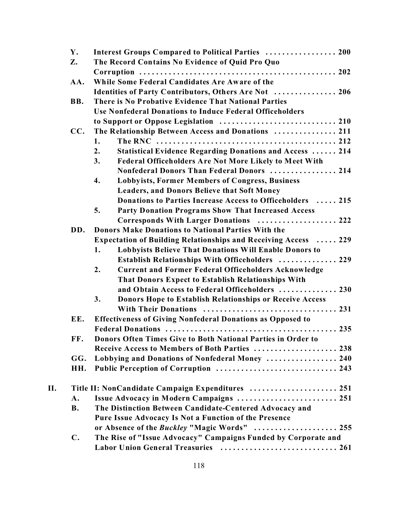|    | Υ.             | Interest Groups Compared to Political Parties  200                    |
|----|----------------|-----------------------------------------------------------------------|
|    | Z.             | The Record Contains No Evidence of Quid Pro Quo                       |
|    |                |                                                                       |
|    | AA.            | While Some Federal Candidates Are Aware of the                        |
|    |                | Identities of Party Contributors, Others Are Not  206                 |
|    | BB.            | There is No Probative Evidence That National Parties                  |
|    |                | <b>Use Nonfederal Donations to Induce Federal Officeholders</b>       |
|    |                | to Support or Oppose Legislation  210                                 |
|    | CC.            | The Relationship Between Access and Donations  211                    |
|    |                | 1.                                                                    |
|    |                | <b>Statistical Evidence Regarding Donations and Access  214</b><br>2. |
|    |                | <b>Federal Officeholders Are Not More Likely to Meet With</b><br>3.   |
|    |                | Nonfederal Donors Than Federal Donors  214                            |
|    |                | <b>Lobbyists, Former Members of Congress, Business</b><br>4.          |
|    |                | <b>Leaders, and Donors Believe that Soft Money</b>                    |
|    |                | Donations to Parties Increase Access to Officeholders  215            |
|    |                | Party Donation Programs Show That Increased Access<br>5.              |
|    |                | Corresponds With Larger Donations  222                                |
|    | DD.            | Donors Make Donations to National Parties With the                    |
|    |                | Expectation of Building Relationships and Receiving Access  229       |
|    |                | Lobbyists Believe That Donations Will Enable Donors to<br>1.          |
|    |                | Establish Relationships With Officeholders  229                       |
|    |                | 2.<br><b>Current and Former Federal Officeholders Acknowledge</b>     |
|    |                | <b>That Donors Expect to Establish Relationships With</b>             |
|    |                | and Obtain Access to Federal Officeholders  230                       |
|    |                | 3.<br>Donors Hope to Establish Relationships or Receive Access        |
|    |                |                                                                       |
|    | EE.            | <b>Effectiveness of Giving Nonfederal Donations as Opposed to</b>     |
|    |                |                                                                       |
|    | FF.            | Donors Often Times Give to Both National Parties in Order to          |
|    |                | Receive Access to Members of Both Parties  238                        |
|    | GG.            | Lobbying and Donations of Nonfederal Money  240                       |
|    | HH.            | Public Perception of Corruption  243                                  |
|    |                |                                                                       |
| Η. |                | Title II: NonCandidate Campaign Expenditures  251                     |
|    | A.             | Issue Advocacy in Modern Campaigns  251                               |
|    | <b>B.</b>      | The Distinction Between Candidate-Centered Advocacy and               |
|    |                | Pure Issue Advocacy Is Not a Function of the Presence                 |
|    |                | or Absence of the Buckley "Magic Words"  255                          |
|    | $\mathbf{C}$ . | The Rise of "Issue Advocacy" Campaigns Funded by Corporate and        |
|    |                | Labor Union General Treasuries  261                                   |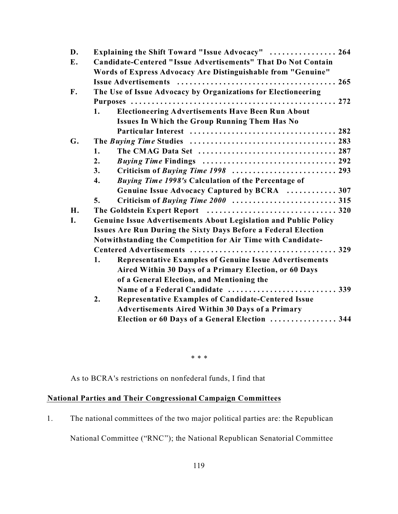| D. | Explaining the Shift Toward "Issue Advocacy"  264                       |  |  |
|----|-------------------------------------------------------------------------|--|--|
| E. | Candidate-Centered "Issue Advertisements" That Do Not Contain           |  |  |
|    | Words of Express Advocacy Are Distinguishable from "Genuine"            |  |  |
|    |                                                                         |  |  |
| F. | The Use of Issue Advocacy by Organizations for Electioneering           |  |  |
|    |                                                                         |  |  |
|    | <b>Electioneering Advertisements Have Been Run About</b><br>1.          |  |  |
|    | Issues In Which the Group Running Them Has No                           |  |  |
|    |                                                                         |  |  |
| G. |                                                                         |  |  |
|    | 1.                                                                      |  |  |
|    | 2.                                                                      |  |  |
|    | 3.                                                                      |  |  |
|    | $\overline{4}$ .<br>Buying Time 1998's Calculation of the Percentage of |  |  |
|    | Genuine Issue Advocacy Captured by BCRA  307                            |  |  |
|    | 5.                                                                      |  |  |
| H. |                                                                         |  |  |
| I. | Genuine Issue Advertisements About Legislation and Public Policy        |  |  |
|    | <b>Issues Are Run During the Sixty Days Before a Federal Election</b>   |  |  |
|    | Notwithstanding the Competition for Air Time with Candidate-            |  |  |
|    |                                                                         |  |  |
|    | <b>Representative Examples of Genuine Issue Advertisements</b><br>1.    |  |  |
|    | Aired Within 30 Days of a Primary Election, or 60 Days                  |  |  |
|    | of a General Election, and Mentioning the                               |  |  |
|    |                                                                         |  |  |
|    | 2.<br>Representative Examples of Candidate-Centered Issue               |  |  |
|    | <b>Advertisements Aired Within 30 Days of a Primary</b>                 |  |  |
|    | Election or 60 Days of a General Election  344                          |  |  |
|    |                                                                         |  |  |

\* \* \*

As to BCRA's restrictions on nonfederal funds, I find that

# **National Parties and Their Congressional Campaign Committees**

1. The national committees of the two major political parties are: the Republican

National Committee ("RNC"); the National Republican Senatorial Committee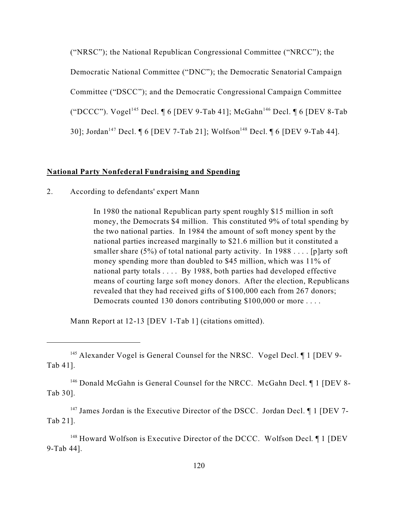("NRSC"); the National Republican Congressional Committee ("NRCC"); the Democratic National Committee ("DNC"); the Democratic Senatorial Campaign Committee ("DSCC"); and the Democratic Congressional Campaign Committee ("DCCC"). Vogel<sup>145</sup> Decl. ¶ 6 [DEV 9-Tab 41]; McGahn<sup>146</sup> Decl. ¶ 6 [DEV 8-Tab 30]; Jordan<sup>147</sup> Decl. [6 [DEV 7-Tab 21]; Wolfson<sup>148</sup> Decl. [6 [DEV 9-Tab 44].

# **National Party Nonfederal Fundraising and Spending**

2. According to defendants' expert Mann

In 1980 the national Republican party spent roughly \$15 million in soft money, the Democrats \$4 million. This constituted 9% of total spending by the two national parties. In 1984 the amount of soft money spent by the national parties increased marginally to \$21.6 million but it constituted a smaller share (5%) of total national party activity. In 1988  $\dots$  [p]arty soft money spending more than doubled to \$45 million, which was 11% of national party totals . . . . By 1988, both parties had developed effective means of courting large soft money donors. After the election, Republicans revealed that they had received gifts of \$100,000 each from 267 donors; Democrats counted 130 donors contributing \$100,000 or more . . . .

Mann Report at 12-13 [DEV 1-Tab 1] (citations omitted).

<sup>146</sup> Donald McGahn is General Counsel for the NRCC. McGahn Decl. [1] [DEV 8-Tab 30].

 $147$  James Jordan is the Executive Director of the DSCC. Jordan Decl.  $\P$  1 [DEV 7-Tab 21].

 $148$  Howard Wolfson is Executive Director of the DCCC. Wolfson Decl.  $\P$  1 [DEV] 9-Tab 44].

<sup>&</sup>lt;sup>145</sup> Alexander Vogel is General Counsel for the NRSC. Vogel Decl. *[1]* [DEV 9-Tab 41].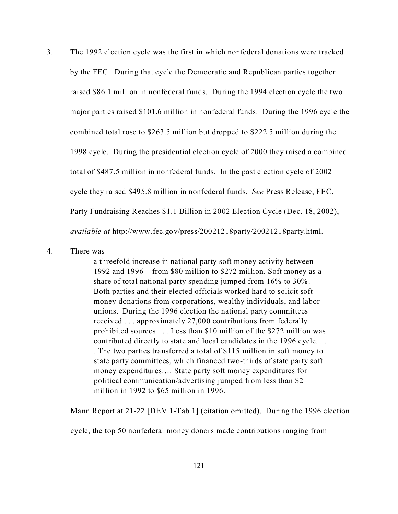3. The 1992 election cycle was the first in which nonfederal donations were tracked by the FEC. During that cycle the Democratic and Republican parties together raised \$86.1 million in nonfederal funds. During the 1994 election cycle the two major parties raised \$101.6 million in nonfederal funds. During the 1996 cycle the combined total rose to \$263.5 million but dropped to \$222.5 million during the 1998 cycle. During the presidential election cycle of 2000 they raised a combined total of \$487.5 million in nonfederal funds. In the past election cycle of 2002 cycle they raised \$495.8 million in nonfederal funds. *See* Press Release, FEC, Party Fundraising Reaches \$1.1 Billion in 2002 Election Cycle (Dec. 18, 2002), *available at* http://www.fec.gov/press/20021218party/20021218party.html.

## 4. There was

a threefold increase in national party soft money activity between 1992 and 1996—from \$80 million to \$272 million. Soft money as a share of total national party spending jumped from 16% to 30%. Both parties and their elected officials worked hard to solicit soft money donations from corporations, wealthy individuals, and labor unions. During the 1996 election the national party committees received . . . approximately 27,000 contributions from federally prohibited sources . . . Less than \$10 million of the \$272 million was contributed directly to state and local candidates in the 1996 cycle. . . . The two parties transferred a total of \$115 million in soft money to state party committees, which financed two-thirds of state party soft money expenditures…. State party soft money expenditures for political communication/advertising jumped from less than \$2 million in 1992 to \$65 million in 1996.

Mann Report at 21-22 [DEV 1-Tab 1] (citation omitted).During the 1996 election

cycle, the top 50 nonfederal money donors made contributions ranging from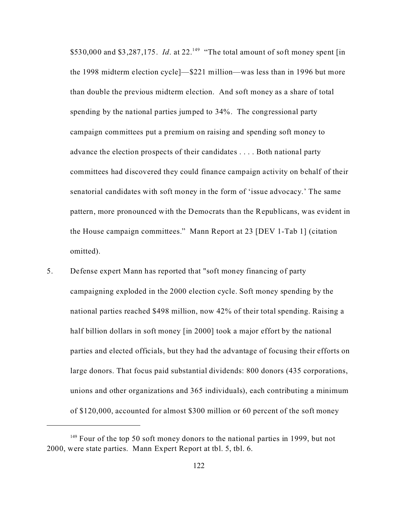\$530,000 and \$3,287,175. *Id.* at 22.<sup>149</sup> "The total amount of soft money spent [in the 1998 midterm election cycle]—\$221 million—was less than in 1996 but more than double the previous midterm election. And soft money as a share of total spending by the national parties jumped to 34%. The congressional party campaign committees put a premium on raising and spending soft money to advance the election prospects of their candidates . . . . Both national party committees had discovered they could finance campaign activity on behalf of their senatorial candidates with soft money in the form of 'issue advocacy.' The same pattern, more pronounced with the Democrats than the Republicans, was evident in the House campaign committees." Mann Report at 23 [DEV 1-Tab 1] (citation omitted).

5. Defense expert Mann has reported that "soft money financing of party campaigning exploded in the 2000 election cycle. Soft money spending by the national parties reached \$498 million, now 42% of their total spending. Raising a half billion dollars in soft money [in 2000] took a major effort by the national parties and elected officials, but they had the advantage of focusing their efforts on large donors. That focus paid substantial dividends: 800 donors (435 corporations, unions and other organizations and 365 individuals), each contributing a minimum of \$120,000, accounted for almost \$300 million or 60 percent of the soft money

 $149$  Four of the top 50 soft money donors to the national parties in 1999, but not 2000, were state parties. Mann Expert Report at tbl. 5, tbl. 6.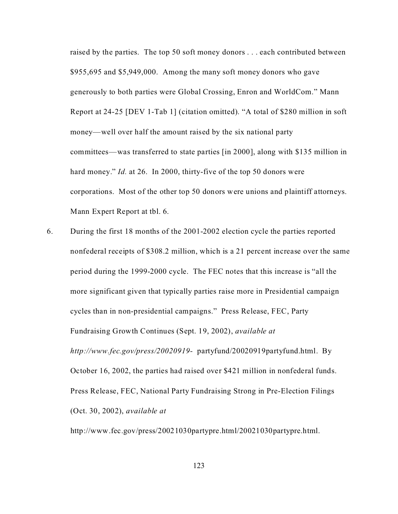raised by the parties. The top 50 soft money donors . . . each contributed between \$955,695 and \$5,949,000. Among the many soft money donors who gave generously to both parties were Global Crossing, Enron and WorldCom." Mann Report at 24-25 [DEV 1-Tab 1] (citation omitted). "A total of \$280 million in soft money—well over half the amount raised by the six national party committees—was transferred to state parties [in 2000], along with \$135 million in hard money." *Id.* at 26. In 2000, thirty-five of the top 50 donors were corporations. Most of the other top 50 donors were unions and plaintiff attorneys. Mann Expert Report at tbl. 6.

6. During the first 18 months of the 2001-2002 election cycle the parties reported nonfederal receipts of \$308.2 million, which is a 21 percent increase over the same period during the 1999-2000 cycle. The FEC notes that this increase is "all the more significant given that typically parties raise more in Presidential campaign cycles than in non-presidential campaigns." Press Release, FEC, Party Fundraising Growth Continues (Sept. 19, 2002), *available at http://www.fec.gov/press/20020919-* partyfund/20020919partyfund.html. By October 16, 2002, the parties had raised over \$421 million in nonfederal funds. Press Release, FEC, National Party Fundraising Strong in Pre-Election Filings (Oct. 30, 2002), *available at*

http://www.fec.gov/press/20021030partypre.html/20021030partypre.html.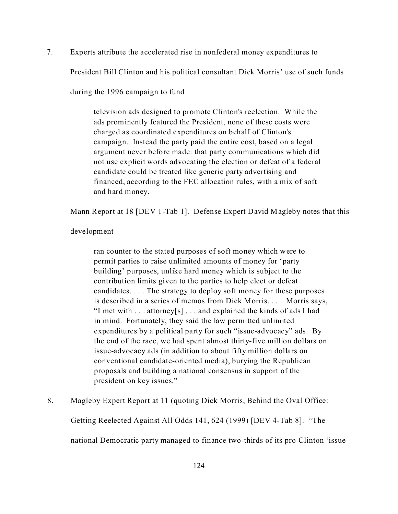7. Experts attribute the accelerated rise in nonfederal money expenditures to

President Bill Clinton and his political consultant Dick Morris' use of such funds

during the 1996 campaign to fund

television ads designed to promote Clinton's reelection. While the ads prominently featured the President, none of these costs were charged as coordinated expenditures on behalf of Clinton's campaign. Instead the party paid the entire cost, based on a legal argument never before made: that party communications which did not use explicit words advocating the election or defeat of a federal candidate could be treated like generic party advertising and financed, according to the FEC allocation rules, with a mix of soft and hard money.

Mann Report at 18 [DEV 1-Tab 1]. Defense Expert David Magleby notes that this

development

ran counter to the stated purposes of soft money which were to permit parties to raise unlimited amounts of money for 'party building' purposes, unlike hard money which is subject to the contribution limits given to the parties to help elect or defeat candidates. . . . The strategy to deploy soft money for these purposes is described in a series of memos from Dick Morris. . . . Morris says, "I met with . . . attorney[s] . . . and explained the kinds of ads I had in mind. Fortunately, they said the law permitted unlimited expenditures by a political party for such "issue-advocacy" ads. By the end of the race, we had spent almost thirty-five million dollars on issue-advocacy ads (in addition to about fifty million dollars on conventional candidate-oriented media), burying the Republican proposals and building a national consensus in support of the president on key issues."

8. Magleby Expert Report at 11 (quoting Dick Morris, Behind the Oval Office:

Getting Reelected Against All Odds 141, 624 (1999) [DEV 4-Tab 8]. "The

national Democratic party managed to finance two-thirds of its pro-Clinton 'issue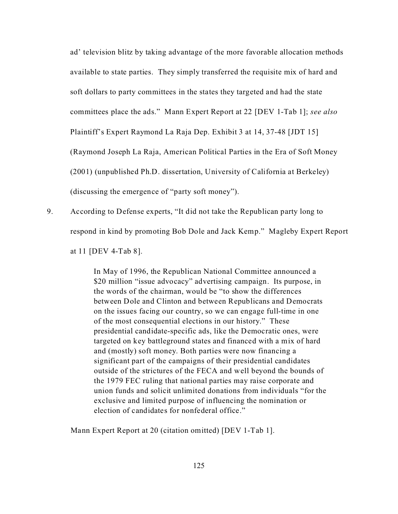ad' television blitz by taking advantage of the more favorable allocation methods available to state parties. They simply transferred the requisite mix of hard and soft dollars to party committees in the states they targeted and had the state committees place the ads." Mann Expert Report at 22 [DEV 1-Tab 1]; *see also* Plaintiff's Expert Raymond La Raja Dep. Exhibit 3 at 14, 37-48 [JDT 15] (Raymond Joseph La Raja, American Political Parties in the Era of Soft Money (2001) (unpublished Ph.D. dissertation, University of California at Berkeley) (discussing the emergence of "party soft money").

9. According to Defense experts, "It did not take the Republican party long to respond in kind by promoting Bob Dole and Jack Kemp." Magleby Expert Report at 11 [DEV 4-Tab 8].

> In May of 1996, the Republican National Committee announced a \$20 million "issue advocacy" advertising campaign. Its purpose, in the words of the chairman, would be "to show the differences between Dole and Clinton and between Republicans and Democrats on the issues facing our country, so we can engage full-time in one of the most consequential elections in our history." These presidential candidate-specific ads, like the Democratic ones, were targeted on key battleground states and financed with a mix of hard and (mostly) soft money. Both parties were now financing a significant part of the campaigns of their presidential candidates outside of the strictures of the FECA and well beyond the bounds of the 1979 FEC ruling that national parties may raise corporate and union funds and solicit unlimited donations from individuals "for the exclusive and limited purpose of influencing the nomination or election of candidates for nonfederal office."

Mann Expert Report at 20 (citation omitted) [DEV 1-Tab 1].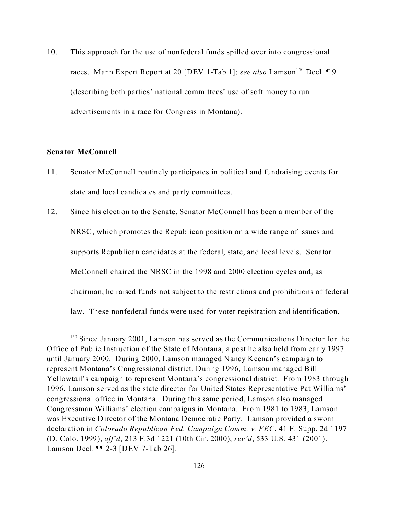10. This approach for the use of nonfederal funds spilled over into congressional races. Mann Expert Report at 20 [DEV 1-Tab 1]; see also Lamson<sup>150</sup> Decl. 19 (describing both parties' national committees' use of soft money to run advertisements in a race for Congress in Montana).

### **Senator McConnell**

- 11. Senator McConnell routinely participates in political and fundraising events for state and local candidates and party committees.
- 12. Since his election to the Senate, Senator McConnell has been a member of the NRSC, which promotes the Republican position on a wide range of issues and supports Republican candidates at the federal, state, and local levels. Senator McConnell chaired the NRSC in the 1998 and 2000 election cycles and, as chairman, he raised funds not subject to the restrictions and prohibitions of federal law. These nonfederal funds were used for voter registration and identification,

<sup>&</sup>lt;sup>150</sup> Since January 2001, Lamson has served as the Communications Director for the Office of Public Instruction of the State of Montana, a post he also held from early 1997 until January 2000. During 2000, Lamson managed Nancy Keenan's campaign to represent Montana's Congressional district. During 1996, Lamson managed Bill Yellowtail's campaign to represent Montana's congressional district. From 1983 through 1996, Lamson served as the state director for United States Representative Pat Williams' congressional office in Montana. During this same period, Lamson also managed Congressman Williams' election campaigns in Montana. From 1981 to 1983, Lamson was Executive Director of the Montana Democratic Party. Lamson provided a sworn declaration in *Colorado Republican Fed. Campaign Comm. v. FEC*, 41 F. Supp. 2d 1197 (D. Colo. 1999), *aff'd*, 213 F.3d 1221 (10th Cir. 2000), *rev'd*, 533 U.S. 431 (2001). Lamson Decl. ¶¶ 2-3 [DEV 7-Tab 26].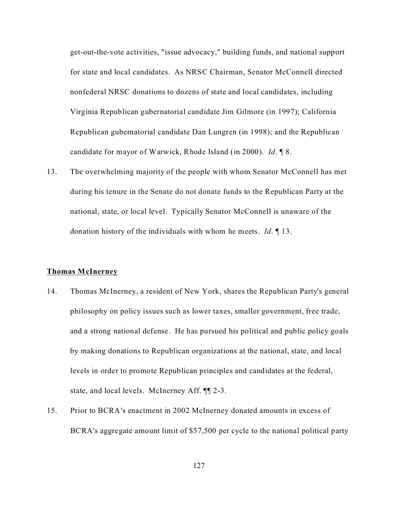get-out-the-vote activities, "issue advocacy," building funds, and national support for state and local candidates. As NRSC Chairman, Senator McConnell directed nonfederal NRSC donations to dozens of state and local candidates, including Virginia Republican gubernatorial candidate Jim Gilmore (in 1997); California Republican gubernatorial candidate Dan Lungren (in 1998); and the Republican candidate for mayor of Warwick, Rhode Island (in 2000). *Id*. ¶ 8.

13. The overwhelming majority of the people with whom Senator McConnell has met during his tenure in the Senate do not donate funds to the Republican Party at the national, state, or local level. Typically Senator McConnell is unaware of the donation history of the individuals with whom he meets. *Id*. ¶ 13.

## **Thomas McInerney**

- 14. Thomas McInerney, a resident of New York, shares the Republican Party's general philosophy on policy issues such as lower taxes, smaller government, free trade, and a strong national defense. He has pursued his political and public policy goals by making donations to Republican organizations at the national, state, and local levels in order to promote Republican principles and candidates at the federal, state, and local levels. McInerney Aff. ¶¶ 2-3.
- 15. Prior to BCRA's enactment in 2002 McInerney donated amounts in excess of BCRA's aggregate amount limit of \$57,500 per cycle to the national political party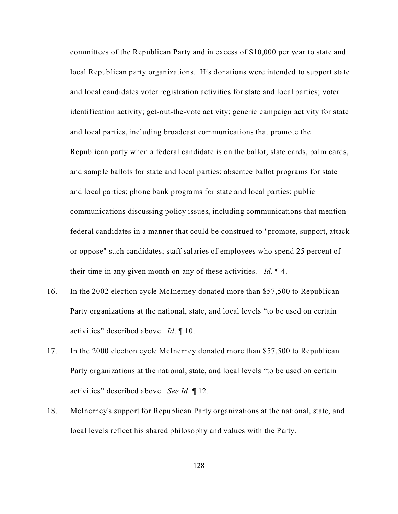committees of the Republican Party and in excess of \$10,000 per year to state and local Republican party organizations. His donations were intended to support state and local candidates voter registration activities for state and local parties; voter identification activity; get-out-the-vote activity; generic campaign activity for state and local parties, including broadcast communications that promote the Republican party when a federal candidate is on the ballot; slate cards, palm cards, and sample ballots for state and local parties; absentee ballot programs for state and local parties; phone bank programs for state and local parties; public communications discussing policy issues, including communications that mention federal candidates in a manner that could be construed to "promote, support, attack or oppose" such candidates; staff salaries of employees who spend 25 percent of their time in any given month on any of these activities. *Id*. ¶ 4.

- 16. In the 2002 election cycle McInerney donated more than \$57,500 to Republican Party organizations at the national, state, and local levels "to be used on certain activities" described above. *Id*. ¶ 10.
- 17. In the 2000 election cycle McInerney donated more than \$57,500 to Republican Party organizations at the national, state, and local levels "to be used on certain activities" described above. *See Id.* ¶ 12.
- 18. McInerney's support for Republican Party organizations at the national, state, and local levels reflect his shared philosophy and values with the Party.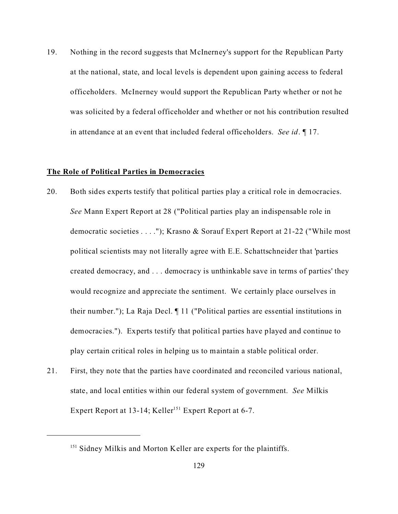19. Nothing in the record suggests that McInerney's support for the Republican Party at the national, state, and local levels is dependent upon gaining access to federal officeholders. McInerney would support the Republican Party whether or not he was solicited by a federal officeholder and whether or not his contribution resulted in attendance at an event that included federal officeholders. *See id*. ¶ 17.

### **The Role of Political Parties in Democracies**

- 20. Both sides experts testify that political parties play a critical role in democracies. *See* Mann Expert Report at 28 ("Political parties play an indispensable role in democratic societies . . . ."); Krasno & Sorauf Expert Report at 21-22 ("While most political scientists may not literally agree with E.E. Schattschneider that 'parties created democracy, and . . . democracy is unthinkable save in terms of parties' they would recognize and appreciate the sentiment. We certainly place ourselves in their number."); La Raja Decl. ¶ 11 ("Political parties are essential institutions in democracies."). Experts testify that political parties have played and continue to play certain critical roles in helping us to maintain a stable political order.
- 21. First, they note that the parties have coordinated and reconciled various national, state, and local entities within our federal system of government. *See* Milkis Expert Report at 13-14; Keller<sup>151</sup> Expert Report at 6-7.

<sup>&</sup>lt;sup>151</sup> Sidney Milkis and Morton Keller are experts for the plaintiffs.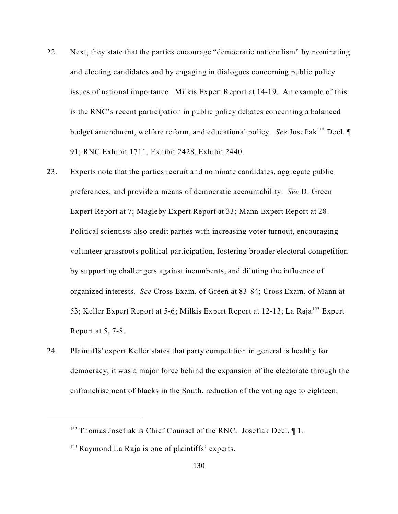- 22. Next, they state that the parties encourage "democratic nationalism" by nominating and electing candidates and by engaging in dialogues concerning public policy issues of national importance. Milkis Expert Report at 14-19. An example of this is the RNC's recent participation in public policy debates concerning a balanced budget amendment, welfare reform, and educational policy. *See* Josefiak<sup>152</sup> Decl. 91; RNC Exhibit 1711, Exhibit 2428, Exhibit 2440.
- 23. Experts note that the parties recruit and nominate candidates, aggregate public preferences, and provide a means of democratic accountability. *See* D. Green Expert Report at 7; Magleby Expert Report at 33; Mann Expert Report at 28. Political scientists also credit parties with increasing voter turnout, encouraging volunteer grassroots political participation, fostering broader electoral competition by supporting challengers against incumbents, and diluting the influence of organized interests. *See* Cross Exam. of Green at 83-84; Cross Exam. of Mann at 53; Keller Expert Report at 5-6; Milkis Expert Report at 12-13; La Raja<sup>153</sup> Expert Report at 5, 7-8.
- 24. Plaintiffs' expert Keller states that party competition in general is healthy for democracy; it was a major force behind the expansion of the electorate through the enfranchisement of blacks in the South, reduction of the voting age to eighteen,

<sup>&</sup>lt;sup>152</sup> Thomas Josefiak is Chief Counsel of the RNC. Josefiak Decl.  $\P$ 1.

<sup>&</sup>lt;sup>153</sup> Raymond La Raja is one of plaintiffs' experts.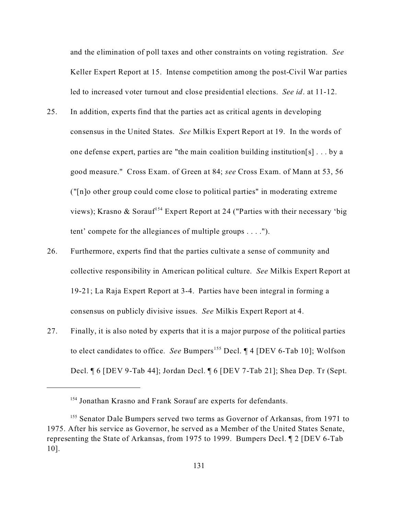and the elimination of poll taxes and other constraints on voting registration. *See* Keller Expert Report at 15. Intense competition among the post-Civil War parties led to increased voter turnout and close presidential elections. *See id*. at 11-12.

- 25. In addition, experts find that the parties act as critical agents in developing consensus in the United States. *See* Milkis Expert Report at 19. In the words of one defense expert, parties are "the main coalition building institution[s] . . . by a good measure." Cross Exam. of Green at 84; *see* Cross Exam. of Mann at 53, 56 ("[n]o other group could come close to political parties" in moderating extreme views); Krasno & Sorauf<sup>154</sup> Expert Report at 24 ("Parties with their necessary 'big tent' compete for the allegiances of multiple groups . . . .").
- 26. Furthermore, experts find that the parties cultivate a sense of community and collective responsibility in American political culture. *See* Milkis Expert Report at 19-21; La Raja Expert Report at 3-4. Parties have been integral in forming a consensus on publicly divisive issues. *See* Milkis Expert Report at 4.
- 27. Finally, it is also noted by experts that it is a major purpose of the political parties to elect candidates to office. *See* Bumpers<sup>155</sup> Decl. ¶ 4 [DEV 6-Tab 10]; Wolfson Decl. ¶ 6 [DEV 9-Tab 44]; Jordan Decl. ¶ 6 [DEV 7-Tab 21]; Shea Dep. Tr (Sept.

<sup>&</sup>lt;sup>154</sup> Jonathan Krasno and Frank Sorauf are experts for defendants.

<sup>&</sup>lt;sup>155</sup> Senator Dale Bumpers served two terms as Governor of Arkansas, from 1971 to 1975. After his service as Governor, he served as a Member of the United States Senate, representing the State of Arkansas, from 1975 to 1999. Bumpers Decl. ¶ 2 [DEV 6-Tab 10].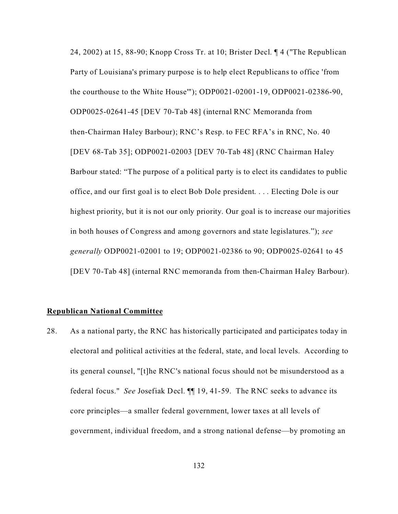24, 2002) at 15, 88-90; Knopp Cross Tr. at 10; Brister Decl. ¶ 4 ("The Republican Party of Louisiana's primary purpose is to help elect Republicans to office 'from the courthouse to the White House'"); ODP0021-02001-19, ODP0021-02386-90, ODP0025-02641-45 [DEV 70-Tab 48] (internal RNC Memoranda from then-Chairman Haley Barbour); RNC's Resp. to FEC RFA's in RNC, No. 40 [DEV 68-Tab 35]; ODP0021-02003 [DEV 70-Tab 48] (RNC Chairman Haley Barbour stated: "The purpose of a political party is to elect its candidates to public office, and our first goal is to elect Bob Dole president. . . . Electing Dole is our highest priority, but it is not our only priority. Our goal is to increase our majorities in both houses of Congress and among governors and state legislatures."); *see generally* ODP0021-02001 to 19; ODP0021-02386 to 90; ODP0025-02641 to 45 [DEV 70-Tab 48] (internal RNC memoranda from then-Chairman Haley Barbour).

## **Republican National Committee**

28. As a national party, the RNC has historically participated and participates today in electoral and political activities at the federal, state, and local levels. According to its general counsel, "[t]he RNC's national focus should not be misunderstood as a federal focus." *See* Josefiak Decl. ¶¶ 19, 41-59. The RNC seeks to advance its core principles—a smaller federal government, lower taxes at all levels of government, individual freedom, and a strong national defense—by promoting an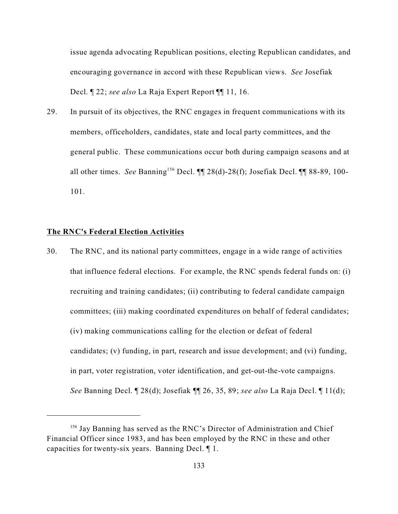issue agenda advocating Republican positions, electing Republican candidates, and encouraging governance in accord with these Republican views. *See* Josefiak Decl. ¶ 22; *see also* La Raja Expert Report ¶¶ 11, 16.

29. In pursuit of its objectives, the RNC engages in frequent communications with its members, officeholders, candidates, state and local party committees, and the general public. These communications occur both during campaign seasons and at all other times. *See* Banning<sup>156</sup> Decl. ¶¶ 28(d)-28(f); Josefiak Decl. ¶¶ 88-89, 100- 101.

## **The RNC's Federal Election Activities**

30. The RNC, and its national party committees, engage in a wide range of activities that influence federal elections. For example, the RNC spends federal funds on: (i) recruiting and training candidates; (ii) contributing to federal candidate campaign committees; (iii) making coordinated expenditures on behalf of federal candidates; (iv) making communications calling for the election or defeat of federal candidates; (v) funding, in part, research and issue development; and (vi) funding, in part, voter registration, voter identification, and get-out-the-vote campaigns. *See* Banning Decl. ¶ 28(d); Josefiak ¶¶ 26, 35, 89; *see also* La Raja Decl. ¶ 11(d);

<sup>&</sup>lt;sup>156</sup> Jay Banning has served as the RNC's Director of Administration and Chief Financial Officer since 1983, and has been employed by the RNC in these and other capacities for twenty-six years. Banning Decl. ¶ 1.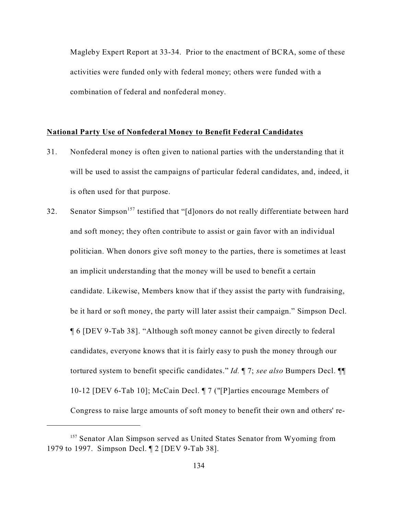Magleby Expert Report at 33-34. Prior to the enactment of BCRA, some of these activities were funded only with federal money; others were funded with a combination of federal and nonfederal money.

### **National Party Use of Nonfederal Money to Benefit Federal Candidates**

- 31. Nonfederal money is often given to national parties with the understanding that it will be used to assist the campaigns of particular federal candidates, and, indeed, it is often used for that purpose.
- 32. Senator Simpson<sup>157</sup> testified that "[d]onors do not really differentiate between hard and soft money; they often contribute to assist or gain favor with an individual politician. When donors give soft money to the parties, there is sometimes at least an implicit understanding that the money will be used to benefit a certain candidate. Likewise, Members know that if they assist the party with fundraising, be it hard or soft money, the party will later assist their campaign." Simpson Decl. ¶ 6 [DEV 9-Tab 38]. "Although soft money cannot be given directly to federal candidates, everyone knows that it is fairly easy to push the money through our tortured system to benefit specific candidates." *Id.* ¶ 7; *see also* Bumpers Decl. ¶¶ 10-12 [DEV 6-Tab 10]; McCain Decl. ¶ 7 ("[P]arties encourage Members of Congress to raise large amounts of soft money to benefit their own and others' re-

<sup>&</sup>lt;sup>157</sup> Senator Alan Simpson served as United States Senator from Wyoming from 1979 to 1997. Simpson Decl. ¶ 2 [DEV 9-Tab 38].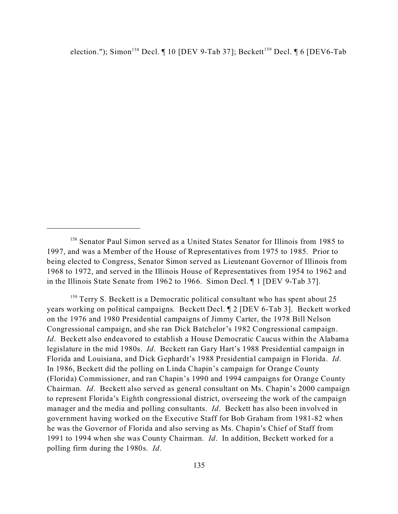election."); Simon<sup>158</sup> Decl.  $\P$  10 [DEV 9-Tab 37]; Beckett<sup>159</sup> Decl.  $\P$  6 [DEV6-Tab

<sup>159</sup> Terry S. Beckett is a Democratic political consultant who has spent about 25 years working on political campaigns. Beckett Decl. ¶ 2 [DEV 6-Tab 3]. Beckett worked on the 1976 and 1980 Presidential campaigns of Jimmy Carter, the 1978 Bill Nelson Congressional campaign, and she ran Dick Batchelor's 1982 Congressional campaign. *Id*. Beckett also endeavored to establish a House Democratic Caucus within the Alabama legislature in the mid 1980s. *Id*. Beckett ran Gary Hart's 1988 Presidential campaign in Florida and Louisiana, and Dick Gephardt's 1988 Presidential campaign in Florida. *Id*. In 1986, Beckett did the polling on Linda Chapin's campaign for Orange County (Florida) Commissioner, and ran Chapin's 1990 and 1994 campaigns for Orange County Chairman. *Id*. Beckett also served as general consultant on Ms. Chapin's 2000 campaign to represent Florida's Eighth congressional district, overseeing the work of the campaign manager and the media and polling consultants. *Id*. Beckett has also been involved in government having worked on the Executive Staff for Bob Graham from 1981-82 when he was the Governor of Florida and also serving as Ms. Chapin's Chief of Staff from 1991 to 1994 when she was County Chairman. *Id*. In addition, Beckett worked for a polling firm during the 1980s. *Id*.

<sup>&</sup>lt;sup>158</sup> Senator Paul Simon served as a United States Senator for Illinois from 1985 to 1997, and was a Member of the House of Representatives from 1975 to 1985. Prior to being elected to Congress, Senator Simon served as Lieutenant Governor of Illinois from 1968 to 1972, and served in the Illinois House of Representatives from 1954 to 1962 and in the Illinois State Senate from 1962 to 1966. Simon Decl. ¶ 1 [DEV 9-Tab 37].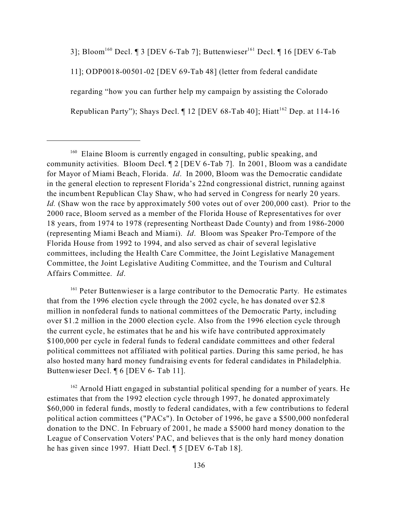3]; Bloom<sup>160</sup> Decl. ¶ 3 [DEV 6-Tab 7]; Buttenwieser<sup>161</sup> Decl. ¶ 16 [DEV 6-Tab 11]; ODP0018-00501-02 [DEV 69-Tab 48] (letter from federal candidate regarding "how you can further help my campaign by assisting the Colorado Republican Party"); Shays Decl.  $\P$  12 [DEV 68-Tab 40]; Hiatt<sup>162</sup> Dep. at 114-16

<sup>161</sup> Peter Buttenwieser is a large contributor to the Democratic Party. He estimates that from the 1996 election cycle through the 2002 cycle, he has donated over \$2.8 million in nonfederal funds to national committees of the Democratic Party, including over \$1.2 million in the 2000 election cycle. Also from the 1996 election cycle through the current cycle, he estimates that he and his wife have contributed approximately \$100,000 per cycle in federal funds to federal candidate committees and other federal political committees not affiliated with political parties. During this same period, he has also hosted many hard money fundraising events for federal candidates in Philadelphia. Buttenwieser Decl. ¶ 6 [DEV 6- Tab 11].

 $162$  Arnold Hiatt engaged in substantial political spending for a number of years. He estimates that from the 1992 election cycle through 1997, he donated approximately \$60,000 in federal funds, mostly to federal candidates, with a few contributions to federal political action committees ("PACs"). In October of 1996, he gave a \$500,000 nonfederal donation to the DNC. In February of 2001, he made a \$5000 hard money donation to the League of Conservation Voters' PAC, and believes that is the only hard money donation he has given since 1997. Hiatt Decl. ¶ 5 [DEV 6-Tab 18].

<sup>&</sup>lt;sup>160</sup> Elaine Bloom is currently engaged in consulting, public speaking, and community activities. Bloom Decl. ¶ 2 [DEV 6-Tab 7]. In 2001, Bloom was a candidate for Mayor of Miami Beach, Florida. *Id*. In 2000, Bloom was the Democratic candidate in the general election to represent Florida's 22nd congressional district, running against the incumbent Republican Clay Shaw, who had served in Congress for nearly 20 years. *Id.* (Shaw won the race by approximately 500 votes out of over 200,000 cast). Prior to the 2000 race, Bloom served as a member of the Florida House of Representatives for over 18 years, from 1974 to 1978 (representing Northeast Dade County) and from 1986-2000 (representing Miami Beach and Miami). *Id*. Bloom was Speaker Pro-Tempore of the Florida House from 1992 to 1994, and also served as chair of several legislative committees, including the Health Care Committee, the Joint Legislative Management Committee, the Joint Legislative Auditing Committee, and the Tourism and Cultural Affairs Committee. *Id*.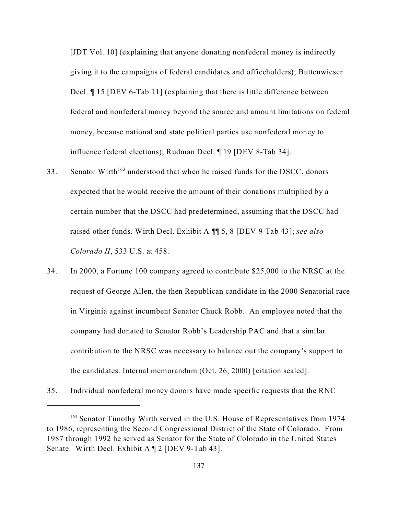[JDT Vol. 10] (explaining that anyone donating nonfederal money is indirectly giving it to the campaigns of federal candidates and officeholders); Buttenwieser Decl. ¶ 15 [DEV 6-Tab 11] (explaining that there is little difference between federal and nonfederal money beyond the source and amount limitations on federal money, because national and state political parties use nonfederal money to influence federal elections); Rudman Decl. ¶ 19 [DEV 8-Tab 34].

- 33. Senator Wirth<sup>163</sup> understood that when he raised funds for the DSCC, donors expected that he would receive the amount of their donations multiplied by a certain number that the DSCC had predetermined, assuming that the DSCC had raised other funds. Wirth Decl. Exhibit A ¶¶ 5, 8 [DEV 9-Tab 43]; *see also Colorado II*, 533 U.S. at 458.
- 34. In 2000, a Fortune 100 company agreed to contribute \$25,000 to the NRSC at the request of George Allen, the then Republican candidate in the 2000 Senatorial race in Virginia against incumbent Senator Chuck Robb. An employee noted that the company had donated to Senator Robb's Leadership PAC and that a similar contribution to the NRSC was necessary to balance out the company's support to the candidates. Internal memorandum (Oct. 26, 2000) [citation sealed].
- 35. Individual nonfederal money donors have made specific requests that the RNC

<sup>&</sup>lt;sup>163</sup> Senator Timothy Wirth served in the U.S. House of Representatives from 1974 to 1986, representing the Second Congressional District of the State of Colorado. From 1987 through 1992 he served as Senator for the State of Colorado in the United States Senate. Wirth Decl. Exhibit A ¶ 2 [DEV 9-Tab 43].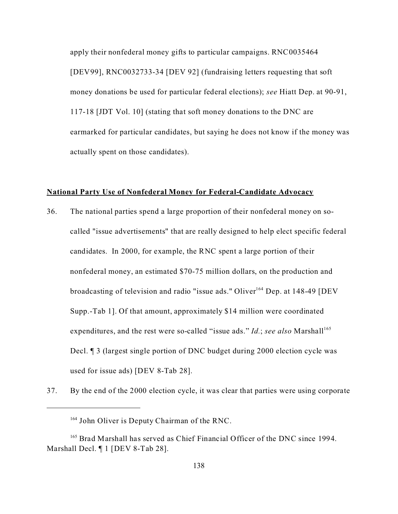apply their nonfederal money gifts to particular campaigns. RNC0035464 [DEV99], RNC0032733-34 [DEV 92] (fundraising letters requesting that soft money donations be used for particular federal elections); *see* Hiatt Dep. at 90-91, 117-18 [JDT Vol. 10] (stating that soft money donations to the DNC are earmarked for particular candidates, but saying he does not know if the money was actually spent on those candidates).

## **National Party Use of Nonfederal Money for Federal-Candidate Advocacy**

- 36. The national parties spend a large proportion of their nonfederal money on socalled "issue advertisements" that are really designed to help elect specific federal candidates. In 2000, for example, the RNC spent a large portion of their nonfederal money, an estimated \$70-75 million dollars, on the production and broadcasting of television and radio "issue ads." Oliver<sup>164</sup> Dep. at 148-49 [DEV Supp.-Tab 1]. Of that amount, approximately \$14 million were coordinated expenditures, and the rest were so-called "issue ads." *Id.*; see also Marshall<sup>165</sup> Decl. ¶ 3 (largest single portion of DNC budget during 2000 election cycle was used for issue ads) [DEV 8-Tab 28].
- 37. By the end of the 2000 election cycle, it was clear that parties were using corporate

<sup>&</sup>lt;sup>164</sup> John Oliver is Deputy Chairman of the RNC.

<sup>&</sup>lt;sup>165</sup> Brad Marshall has served as Chief Financial Officer of the DNC since 1994. Marshall Decl. ¶ 1 [DEV 8-Tab 28].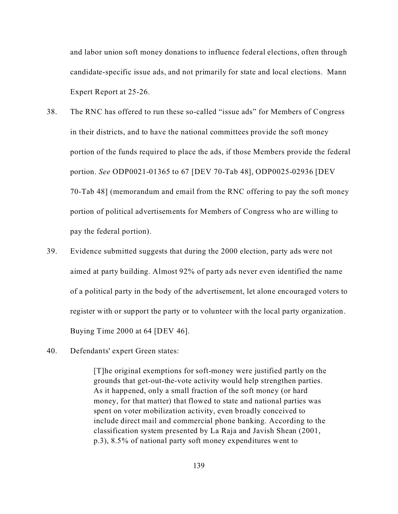and labor union soft money donations to influence federal elections, often through candidate-specific issue ads, and not primarily for state and local elections. Mann Expert Report at 25-26.

- 38. The RNC has offered to run these so-called "issue ads" for Members of Congress in their districts, and to have the national committees provide the soft money portion of the funds required to place the ads, if those Members provide the federal portion. *See* ODP0021-01365 to 67 [DEV 70-Tab 48], ODP0025-02936 [DEV 70-Tab 48] (memorandum and email from the RNC offering to pay the soft money portion of political advertisements for Members of Congress who are willing to pay the federal portion).
- 39. Evidence submitted suggests that during the 2000 election, party ads were not aimed at party building. Almost 92% of party ads never even identified the name of a political party in the body of the advertisement, let alone encouraged voters to register with or support the party or to volunteer with the local party organization. Buying Time 2000 at 64 [DEV 46].
- 40. Defendants' expert Green states:

[T]he original exemptions for soft-money were justified partly on the grounds that get-out-the-vote activity would help strengthen parties. As it happened, only a small fraction of the soft money (or hard money, for that matter) that flowed to state and national parties was spent on voter mobilization activity, even broadly conceived to include direct mail and commercial phone banking. According to the classification system presented by La Raja and Javish Shean (2001, p.3), 8.5% of national party soft money expenditures went to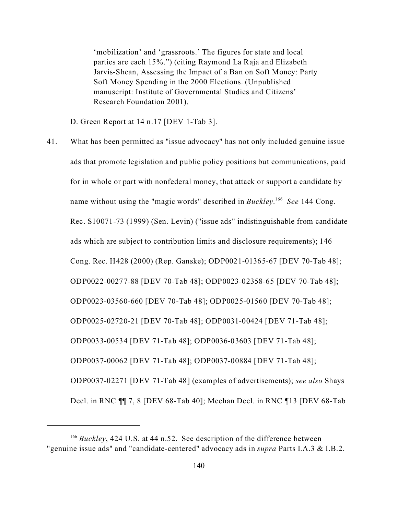'mobilization' and 'grassroots.' The figures for state and local parties are each 15%.") (citing Raymond La Raja and Elizabeth Jarvis-Shean, Assessing the Impact of a Ban on Soft Money: Party Soft Money Spending in the 2000 Elections. (Unpublished manuscript: Institute of Governmental Studies and Citizens' Research Foundation 2001).

D. Green Report at 14 n.17 [DEV 1-Tab 3].

41. What has been permitted as "issue advocacy" has not only included genuine issue ads that promote legislation and public policy positions but communications, paid for in whole or part with nonfederal money, that attack or support a candidate by name without using the "magic words" described in *Buckley*. 166 *See* 144 Cong. Rec. S10071-73 (1999) (Sen. Levin) ("issue ads" indistinguishable from candidate ads which are subject to contribution limits and disclosure requirements); 146 Cong. Rec. H428 (2000) (Rep. Ganske); ODP0021-01365-67 [DEV 70-Tab 48]; ODP0022-00277-88 [DEV 70-Tab 48]; ODP0023-02358-65 [DEV 70-Tab 48]; ODP0023-03560-660 [DEV 70-Tab 48]; ODP0025-01560 [DEV 70-Tab 48]; ODP0025-02720-21 [DEV 70-Tab 48]; ODP0031-00424 [DEV 71-Tab 48]; ODP0033-00534 [DEV 71-Tab 48]; ODP0036-03603 [DEV 71-Tab 48]; ODP0037-00062 [DEV 71-Tab 48]; ODP0037-00884 [DEV 71-Tab 48]; ODP0037-02271 [DEV 71-Tab 48] (examples of advertisements); *see also* Shays Decl. in RNC ¶¶ 7, 8 [DEV 68-Tab 40]; Meehan Decl. in RNC ¶13 [DEV 68-Tab

<sup>&</sup>lt;sup>166</sup> *Buckley*, 424 U.S. at 44 n.52. See description of the difference between "genuine issue ads" and "candidate-centered" advocacy ads in *supra* Parts I.A.3 & I.B.2.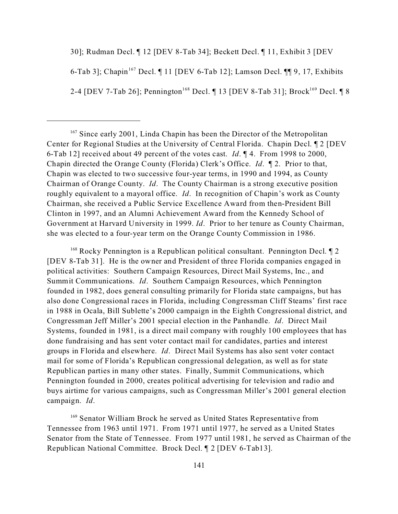30]; Rudman Decl. ¶ 12 [DEV 8-Tab 34]; Beckett Decl. ¶ 11, Exhibit 3 [DEV

6-Tab 3]; Chapin<sup>167</sup> Decl.  $\P$  11 [DEV 6-Tab 12]; Lamson Decl.  $\P$  $\P$  9, 17, Exhibits

2-4 [DEV 7-Tab 26]; Pennington<sup>168</sup> Decl.  $\P$  13 [DEV 8-Tab 31]; Brock<sup>169</sup> Decl.  $\P$  8

<sup>167</sup> Since early 2001, Linda Chapin has been the Director of the Metropolitan Center for Regional Studies at the University of Central Florida. Chapin Decl. ¶ 2 [DEV 6-Tab 12] received about 49 percent of the votes cast. *Id*. ¶ 4. From 1998 to 2000, Chapin directed the Orange County (Florida) Clerk's Office. *Id*. ¶ 2. Prior to that, Chapin was elected to two successive four-year terms, in 1990 and 1994, as County Chairman of Orange County. *Id*. The County Chairman is a strong executive position roughly equivalent to a mayoral office. *Id*. In recognition of Chapin's work as County Chairman, she received a Public Service Excellence Award from then-President Bill Clinton in 1997, and an Alumni Achievement Award from the Kennedy School of Government at Harvard University in 1999. *Id*. Prior to her tenure as County Chairman, she was elected to a four-year term on the Orange County Commission in 1986.

 $168$  Rocky Pennington is a Republican political consultant. Pennington Decl.  $\llbracket 2 \rrbracket$ [DEV 8-Tab 31]. He is the owner and President of three Florida companies engaged in political activities: Southern Campaign Resources, Direct Mail Systems, Inc., and Summit Communications. *Id*. Southern Campaign Resources, which Pennington founded in 1982, does general consulting primarily for Florida state campaigns, but has also done Congressional races in Florida, including Congressman Cliff Steams' first race in 1988 in Ocala, Bill Sublette's 2000 campaign in the Eighth Congressional district, and Congressman Jeff Miller's 2001 special election in the Panhandle. *Id*. Direct Mail Systems, founded in 1981, is a direct mail company with roughly 100 employees that has done fundraising and has sent voter contact mail for candidates, parties and interest groups in Florida and elsewhere. *Id*. Direct Mail Systems has also sent voter contact mail for some of Florida's Republican congressional delegation, as well as for state Republican parties in many other states. Finally, Summit Communications, which Pennington founded in 2000, creates political advertising for television and radio and buys airtime for various campaigns, such as Congressman Miller's 2001 general election campaign. *Id*.

<sup>169</sup> Senator William Brock he served as United States Representative from Tennessee from 1963 until 1971. From 1971 until 1977, he served as a United States Senator from the State of Tennessee. From 1977 until 1981, he served as Chairman of the Republican National Committee. Brock Decl. ¶ 2 [DEV 6-Tab13].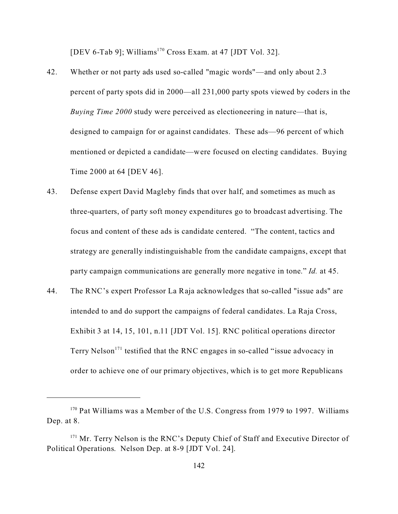[DEV 6-Tab 9]; Williams<sup>170</sup> Cross Exam. at 47 [JDT Vol. 32].

- 42. Whether or not party ads used so-called "magic words"—and only about 2.3 percent of party spots did in 2000—all 231,000 party spots viewed by coders in the *Buying Time 2000* study were perceived as electioneering in nature—that is, designed to campaign for or against candidates. These ads—96 percent of which mentioned or depicted a candidate—were focused on electing candidates. Buying Time 2000 at 64 [DEV 46].
- 43. Defense expert David Magleby finds that over half, and sometimes as much as three-quarters, of party soft money expenditures go to broadcast advertising. The focus and content of these ads is candidate centered. "The content, tactics and strategy are generally indistinguishable from the candidate campaigns, except that party campaign communications are generally more negative in tone." *Id.* at 45.
- 44. The RNC's expert Professor La Raja acknowledges that so-called "issue ads" are intended to and do support the campaigns of federal candidates. La Raja Cross, Exhibit 3 at 14, 15, 101, n.11 [JDT Vol. 15]. RNC political operations director Terry Nelson<sup>171</sup> testified that the RNC engages in so-called "issue advocacy in order to achieve one of our primary objectives, which is to get more Republicans

<sup>&</sup>lt;sup>170</sup> Pat Williams was a Member of the U.S. Congress from 1979 to 1997. Williams Dep. at 8.

 $171$  Mr. Terry Nelson is the RNC's Deputy Chief of Staff and Executive Director of Political Operations. Nelson Dep. at 8-9 [JDT Vol. 24].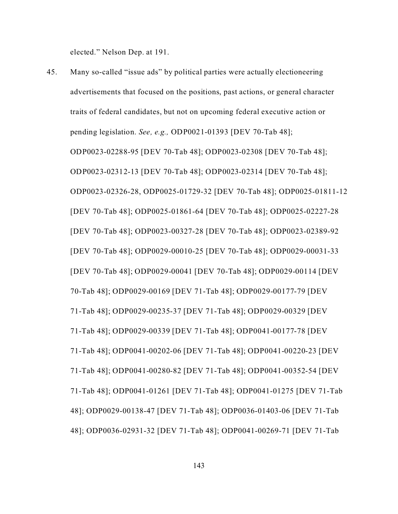elected." Nelson Dep. at 191.

45. Many so-called "issue ads" by political parties were actually electioneering advertisements that focused on the positions, past actions, or general character traits of federal candidates, but not on upcoming federal executive action or pending legislation. *See, e.g.,* ODP0021-01393 [DEV 70-Tab 48]; ODP0023-02288-95 [DEV 70-Tab 48]; ODP0023-02308 [DEV 70-Tab 48]; ODP0023-02312-13 [DEV 70-Tab 48]; ODP0023-02314 [DEV 70-Tab 48]; ODP0023-02326-28, ODP0025-01729-32 [DEV 70-Tab 48]; ODP0025-01811-12 [DEV 70-Tab 48]; ODP0025-01861-64 [DEV 70-Tab 48]; ODP0025-02227-28 [DEV 70-Tab 48]; ODP0023-00327-28 [DEV 70-Tab 48]; ODP0023-02389-92 [DEV 70-Tab 48]; ODP0029-00010-25 [DEV 70-Tab 48]; ODP0029-00031-33 [DEV 70-Tab 48]; ODP0029-00041 [DEV 70-Tab 48]; ODP0029-00114 [DEV 70-Tab 48]; ODP0029-00169 [DEV 71-Tab 48]; ODP0029-00177-79 [DEV 71-Tab 48]; ODP0029-00235-37 [DEV 71-Tab 48]; ODP0029-00329 [DEV 71-Tab 48]; ODP0029-00339 [DEV 71-Tab 48]; ODP0041-00177-78 [DEV 71-Tab 48]; ODP0041-00202-06 [DEV 71-Tab 48]; ODP0041-00220-23 [DEV 71-Tab 48]; ODP0041-00280-82 [DEV 71-Tab 48]; ODP0041-00352-54 [DEV 71-Tab 48]; ODP0041-01261 [DEV 71-Tab 48]; ODP0041-01275 [DEV 71-Tab 48]; ODP0029-00138-47 [DEV 71-Tab 48]; ODP0036-01403-06 [DEV 71-Tab 48]; ODP0036-02931-32 [DEV 71-Tab 48]; ODP0041-00269-71 [DEV 71-Tab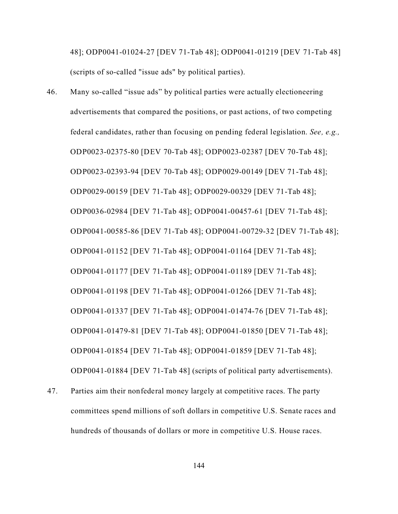48]; ODP0041-01024-27 [DEV 71-Tab 48]; ODP0041-01219 [DEV 71-Tab 48] (scripts of so-called "issue ads" by political parties).

- 46. Many so-called "issue ads" by political parties were actually electioneering advertisements that compared the positions, or past actions, of two competing federal candidates, rather than focusing on pending federal legislation. *See, e.g.,* ODP0023-02375-80 [DEV 70-Tab 48]; ODP0023-02387 [DEV 70-Tab 48]; ODP0023-02393-94 [DEV 70-Tab 48]; ODP0029-00149 [DEV 71-Tab 48]; ODP0029-00159 [DEV 71-Tab 48]; ODP0029-00329 [DEV 71-Tab 48]; ODP0036-02984 [DEV 71-Tab 48]; ODP0041-00457-61 [DEV 71-Tab 48]; ODP0041-00585-86 [DEV 71-Tab 48]; ODP0041-00729-32 [DEV 71-Tab 48]; ODP0041-01152 [DEV 71-Tab 48]; ODP0041-01164 [DEV 71-Tab 48]; ODP0041-01177 [DEV 71-Tab 48]; ODP0041-01189 [DEV 71-Tab 48]; ODP0041-01198 [DEV 71-Tab 48]; ODP0041-01266 [DEV 71-Tab 48]; ODP0041-01337 [DEV 71-Tab 48]; ODP0041-01474-76 [DEV 71-Tab 48]; ODP0041-01479-81 [DEV 71-Tab 48]; ODP0041-01850 [DEV 71-Tab 48]; ODP0041-01854 [DEV 71-Tab 48]; ODP0041-01859 [DEV 71-Tab 48]; ODP0041-01884 [DEV 71-Tab 48] (scripts of political party advertisements).
- 47. Parties aim their nonfederal money largely at competitive races. The party committees spend millions of soft dollars in competitive U.S. Senate races and hundreds of thousands of dollars or more in competitive U.S. House races.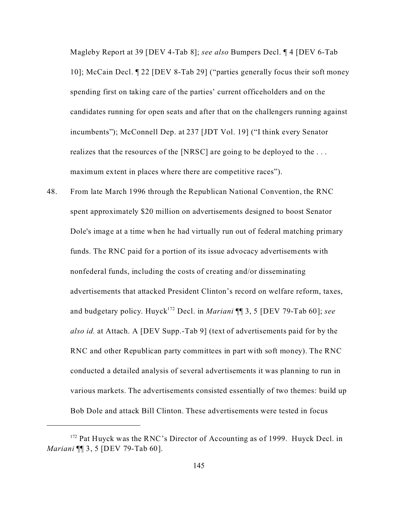Magleby Report at 39 [DEV 4-Tab 8]; *see also* Bumpers Decl. ¶ 4 [DEV 6-Tab 10]; McCain Decl. ¶ 22 [DEV 8-Tab 29] ("parties generally focus their soft money spending first on taking care of the parties' current officeholders and on the candidates running for open seats and after that on the challengers running against incumbents"); McConnell Dep. at 237 [JDT Vol. 19] ("I think every Senator realizes that the resources of the [NRSC] are going to be deployed to the . . . maximum extent in places where there are competitive races").

48. From late March 1996 through the Republican National Convention, the RNC spent approximately \$20 million on advertisements designed to boost Senator Dole's image at a time when he had virtually run out of federal matching primary funds. The RNC paid for a portion of its issue advocacy advertisements with nonfederal funds, including the costs of creating and/or disseminating advertisements that attacked President Clinton's record on welfare reform, taxes, and budgetary policy. Huyck<sup>172</sup> Decl. in *Mariani* ¶¶ 3, 5 [DEV 79-Tab 60]; *see also id.* at Attach. A [DEV Supp.-Tab 9] (text of advertisements paid for by the RNC and other Republican party committees in part with soft money). The RNC conducted a detailed analysis of several advertisements it was planning to run in various markets. The advertisements consisted essentially of two themes: build up Bob Dole and attack Bill Clinton. These advertisements were tested in focus

<sup>&</sup>lt;sup>172</sup> Pat Huyck was the RNC's Director of Accounting as of 1999. Huyck Decl. in *Mariani* ¶¶ 3, 5 [DEV 79-Tab 60].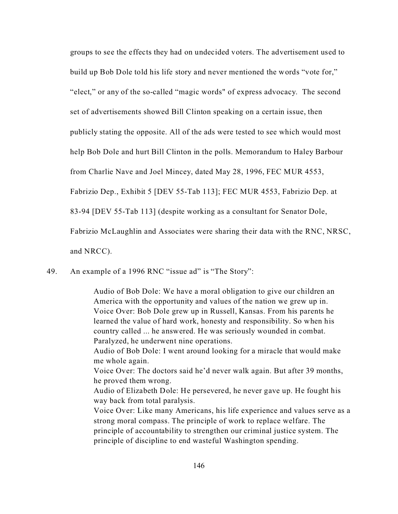groups to see the effects they had on undecided voters. The advertisement used to build up Bob Dole told his life story and never mentioned the words "vote for," "elect," or any of the so-called "magic words" of express advocacy. The second set of advertisements showed Bill Clinton speaking on a certain issue, then publicly stating the opposite. All of the ads were tested to see which would most help Bob Dole and hurt Bill Clinton in the polls. Memorandum to Haley Barbour from Charlie Nave and Joel Mincey, dated May 28, 1996, FEC MUR 4553, Fabrizio Dep., Exhibit 5 [DEV 55-Tab 113]; FEC MUR 4553, Fabrizio Dep. at 83-94 [DEV 55-Tab 113] (despite working as a consultant for Senator Dole, Fabrizio McLaughlin and Associates were sharing their data with the RNC, NRSC, and NRCC).

49. An example of a 1996 RNC "issue ad" is "The Story":

Audio of Bob Dole: We have a moral obligation to give our children an America with the opportunity and values of the nation we grew up in. Voice Over: Bob Dole grew up in Russell, Kansas. From his parents he learned the value of hard work, honesty and responsibility. So when his country called ... he answered. He was seriously wounded in combat. Paralyzed, he underwent nine operations.

Audio of Bob Dole: I went around looking for a miracle that would make me whole again.

Voice Over: The doctors said he'd never walk again. But after 39 months, he proved them wrong.

Audio of Elizabeth Dole: He persevered, he never gave up. He fought his way back from total paralysis.

Voice Over: Like many Americans, his life experience and values serve as a strong moral compass. The principle of work to replace welfare. The principle of accountability to strengthen our criminal justice system. The principle of discipline to end wasteful Washington spending.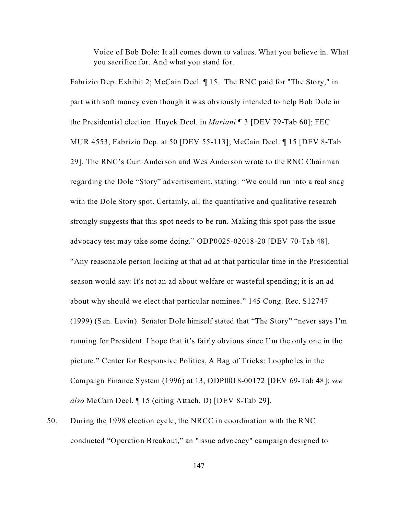Voice of Bob Dole: It all comes down to values. What you believe in. What you sacrifice for. And what you stand for.

Fabrizio Dep. Exhibit 2; McCain Decl. ¶ 15. The RNC paid for "The Story," in part with soft money even though it was obviously intended to help Bob Dole in the Presidential election. Huyck Decl. in *Mariani* ¶ 3 [DEV 79-Tab 60]; FEC MUR 4553, Fabrizio Dep. at 50 [DEV 55-113]; McCain Decl. ¶ 15 [DEV 8-Tab 29]. The RNC's Curt Anderson and Wes Anderson wrote to the RNC Chairman regarding the Dole "Story" advertisement, stating: "We could run into a real snag with the Dole Story spot. Certainly, all the quantitative and qualitative research strongly suggests that this spot needs to be run. Making this spot pass the issue advocacy test may take some doing." ODP0025-02018-20 [DEV 70-Tab 48]. "Any reasonable person looking at that ad at that particular time in the Presidential season would say: It's not an ad about welfare or wasteful spending; it is an ad about why should we elect that particular nominee." 145 Cong. Rec. S12747 (1999) (Sen. Levin). Senator Dole himself stated that "The Story" "never says I'm running for President. I hope that it's fairly obvious since I'm the only one in the picture." Center for Responsive Politics, A Bag of Tricks: Loopholes in the Campaign Finance System (1996) at 13, ODP0018-00172 [DEV 69-Tab 48]; *see also* McCain Decl. ¶ 15 (citing Attach. D) [DEV 8-Tab 29].

50. During the 1998 election cycle, the NRCC in coordination with the RNC conducted "Operation Breakout," an "issue advocacy" campaign designed to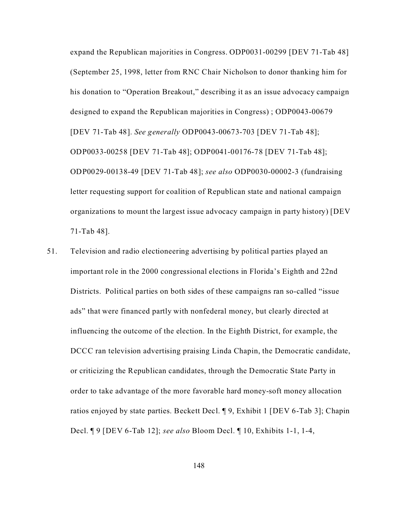expand the Republican majorities in Congress. ODP0031-00299 [DEV 71-Tab 48] (September 25, 1998, letter from RNC Chair Nicholson to donor thanking him for his donation to "Operation Breakout," describing it as an issue advocacy campaign designed to expand the Republican majorities in Congress) ; ODP0043-00679 [DEV 71-Tab 48]. *See generally* ODP0043-00673-703 [DEV 71-Tab 48]; ODP0033-00258 [DEV 71-Tab 48]; ODP0041-00176-78 [DEV 71-Tab 48]; ODP0029-00138-49 [DEV 71-Tab 48]; *see also* ODP0030-00002-3 (fundraising letter requesting support for coalition of Republican state and national campaign organizations to mount the largest issue advocacy campaign in party history) [DEV 71-Tab 48].

51. Television and radio electioneering advertising by political parties played an important role in the 2000 congressional elections in Florida's Eighth and 22nd Districts. Political parties on both sides of these campaigns ran so-called "issue ads" that were financed partly with nonfederal money, but clearly directed at influencing the outcome of the election. In the Eighth District, for example, the DCCC ran television advertising praising Linda Chapin, the Democratic candidate, or criticizing the Republican candidates, through the Democratic State Party in order to take advantage of the more favorable hard money-soft money allocation ratios enjoyed by state parties. Beckett Decl. ¶ 9, Exhibit 1 [DEV 6-Tab 3]; Chapin Decl. ¶ 9 [DEV 6-Tab 12]; *see also* Bloom Decl. ¶ 10, Exhibits 1-1, 1-4,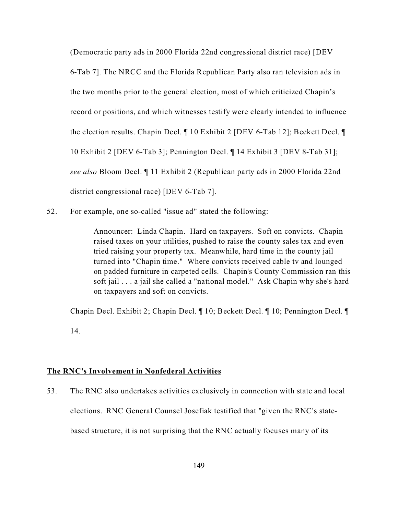(Democratic party ads in 2000 Florida 22nd congressional district race) [DEV 6-Tab 7]. The NRCC and the Florida Republican Party also ran television ads in the two months prior to the general election, most of which criticized Chapin's record or positions, and which witnesses testify were clearly intended to influence the election results. Chapin Decl. ¶ 10 Exhibit 2 [DEV 6-Tab 12]; Beckett Decl. ¶ 10 Exhibit 2 [DEV 6-Tab 3]; Pennington Decl. ¶ 14 Exhibit 3 [DEV 8-Tab 31]; *see also* Bloom Decl. ¶ 11 Exhibit 2 (Republican party ads in 2000 Florida 22nd district congressional race) [DEV 6-Tab 7].

52. For example, one so-called "issue ad" stated the following:

Announcer: Linda Chapin. Hard on taxpayers. Soft on convicts. Chapin raised taxes on your utilities, pushed to raise the county sales tax and even tried raising your property tax. Meanwhile, hard time in the county jail turned into "Chapin time." Where convicts received cable tv and lounged on padded furniture in carpeted cells. Chapin's County Commission ran this soft jail . . . a jail she called a "national model." Ask Chapin why she's hard on taxpayers and soft on convicts.

Chapin Decl. Exhibit 2; Chapin Decl. ¶ 10; Beckett Decl. ¶ 10; Pennington Decl. ¶ 14.

## **The RNC's Involvement in Nonfederal Activities**

53. The RNC also undertakes activities exclusively in connection with state and local elections. RNC General Counsel Josefiak testified that "given the RNC's statebased structure, it is not surprising that the RNC actually focuses many of its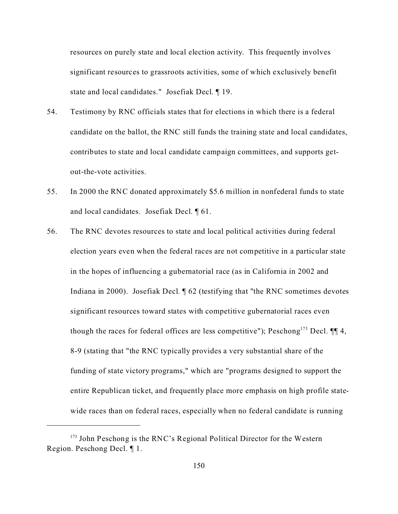resources on purely state and local election activity. This frequently involves significant resources to grassroots activities, some of which exclusively benefit state and local candidates." Josefiak Decl. ¶ 19.

- 54. Testimony by RNC officials states that for elections in which there is a federal candidate on the ballot, the RNC still funds the training state and local candidates, contributes to state and local candidate campaign committees, and supports getout-the-vote activities.
- 55. In 2000 the RNC donated approximately \$5.6 million in nonfederal funds to state and local candidates. Josefiak Decl. ¶ 61.
- 56. The RNC devotes resources to state and local political activities during federal election years even when the federal races are not competitive in a particular state in the hopes of influencing a gubernatorial race (as in California in 2002 and Indiana in 2000). Josefiak Decl. ¶ 62 (testifying that "the RNC sometimes devotes significant resources toward states with competitive gubernatorial races even though the races for federal offices are less competitive"); Peschong<sup>173</sup> Decl.  $\P\P$  4, 8-9 (stating that "the RNC typically provides a very substantial share of the funding of state victory programs," which are "programs designed to support the entire Republican ticket, and frequently place more emphasis on high profile statewide races than on federal races, especially when no federal candidate is running

 $173$  John Peschong is the RNC's Regional Political Director for the Western Region. Peschong Decl. ¶ 1.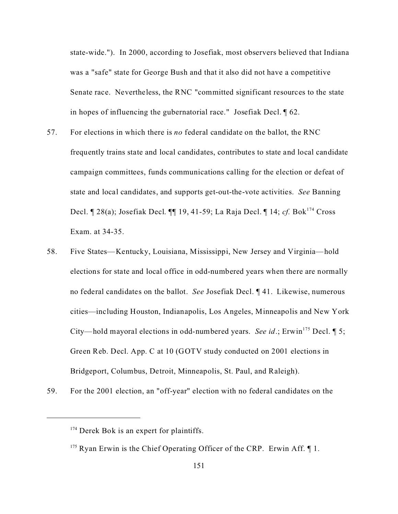state-wide.").In 2000, according to Josefiak, most observers believed that Indiana was a "safe" state for George Bush and that it also did not have a competitive Senate race. Nevertheless, the RNC "committed significant resources to the state in hopes of influencing the gubernatorial race." Josefiak Decl. ¶ 62.

- 57. For elections in which there is *no* federal candidate on the ballot, the RNC frequently trains state and local candidates, contributes to state and local candidate campaign committees, funds communications calling for the election or defeat of state and local candidates, and supports get-out-the-vote activities. *See* Banning Decl. ¶ 28(a); Josefiak Decl. ¶¶ 19, 41-59; La Raja Decl. ¶ 14; *cf.* Bok<sup>174</sup> Cross Exam. at 34-35.
- 58. Five States—Kentucky, Louisiana, Mississippi, New Jersey and Virginia—hold elections for state and local office in odd-numbered years when there are normally no federal candidates on the ballot. *See* Josefiak Decl. ¶ 41. Likewise, numerous cities—including Houston, Indianapolis, Los Angeles, Minneapolis and New York City—hold mayoral elections in odd-numbered years. *See id*.; Erwin<sup>175</sup> Decl.  $\P$  5; Green Reb. Decl. App. C at 10 (GOTV study conducted on 2001 elections in Bridgeport, Columbus, Detroit, Minneapolis, St. Paul, and Raleigh).
- 59. For the 2001 election, an "off-year" election with no federal candidates on the

 $174$  Derek Bok is an expert for plaintiffs.

<sup>&</sup>lt;sup>175</sup> Ryan Erwin is the Chief Operating Officer of the CRP. Erwin Aff.  $\P$  1.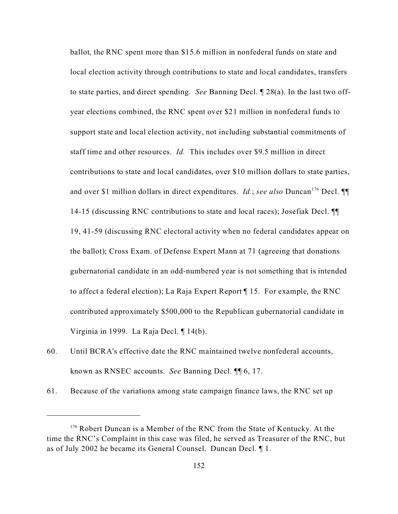ballot, the RNC spent more than \$15.6 million in nonfederal funds on state and local election activity through contributions to state and local candidates, transfers to state parties, and direct spending. *See* Banning Decl. ¶ 28(a). In the last two offyear elections combined, the RNC spent over \$21 million in nonfederal funds to support state and local election activity, not including substantial commitments of staff time and other resources. *Id.* This includes over \$9.5 million in direct contributions to state and local candidates, over \$10 million dollars to state parties, and over \$1 million dollars in direct expenditures. *Id.*; *see also* Duncan<sup>176</sup> Decl. ¶ 14-15 (discussing RNC contributions to state and local races); Josefiak Decl. ¶¶ 19, 41-59 (discussing RNC electoral activity when no federal candidates appear on the ballot); Cross Exam. of Defense Expert Mann at 71 (agreeing that donations gubernatorial candidate in an odd-numbered year is not something that is intended to affect a federal election); La Raja Expert Report ¶ 15.For example, the RNC contributed approximately \$500,000 to the Republican gubernatorial candidate in Virginia in 1999. La Raja Decl. ¶ 14(b).

- 60. Until BCRA's effective date the RNC maintained twelve nonfederal accounts, known as RNSEC accounts. *See* Banning Decl. ¶¶ 6, 17.
- 61. Because of the variations among state campaign finance laws, the RNC set up

<sup>&</sup>lt;sup>176</sup> Robert Duncan is a Member of the RNC from the State of Kentucky. At the time the RNC's Complaint in this case was filed, he served as Treasurer of the RNC, but as of July 2002 he became its General Counsel. Duncan Decl. ¶ 1.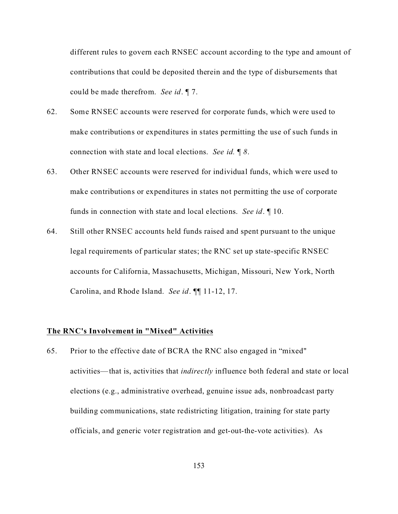different rules to govern each RNSEC account according to the type and amount of contributions that could be deposited therein and the type of disbursements that could be made therefrom. *See id*. ¶ 7.

- 62. Some RNSEC accounts were reserved for corporate funds, which were used to make contributions or expenditures in states permitting the use of such funds in connection with state and local elections. *See id.* ¶ *8*.
- 63. Other RNSEC accounts were reserved for individual funds, which were used to make contributions or expenditures in states not permitting the use of corporate funds in connection with state and local elections. *See id*. ¶ 10.
- 64. Still other RNSEC accounts held funds raised and spent pursuant to the unique legal requirements of particular states; the RNC set up state-specific RNSEC accounts for California, Massachusetts, Michigan, Missouri, New York, North Carolina, and Rhode Island. *See id*. ¶¶ 11-12, 17.

#### **The RNC's Involvement in "Mixed" Activities**

65. Prior to the effective date of BCRA the RNC also engaged in "mixed" activities—that is, activities that *indirectly* influence both federal and state or local elections (e.g., administrative overhead, genuine issue ads, nonbroadcast party building communications, state redistricting litigation, training for state party officials, and generic voter registration and get-out-the-vote activities). As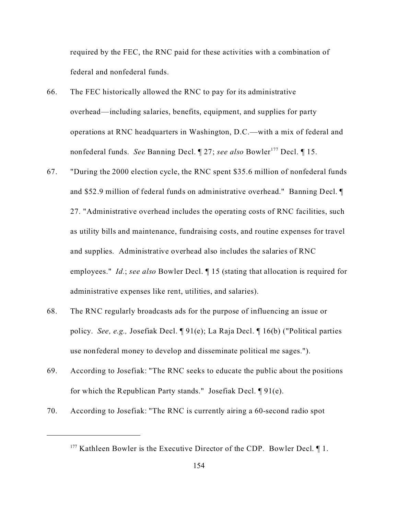required by the FEC, the RNC paid for these activities with a combination of federal and nonfederal funds.

- 66. The FEC historically allowed the RNC to pay for its administrative overhead—including salaries, benefits, equipment, and supplies for party operations at RNC headquarters in Washington, D.C.—with a mix of federal and nonfederal funds. *See* Banning Decl. 1 27; *see also* Bowler<sup>177</sup> Decl. 1 15.
- 67. "During the 2000 election cycle, the RNC spent \$35.6 million of nonfederal funds and \$52.9 million of federal funds on administrative overhead." Banning Decl. ¶ 27. "Administrative overhead includes the operating costs of RNC facilities, such as utility bills and maintenance, fundraising costs, and routine expenses for travel and supplies. Administrative overhead also includes the salaries of RNC employees." *Id.*; *see also* Bowler Decl. ¶ 15 (stating that allocation is required for administrative expenses like rent, utilities, and salaries).
- 68. The RNC regularly broadcasts ads for the purpose of influencing an issue or policy. *See, e.g.,* Josefiak Decl. ¶ 91(e); La Raja Decl. ¶ 16(b) ("Political parties use nonfederal money to develop and disseminate political me sages.").
- 69. According to Josefiak: "The RNC seeks to educate the public about the positions for which the Republican Party stands." Josefiak Decl. ¶ 91(e).
- 70. According to Josefiak: "The RNC is currently airing a 60-second radio spot

 $177$  Kathleen Bowler is the Executive Director of the CDP. Bowler Decl.  $\P$  1.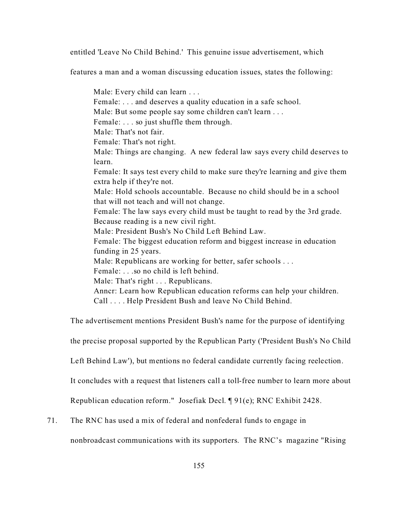entitled 'Leave No Child Behind.' This genuine issue advertisement, which

features a man and a woman discussing education issues, states the following:

Male: Every child can learn . . . Female: . . . and deserves a quality education in a safe school. Male: But some people say some children can't learn . . . Female: . . . so just shuffle them through. Male: That's not fair. Female: That's not right. Male: Things are changing. A new federal law says every child deserves to learn. Female: It says test every child to make sure they're learning and give them extra help if they're not. Male: Hold schools accountable. Because no child should be in a school that will not teach and will not change. Female: The law says every child must be taught to read by the 3rd grade. Because reading is a new civil right. Male: President Bush's No Child Left Behind Law. Female: The biggest education reform and biggest increase in education funding in 25 years. Male: Republicans are working for better, safer schools . . . Female: . . .so no child is left behind. Male: That's right . . . Republicans. Anncr: Learn how Republican education reforms can help your children. Call . . . . Help President Bush and leave No Child Behind.

The advertisement mentions President Bush's name for the purpose of identifying

the precise proposal supported by the Republican Party ('President Bush's No Child

Left Behind Law'), but mentions no federal candidate currently facing reelection.

It concludes with a request that listeners call a toll-free number to learn more about

Republican education reform." Josefiak Decl. ¶ 91(e); RNC Exhibit 2428.

71. The RNC has used a mix of federal and nonfederal funds to engage in

nonbroadcast communications with its supporters. The RNC's magazine "Rising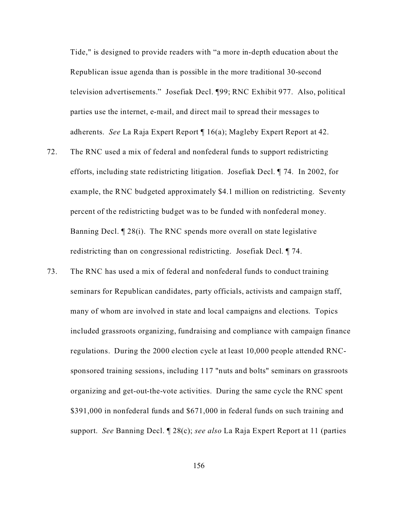Tide," is designed to provide readers with "a more in-depth education about the Republican issue agenda than is possible in the more traditional 30-second television advertisements." Josefiak Decl. ¶99; RNC Exhibit 977. Also, political parties use the internet, e-mail, and direct mail to spread their messages to adherents. *See* La Raja Expert Report ¶ 16(a); Magleby Expert Report at 42.

- 72. The RNC used a mix of federal and nonfederal funds to support redistricting efforts, including state redistricting litigation. Josefiak Decl. ¶ 74. In 2002, for example, the RNC budgeted approximately \$4.1 million on redistricting. Seventy percent of the redistricting budget was to be funded with nonfederal money. Banning Decl. ¶ 28(i). The RNC spends more overall on state legislative redistricting than on congressional redistricting. Josefiak Decl. ¶ 74.
- 73. The RNC has used a mix of federal and nonfederal funds to conduct training seminars for Republican candidates, party officials, activists and campaign staff, many of whom are involved in state and local campaigns and elections. Topics included grassroots organizing, fundraising and compliance with campaign finance regulations. During the 2000 election cycle at least 10,000 people attended RNCsponsored training sessions, including 117 "nuts and bolts" seminars on grassroots organizing and get-out-the-vote activities. During the same cycle the RNC spent \$391,000 in nonfederal funds and \$671,000 in federal funds on such training and support. *See* Banning Decl. ¶ 28(c); *see also* La Raja Expert Report at 11 (parties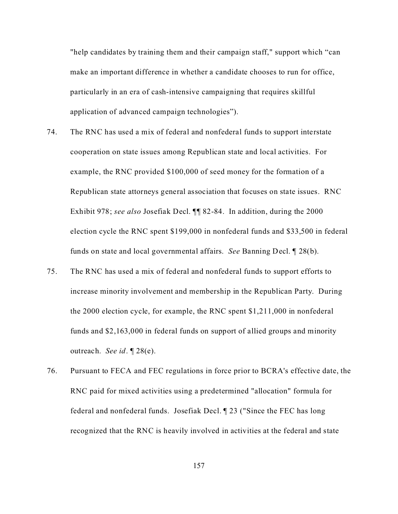"help candidates by training them and their campaign staff," support which "can make an important difference in whether a candidate chooses to run for office, particularly in an era of cash-intensive campaigning that requires skillful application of advanced campaign technologies").

- 74. The RNC has used a mix of federal and nonfederal funds to support interstate cooperation on state issues among Republican state and local activities. For example, the RNC provided \$100,000 of seed money for the formation of a Republican state attorneys general association that focuses on state issues. RNC Exhibit 978; *see also* Josefiak Decl. ¶¶ 82-84. In addition, during the 2000 election cycle the RNC spent \$199,000 in nonfederal funds and \$33,500 in federal funds on state and local governmental affairs. *See* Banning Decl. ¶ 28(b).
- 75. The RNC has used a mix of federal and nonfederal funds to support efforts to increase minority involvement and membership in the Republican Party. During the 2000 election cycle, for example, the RNC spent \$1,211,000 in nonfederal funds and \$2,163,000 in federal funds on support of allied groups and minority outreach. *See id*. ¶ 28(e).
- 76. Pursuant to FECA and FEC regulations in force prior to BCRA's effective date, the RNC paid for mixed activities using a predetermined "allocation" formula for federal and nonfederal funds. Josefiak Decl. ¶ 23 ("Since the FEC has long recognized that the RNC is heavily involved in activities at the federal and state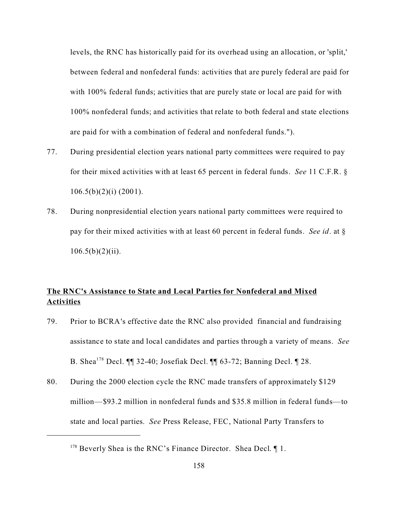levels, the RNC has historically paid for its overhead using an allocation, or 'split,' between federal and nonfederal funds: activities that are purely federal are paid for with 100% federal funds; activities that are purely state or local are paid for with 100% nonfederal funds; and activities that relate to both federal and state elections are paid for with a combination of federal and nonfederal funds.").

- 77. During presidential election years national party committees were required to pay for their mixed activities with at least 65 percent in federal funds. *See* 11 C.F.R. §  $106.5(b)(2)(i)$  (2001).
- 78. During nonpresidential election years national party committees were required to pay for their mixed activities with at least 60 percent in federal funds. *See id*. at §  $106.5(b)(2)(ii)$ .

# **The RNC's Assistance to State and Local Parties for Nonfederal and Mixed Activities**

- 79. Prior to BCRA's effective date the RNC also provided financial and fundraising assistance to state and local candidates and parties through a variety of means. *See* B. Shea<sup>178</sup> Decl. ¶¶ 32-40; Josefiak Decl. ¶¶ 63-72; Banning Decl. ¶ 28.
- 80. During the 2000 election cycle the RNC made transfers of approximately \$129 million—\$93.2 million in nonfederal funds and \$35.8 million in federal funds—to state and local parties. *See* Press Release, FEC, National Party Transfers to

<sup>&</sup>lt;sup>178</sup> Beverly Shea is the RNC's Finance Director. Shea Decl. ¶ 1.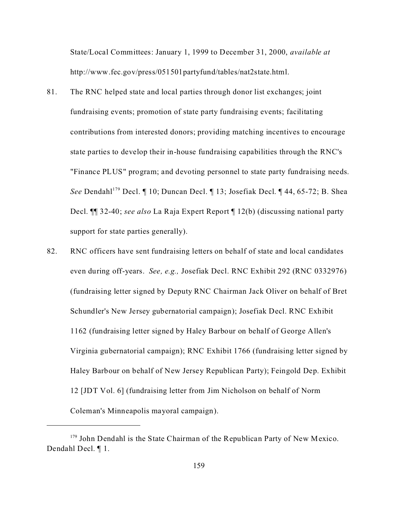State/Local Committees: January 1, 1999 to December 31, 2000, *available at* http://www.fec.gov/press/051501partyfund/tables/nat2state.html.

- 81. The RNC helped state and local parties through donor list exchanges; joint fundraising events; promotion of state party fundraising events; facilitating contributions from interested donors; providing matching incentives to encourage state parties to develop their in-house fundraising capabilities through the RNC's "Finance PLUS" program; and devoting personnel to state party fundraising needs. *See* Dendahl<sup>179</sup> Decl. ¶ 10; Duncan Decl. ¶ 13; Josefiak Decl. ¶ 44, 65-72; B. Shea Decl. ¶¶ 32-40; *see also* La Raja Expert Report ¶ 12(b) (discussing national party support for state parties generally).
- 82. RNC officers have sent fundraising letters on behalf of state and local candidates even during off-years. *See, e.g.,* Josefiak Decl. RNC Exhibit 292 (RNC 0332976) (fundraising letter signed by Deputy RNC Chairman Jack Oliver on behalf of Bret Schundler's New Jersey gubernatorial campaign); Josefiak Decl. RNC Exhibit 1162 (fundraising letter signed by Haley Barbour on behalf of George Allen's Virginia gubernatorial campaign); RNC Exhibit 1766 (fundraising letter signed by Haley Barbour on behalf of New Jersey Republican Party); Feingold Dep. Exhibit 12 [JDT Vol. 6] (fundraising letter from Jim Nicholson on behalf of Norm Coleman's Minneapolis mayoral campaign).

 $179$  John Dendahl is the State Chairman of the Republican Party of New Mexico. Dendahl Decl. ¶ 1.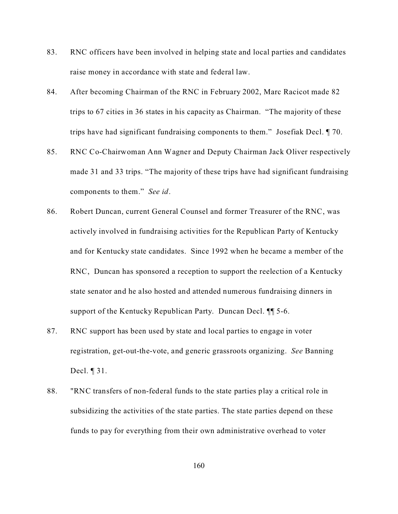- 83. RNC officers have been involved in helping state and local parties and candidates raise money in accordance with state and federal law.
- 84. After becoming Chairman of the RNC in February 2002, Marc Racicot made 82 trips to 67 cities in 36 states in his capacity as Chairman. "The majority of these trips have had significant fundraising components to them." Josefiak Decl. ¶ 70.
- 85. RNC Co-Chairwoman Ann Wagner and Deputy Chairman Jack Oliver respectively made 31 and 33 trips. "The majority of these trips have had significant fundraising components to them." *See id*.
- 86. Robert Duncan, current General Counsel and former Treasurer of the RNC, was actively involved in fundraising activities for the Republican Party of Kentucky and for Kentucky state candidates. Since 1992 when he became a member of the RNC, Duncan has sponsored a reception to support the reelection of a Kentucky state senator and he also hosted and attended numerous fundraising dinners in support of the Kentucky Republican Party. Duncan Decl. **11** 5-6.
- 87. RNC support has been used by state and local parties to engage in voter registration, get-out-the-vote, and generic grassroots organizing. *See* Banning Decl. ¶ 31.
- 88. "RNC transfers of non-federal funds to the state parties play a critical role in subsidizing the activities of the state parties. The state parties depend on these funds to pay for everything from their own administrative overhead to voter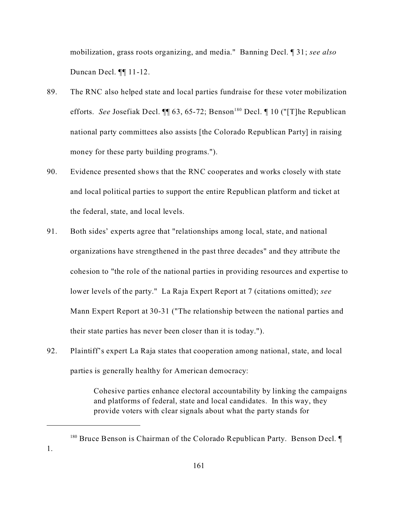mobilization, grass roots organizing, and media." Banning Decl. ¶ 31; *see also* Duncan Decl. ¶¶ 11-12.

- 89. The RNC also helped state and local parties fundraise for these voter mobilization efforts. *See* Josefiak Decl. <sup>[1]</sup> 63, 65-72; Benson<sup>180</sup> Decl. <sup>1</sup> 10 ("[T]he Republican national party committees also assists [the Colorado Republican Party] in raising money for these party building programs.").
- 90. Evidence presented shows that the RNC cooperates and works closely with state and local political parties to support the entire Republican platform and ticket at the federal, state, and local levels.
- 91. Both sides' experts agree that "relationships among local, state, and national organizations have strengthened in the past three decades" and they attribute the cohesion to "the role of the national parties in providing resources and expertise to lower levels of the party." La Raja Expert Report at 7 (citations omitted); *see* Mann Expert Report at 30-31 ("The relationship between the national parties and their state parties has never been closer than it is today.").
- 92. Plaintiff's expert La Raja states that cooperation among national, state, and local parties is generally healthy for American democracy:

Cohesive parties enhance electoral accountability by linking the campaigns and platforms of federal, state and local candidates. In this way, they provide voters with clear signals about what the party stands for

 $180$  Bruce Benson is Chairman of the Colorado Republican Party. Benson Decl.  $\P$ 1.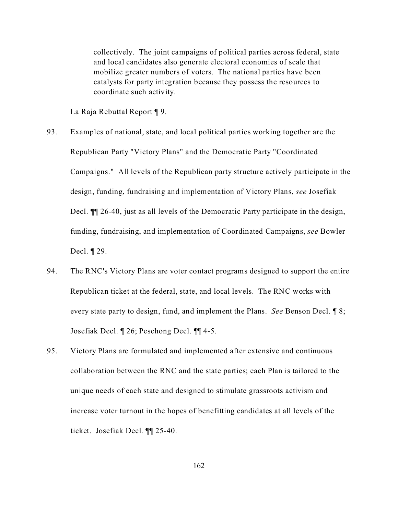collectively. The joint campaigns of political parties across federal, state and local candidates also generate electoral economies of scale that mobilize greater numbers of voters. The national parties have been catalysts for party integration because they possess the resources to coordinate such activity.

La Raja Rebuttal Report ¶ 9.

- 93. Examples of national, state, and local political parties working together are the Republican Party "Victory Plans" and the Democratic Party "Coordinated Campaigns." All levels of the Republican party structure actively participate in the design, funding, fundraising and implementation of Victory Plans, *see* Josefiak Decl. ¶¶ 26-40, just as all levels of the Democratic Party participate in the design, funding, fundraising, and implementation of Coordinated Campaigns, *see* Bowler Decl. ¶ 29.
- 94. The RNC's Victory Plans are voter contact programs designed to support the entire Republican ticket at the federal, state, and local levels. The RNC works with every state party to design, fund, and implement the Plans. *See* Benson Decl. ¶ 8; Josefiak Decl. ¶ 26; Peschong Decl. ¶¶ 4-5.
- 95. Victory Plans are formulated and implemented after extensive and continuous collaboration between the RNC and the state parties; each Plan is tailored to the unique needs of each state and designed to stimulate grassroots activism and increase voter turnout in the hopes of benefitting candidates at all levels of the ticket. Josefiak Decl. ¶¶ 25-40.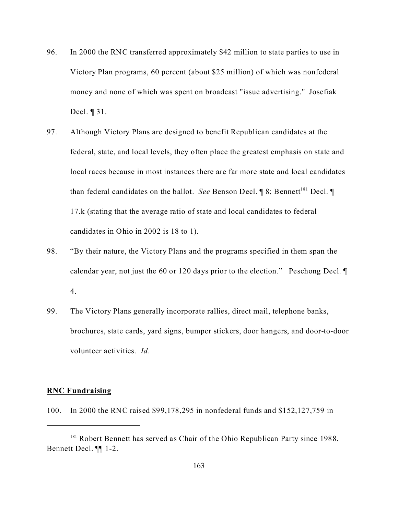- 96. In 2000 the RNC transferred approximately \$42 million to state parties to use in Victory Plan programs, 60 percent (about \$25 million) of which was nonfederal money and none of which was spent on broadcast "issue advertising." Josefiak Decl. ¶ 31.
- 97. Although Victory Plans are designed to benefit Republican candidates at the federal, state, and local levels, they often place the greatest emphasis on state and local races because in most instances there are far more state and local candidates than federal candidates on the ballot. *See* Benson Decl.  $\P$  8; Bennett<sup>181</sup> Decl.  $\P$ 17.k (stating that the average ratio of state and local candidates to federal candidates in Ohio in 2002 is 18 to 1).
- 98. "By their nature, the Victory Plans and the programs specified in them span the calendar year, not just the 60 or 120 days prior to the election." Peschong Decl. ¶ 4.
- 99. The Victory Plans generally incorporate rallies, direct mail, telephone banks, brochures, state cards, yard signs, bumper stickers, door hangers, and door-to-door volunteer activities. *Id*.

## **RNC Fundraising**

100. In 2000 the RNC raised \$99,178,295 in nonfederal funds and \$152,127,759 in

<sup>&</sup>lt;sup>181</sup> Robert Bennett has served as Chair of the Ohio Republican Party since 1988. Bennett Decl. ¶¶ 1-2.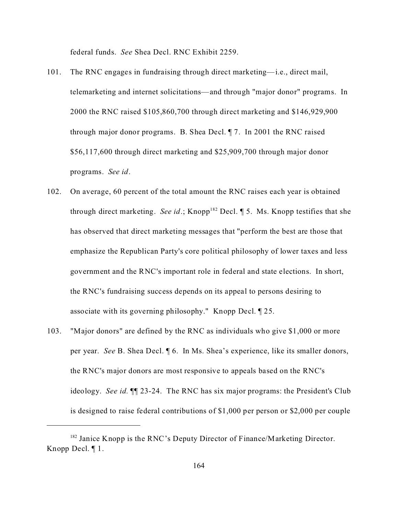federal funds. *See* Shea Decl. RNC Exhibit 2259.

- 101. The RNC engages in fundraising through direct marketing—i.e., direct mail, telemarketing and internet solicitations—and through "major donor" programs. In 2000 the RNC raised \$105,860,700 through direct marketing and \$146,929,900 through major donor programs. B. Shea Decl. ¶ 7. In 2001 the RNC raised \$56,117,600 through direct marketing and \$25,909,700 through major donor programs. *See id*.
- 102. On average, 60 percent of the total amount the RNC raises each year is obtained through direct marketing. *See id*.; Knopp<sup>182</sup> Decl.  $\P$  5. Ms. Knopp testifies that she has observed that direct marketing messages that "perform the best are those that emphasize the Republican Party's core political philosophy of lower taxes and less government and the RNC's important role in federal and state elections. In short, the RNC's fundraising success depends on its appeal to persons desiring to associate with its governing philosophy." Knopp Decl. ¶ 25.
- 103. "Major donors" are defined by the RNC as individuals who give \$1,000 or more per year. *See* B. Shea Decl. ¶ 6. In Ms. Shea's experience, like its smaller donors, the RNC's major donors are most responsive to appeals based on the RNC's ideology. *See id.* ¶¶ 23-24. The RNC has six major programs: the President's Club is designed to raise federal contributions of \$1,000 per person or \$2,000 per couple

<sup>&</sup>lt;sup>182</sup> Janice Knopp is the RNC's Deputy Director of Finance/Marketing Director. Knopp Decl. ¶ 1.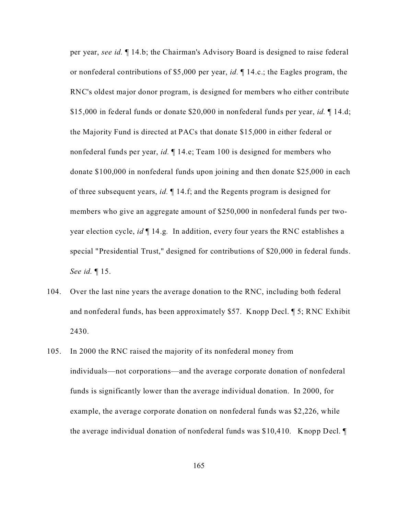per year, *see id.* ¶ 14.b; the Chairman's Advisory Board is designed to raise federal or nonfederal contributions of \$5,000 per year, *id.* ¶ 14.c.; the Eagles program, the RNC's oldest major donor program, is designed for members who either contribute \$15,000 in federal funds or donate \$20,000 in nonfederal funds per year, *id.* ¶ 14.d; the Majority Fund is directed at PACs that donate \$15,000 in either federal or nonfederal funds per year, *id.* ¶ 14.e; Team 100 is designed for members who donate \$100,000 in nonfederal funds upon joining and then donate \$25,000 in each of three subsequent years, *id.* ¶ 14.f; and the Regents program is designed for members who give an aggregate amount of \$250,000 in nonfederal funds per twoyear election cycle, *id* ¶ 14.g*.* In addition, every four years the RNC establishes a special "Presidential Trust," designed for contributions of \$20,000 in federal funds. *See id.* ¶ 15.

- 104. Over the last nine years the average donation to the RNC, including both federal and nonfederal funds, has been approximately \$57. Knopp Decl. ¶ 5; RNC Exhibit 2430.
- 105. In 2000 the RNC raised the majority of its nonfederal money from individuals—not corporations—and the average corporate donation of nonfederal funds is significantly lower than the average individual donation. In 2000, for example, the average corporate donation on nonfederal funds was \$2,226, while the average individual donation of nonfederal funds was \$10,410. Knopp Decl. ¶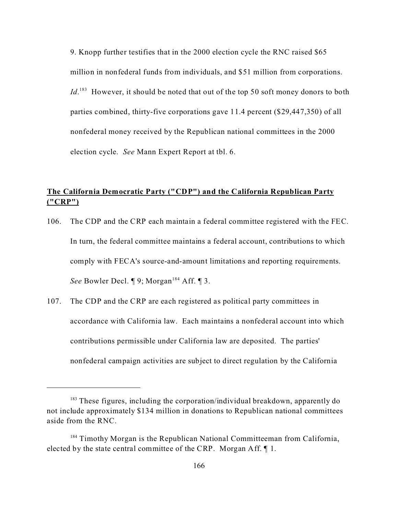9. Knopp further testifies that in the 2000 election cycle the RNC raised \$65 million in nonfederal funds from individuals, and \$51 million from corporations. Id.<sup>183</sup> However, it should be noted that out of the top 50 soft money donors to both parties combined, thirty-five corporations gave 11.4 percent (\$29,447,350) of all nonfederal money received by the Republican national committees in the 2000 election cycle. *See* Mann Expert Report at tbl. 6.

## **The California Democratic Party ("CDP") and the California Republican Party ("CRP")**

- 106. The CDP and the CRP each maintain a federal committee registered with the FEC. In turn, the federal committee maintains a federal account, contributions to which comply with FECA's source-and-amount limitations and reporting requirements. *See* Bowler Decl.  $\P$  9; Morgan<sup>184</sup> Aff.  $\P$  3.
- 107. The CDP and the CRP are each registered as political party committees in accordance with California law. Each maintains a nonfederal account into which contributions permissible under California law are deposited. The parties' nonfederal campaign activities are subject to direct regulation by the California

 $183$  These figures, including the corporation/individual breakdown, apparently do not include approximately \$134 million in donations to Republican national committees aside from the RNC.

<sup>&</sup>lt;sup>184</sup> Timothy Morgan is the Republican National Committeeman from California, elected by the state central committee of the CRP. Morgan Aff. ¶ 1.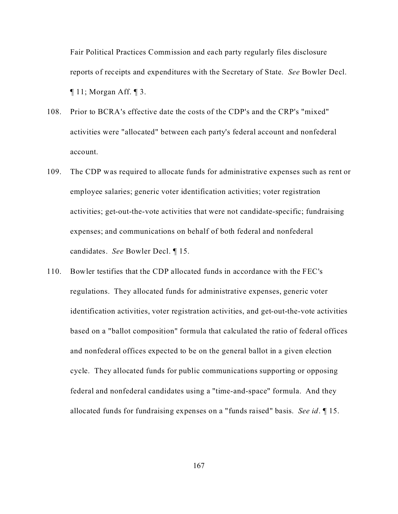Fair Political Practices Commission and each party regularly files disclosure reports of receipts and expenditures with the Secretary of State. *See* Bowler Decl.  $\P$  11; Morgan Aff.  $\P$  3.

- 108. Prior to BCRA's effective date the costs of the CDP's and the CRP's "mixed" activities were "allocated" between each party's federal account and nonfederal account.
- 109. The CDP was required to allocate funds for administrative expenses such as rent or employee salaries; generic voter identification activities; voter registration activities; get-out-the-vote activities that were not candidate-specific; fundraising expenses; and communications on behalf of both federal and nonfederal candidates. *See* Bowler Decl. ¶ 15.
- 110. Bowler testifies that the CDP allocated funds in accordance with the FEC's regulations. They allocated funds for administrative expenses, generic voter identification activities, voter registration activities, and get-out-the-vote activities based on a "ballot composition" formula that calculated the ratio of federal offices and nonfederal offices expected to be on the general ballot in a given election cycle. They allocated funds for public communications supporting or opposing federal and nonfederal candidates using a "time-and-space" formula. And they allocated funds for fundraising expenses on a "funds raised" basis. *See id*. ¶ 15.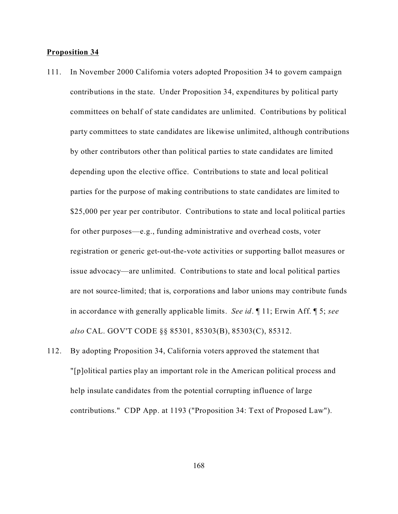## **Proposition 34**

- 111. In November 2000 California voters adopted Proposition 34 to govern campaign contributions in the state. Under Proposition 34, expenditures by political party committees on behalf of state candidates are unlimited. Contributions by political party committees to state candidates are likewise unlimited, although contributions by other contributors other than political parties to state candidates are limited depending upon the elective office. Contributions to state and local political parties for the purpose of making contributions to state candidates are limited to \$25,000 per year per contributor. Contributions to state and local political parties for other purposes—e.g., funding administrative and overhead costs, voter registration or generic get-out-the-vote activities or supporting ballot measures or issue advocacy—are unlimited. Contributions to state and local political parties are not source-limited; that is, corporations and labor unions may contribute funds in accordance with generally applicable limits. *See id*. ¶ 11; Erwin Aff. ¶ 5; *see also* CAL. GOV'T CODE §§ 85301, 85303(B), 85303(C), 85312.
- 112. By adopting Proposition 34, California voters approved the statement that "[p]olitical parties play an important role in the American political process and help insulate candidates from the potential corrupting influence of large contributions." CDP App. at 1193 ("Proposition 34: Text of Proposed Law").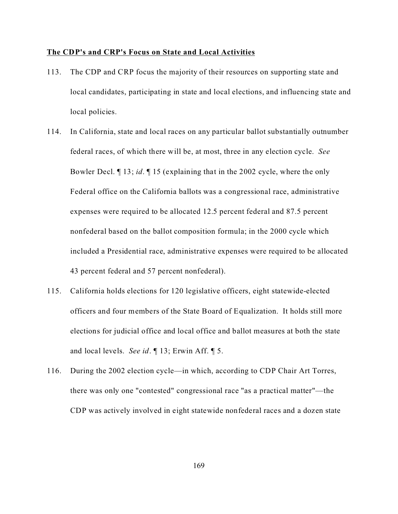#### **The CDP's and CRP's Focus on State and Local Activities**

- 113. The CDP and CRP focus the majority of their resources on supporting state and local candidates, participating in state and local elections, and influencing state and local policies.
- 114. In California, state and local races on any particular ballot substantially outnumber federal races, of which there will be, at most, three in any election cycle. *See* Bowler Decl. ¶ 13; *id*. ¶ 15 (explaining that in the 2002 cycle, where the only Federal office on the California ballots was a congressional race, administrative expenses were required to be allocated 12.5 percent federal and 87.5 percent nonfederal based on the ballot composition formula; in the 2000 cycle which included a Presidential race, administrative expenses were required to be allocated 43 percent federal and 57 percent nonfederal).
- 115. California holds elections for 120 legislative officers, eight statewide-elected officers and four members of the State Board of Equalization. It holds still more elections for judicial office and local office and ballot measures at both the state and local levels. *See id*. ¶ 13; Erwin Aff. ¶ 5.
- 116. During the 2002 election cycle—in which, according to CDP Chair Art Torres, there was only one "contested" congressional race "as a practical matter"—the CDP was actively involved in eight statewide nonfederal races and a dozen state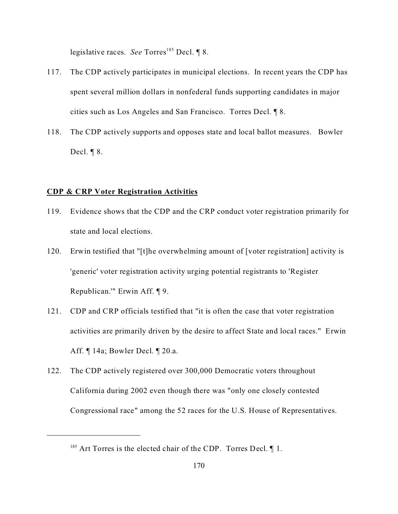legislative races. *See* Torres<sup>185</sup> Decl. 18.

- 117. The CDP actively participates in municipal elections. In recent years the CDP has spent several million dollars in nonfederal funds supporting candidates in major cities such as Los Angeles and San Francisco. Torres Decl. ¶ 8.
- 118. The CDP actively supports and opposes state and local ballot measures. Bowler Decl. ¶ 8.

### **CDP & CRP Voter Registration Activities**

- 119. Evidence shows that the CDP and the CRP conduct voter registration primarily for state and local elections.
- 120. Erwin testified that "[t]he overwhelming amount of [voter registration] activity is 'generic' voter registration activity urging potential registrants to 'Register Republican.'" Erwin Aff. ¶ 9.
- 121. CDP and CRP officials testified that "it is often the case that voter registration activities are primarily driven by the desire to affect State and local races." Erwin Aff. ¶ 14a; Bowler Decl. ¶ 20.a.
- 122. The CDP actively registered over 300,000 Democratic voters throughout California during 2002 even though there was "only one closely contested Congressional race" among the 52 races for the U.S. House of Representatives.

 $185$  Art Torres is the elected chair of the CDP. Torres Decl.  $\P$  1.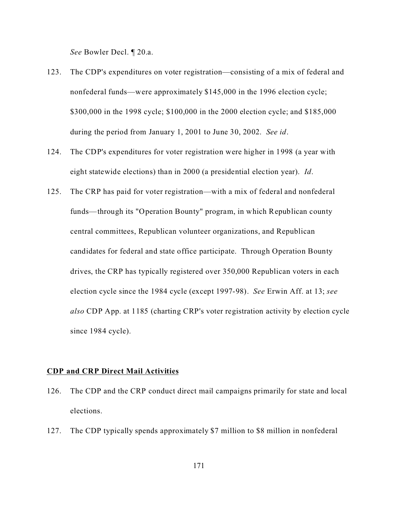*See* Bowler Decl. ¶ 20.a.

- 123. The CDP's expenditures on voter registration—consisting of a mix of federal and nonfederal funds—were approximately \$145,000 in the 1996 election cycle; \$300,000 in the 1998 cycle; \$100,000 in the 2000 election cycle; and \$185,000 during the period from January 1, 2001 to June 30, 2002. *See id*.
- 124. The CDP's expenditures for voter registration were higher in 1998 (a year with eight statewide elections) than in 2000 (a presidential election year). *Id*.
- 125. The CRP has paid for voter registration—with a mix of federal and nonfederal funds—through its "Operation Bounty" program, in which Republican county central committees, Republican volunteer organizations, and Republican candidates for federal and state office participate. Through Operation Bounty drives, the CRP has typically registered over 350,000 Republican voters in each election cycle since the 1984 cycle (except 1997-98). *See* Erwin Aff. at 13; *see also* CDP App. at 1185 (charting CRP's voter registration activity by election cycle since 1984 cycle).

## **CDP and CRP Direct Mail Activities**

- 126. The CDP and the CRP conduct direct mail campaigns primarily for state and local elections.
- 127. The CDP typically spends approximately \$7 million to \$8 million in nonfederal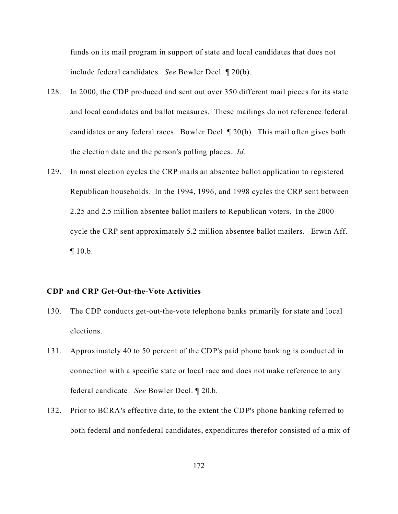funds on its mail program in support of state and local candidates that does not include federal candidates. *See* Bowler Decl. ¶ 20(b).

- 128. In 2000, the CDP produced and sent out over 350 different mail pieces for its state and local candidates and ballot measures. These mailings do not reference federal candidates or any federal races. Bowler Decl. ¶ 20(b). This mail often gives both the election date and the person's polling places. *Id.*
- 129. In most election cycles the CRP mails an absentee ballot application to registered Republican households. In the 1994, 1996, and 1998 cycles the CRP sent between 2.25 and 2.5 million absentee ballot mailers to Republican voters. In the 2000 cycle the CRP sent approximately 5.2 million absentee ballot mailers. Erwin Aff.  $\P$  10.b.

#### **CDP and CRP Get-Out-the-Vote Activities**

- 130. The CDP conducts get-out-the-vote telephone banks primarily for state and local elections.
- 131. Approximately 40 to 50 percent of the CDP's paid phone banking is conducted in connection with a specific state or local race and does not make reference to any federal candidate. *See* Bowler Decl. ¶ 20.b.
- 132. Prior to BCRA's effective date, to the extent the CDP's phone banking referred to both federal and nonfederal candidates, expenditures therefor consisted of a mix of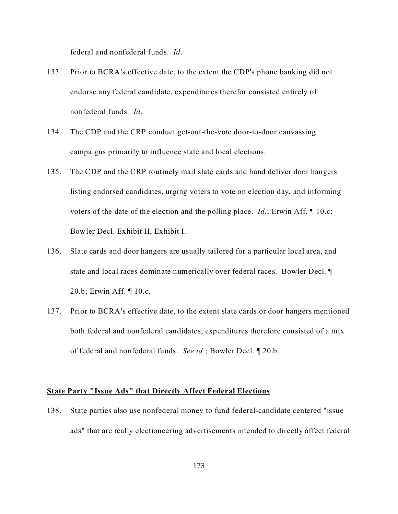federal and nonfederal funds. *Id*.

- 133. Prior to BCRA's effective date, to the extent the CDP's phone banking did not endorse any federal candidate, expenditures therefor consisted entirely of nonfederal funds. *Id*.
- 134. The CDP and the CRP conduct get-out-the-vote door-to-door canvassing campaigns primarily to influence state and local elections.
- 135. The CDP and the CRP routinely mail slate cards and hand deliver door hangers listing endorsed candidates, urging voters to vote on election day, and informing voters of the date of the election and the polling place. *Id*.; Erwin Aff. ¶ 10.c; Bowler Decl. Exhibit H, Exhibit I.
- 136. Slate cards and door hangers are usually tailored for a particular local area, and state and local races dominate numerically over federal races. Bowler Decl. ¶ 20.b; Erwin Aff. ¶ 10.c.
- 137. Prior to BCRA's effective date, to the extent slate cards or door hangers mentioned both federal and nonfederal candidates, expenditures therefore consisted of a mix of federal and nonfederal funds. *See id*.; Bowler Decl. ¶ 20.b.

## **State Party "Issue Ads" that Directly Affect Federal Elections**

138. State parties also use nonfederal money to fund federal-candidate centered "issue ads" that are really electioneering advertisements intended to directly affect federal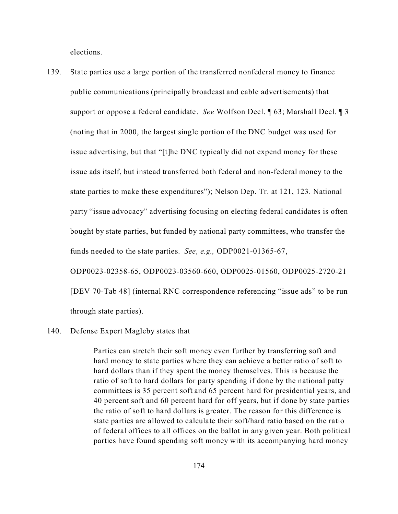elections.

139. State parties use a large portion of the transferred nonfederal money to finance public communications (principally broadcast and cable advertisements) that support or oppose a federal candidate. *See* Wolfson Decl. ¶ 63; Marshall Decl. ¶ 3 (noting that in 2000, the largest single portion of the DNC budget was used for issue advertising, but that "[t]he DNC typically did not expend money for these issue ads itself, but instead transferred both federal and non-federal money to the state parties to make these expenditures"); Nelson Dep. Tr. at 121, 123. National party "issue advocacy" advertising focusing on electing federal candidates is often bought by state parties, but funded by national party committees, who transfer the funds needed to the state parties. *See, e.g.,* ODP0021-01365-67, ODP0023-02358-65, ODP0023-03560-660, ODP0025-01560, ODP0025-2720-21 [DEV 70-Tab 48] (internal RNC correspondence referencing "issue ads" to be run

through state parties).

#### 140. Defense Expert Magleby states that

Parties can stretch their soft money even further by transferring soft and hard money to state parties where they can achieve a better ratio of soft to hard dollars than if they spent the money themselves. This is because the ratio of soft to hard dollars for party spending if done by the national patty committees is 35 percent soft and 65 percent hard for presidential years, and 40 percent soft and 60 percent hard for off years, but if done by state parties the ratio of soft to hard dollars is greater. The reason for this difference is state parties are allowed to calculate their soft/hard ratio based on the ratio of federal offices to all offices on the ballot in any given year. Both political parties have found spending soft money with its accompanying hard money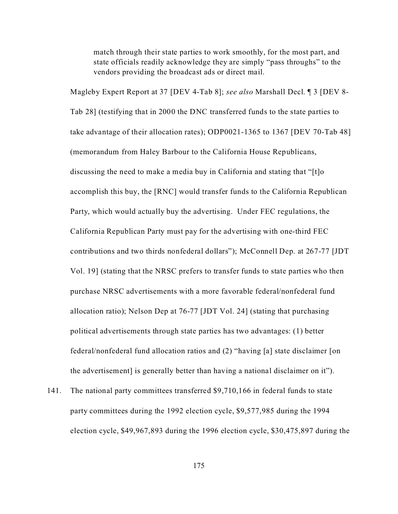match through their state parties to work smoothly, for the most part, and state officials readily acknowledge they are simply "pass throughs" to the vendors providing the broadcast ads or direct mail.

Magleby Expert Report at 37 [DEV 4-Tab 8]; *see also* Marshall Decl. ¶ 3 [DEV 8- Tab 28] (testifying that in 2000 the DNC transferred funds to the state parties to take advantage of their allocation rates); ODP0021-1365 to 1367 [DEV 70-Tab 48] (memorandum from Haley Barbour to the California House Republicans, discussing the need to make a media buy in California and stating that "[t]o accomplish this buy, the [RNC] would transfer funds to the California Republican Party, which would actually buy the advertising. Under FEC regulations, the California Republican Party must pay for the advertising with one-third FEC contributions and two thirds nonfederal dollars"); McConnell Dep. at 267-77 [JDT Vol. 19] (stating that the NRSC prefers to transfer funds to state parties who then purchase NRSC advertisements with a more favorable federal/nonfederal fund allocation ratio); Nelson Dep at 76-77 [JDT Vol. 24] (stating that purchasing political advertisements through state parties has two advantages: (1) better federal/nonfederal fund allocation ratios and (2) "having [a] state disclaimer [on the advertisement] is generally better than having a national disclaimer on it").

141. The national party committees transferred \$9,710,166 in federal funds to state party committees during the 1992 election cycle, \$9,577,985 during the 1994 election cycle, \$49,967,893 during the 1996 election cycle, \$30,475,897 during the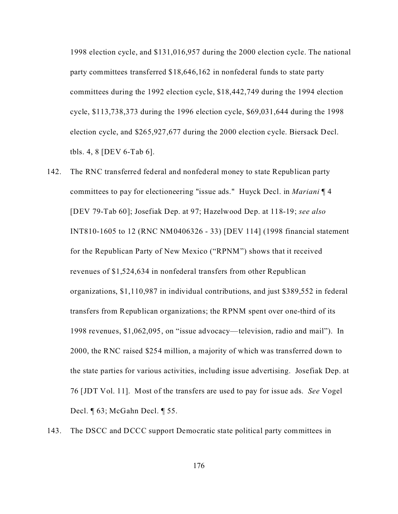1998 election cycle, and \$131,016,957 during the 2000 election cycle. The national party committees transferred \$18,646,162 in nonfederal funds to state party committees during the 1992 election cycle, \$18,442,749 during the 1994 election cycle, \$113,738,373 during the 1996 election cycle, \$69,031,644 during the 1998 election cycle, and \$265,927,677 during the 2000 election cycle. Biersack Decl. tbls. 4, 8 [DEV 6-Tab 6].

- 142. The RNC transferred federal and nonfederal money to state Republican party committees to pay for electioneering "issue ads." Huyck Decl. in *Mariani* ¶ 4 [DEV 79-Tab 60]; Josefiak Dep. at 97; Hazelwood Dep. at 118-19; *see also* INT810-1605 to 12 (RNC NM0406326 - 33) [DEV 114] (1998 financial statement for the Republican Party of New Mexico ("RPNM") shows that it received revenues of \$1,524,634 in nonfederal transfers from other Republican organizations, \$1,110,987 in individual contributions, and just \$389,552 in federal transfers from Republican organizations; the RPNM spent over one-third of its 1998 revenues, \$1,062,095, on "issue advocacy—television, radio and mail"). In 2000, the RNC raised \$254 million, a majority of which was transferred down to the state parties for various activities, including issue advertising. Josefiak Dep. at 76 [JDT Vol. 11]. Most of the transfers are used to pay for issue ads. *See* Vogel Decl. ¶ 63; McGahn Decl. ¶ 55.
- 143. The DSCC and DCCC support Democratic state political party committees in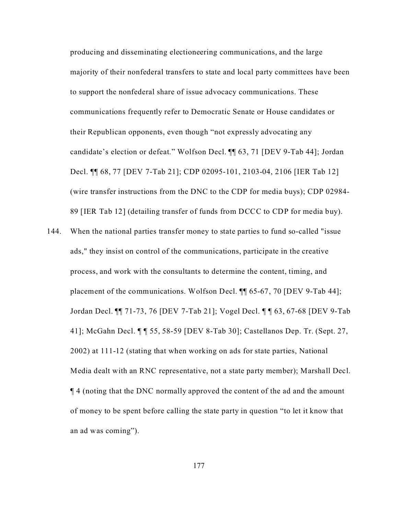producing and disseminating electioneering communications, and the large majority of their nonfederal transfers to state and local party committees have been to support the nonfederal share of issue advocacy communications. These communications frequently refer to Democratic Senate or House candidates or their Republican opponents, even though "not expressly advocating any candidate's election or defeat." Wolfson Decl. ¶¶ 63, 71 [DEV 9-Tab 44]; Jordan Decl. ¶¶ 68, 77 [DEV 7-Tab 21]; CDP 02095-101, 2103-04, 2106 [IER Tab 12] (wire transfer instructions from the DNC to the CDP for media buys); CDP 02984- 89 [IER Tab 12] (detailing transfer of funds from DCCC to CDP for media buy).

144. When the national parties transfer money to state parties to fund so-called "issue ads," they insist on control of the communications, participate in the creative process, and work with the consultants to determine the content, timing, and placement of the communications. Wolfson Decl. ¶¶ 65-67, 70 [DEV 9-Tab 44]; Jordan Decl. ¶¶ 71-73, 76 [DEV 7-Tab 21]; Vogel Decl. ¶ ¶ 63, 67-68 [DEV 9-Tab 41]; McGahn Decl. ¶ ¶ 55, 58-59 [DEV 8-Tab 30]; Castellanos Dep. Tr. (Sept. 27, 2002) at 111-12 (stating that when working on ads for state parties, National Media dealt with an RNC representative, not a state party member); Marshall Decl. ¶ 4 (noting that the DNC normally approved the content of the ad and the amount of money to be spent before calling the state party in question "to let it know that an ad was coming").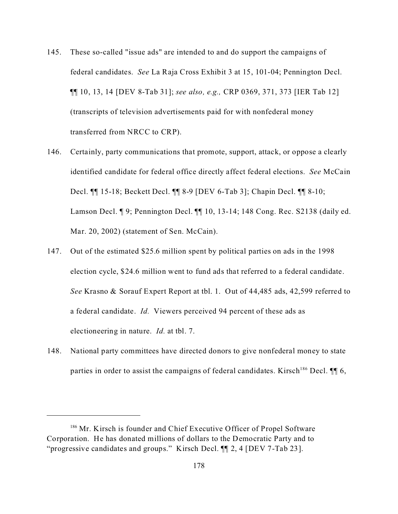- 145. These so-called "issue ads" are intended to and do support the campaigns of federal candidates. *See* La Raja Cross Exhibit 3 at 15, 101-04; Pennington Decl. ¶¶ 10, 13, 14 [DEV 8-Tab 31]; *see also, e.g.,* CRP 0369, 371, 373 [IER Tab 12] (transcripts of television advertisements paid for with nonfederal money transferred from NRCC to CRP).
- 146. Certainly, party communications that promote, support, attack, or oppose a clearly identified candidate for federal office directly affect federal elections. *See* McCain Decl. ¶¶ 15-18; Beckett Decl. ¶¶ 8-9 [DEV 6-Tab 3]; Chapin Decl. ¶¶ 8-10; Lamson Decl. ¶ 9; Pennington Decl. ¶¶ 10, 13-14; 148 Cong. Rec. S2138 (daily ed. Mar. 20, 2002) (statement of Sen. McCain).
- 147. Out of the estimated \$25.6 million spent by political parties on ads in the 1998 election cycle, \$24.6 million went to fund ads that referred to a federal candidate. *See* Krasno & Sorauf Expert Report at tbl. 1. Out of 44,485 ads, 42,599 referred to a federal candidate. *Id.* Viewers perceived 94 percent of these ads as electioneering in nature. *Id.* at tbl. 7.
- 148. National party committees have directed donors to give nonfederal money to state parties in order to assist the campaigns of federal candidates. Kirsch<sup>186</sup> Decl.  $\P\P$  6,

<sup>&</sup>lt;sup>186</sup> Mr. Kirsch is founder and Chief Executive Officer of Propel Software Corporation. He has donated millions of dollars to the Democratic Party and to "progressive candidates and groups." Kirsch Decl. ¶¶ 2, 4 [DEV 7-Tab 23].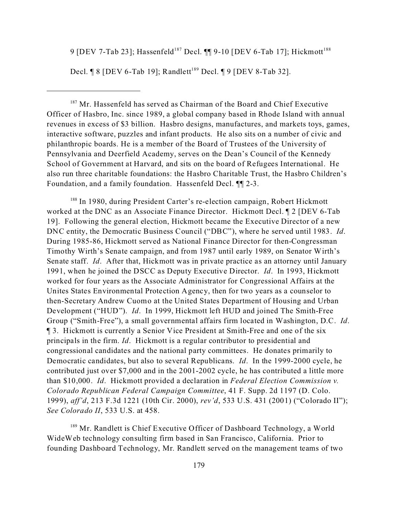9 [DEV 7-Tab 23]; Hassenfeld<sup>187</sup> Decl.  $\P\P$ 9-10 [DEV 6-Tab 17]; Hickmott<sup>188</sup>

Decl.  $\P$  8 [DEV 6-Tab 19]; Randlett<sup>189</sup> Decl.  $\P$  9 [DEV 8-Tab 32].

<sup>187</sup> Mr. Hassenfeld has served as Chairman of the Board and Chief Executive Officer of Hasbro, Inc. since 1989, a global company based in Rhode Island with annual revenues in excess of \$3 billion. Hasbro designs, manufactures, and markets toys, games, interactive software, puzzles and infant products. He also sits on a number of civic and philanthropic boards. He is a member of the Board of Trustees of the University of Pennsylvania and Deerfield Academy, serves on the Dean's Council of the Kennedy School of Government at Harvard, and sits on the board of Refugees International. He also run three charitable foundations: the Hasbro Charitable Trust, the Hasbro Children's Foundation, and a family foundation. Hassenfeld Decl. ¶¶ 2-3.

<sup>188</sup> In 1980, during President Carter's re-election campaign, Robert Hickmott worked at the DNC as an Associate Finance Director. Hickmott Decl. ¶ 2 [DEV 6-Tab 19]. Following the general election, Hickmott became the Executive Director of a new DNC entity, the Democratic Business Council ("DBC"), where he served until 1983. *Id*. During 1985-86, Hickmott served as National Finance Director for then-Congressman Timothy Wirth's Senate campaign, and from 1987 until early 1989, on Senator Wirth's Senate staff. *Id*. After that, Hickmott was in private practice as an attorney until January 1991, when he joined the DSCC as Deputy Executive Director. *Id*. In 1993, Hickmott worked for four years as the Associate Administrator for Congressional Affairs at the Unites States Environmental Protection Agency, then for two years as a counselor to then-Secretary Andrew Cuomo at the United States Department of Housing and Urban Development ("HUD"). *Id*. In 1999, Hickmott left HUD and joined The Smith-Free Group ("Smith-Free"), a small governmental affairs firm located in Washington, D.C. *Id*. ¶ 3. Hickmott is currently a Senior Vice President at Smith-Free and one of the six principals in the firm. *Id*. Hickmott is a regular contributor to presidential and congressional candidates and the national party committees. He donates primarily to Democratic candidates, but also to several Republicans. *Id*. In the 1999-2000 cycle, he contributed just over \$7,000 and in the 2001-2002 cycle, he has contributed a little more than \$10,000. *Id*. Hickmott provided a declaration in *Federal Election Commission v. Colorado Republican Federal Campaign Committee*, 41 F. Supp. 2d 1197 (D. Colo. 1999), *aff'd*, 213 F.3d 1221 (10th Cir. 2000), *rev'd*, 533 U.S. 431 (2001) ("Colorado II"); *See Colorado II*, 533 U.S. at 458.

<sup>189</sup> Mr. Randlett is Chief Executive Officer of Dashboard Technology, a World WideWeb technology consulting firm based in San Francisco, California. Prior to founding Dashboard Technology, Mr. Randlett served on the management teams of two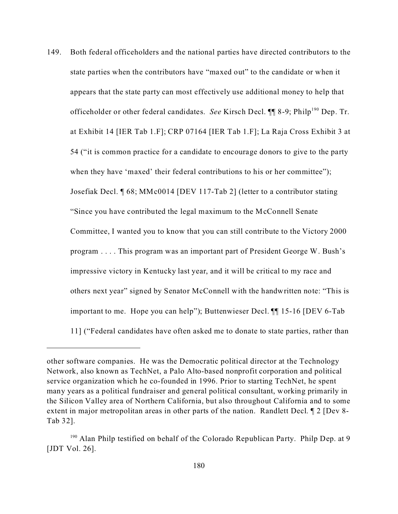149. Both federal officeholders and the national parties have directed contributors to the state parties when the contributors have "maxed out" to the candidate or when it appears that the state party can most effectively use additional money to help that officeholder or other federal candidates. *See* Kirsch Decl. ¶ 8-9; Philp<sup>190</sup> Dep. Tr. at Exhibit 14 [IER Tab 1.F]; CRP 07164 [IER Tab 1.F]; La Raja Cross Exhibit 3 at 54 ("it is common practice for a candidate to encourage donors to give to the party when they have 'maxed' their federal contributions to his or her committee"); Josefiak Decl. ¶ 68; MMc0014 [DEV 117-Tab 2] (letter to a contributor stating "Since you have contributed the legal maximum to the McConnell Senate Committee, I wanted you to know that you can still contribute to the Victory 2000 program . . . . This program was an important part of President George W. Bush's impressive victory in Kentucky last year, and it will be critical to my race and others next year" signed by Senator McConnell with the handwritten note: "This is important to me. Hope you can help"); Buttenwieser Decl. ¶¶ 15-16 [DEV 6-Tab 11] ("Federal candidates have often asked me to donate to state parties, rather than

other software companies. He was the Democratic political director at the Technology Network, also known as TechNet, a Palo Alto-based nonprofit corporation and political service organization which he co-founded in 1996. Prior to starting TechNet, he spent many years as a political fundraiser and general political consultant, working primarily in the Silicon Valley area of Northern California, but also throughout California and to some extent in major metropolitan areas in other parts of the nation. Randlett Decl. ¶ 2 [Dev 8- Tab 32].

<sup>&</sup>lt;sup>190</sup> Alan Philp testified on behalf of the Colorado Republican Party. Philp Dep. at 9 [JDT Vol. 26].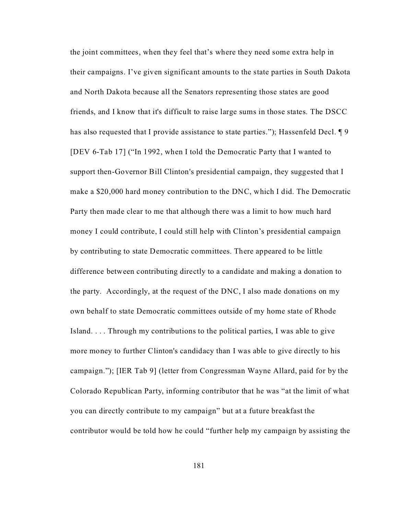the joint committees, when they feel that's where they need some extra help in their campaigns. I've given significant amounts to the state parties in South Dakota and North Dakota because all the Senators representing those states are good friends, and I know that it's difficult to raise large sums in those states. The DSCC has also requested that I provide assistance to state parties."); Hassenfeld Decl. 19 [DEV 6-Tab 17] ("In 1992, when I told the Democratic Party that I wanted to support then-Governor Bill Clinton's presidential campaign, they suggested that I make a \$20,000 hard money contribution to the DNC, which I did. The Democratic Party then made clear to me that although there was a limit to how much hard money I could contribute, I could still help with Clinton's presidential campaign by contributing to state Democratic committees. There appeared to be little difference between contributing directly to a candidate and making a donation to the party. Accordingly, at the request of the DNC, I also made donations on my own behalf to state Democratic committees outside of my home state of Rhode Island. . . . Through my contributions to the political parties, I was able to give more money to further Clinton's candidacy than I was able to give directly to his campaign."); [IER Tab 9] (letter from Congressman Wayne Allard, paid for by the Colorado Republican Party, informing contributor that he was "at the limit of what you can directly contribute to my campaign" but at a future breakfast the contributor would be told how he could "further help my campaign by assisting the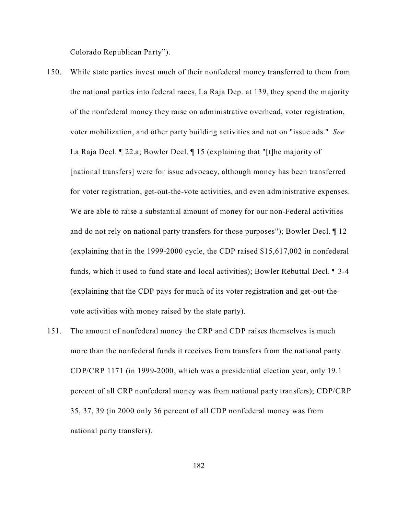Colorado Republican Party").

- 150. While state parties invest much of their nonfederal money transferred to them from the national parties into federal races, La Raja Dep. at 139, they spend the majority of the nonfederal money they raise on administrative overhead, voter registration, voter mobilization, and other party building activities and not on "issue ads." *See* La Raja Decl. ¶ 22.a; Bowler Decl. ¶ 15 (explaining that "[t]he majority of [national transfers] were for issue advocacy, although money has been transferred for voter registration, get-out-the-vote activities, and even administrative expenses. We are able to raise a substantial amount of money for our non-Federal activities and do not rely on national party transfers for those purposes"); Bowler Decl. ¶ 12 (explaining that in the 1999-2000 cycle, the CDP raised \$15,617,002 in nonfederal funds, which it used to fund state and local activities); Bowler Rebuttal Decl. ¶ 3-4 (explaining that the CDP pays for much of its voter registration and get-out-thevote activities with money raised by the state party).
- 151. The amount of nonfederal money the CRP and CDP raises themselves is much more than the nonfederal funds it receives from transfers from the national party. CDP/CRP 1171 (in 1999-2000, which was a presidential election year, only 19.1 percent of all CRP nonfederal money was from national party transfers); CDP/CRP 35, 37, 39 (in 2000 only 36 percent of all CDP nonfederal money was from national party transfers).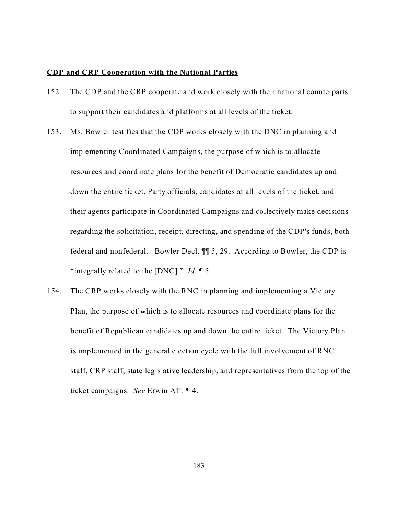### **CDP and CRP Cooperation with the National Parties**

- 152. The CDP and the CRP cooperate and work closely with their national counterparts to support their candidates and platforms at all levels of the ticket.
- 153. Ms. Bowler testifies that the CDP works closely with the DNC in planning and implementing Coordinated Campaigns, the purpose of which is to allocate resources and coordinate plans for the benefit of Democratic candidates up and down the entire ticket. Party officials, candidates at all levels of the ticket, and their agents participate in Coordinated Campaigns and collectively make decisions regarding the solicitation, receipt, directing, and spending of the CDP's funds, both federal and nonfederal. Bowler Decl. ¶¶ 5, 29. According to Bowler, the CDP is "integrally related to the [DNC]." *Id.* ¶ 5.
- 154. The CRP works closely with the RNC in planning and implementing a Victory Plan, the purpose of which is to allocate resources and coordinate plans for the benefit of Republican candidates up and down the entire ticket. The Victory Plan is implemented in the general election cycle with the full involvement of RNC staff, CRP staff, state legislative leadership, and representatives from the top of the ticket campaigns. *See* Erwin Aff. ¶ 4.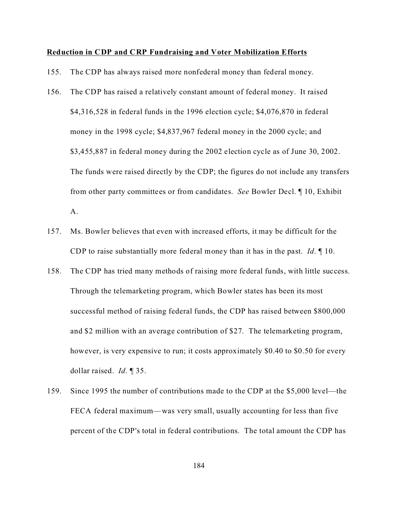### **Reduction in CDP and CRP Fundraising and Voter Mobilization Efforts**

- 155. The CDP has always raised more nonfederal money than federal money.
- 156. The CDP has raised a relatively constant amount of federal money. It raised \$4,316,528 in federal funds in the 1996 election cycle; \$4,076,870 in federal money in the 1998 cycle; \$4,837,967 federal money in the 2000 cycle; and \$3,455,887 in federal money during the 2002 election cycle as of June 30, 2002. The funds were raised directly by the CDP; the figures do not include any transfers from other party committees or from candidates. *See* Bowler Decl. ¶ 10, Exhibit A.
- 157. Ms. Bowler believes that even with increased efforts, it may be difficult for the CDP to raise substantially more federal money than it has in the past. *Id*. ¶ 10.
- 158. The CDP has tried many methods of raising more federal funds, with little success. Through the telemarketing program, which Bowler states has been its most successful method of raising federal funds, the CDP has raised between \$800,000 and \$2 million with an average contribution of \$27. The telemarketing program, however, is very expensive to run; it costs approximately \$0.40 to \$0.50 for every dollar raised. *Id*. ¶ 35.
- 159. Since 1995 the number of contributions made to the CDP at the \$5,000 level—the FECA federal maximum—was very small, usually accounting for less than five percent of the CDP's total in federal contributions. The total amount the CDP has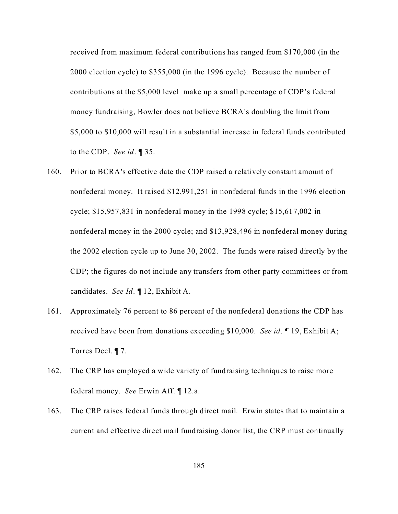received from maximum federal contributions has ranged from \$170,000 (in the 2000 election cycle) to \$355,000 (in the 1996 cycle). Because the number of contributions at the \$5,000 level make up a small percentage of CDP's federal money fundraising, Bowler does not believe BCRA's doubling the limit from \$5,000 to \$10,000 will result in a substantial increase in federal funds contributed to the CDP. *See id*. ¶ 35.

- 160. Prior to BCRA's effective date the CDP raised a relatively constant amount of nonfederal money. It raised \$12,991,251 in nonfederal funds in the 1996 election cycle; \$15,957,831 in nonfederal money in the 1998 cycle; \$15,617,002 in nonfederal money in the 2000 cycle; and \$13,928,496 in nonfederal money during the 2002 election cycle up to June 30, 2002. The funds were raised directly by the CDP; the figures do not include any transfers from other party committees or from candidates. *See Id*. ¶ 12, Exhibit A.
- 161. Approximately 76 percent to 86 percent of the nonfederal donations the CDP has received have been from donations exceeding \$10,000. *See id*. ¶ 19, Exhibit A; Torres Decl. ¶ 7.
- 162. The CRP has employed a wide variety of fundraising techniques to raise more federal money. *See* Erwin Aff. ¶ 12.a.
- 163. The CRP raises federal funds through direct mail. Erwin states that to maintain a current and effective direct mail fundraising donor list, the CRP must continually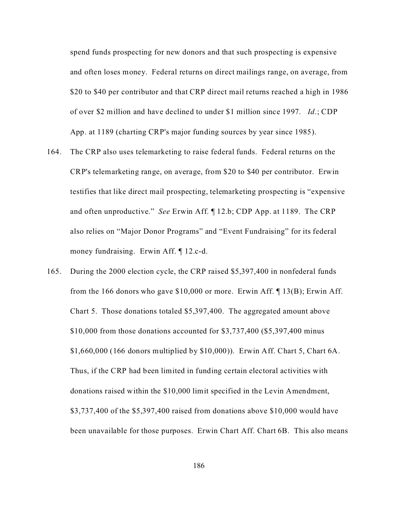spend funds prospecting for new donors and that such prospecting is expensive and often loses money. Federal returns on direct mailings range, on average, from \$20 to \$40 per contributor and that CRP direct mail returns reached a high in 1986 of over \$2 million and have declined to under \$1 million since 1997. *Id*.; CDP App. at 1189 (charting CRP's major funding sources by year since 1985).

- 164. The CRP also uses telemarketing to raise federal funds. Federal returns on the CRP's telemarketing range, on average, from \$20 to \$40 per contributor. Erwin testifies that like direct mail prospecting, telemarketing prospecting is "expensive and often unproductive." *See* Erwin Aff. ¶ 12.b; CDP App. at 1189. The CRP also relies on "Major Donor Programs" and "Event Fundraising" for its federal money fundraising. Erwin Aff. ¶ 12.c-d.
- 165. During the 2000 election cycle, the CRP raised \$5,397,400 in nonfederal funds from the 166 donors who gave \$10,000 or more. Erwin Aff. ¶ 13(B); Erwin Aff. Chart 5. Those donations totaled \$5,397,400. The aggregated amount above \$10,000 from those donations accounted for \$3,737,400 (\$5,397,400 minus \$1,660,000 (166 donors multiplied by \$10,000)). Erwin Aff. Chart 5, Chart 6A. Thus, if the CRP had been limited in funding certain electoral activities with donations raised within the \$10,000 limit specified in the Levin Amendment, \$3,737,400 of the \$5,397,400 raised from donations above \$10,000 would have been unavailable for those purposes. Erwin Chart Aff. Chart 6B. This also means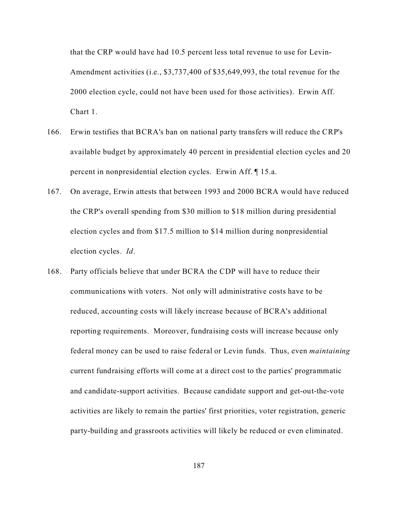that the CRP would have had 10.5 percent less total revenue to use for Levin-Amendment activities (i.e., \$3,737,400 of \$35,649,993, the total revenue for the 2000 election cycle, could not have been used for those activities). Erwin Aff. Chart 1.

- 166. Erwin testifies that BCRA's ban on national party transfers will reduce the CRP's available budget by approximately 40 percent in presidential election cycles and 20 percent in nonpresidential election cycles. Erwin Aff. ¶ 15.a.
- 167. On average, Erwin attests that between 1993 and 2000 BCRA would have reduced the CRP's overall spending from \$30 million to \$18 million during presidential election cycles and from \$17.5 million to \$14 million during nonpresidential election cycles. *Id*.
- 168. Party officials believe that under BCRA the CDP will have to reduce their communications with voters. Not only will administrative costs have to be reduced, accounting costs will likely increase because of BCRA's additional reporting requirements. Moreover, fundraising costs will increase because only federal money can be used to raise federal or Levin funds. Thus, even *maintaining* current fundraising efforts will come at a direct cost to the parties' programmatic and candidate-support activities. Because candidate support and get-out-the-vote activities are likely to remain the parties' first priorities, voter registration, generic party-building and grassroots activities will likely be reduced or even eliminated.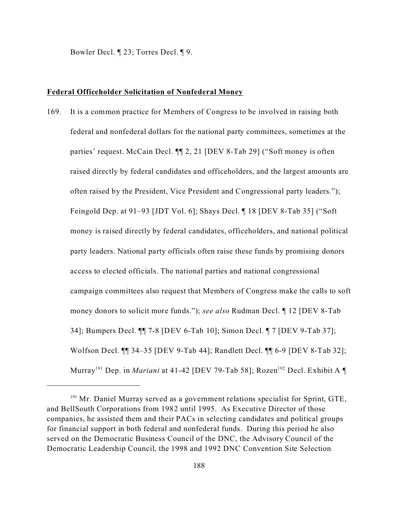Bowler Decl. ¶ 23; Torres Decl. ¶ 9.

### **Federal Officeholder Solicitation of Nonfederal Money**

169. It is a common practice for Members of Congress to be involved in raising both federal and nonfederal dollars for the national party committees, sometimes at the parties' request. McCain Decl. ¶¶ 2, 21 [DEV 8-Tab 29] ("Soft money is often raised directly by federal candidates and officeholders, and the largest amounts are often raised by the President, Vice President and Congressional party leaders."); Feingold Dep. at 91–93 [JDT Vol. 6]; Shays Decl. ¶ 18 [DEV 8-Tab 35] ("Soft money is raised directly by federal candidates, officeholders, and national political party leaders. National party officials often raise these funds by promising donors access to elected officials. The national parties and national congressional campaign committees also request that Members of Congress make the calls to soft money donors to solicit more funds."); *see also* Rudman Decl. ¶ 12 [DEV 8-Tab 34]; Bumpers Decl. ¶¶ 7-8 [DEV 6-Tab 10]; Simon Decl. ¶ 7 [DEV 9-Tab 37]; Wolfson Decl. ¶¶ 34–35 [DEV 9-Tab 44]; Randlett Decl. ¶¶ 6-9 [DEV 8-Tab 32]; Murray<sup>191</sup> Dep. in *Mariani* at 41-42 [DEV 79-Tab 58]; Rozen<sup>192</sup> Decl. Exhibit A ¶

<sup>&</sup>lt;sup>191</sup> Mr. Daniel Murray served as a government relations specialist for Sprint, GTE, and BellSouth Corporations from 1982 until 1995. As Executive Director of those companies, he assisted them and their PACs in selecting candidates and political groups for financial support in both federal and nonfederal funds. During this period he also served on the Democratic Business Council of the DNC, the Advisory Council of the Democratic Leadership Council, the 1998 and 1992 DNC Convention Site Selection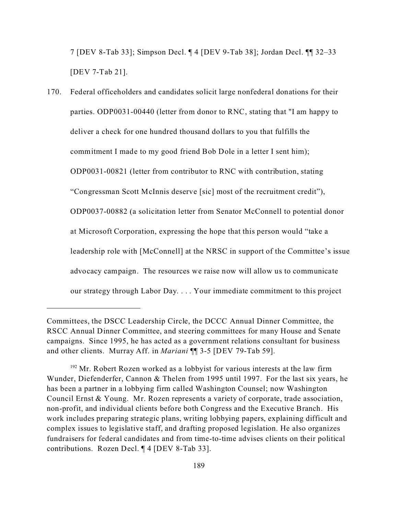7 [DEV 8-Tab 33]; Simpson Decl. ¶ 4 [DEV 9-Tab 38]; Jordan Decl. ¶¶ 32–33 [DEV 7-Tab 21].

170. Federal officeholders and candidates solicit large nonfederal donations for their parties. ODP0031-00440 (letter from donor to RNC, stating that "I am happy to deliver a check for one hundred thousand dollars to you that fulfills the commitment I made to my good friend Bob Dole in a letter I sent him); ODP0031-00821 (letter from contributor to RNC with contribution, stating "Congressman Scott McInnis deserve [sic] most of the recruitment credit"), ODP0037-00882 (a solicitation letter from Senator McConnell to potential donor at Microsoft Corporation, expressing the hope that this person would "take a leadership role with [McConnell] at the NRSC in support of the Committee's issue advocacy campaign. The resources we raise now will allow us to communicate our strategy through Labor Day. . . . Your immediate commitment to this project

Committees, the DSCC Leadership Circle, the DCCC Annual Dinner Committee, the RSCC Annual Dinner Committee, and steering committees for many House and Senate campaigns. Since 1995, he has acted as a government relations consultant for business and other clients. Murray Aff. in *Mariani* ¶¶ 3-5 [DEV 79-Tab 59].

 $192$  Mr. Robert Rozen worked as a lobbyist for various interests at the law firm Wunder, Diefenderfer, Cannon & Thelen from 1995 until 1997. For the last six years, he has been a partner in a lobbying firm called Washington Counsel; now Washington Council Ernst & Young. Mr. Rozen represents a variety of corporate, trade association, non-profit, and individual clients before both Congress and the Executive Branch. His work includes preparing strategic plans, writing lobbying papers, explaining difficult and complex issues to legislative staff, and drafting proposed legislation. He also organizes fundraisers for federal candidates and from time-to-time advises clients on their political contributions. Rozen Decl. ¶ 4 [DEV 8-Tab 33].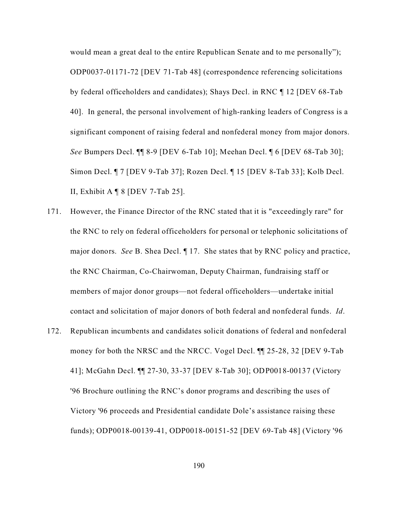would mean a great deal to the entire Republican Senate and to me personally"); ODP0037-01171-72 [DEV 71-Tab 48] (correspondence referencing solicitations by federal officeholders and candidates); Shays Decl. in RNC ¶ 12 [DEV 68-Tab 40]. In general, the personal involvement of high-ranking leaders of Congress is a significant component of raising federal and nonfederal money from major donors. *See* Bumpers Decl. ¶¶ 8-9 [DEV 6-Tab 10]; Meehan Decl. ¶ 6 [DEV 68-Tab 30]; Simon Decl. ¶ 7 [DEV 9-Tab 37]; Rozen Decl. ¶ 15 [DEV 8-Tab 33]; Kolb Decl. II, Exhibit A  $\P$  8 [DEV 7-Tab 25].

- 171. However, the Finance Director of the RNC stated that it is "exceedingly rare" for the RNC to rely on federal officeholders for personal or telephonic solicitations of major donors. *See* B. Shea Decl. ¶ 17. She states that by RNC policy and practice, the RNC Chairman, Co-Chairwoman, Deputy Chairman, fundraising staff or members of major donor groups—not federal officeholders—undertake initial contact and solicitation of major donors of both federal and nonfederal funds. *Id*.
- 172. Republican incumbents and candidates solicit donations of federal and nonfederal money for both the NRSC and the NRCC. Vogel Decl. ¶¶ 25-28, 32 [DEV 9-Tab 41]; McGahn Decl. ¶¶ 27-30, 33-37 [DEV 8-Tab 30]; ODP0018-00137 (Victory '96 Brochure outlining the RNC's donor programs and describing the uses of Victory '96 proceeds and Presidential candidate Dole's assistance raising these funds); ODP0018-00139-41, ODP0018-00151-52 [DEV 69-Tab 48] (Victory '96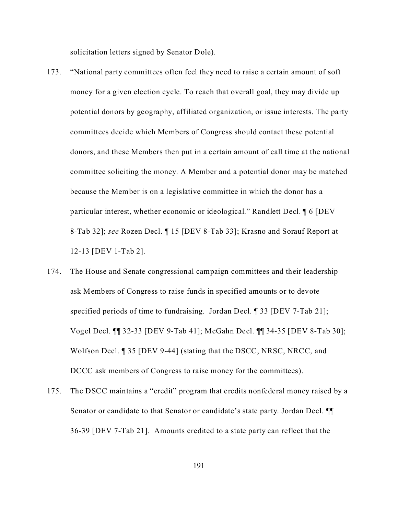solicitation letters signed by Senator Dole).

- 173. "National party committees often feel they need to raise a certain amount of soft money for a given election cycle. To reach that overall goal, they may divide up potential donors by geography, affiliated organization, or issue interests. The party committees decide which Members of Congress should contact these potential donors, and these Members then put in a certain amount of call time at the national committee soliciting the money. A Member and a potential donor may be matched because the Member is on a legislative committee in which the donor has a particular interest, whether economic or ideological." Randlett Decl. ¶ 6 [DEV 8-Tab 32]; *see* Rozen Decl. ¶ 15 [DEV 8-Tab 33]; Krasno and Sorauf Report at 12-13 [DEV 1-Tab 2].
- 174. The House and Senate congressional campaign committees and their leadership ask Members of Congress to raise funds in specified amounts or to devote specified periods of time to fundraising. Jordan Decl. ¶ 33 [DEV 7-Tab 21]; Vogel Decl. ¶¶ 32-33 [DEV 9-Tab 41]; McGahn Decl. ¶¶ 34-35 [DEV 8-Tab 30]; Wolfson Decl. **[35** [DEV 9-44] (stating that the DSCC, NRSC, NRCC, and DCCC ask members of Congress to raise money for the committees).
- 175. The DSCC maintains a "credit" program that credits nonfederal money raised by a Senator or candidate to that Senator or candidate's state party. Jordan Decl. ¶¶ 36-39 [DEV 7-Tab 21]. Amounts credited to a state party can reflect that the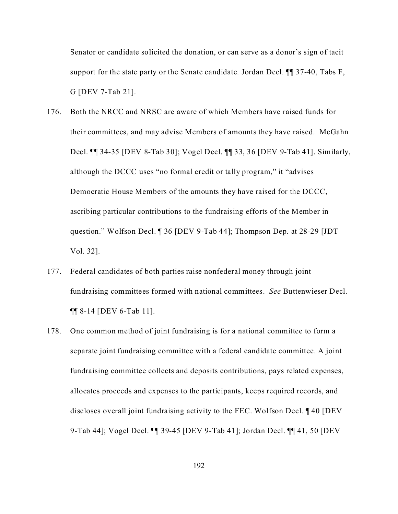Senator or candidate solicited the donation, or can serve as a donor's sign of tacit support for the state party or the Senate candidate. Jordan Decl.  $\P\P$  37-40, Tabs F, G [DEV 7-Tab 21].

- 176. Both the NRCC and NRSC are aware of which Members have raised funds for their committees, and may advise Members of amounts they have raised. McGahn Decl. ¶¶ 34-35 [DEV 8-Tab 30]; Vogel Decl. ¶¶ 33, 36 [DEV 9-Tab 41]. Similarly, although the DCCC uses "no formal credit or tally program," it "advises Democratic House Members of the amounts they have raised for the DCCC, ascribing particular contributions to the fundraising efforts of the Member in question." Wolfson Decl. ¶ 36 [DEV 9-Tab 44]; Thompson Dep. at 28-29 [JDT Vol. 32].
- 177. Federal candidates of both parties raise nonfederal money through joint fundraising committees formed with national committees. *See* Buttenwieser Decl. ¶¶ 8-14 [DEV 6-Tab 11].
- 178. One common method of joint fundraising is for a national committee to form a separate joint fundraising committee with a federal candidate committee. A joint fundraising committee collects and deposits contributions, pays related expenses, allocates proceeds and expenses to the participants, keeps required records, and discloses overall joint fundraising activity to the FEC. Wolfson Decl. ¶ 40 [DEV 9-Tab 44]; Vogel Decl. ¶¶ 39-45 [DEV 9-Tab 41]; Jordan Decl. ¶¶ 41, 50 [DEV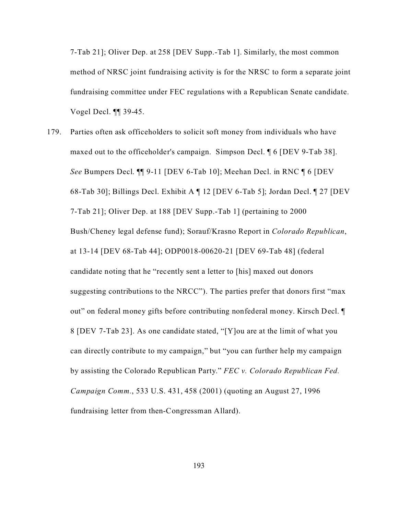7-Tab 21]; Oliver Dep. at 258 [DEV Supp.-Tab 1]. Similarly, the most common method of NRSC joint fundraising activity is for the NRSC to form a separate joint fundraising committee under FEC regulations with a Republican Senate candidate. Vogel Decl. ¶¶ 39-45.

179. Parties often ask officeholders to solicit soft money from individuals who have maxed out to the officeholder's campaign. Simpson Decl. ¶ 6 [DEV 9-Tab 38]. *See* Bumpers Decl. ¶¶ 9-11 [DEV 6-Tab 10]; Meehan Decl. in RNC ¶ 6 [DEV 68-Tab 30]; Billings Decl. Exhibit A ¶ 12 [DEV 6-Tab 5]; Jordan Decl. ¶ 27 [DEV 7-Tab 21]; Oliver Dep. at 188 [DEV Supp.-Tab 1] (pertaining to 2000 Bush/Cheney legal defense fund); Sorauf/Krasno Report in *Colorado Republican*, at 13-14 [DEV 68-Tab 44]; ODP0018-00620-21 [DEV 69-Tab 48] (federal candidate noting that he "recently sent a letter to [his] maxed out donors suggesting contributions to the NRCC"). The parties prefer that donors first "max out" on federal money gifts before contributing nonfederal money. Kirsch Decl. ¶ 8 [DEV 7-Tab 23]. As one candidate stated, "[Y]ou are at the limit of what you can directly contribute to my campaign," but "you can further help my campaign by assisting the Colorado Republican Party." *FEC v. Colorado Republican Fed. Campaign Comm.*, 533 U.S. 431, 458 (2001) (quoting an August 27, 1996 fundraising letter from then-Congressman Allard).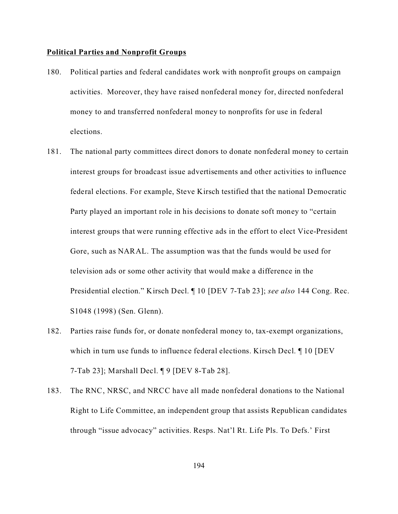### **Political Parties and Nonprofit Groups**

- 180. Political parties and federal candidates work with nonprofit groups on campaign activities. Moreover, they have raised nonfederal money for, directed nonfederal money to and transferred nonfederal money to nonprofits for use in federal elections.
- 181. The national party committees direct donors to donate nonfederal money to certain interest groups for broadcast issue advertisements and other activities to influence federal elections. For example, Steve Kirsch testified that the national Democratic Party played an important role in his decisions to donate soft money to "certain interest groups that were running effective ads in the effort to elect Vice-President Gore, such as NARAL. The assumption was that the funds would be used for television ads or some other activity that would make a difference in the Presidential election." Kirsch Decl. ¶ 10 [DEV 7-Tab 23]; *see also* 144 Cong. Rec. S1048 (1998) (Sen. Glenn).
- 182. Parties raise funds for, or donate nonfederal money to, tax-exempt organizations, which in turn use funds to influence federal elections. Kirsch Decl. ¶ 10 [DEV 7-Tab 23]; Marshall Decl. ¶ 9 [DEV 8-Tab 28].
- 183. The RNC, NRSC, and NRCC have all made nonfederal donations to the National Right to Life Committee, an independent group that assists Republican candidates through "issue advocacy" activities. Resps. Nat'l Rt. Life Pls. To Defs.' First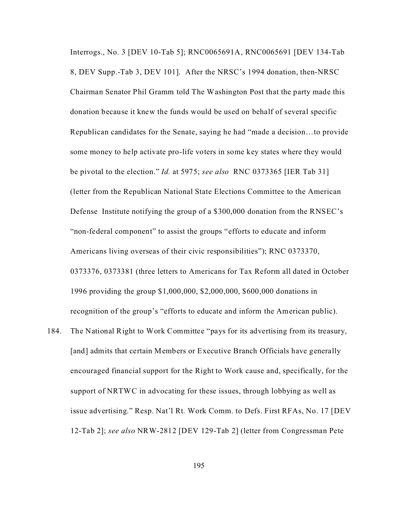Interrogs., No. 3 [DEV 10-Tab 5]; RNC0065691A, RNC0065691 [DEV 134-Tab 8, DEV Supp.-Tab 3, DEV 101]. After the NRSC's 1994 donation, then-NRSC Chairman Senator Phil Gramm told The Washington Post that the party made this donation because it knew the funds would be used on behalf of several specific Republican candidates for the Senate, saying he had "made a decision…to provide some money to help activate pro-life voters in some key states where they would be pivotal to the election." *Id.* at 5975; *see also* RNC 0373365 [IER Tab 31] (letter from the Republican National State Elections Committee to the American Defense Institute notifying the group of a \$300,000 donation from the RNSEC's "non-federal component" to assist the groups "efforts to educate and inform Americans living overseas of their civic responsibilities"); RNC 0373370, 0373376, 0373381 (three letters to Americans for Tax Reform all dated in October 1996 providing the group \$1,000,000, \$2,000,000, \$600,000 donations in recognition of the group's "efforts to educate and inform the American public).

184. The National Right to Work Committee "pays for its advertising from its treasury, [and] admits that certain Members or Executive Branch Officials have generally encouraged financial support for the Right to Work cause and, specifically, for the support of NRTWC in advocating for these issues, through lobbying as well as issue advertising." Resp. Nat'l Rt. Work Comm. to Defs. First RFAs, No. 17 [DEV 12-Tab 2]; *see also* NRW-2812 [DEV 129-Tab 2] (letter from Congressman Pete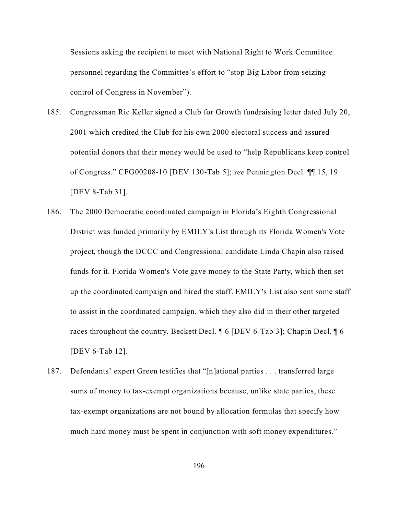Sessions asking the recipient to meet with National Right to Work Committee personnel regarding the Committee's effort to "stop Big Labor from seizing control of Congress in November").

- 185. Congressman Ric Keller signed a Club for Growth fundraising letter dated July 20, 2001 which credited the Club for his own 2000 electoral success and assured potential donors that their money would be used to "help Republicans keep control of Congress." CFG00208-10 [DEV 130-Tab 5]; *see* Pennington Decl. ¶¶ 15, 19 [DEV 8-Tab 31].
- 186. The 2000 Democratic coordinated campaign in Florida's Eighth Congressional District was funded primarily by EMILY's List through its Florida Women's Vote project, though the DCCC and Congressional candidate Linda Chapin also raised funds for it. Florida Women's Vote gave money to the State Party, which then set up the coordinated campaign and hired the staff. EMILY's List also sent some staff to assist in the coordinated campaign, which they also did in their other targeted races throughout the country. Beckett Decl. ¶ 6 [DEV 6-Tab 3]; Chapin Decl. ¶ 6 [DEV 6-Tab 12].
- 187. Defendants' expert Green testifies that "[n]ational parties . . . transferred large sums of money to tax-exempt organizations because, unlike state parties, these tax-exempt organizations are not bound by allocation formulas that specify how much hard money must be spent in conjunction with soft money expenditures."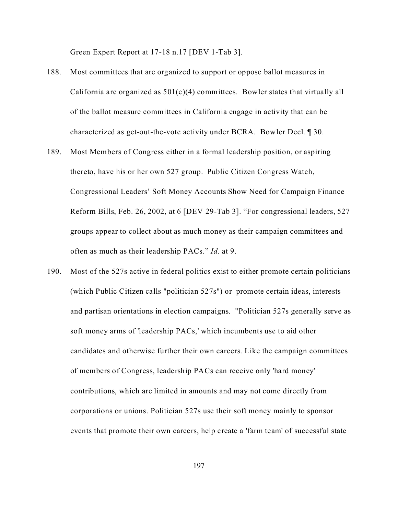Green Expert Report at 17-18 n.17 [DEV 1-Tab 3].

- 188. Most committees that are organized to support or oppose ballot measures in California are organized as  $501(c)(4)$  committees. Bowler states that virtually all of the ballot measure committees in California engage in activity that can be characterized as get-out-the-vote activity under BCRA. Bowler Decl. ¶ 30.
- 189. Most Members of Congress either in a formal leadership position, or aspiring thereto, have his or her own 527 group. Public Citizen Congress Watch, Congressional Leaders' Soft Money Accounts Show Need for Campaign Finance Reform Bills, Feb. 26, 2002, at 6 [DEV 29-Tab 3]. "For congressional leaders, 527 groups appear to collect about as much money as their campaign committees and often as much as their leadership PACs." *Id.* at 9.
- 190. Most of the 527s active in federal politics exist to either promote certain politicians (which Public Citizen calls "politician 527s") or promote certain ideas, interests and partisan orientations in election campaigns. "Politician 527s generally serve as soft money arms of 'leadership PACs,' which incumbents use to aid other candidates and otherwise further their own careers. Like the campaign committees of members of Congress, leadership PACs can receive only 'hard money' contributions, which are limited in amounts and may not come directly from corporations or unions. Politician 527s use their soft money mainly to sponsor events that promote their own careers, help create a 'farm team' of successful state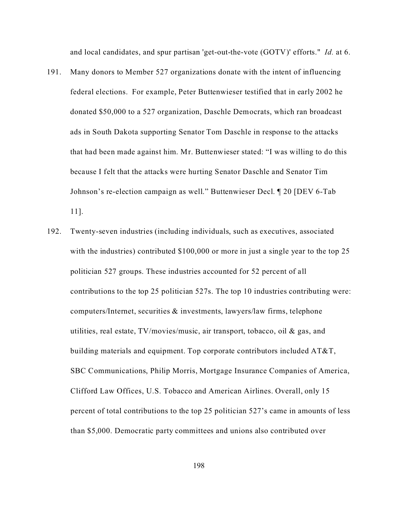and local candidates, and spur partisan 'get-out-the-vote (GOTV)' efforts." *Id.* at 6.

- 191. Many donors to Member 527 organizations donate with the intent of influencing federal elections. For example, Peter Buttenwieser testified that in early 2002 he donated \$50,000 to a 527 organization, Daschle Democrats, which ran broadcast ads in South Dakota supporting Senator Tom Daschle in response to the attacks that had been made against him. Mr. Buttenwieser stated: "I was willing to do this because I felt that the attacks were hurting Senator Daschle and Senator Tim Johnson's re-election campaign as well." Buttenwieser Decl. ¶ 20 [DEV 6-Tab 11].
- 192. Twenty-seven industries (including individuals, such as executives, associated with the industries) contributed \$100,000 or more in just a single year to the top 25 politician 527 groups. These industries accounted for 52 percent of all contributions to the top 25 politician 527s. The top 10 industries contributing were: computers/Internet, securities & investments, lawyers/law firms, telephone utilities, real estate, TV/movies/music, air transport, tobacco, oil & gas, and building materials and equipment. Top corporate contributors included  $AT&T$ , SBC Communications, Philip Morris, Mortgage Insurance Companies of America, Clifford Law Offices, U.S. Tobacco and American Airlines. Overall, only 15 percent of total contributions to the top 25 politician 527's came in amounts of less than \$5,000. Democratic party committees and unions also contributed over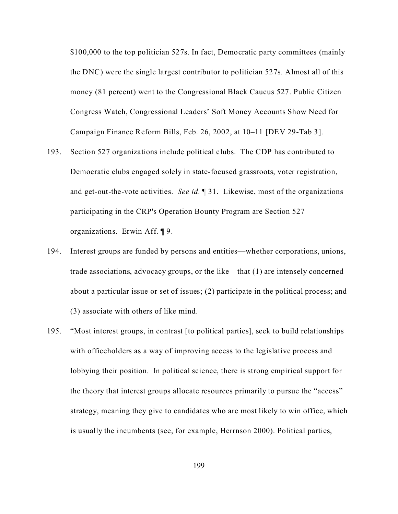\$100,000 to the top politician 527s. In fact, Democratic party committees (mainly the DNC) were the single largest contributor to politician 527s. Almost all of this money (81 percent) went to the Congressional Black Caucus 527. Public Citizen Congress Watch, Congressional Leaders' Soft Money Accounts Show Need for Campaign Finance Reform Bills, Feb. 26, 2002, at 10–11 [DEV 29-Tab 3].

- 193. Section 527 organizations include political clubs. The CDP has contributed to Democratic clubs engaged solely in state-focused grassroots, voter registration, and get-out-the-vote activities. *See id.* ¶ 31. Likewise, most of the organizations participating in the CRP's Operation Bounty Program are Section 527 organizations. Erwin Aff. ¶ 9.
- 194. Interest groups are funded by persons and entities—whether corporations, unions, trade associations, advocacy groups, or the like—that (1) are intensely concerned about a particular issue or set of issues; (2) participate in the political process; and (3) associate with others of like mind.
- 195. "Most interest groups, in contrast [to political parties], seek to build relationships with officeholders as a way of improving access to the legislative process and lobbying their position. In political science, there is strong empirical support for the theory that interest groups allocate resources primarily to pursue the "access" strategy, meaning they give to candidates who are most likely to win office, which is usually the incumbents (see, for example, Herrnson 2000). Political parties,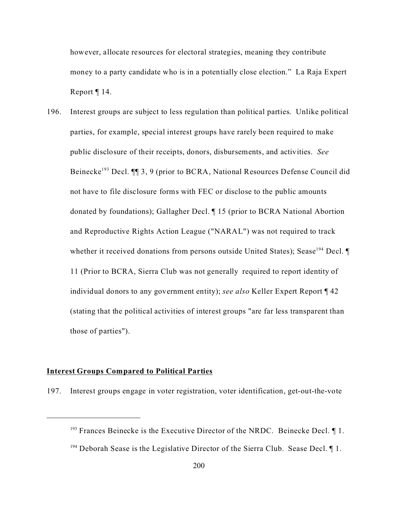however, allocate resources for electoral strategies, meaning they contribute money to a party candidate who is in a potentially close election." La Raja Expert Report ¶ 14.

196. Interest groups are subject to less regulation than political parties. Unlike political parties, for example, special interest groups have rarely been required to make public disclosure of their receipts, donors, disbursements, and activities. *See* Beinecke<sup>193</sup> Decl. ¶¶ 3, 9 (prior to BCRA, National Resources Defense Council did not have to file disclosure forms with FEC or disclose to the public amounts donated by foundations); Gallagher Decl. ¶ 15 (prior to BCRA National Abortion and Reproductive Rights Action League ("NARAL") was not required to track whether it received donations from persons outside United States); Sease<sup>194</sup> Decl.  $\P$ 11 (Prior to BCRA, Sierra Club was not generally required to report identity of individual donors to any government entity); *see also* Keller Expert Report ¶ 42 (stating that the political activities of interest groups "are far less transparent than those of parties").

### **Interest Groups Compared to Political Parties**

197. Interest groups engage in voter registration, voter identification, get-out-the-vote

 $193$  Frances Beinecke is the Executive Director of the NRDC. Beinecke Decl.  $\P$ 1.

 $194$  Deborah Sease is the Legislative Director of the Sierra Club. Sease Decl.  $\P$  1.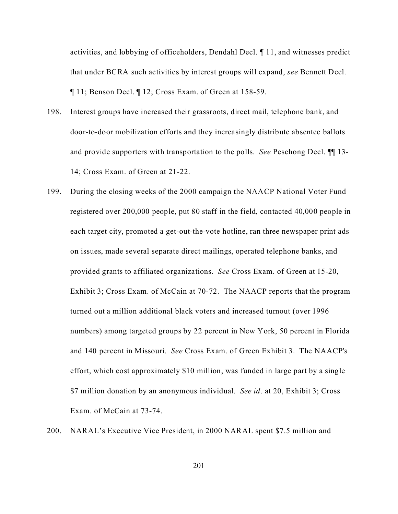activities, and lobbying of officeholders, Dendahl Decl. ¶ 11, and witnesses predict that under BCRA such activities by interest groups will expand, *see* Bennett Decl. ¶ 11; Benson Decl. ¶ 12; Cross Exam. of Green at 158-59.

- 198. Interest groups have increased their grassroots, direct mail, telephone bank, and door-to-door mobilization efforts and they increasingly distribute absentee ballots and provide supporters with transportation to the polls. *See* Peschong Decl. ¶¶ 13- 14; Cross Exam. of Green at 21-22.
- 199. During the closing weeks of the 2000 campaign the NAACP National Voter Fund registered over 200,000 people, put 80 staff in the field, contacted 40,000 people in each target city, promoted a get-out-the-vote hotline, ran three newspaper print ads on issues, made several separate direct mailings, operated telephone banks, and provided grants to affiliated organizations. *See* Cross Exam. of Green at 15-20, Exhibit 3; Cross Exam. of McCain at 70-72. The NAACP reports that the program turned out a million additional black voters and increased turnout (over 1996 numbers) among targeted groups by 22 percent in New York, 50 percent in Florida and 140 percent in Missouri. *See* Cross Exam. of Green Exhibit 3. The NAACP's effort, which cost approximately \$10 million, was funded in large part by a single \$7 million donation by an anonymous individual. *See id*. at 20, Exhibit 3; Cross Exam. of McCain at 73-74.
- 200. NARAL's Executive Vice President, in 2000 NARAL spent \$7.5 million and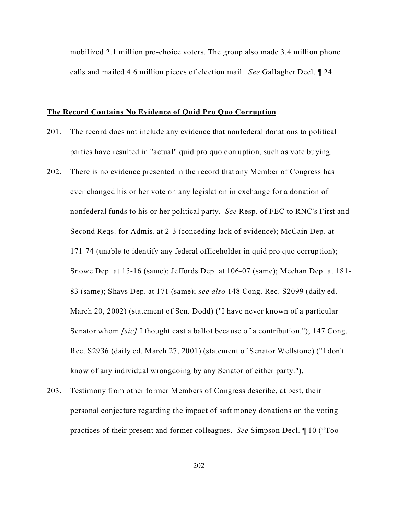mobilized 2.1 million pro-choice voters. The group also made 3.4 million phone calls and mailed 4.6 million pieces of election mail. *See* Gallagher Decl. ¶ 24.

### **The Record Contains No Evidence of Quid Pro Quo Corruption**

- 201. The record does not include any evidence that nonfederal donations to political parties have resulted in "actual" quid pro quo corruption, such as vote buying.
- 202. There is no evidence presented in the record that any Member of Congress has ever changed his or her vote on any legislation in exchange for a donation of nonfederal funds to his or her political party. *See* Resp. of FEC to RNC's First and Second Reqs. for Admis. at 2-3 (conceding lack of evidence); McCain Dep. at 171-74 (unable to identify any federal officeholder in quid pro quo corruption); Snowe Dep. at 15-16 (same); Jeffords Dep. at 106-07 (same); Meehan Dep. at 181- 83 (same); Shays Dep. at 171 (same); *see also* 148 Cong. Rec. S2099 (daily ed. March 20, 2002) (statement of Sen. Dodd) ("I have never known of a particular Senator whom *[sic]* I thought cast a ballot because of a contribution."); 147 Cong. Rec. S2936 (daily ed. March 27, 2001) (statement of Senator Wellstone) ("I don't know of any individual wrongdoing by any Senator of either party.").
- 203. Testimony from other former Members of Congress describe, at best, their personal conjecture regarding the impact of soft money donations on the voting practices of their present and former colleagues. *See* Simpson Decl. ¶ 10 ("Too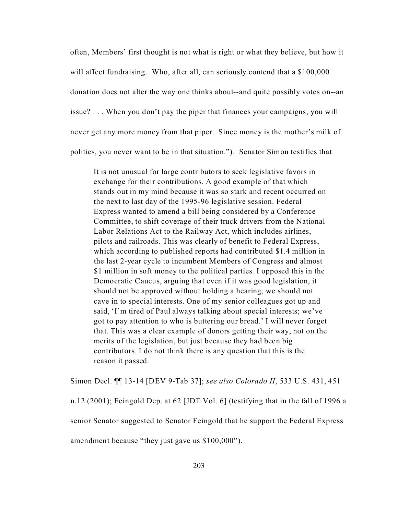often, Members' first thought is not what is right or what they believe, but how it will affect fundraising. Who, after all, can seriously contend that a \$100,000 donation does not alter the way one thinks about--and quite possibly votes on--an issue? . . . When you don't pay the piper that finances your campaigns, you will never get any more money from that piper. Since money is the mother's milk of politics, you never want to be in that situation."). Senator Simon testifies that

It is not unusual for large contributors to seek legislative favors in exchange for their contributions. A good example of that which stands out in my mind because it was so stark and recent occurred on the next to last day of the 1995-96 legislative session. Federal Express wanted to amend a bill being considered by a Conference Committee, to shift coverage of their truck drivers from the National Labor Relations Act to the Railway Act, which includes airlines, pilots and railroads. This was clearly of benefit to Federal Express, which according to published reports had contributed \$1.4 million in the last 2-year cycle to incumbent Members of Congress and almost \$1 million in soft money to the political parties. I opposed this in the Democratic Caucus, arguing that even if it was good legislation, it should not be approved without holding a hearing, we should not cave in to special interests. One of my senior colleagues got up and said, 'I'm tired of Paul always talking about special interests; we've got to pay attention to who is buttering our bread.' I will never forget that. This was a clear example of donors getting their way, not on the merits of the legislation, but just because they had been big contributors. I do not think there is any question that this is the reason it passed.

Simon Decl. ¶¶ 13-14 [DEV 9-Tab 37]; *see also Colorado II*, 533 U.S. 431, 451 n.12 (2001); Feingold Dep. at 62 [JDT Vol. 6] (testifying that in the fall of 1996 a senior Senator suggested to Senator Feingold that he support the Federal Express amendment because "they just gave us \$100,000").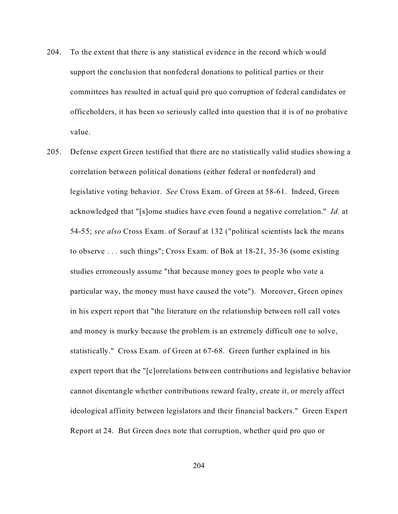- 204. To the extent that there is any statistical evidence in the record which would support the conclusion that nonfederal donations to political parties or their committees has resulted in actual quid pro quo corruption of federal candidates or officeholders, it has been so seriously called into question that it is of no probative value.
- 205. Defense expert Green testified that there are no statistically valid studies showing a correlation between political donations (either federal or nonfederal) and legislative voting behavior. *See* Cross Exam. of Green at 58-61. Indeed, Green acknowledged that "[s]ome studies have even found a negative correlation." *Id.* at 54-55; *see also* Cross Exam. of Sorauf at 132 ("political scientists lack the means to observe . . . such things"; Cross Exam. of Bok at 18-21, 35-36 (some existing studies erroneously assume "that because money goes to people who vote a particular way, the money must have caused the vote"). Moreover, Green opines in his expert report that "the literature on the relationship between roll call votes and money is murky because the problem is an extremely difficult one to solve, statistically." Cross Exam. of Green at 67-68. Green further explained in his expert report that the "[c]orrelations between contributions and legislative behavior cannot disentangle whether contributions reward fealty, create it, or merely affect ideological affinity between legislators and their financial backers." Green Expert Report at 24. But Green does note that corruption, whether quid pro quo or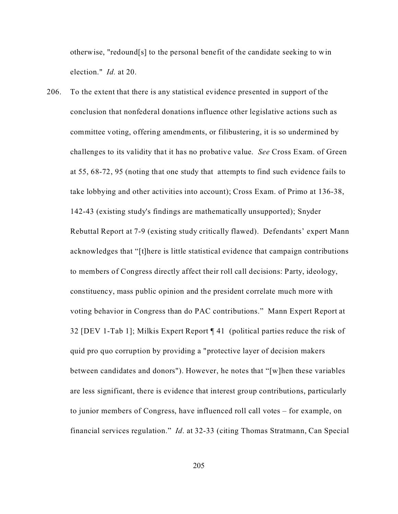otherwise, "redound[s] to the personal benefit of the candidate seeking to win election." *Id.* at 20.

206. To the extent that there is any statistical evidence presented in support of the conclusion that nonfederal donations influence other legislative actions such as committee voting, offering amendments, or filibustering, it is so undermined by challenges to its validity that it has no probative value. *See* Cross Exam. of Green at 55, 68-72, 95 (noting that one study that attempts to find such evidence fails to take lobbying and other activities into account); Cross Exam. of Primo at 136-38, 142-43 (existing study's findings are mathematically unsupported); Snyder Rebuttal Report at 7-9 (existing study critically flawed). Defendants' expert Mann acknowledges that "[t]here is little statistical evidence that campaign contributions to members of Congress directly affect their roll call decisions: Party, ideology, constituency, mass public opinion and the president correlate much more with voting behavior in Congress than do PAC contributions." Mann Expert Report at 32 [DEV 1-Tab 1]; Milkis Expert Report ¶ 41 (political parties reduce the risk of quid pro quo corruption by providing a "protective layer of decision makers between candidates and donors"). However, he notes that "[w]hen these variables are less significant, there is evidence that interest group contributions, particularly to junior members of Congress, have influenced roll call votes – for example, on financial services regulation." *Id*. at 32-33 (citing Thomas Stratmann, Can Special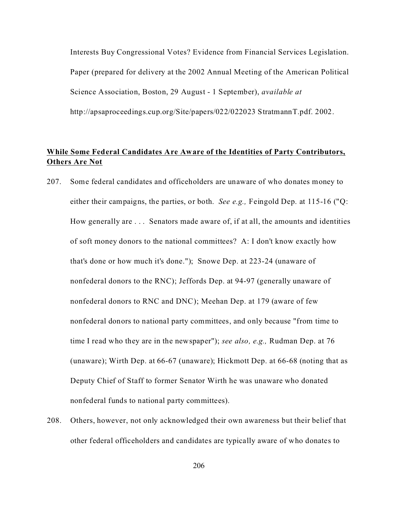Interests Buy Congressional Votes? Evidence from Financial Services Legislation. Paper (prepared for delivery at the 2002 Annual Meeting of the American Political Science Association, Boston, 29 August - 1 September), *available at* http://apsaproceedings.cup.org/Site/papers/022/022023 StratmannT.pdf. 2002.

## **While Some Federal Candidates Are Aware of the Identities of Party Contributors, Others Are Not**

- 207. Some federal candidates and officeholders are unaware of who donates money to either their campaigns, the parties, or both. *See e.g.,* Feingold Dep. at 115-16 ("Q: How generally are . . . Senators made aware of, if at all, the amounts and identities of soft money donors to the national committees? A: I don't know exactly how that's done or how much it's done."); Snowe Dep. at 223-24 (unaware of nonfederal donors to the RNC); Jeffords Dep. at 94-97 (generally unaware of nonfederal donors to RNC and DNC); Meehan Dep. at 179 (aware of few nonfederal donors to national party committees, and only because "from time to time I read who they are in the newspaper"); *see also, e.g.,* Rudman Dep. at 76 (unaware); Wirth Dep. at 66-67 (unaware); Hickmott Dep. at 66-68 (noting that as Deputy Chief of Staff to former Senator Wirth he was unaware who donated nonfederal funds to national party committees).
- 208. Others, however, not only acknowledged their own awareness but their belief that other federal officeholders and candidates are typically aware of who donates to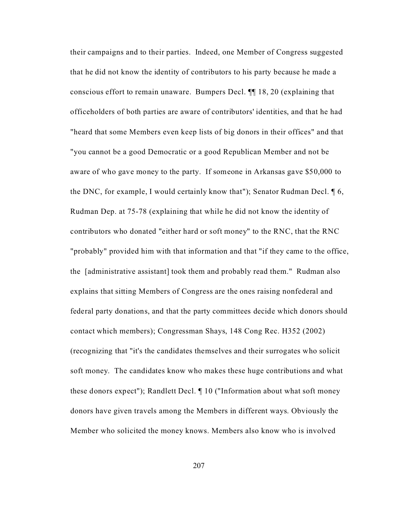their campaigns and to their parties. Indeed, one Member of Congress suggested that he did not know the identity of contributors to his party because he made a conscious effort to remain unaware. Bumpers Decl. ¶¶ 18, 20 (explaining that officeholders of both parties are aware of contributors' identities, and that he had "heard that some Members even keep lists of big donors in their offices" and that "you cannot be a good Democratic or a good Republican Member and not be aware of who gave money to the party. If someone in Arkansas gave \$50,000 to the DNC, for example, I would certainly know that"); Senator Rudman Decl. ¶ 6, Rudman Dep. at 75-78 (explaining that while he did not know the identity of contributors who donated "either hard or soft money" to the RNC, that the RNC "probably" provided him with that information and that "if they came to the office, the [administrative assistant] took them and probably read them." Rudman also explains that sitting Members of Congress are the ones raising nonfederal and federal party donations, and that the party committees decide which donors should contact which members); Congressman Shays, 148 Cong Rec. H352 (2002) (recognizing that "it's the candidates themselves and their surrogates who solicit soft money. The candidates know who makes these huge contributions and what these donors expect"); Randlett Decl. ¶ 10 ("Information about what soft money donors have given travels among the Members in different ways. Obviously the Member who solicited the money knows. Members also know who is involved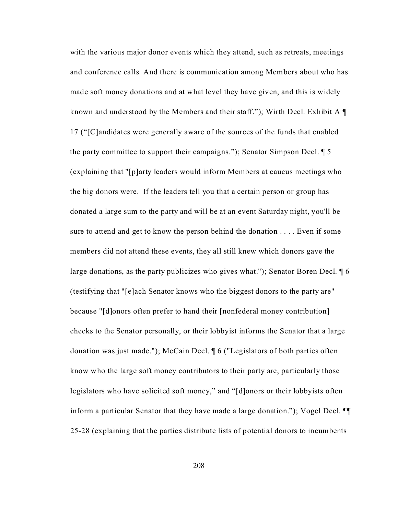with the various major donor events which they attend, such as retreats, meetings and conference calls. And there is communication among Members about who has made soft money donations and at what level they have given, and this is widely known and understood by the Members and their staff."); Wirth Decl. Exhibit A ¶ 17 ("[C]andidates were generally aware of the sources of the funds that enabled the party committee to support their campaigns."); Senator Simpson Decl. ¶ 5 (explaining that "[p]arty leaders would inform Members at caucus meetings who the big donors were. If the leaders tell you that a certain person or group has donated a large sum to the party and will be at an event Saturday night, you'll be sure to attend and get to know the person behind the donation . . . . Even if some members did not attend these events, they all still knew which donors gave the large donations, as the party publicizes who gives what."); Senator Boren Decl. ¶ 6 (testifying that "[e]ach Senator knows who the biggest donors to the party are" because "[d]onors often prefer to hand their [nonfederal money contribution] checks to the Senator personally, or their lobbyist informs the Senator that a large donation was just made."); McCain Decl. ¶ 6 ("Legislators of both parties often know who the large soft money contributors to their party are, particularly those legislators who have solicited soft money," and "[d]onors or their lobbyists often inform a particular Senator that they have made a large donation."); Vogel Decl. ¶¶ 25-28 (explaining that the parties distribute lists of potential donors to incumbents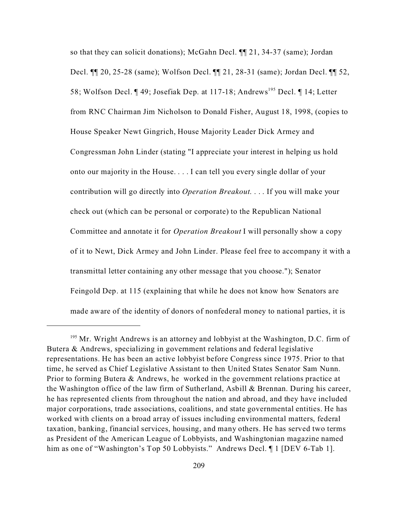so that they can solicit donations); McGahn Decl. ¶¶ 21, 34-37 (same); Jordan Decl. ¶¶ 20, 25-28 (same); Wolfson Decl. ¶¶ 21, 28-31 (same); Jordan Decl. ¶¶ 52, 58; Wolfson Decl. ¶ 49; Josefiak Dep. at 117-18; Andrews<sup>195</sup> Decl. ¶ 14; Letter from RNC Chairman Jim Nicholson to Donald Fisher, August 18, 1998, (copies to House Speaker Newt Gingrich, House Majority Leader Dick Armey and Congressman John Linder (stating "I appreciate your interest in helping us hold onto our majority in the House. . . . I can tell you every single dollar of your contribution will go directly into *Operation Breakout*. . . . If you will make your check out (which can be personal or corporate) to the Republican National Committee and annotate it for *Operation Breakout* I will personally show a copy of it to Newt, Dick Armey and John Linder. Please feel free to accompany it with a transmittal letter containing any other message that you choose."); Senator Feingold Dep. at 115 (explaining that while he does not know how Senators are made aware of the identity of donors of nonfederal money to national parties, it is

 $195$  Mr. Wright Andrews is an attorney and lobbyist at the Washington, D.C. firm of Butera & Andrews, specializing in government relations and federal legislative representations. He has been an active lobbyist before Congress since 1975. Prior to that time, he served as Chief Legislative Assistant to then United States Senator Sam Nunn. Prior to forming Butera & Andrews, he worked in the government relations practice at the Washington office of the law firm of Sutherland, Asbill & Brennan. During his career, he has represented clients from throughout the nation and abroad, and they have included major corporations, trade associations, coalitions, and state governmental entities. He has worked with clients on a broad array of issues including environmental matters, federal taxation, banking, financial services, housing, and many others. He has served two terms as President of the American League of Lobbyists, and Washingtonian magazine named him as one of "Washington's Top 50 Lobbyists." Andrews Decl. ¶ 1 [DEV 6-Tab 1].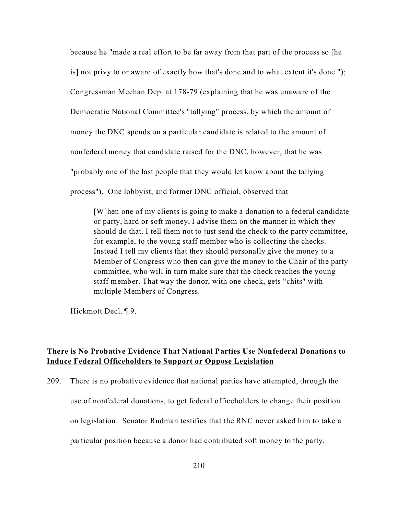because he "made a real effort to be far away from that part of the process so [he is] not privy to or aware of exactly how that's done and to what extent it's done."); Congressman Meehan Dep. at 178-79 (explaining that he was unaware of the Democratic National Committee's "tallying" process, by which the amount of money the DNC spends on a particular candidate is related to the amount of nonfederal money that candidate raised for the DNC, however, that he was "probably one of the last people that they would let know about the tallying process"). One lobbyist, and former DNC official, observed that

[W]hen one of my clients is going to make a donation to a federal candidate or party, hard or soft money, I advise them on the manner in which they should do that. I tell them not to just send the check to the party committee, for example, to the young staff member who is collecting the checks. Instead I tell my clients that they should personally give the money to a Member of Congress who then can give the money to the Chair of the party committee, who will in turn make sure that the check reaches the young staff member. That way the donor, with one check, gets "chits" with multiple Members of Congress.

Hickmott Decl. ¶ 9.

### **There is No Probative Evidence That National Parties Use Nonfederal Donations to Induce Federal Officeholders to Support or Oppose Legislation**

209. There is no probative evidence that national parties have attempted, through the use of nonfederal donations, to get federal officeholders to change their position on legislation. Senator Rudman testifies that the RNC never asked him to take a particular position because a donor had contributed soft money to the party.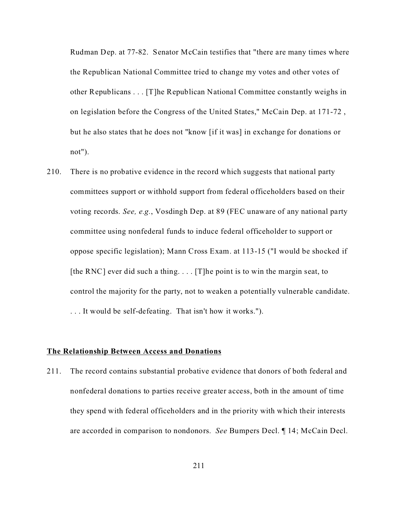Rudman Dep. at 77-82. Senator McCain testifies that "there are many times where the Republican National Committee tried to change my votes and other votes of other Republicans . . . [T]he Republican National Committee constantly weighs in on legislation before the Congress of the United States," McCain Dep. at 171-72 , but he also states that he does not "know [if it was] in exchange for donations or not").

210. There is no probative evidence in the record which suggests that national party committees support or withhold support from federal officeholders based on their voting records. *See, e.g.*, Vosdingh Dep. at 89 (FEC unaware of any national party committee using nonfederal funds to induce federal officeholder to support or oppose specific legislation); Mann Cross Exam. at 113-15 ("I would be shocked if [the RNC] ever did such a thing.  $\ldots$  [T] he point is to win the margin seat, to control the majority for the party, not to weaken a potentially vulnerable candidate. . . . It would be self-defeating. That isn't how it works.").

### **The Relationship Between Access and Donations**

211. The record contains substantial probative evidence that donors of both federal and nonfederal donations to parties receive greater access, both in the amount of time they spend with federal officeholders and in the priority with which their interests are accorded in comparison to nondonors. *See* Bumpers Decl. ¶ 14; McCain Decl.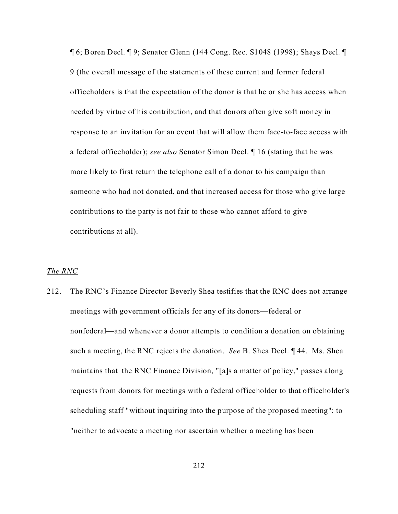¶ 6; Boren Decl. ¶ 9; Senator Glenn (144 Cong. Rec. S1048 (1998); Shays Decl. ¶ 9 (the overall message of the statements of these current and former federal officeholders is that the expectation of the donor is that he or she has access when needed by virtue of his contribution, and that donors often give soft money in response to an invitation for an event that will allow them face-to-face access with a federal officeholder); *see also* Senator Simon Decl. ¶ 16 (stating that he was more likely to first return the telephone call of a donor to his campaign than someone who had not donated, and that increased access for those who give large contributions to the party is not fair to those who cannot afford to give contributions at all).

### *The RNC*

212. The RNC's Finance Director Beverly Shea testifies that the RNC does not arrange meetings with government officials for any of its donors—federal or nonfederal—and whenever a donor attempts to condition a donation on obtaining such a meeting, the RNC rejects the donation. *See* B. Shea Decl. ¶ 44. Ms. Shea maintains that the RNC Finance Division, "[a]s a matter of policy," passes along requests from donors for meetings with a federal officeholder to that officeholder's scheduling staff "without inquiring into the purpose of the proposed meeting"; to "neither to advocate a meeting nor ascertain whether a meeting has been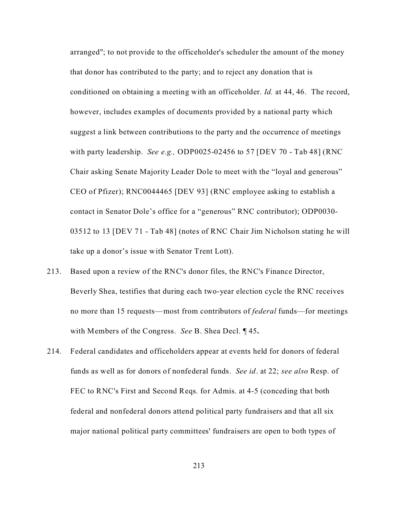arranged"; to not provide to the officeholder's scheduler the amount of the money that donor has contributed to the party; and to reject any donation that is conditioned on obtaining a meeting with an officeholder. *Id.* at 44, 46. The record, however, includes examples of documents provided by a national party which suggest a link between contributions to the party and the occurrence of meetings with party leadership. *See e.g.,* ODP0025-02456 to 57 [DEV 70 - Tab 48] (RNC Chair asking Senate Majority Leader Dole to meet with the "loyal and generous" CEO of Pfizer); RNC0044465 [DEV 93] (RNC employee asking to establish a contact in Senator Dole's office for a "generous" RNC contributor); ODP0030- 03512 to 13 [DEV 71 - Tab 48] (notes of RNC Chair Jim Nicholson stating he will take up a donor's issue with Senator Trent Lott).

- 213. Based upon a review of the RNC's donor files, the RNC's Finance Director, Beverly Shea, testifies that during each two-year election cycle the RNC receives no more than 15 requests—most from contributors of *federal* funds—for meetings with Members of the Congress. *See* B. Shea Decl. ¶ 45**.**
- 214. Federal candidates and officeholders appear at events held for donors of federal funds as well as for donors of nonfederal funds. *See id*. at 22; *see also* Resp. of FEC to RNC's First and Second Reqs. for Admis. at 4-5 (conceding that both federal and nonfederal donors attend political party fundraisers and that all six major national political party committees' fundraisers are open to both types of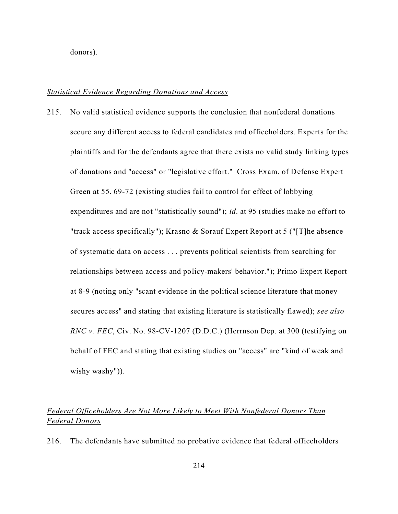donors).

#### *Statistical Evidence Regarding Donations and Access*

215. No valid statistical evidence supports the conclusion that nonfederal donations secure any different access to federal candidates and officeholders. Experts for the plaintiffs and for the defendants agree that there exists no valid study linking types of donations and "access" or "legislative effort." Cross Exam. of Defense Expert Green at 55, 69-72 (existing studies fail to control for effect of lobbying expenditures and are not "statistically sound"); *id*. at 95 (studies make no effort to "track access specifically"); Krasno & Sorauf Expert Report at 5 ("[T]he absence of systematic data on access . . . prevents political scientists from searching for relationships between access and policy-makers' behavior."); Primo Expert Report at 8-9 (noting only "scant evidence in the political science literature that money secures access" and stating that existing literature is statistically flawed); *see also RNC v. FEC*, Civ. No. 98-CV-1207 (D.D.C.) (Herrnson Dep. at 300 (testifying on behalf of FEC and stating that existing studies on "access" are "kind of weak and wishy washy")).

# *Federal Officeholders Are Not More Likely to Meet With Nonfederal Donors Than Federal Donors*

216. The defendants have submitted no probative evidence that federal officeholders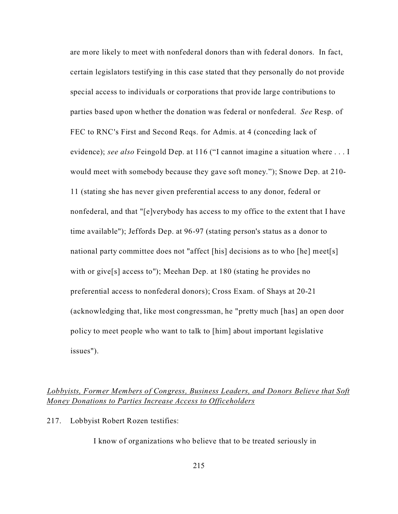are more likely to meet with nonfederal donors than with federal donors. In fact, certain legislators testifying in this case stated that they personally do not provide special access to individuals or corporations that provide large contributions to parties based upon whether the donation was federal or nonfederal. *See* Resp. of FEC to RNC's First and Second Reqs. for Admis. at 4 (conceding lack of evidence); *see also* Feingold Dep. at 116 ("I cannot imagine a situation where . . . I would meet with somebody because they gave soft money."); Snowe Dep. at 210- 11 (stating she has never given preferential access to any donor, federal or nonfederal, and that "[e]verybody has access to my office to the extent that I have time available"); Jeffords Dep. at 96-97 (stating person's status as a donor to national party committee does not "affect [his] decisions as to who [he] meet[s] with or give<sup>[s]</sup> access to"); Meehan Dep. at 180 (stating he provides no preferential access to nonfederal donors); Cross Exam. of Shays at 20-21 (acknowledging that, like most congressman, he "pretty much [has] an open door policy to meet people who want to talk to [him] about important legislative issues").

## *Lobbyists, Former Members of Congress, Business Leaders, and Donors Believe that Soft Money Donations to Parties Increase Access to Officeholders*

217. Lobbyist Robert Rozen testifies:

I know of organizations who believe that to be treated seriously in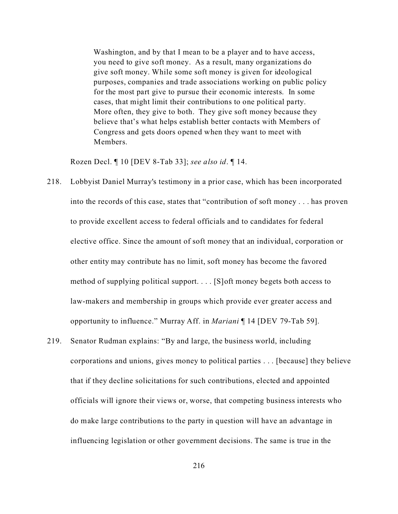Washington, and by that I mean to be a player and to have access, you need to give soft money. As a result, many organizations do give soft money. While some soft money is given for ideological purposes, companies and trade associations working on public policy for the most part give to pursue their economic interests. In some cases, that might limit their contributions to one political party. More often, they give to both. They give soft money because they believe that's what helps establish better contacts with Members of Congress and gets doors opened when they want to meet with Members.

Rozen Decl. ¶ 10 [DEV 8-Tab 33]; *see also id*. ¶ 14.

- 218. Lobbyist Daniel Murray's testimony in a prior case, which has been incorporated into the records of this case, states that "contribution of soft money . . . has proven to provide excellent access to federal officials and to candidates for federal elective office. Since the amount of soft money that an individual, corporation or other entity may contribute has no limit, soft money has become the favored method of supplying political support. . . . [S]oft money begets both access to law-makers and membership in groups which provide ever greater access and opportunity to influence." Murray Aff. in *Mariani* ¶ 14 [DEV 79-Tab 59].
- 219. Senator Rudman explains: "By and large, the business world, including corporations and unions, gives money to political parties . . . [because] they believe that if they decline solicitations for such contributions, elected and appointed officials will ignore their views or, worse, that competing business interests who do make large contributions to the party in question will have an advantage in influencing legislation or other government decisions. The same is true in the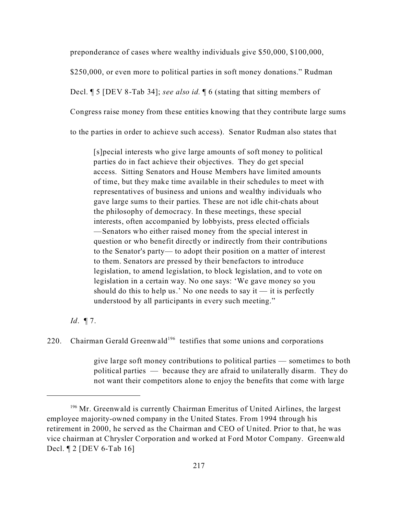preponderance of cases where wealthy individuals give \$50,000, \$100,000,

\$250,000, or even more to political parties in soft money donations." Rudman

Decl. ¶ 5 [DEV 8-Tab 34]; *see also id.* ¶ 6 (stating that sitting members of

Congress raise money from these entities knowing that they contribute large sums

to the parties in order to achieve such access). Senator Rudman also states that

[s]pecial interests who give large amounts of soft money to political parties do in fact achieve their objectives. They do get special access. Sitting Senators and House Members have limited amounts of time, but they make time available in their schedules to meet with representatives of business and unions and wealthy individuals who gave large sums to their parties. These are not idle chit-chats about the philosophy of democracy. In these meetings, these special interests, often accompanied by lobbyists, press elected officials —Senators who either raised money from the special interest in question or who benefit directly or indirectly from their contributions to the Senator's party— to adopt their position on a matter of interest to them. Senators are pressed by their benefactors to introduce legislation, to amend legislation, to block legislation, and to vote on legislation in a certain way. No one says: 'We gave money so you should do this to help us.' No one needs to say it  $-$  it is perfectly understood by all participants in every such meeting."

#### *Id*. ¶ 7.

220. Chairman Gerald Greenwald<sup>196</sup> testifies that some unions and corporations

give large soft money contributions to political parties — sometimes to both political parties — because they are afraid to unilaterally disarm. They do not want their competitors alone to enjoy the benefits that come with large

<sup>&</sup>lt;sup>196</sup> Mr. Greenwald is currently Chairman Emeritus of United Airlines, the largest employee majority-owned company in the United States. From 1994 through his retirement in 2000, he served as the Chairman and CEO of United. Prior to that, he was vice chairman at Chrysler Corporation and worked at Ford Motor Company. Greenwald Decl. ¶ 2 [DEV 6-Tab 16]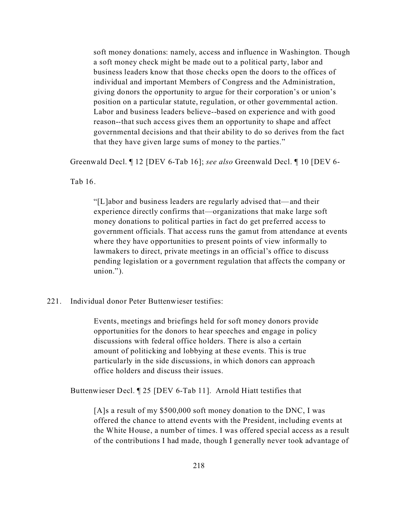soft money donations: namely, access and influence in Washington. Though a soft money check might be made out to a political party, labor and business leaders know that those checks open the doors to the offices of individual and important Members of Congress and the Administration, giving donors the opportunity to argue for their corporation's or union's position on a particular statute, regulation, or other governmental action. Labor and business leaders believe--based on experience and with good reason--that such access gives them an opportunity to shape and affect governmental decisions and that their ability to do so derives from the fact that they have given large sums of money to the parties."

Greenwald Decl. ¶ 12 [DEV 6-Tab 16]; *see also* Greenwald Decl. ¶ 10 [DEV 6-

Tab 16.

"[L]abor and business leaders are regularly advised that—and their experience directly confirms that—organizations that make large soft money donations to political parties in fact do get preferred access to government officials. That access runs the gamut from attendance at events where they have opportunities to present points of view informally to lawmakers to direct, private meetings in an official's office to discuss pending legislation or a government regulation that affects the company or union.").

## 221. Individual donor Peter Buttenwieser testifies:

Events, meetings and briefings held for soft money donors provide opportunities for the donors to hear speeches and engage in policy discussions with federal office holders. There is also a certain amount of politicking and lobbying at these events. This is true particularly in the side discussions, in which donors can approach office holders and discuss their issues.

Buttenwieser Decl. ¶ 25 [DEV 6-Tab 11]. Arnold Hiatt testifies that

[A]s a result of my \$500,000 soft money donation to the DNC, I was offered the chance to attend events with the President, including events at the White House, a number of times. I was offered special access as a result of the contributions I had made, though I generally never took advantage of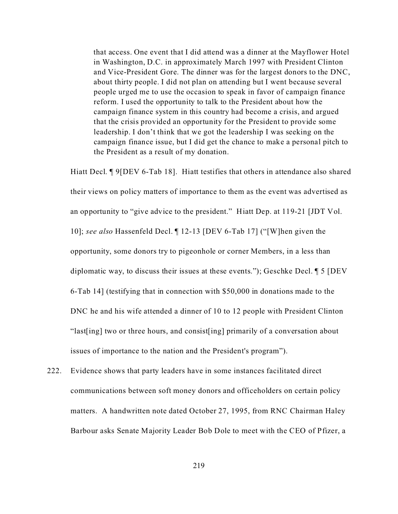that access. One event that I did attend was a dinner at the Mayflower Hotel in Washington, D.C. in approximately March 1997 with President Clinton and Vice-President Gore. The dinner was for the largest donors to the DNC, about thirty people. I did not plan on attending but I went because several people urged me to use the occasion to speak in favor of campaign finance reform. I used the opportunity to talk to the President about how the campaign finance system in this country had become a crisis, and argued that the crisis provided an opportunity for the President to provide some leadership. I don't think that we got the leadership I was seeking on the campaign finance issue, but I did get the chance to make a personal pitch to the President as a result of my donation.

Hiatt Decl. ¶ 9[DEV 6-Tab 18]. Hiatt testifies that others in attendance also shared their views on policy matters of importance to them as the event was advertised as an opportunity to "give advice to the president." Hiatt Dep. at 119-21 [JDT Vol. 10]; *see also* Hassenfeld Decl. ¶ 12-13 [DEV 6-Tab 17] ("[W]hen given the opportunity, some donors try to pigeonhole or corner Members, in a less than diplomatic way, to discuss their issues at these events."); Geschke Decl. ¶ 5 [DEV 6-Tab 14] (testifying that in connection with \$50,000 in donations made to the DNC he and his wife attended a dinner of 10 to 12 people with President Clinton "last[ing] two or three hours, and consist[ing] primarily of a conversation about issues of importance to the nation and the President's program").

222. Evidence shows that party leaders have in some instances facilitated direct communications between soft money donors and officeholders on certain policy matters. A handwritten note dated October 27, 1995, from RNC Chairman Haley Barbour asks Senate Majority Leader Bob Dole to meet with the CEO of Pfizer, a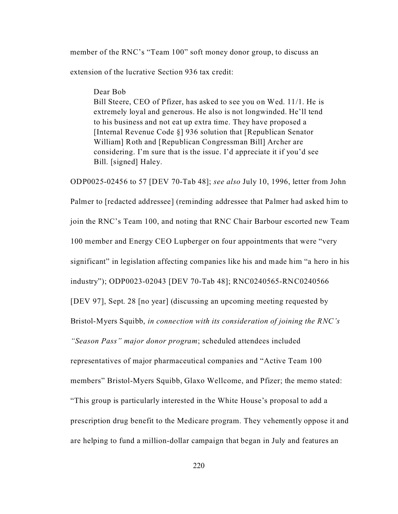member of the RNC's "Team 100" soft money donor group, to discuss an

extension of the lucrative Section 936 tax credit:

Dear Bob

Bill Steere, CEO of Pfizer, has asked to see you on Wed. 11/1. He is extremely loyal and generous. He also is not longwinded. He'll tend to his business and not eat up extra time. They have proposed a [Internal Revenue Code §] 936 solution that [Republican Senator William] Roth and [Republican Congressman Bill] Archer are considering. I'm sure that is the issue. I'd appreciate it if you'd see Bill. [signed] Haley.

ODP0025-02456 to 57 [DEV 70-Tab 48]; *see also* July 10, 1996, letter from John Palmer to [redacted addressee] (reminding addressee that Palmer had asked him to join the RNC's Team 100, and noting that RNC Chair Barbour escorted new Team 100 member and Energy CEO Lupberger on four appointments that were "very significant" in legislation affecting companies like his and made him "a hero in his industry"); ODP0023-02043 [DEV 70-Tab 48]; RNC0240565-RNC0240566 [DEV 97], Sept. 28 [no year] (discussing an upcoming meeting requested by Bristol-Myers Squibb, *in connection with its consideration of joining the RNC's "Season Pass" major donor program*; scheduled attendees included representatives of major pharmaceutical companies and "Active Team 100 members" Bristol-Myers Squibb, Glaxo Wellcome, and Pfizer; the memo stated: "This group is particularly interested in the White House's proposal to add a prescription drug benefit to the Medicare program. They vehemently oppose it and are helping to fund a million-dollar campaign that began in July and features an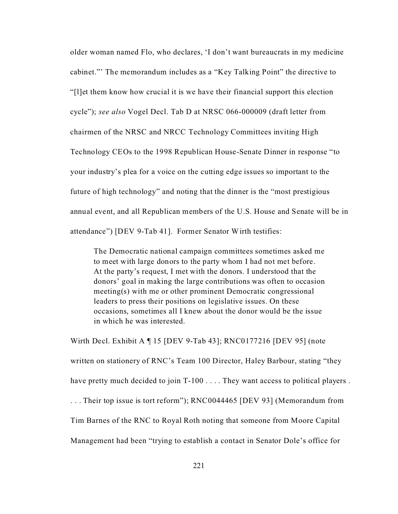older woman named Flo, who declares, 'I don't want bureaucrats in my medicine cabinet."' The memorandum includes as a "Key Talking Point" the directive to "[l]et them know how crucial it is we have their financial support this election cycle"); *see also* Vogel Decl. Tab D at NRSC 066-000009 (draft letter from chairmen of the NRSC and NRCC Technology Committees inviting High Technology CEOs to the 1998 Republican House-Senate Dinner in response "to your industry's plea for a voice on the cutting edge issues so important to the future of high technology" and noting that the dinner is the "most prestigious annual event, and all Republican members of the U.S. House and Senate will be in attendance") [DEV 9-Tab 41]. Former Senator Wirth testifies:

The Democratic national campaign committees sometimes asked me to meet with large donors to the party whom I had not met before. At the party's request, I met with the donors. I understood that the donors' goal in making the large contributions was often to occasion meeting(s) with me or other prominent Democratic congressional leaders to press their positions on legislative issues. On these occasions, sometimes all I knew about the donor would be the issue in which he was interested.

Wirth Decl. Exhibit A ¶ 15 [DEV 9-Tab 43]; RNC0177216 [DEV 95] (note written on stationery of RNC's Team 100 Director, Haley Barbour, stating "they have pretty much decided to join T-100 . . . . They want access to political players . . . . Their top issue is tort reform"); RNC0044465 [DEV 93] (Memorandum from Tim Barnes of the RNC to Royal Roth noting that someone from Moore Capital Management had been "trying to establish a contact in Senator Dole's office for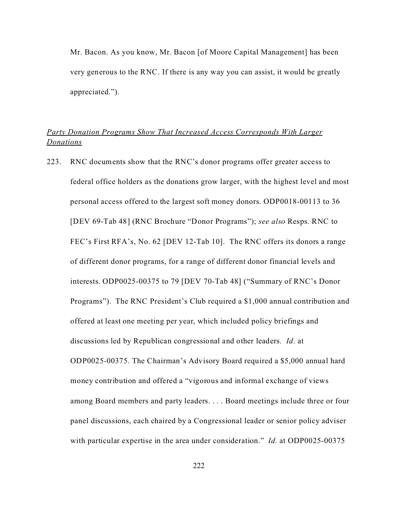Mr. Bacon. As you know, Mr. Bacon [of Moore Capital Management] has been very generous to the RNC. If there is any way you can assist, it would be greatly appreciated.").

# *Party Donation Programs Show That Increased Access Corresponds With Larger Donations*

223. RNC documents show that the RNC's donor programs offer greater access to federal office holders as the donations grow larger, with the highest level and most personal access offered to the largest soft money donors. ODP0018-00113 to 36 [DEV 69-Tab 48] (RNC Brochure "Donor Programs"); *see also* Resps. RNC to FEC's First RFA's, No. 62 [DEV 12-Tab 10]. The RNC offers its donors a range of different donor programs, for a range of different donor financial levels and interests. ODP0025-00375 to 79 [DEV 70-Tab 48] ("Summary of RNC's Donor Programs"). The RNC President's Club required a \$1,000 annual contribution and offered at least one meeting per year, which included policy briefings and discussions led by Republican congressional and other leaders. *Id*. at ODP0025-00375. The Chairman's Advisory Board required a \$5,000 annual hard money contribution and offered a "vigorous and informal exchange of views among Board members and party leaders. . . . Board meetings include three or four panel discussions, each chaired by a Congressional leader or senior policy adviser with particular expertise in the area under consideration." *Id.* at ODP0025-00375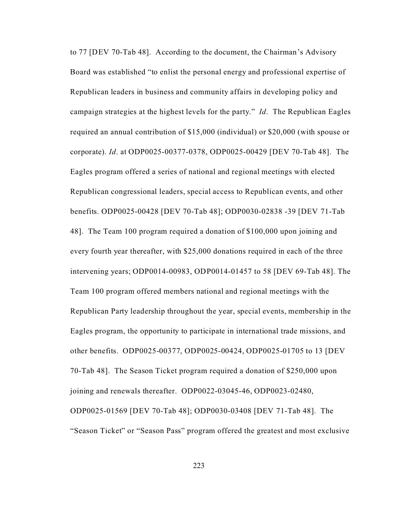to 77 [DEV 70-Tab 48]. According to the document, the Chairman's Advisory Board was established "to enlist the personal energy and professional expertise of Republican leaders in business and community affairs in developing policy and campaign strategies at the highest levels for the party." *Id*. The Republican Eagles required an annual contribution of \$15,000 (individual) or \$20,000 (with spouse or corporate). *Id*. at ODP0025-00377-0378, ODP0025-00429 [DEV 70-Tab 48]. The Eagles program offered a series of national and regional meetings with elected Republican congressional leaders, special access to Republican events, and other benefits. ODP0025-00428 [DEV 70-Tab 48]; ODP0030-02838 -39 [DEV 71-Tab 48]. The Team 100 program required a donation of \$100,000 upon joining and every fourth year thereafter, with \$25,000 donations required in each of the three intervening years; ODP0014-00983, ODP0014-01457 to 58 [DEV 69-Tab 48]. The Team 100 program offered members national and regional meetings with the Republican Party leadership throughout the year, special events, membership in the Eagles program, the opportunity to participate in international trade missions, and other benefits. ODP0025-00377, ODP0025-00424, ODP0025-01705 to 13 [DEV 70-Tab 48]. The Season Ticket program required a donation of \$250,000 upon joining and renewals thereafter. ODP0022-03045-46, ODP0023-02480, ODP0025-01569 [DEV 70-Tab 48]; ODP0030-03408 [DEV 71-Tab 48]. The "Season Ticket" or "Season Pass" program offered the greatest and most exclusive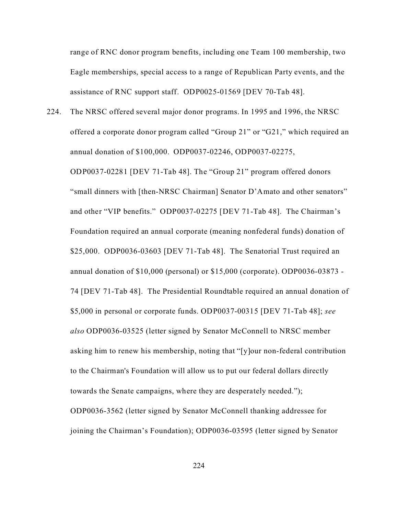range of RNC donor program benefits, including one Team 100 membership, two Eagle memberships, special access to a range of Republican Party events, and the assistance of RNC support staff. ODP0025-01569 [DEV 70-Tab 48].

224. The NRSC offered several major donor programs. In 1995 and 1996, the NRSC offered a corporate donor program called "Group 21" or "G21," which required an annual donation of \$100,000. ODP0037-02246, ODP0037-02275, ODP0037-02281 [DEV 71-Tab 48]. The "Group 21" program offered donors "small dinners with [then-NRSC Chairman] Senator D'Amato and other senators" and other "VIP benefits." ODP0037-02275 [DEV 71-Tab 48]. The Chairman's Foundation required an annual corporate (meaning nonfederal funds) donation of \$25,000. ODP0036-03603 [DEV 71-Tab 48]. The Senatorial Trust required an annual donation of \$10,000 (personal) or \$15,000 (corporate). ODP0036-03873 - 74 [DEV 71-Tab 48]. The Presidential Roundtable required an annual donation of \$5,000 in personal or corporate funds. ODP0037-00315 [DEV 71-Tab 48]; *see also* ODP0036-03525 (letter signed by Senator McConnell to NRSC member asking him to renew his membership, noting that "[y]our non-federal contribution to the Chairman's Foundation will allow us to put our federal dollars directly towards the Senate campaigns, where they are desperately needed."); ODP0036-3562 (letter signed by Senator McConnell thanking addressee for joining the Chairman's Foundation); ODP0036-03595 (letter signed by Senator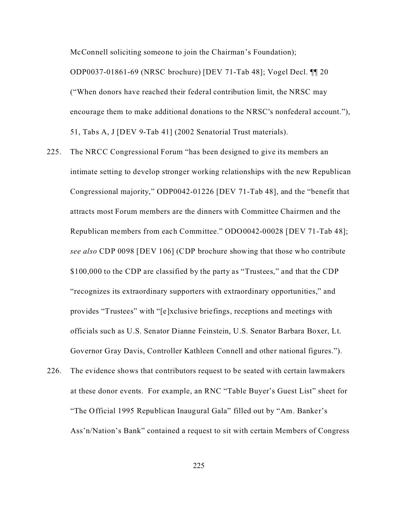McConnell soliciting someone to join the Chairman's Foundation);

ODP0037-01861-69 (NRSC brochure) [DEV 71-Tab 48]; Vogel Decl. ¶¶ 20 ("When donors have reached their federal contribution limit, the NRSC may encourage them to make additional donations to the NRSC's nonfederal account."), 51, Tabs A, J [DEV 9-Tab 41] (2002 Senatorial Trust materials).

- 225. The NRCC Congressional Forum "has been designed to give its members an intimate setting to develop stronger working relationships with the new Republican Congressional majority," ODP0042-01226 [DEV 71-Tab 48], and the "benefit that attracts most Forum members are the dinners with Committee Chairmen and the Republican members from each Committee." ODO0042-00028 [DEV 71-Tab 48]; *see also* CDP 0098 [DEV 106] (CDP brochure showing that those who contribute \$100,000 to the CDP are classified by the party as "Trustees," and that the CDP "recognizes its extraordinary supporters with extraordinary opportunities," and provides "Trustees" with "[e]xclusive briefings, receptions and meetings with officials such as U.S. Senator Dianne Feinstein, U.S. Senator Barbara Boxer, Lt. Governor Gray Davis, Controller Kathleen Connell and other national figures.").
- 226. The evidence shows that contributors request to be seated with certain lawmakers at these donor events. For example, an RNC "Table Buyer's Guest List" sheet for "The Official 1995 Republican Inaugural Gala" filled out by "Am. Banker's Ass'n/Nation's Bank" contained a request to sit with certain Members of Congress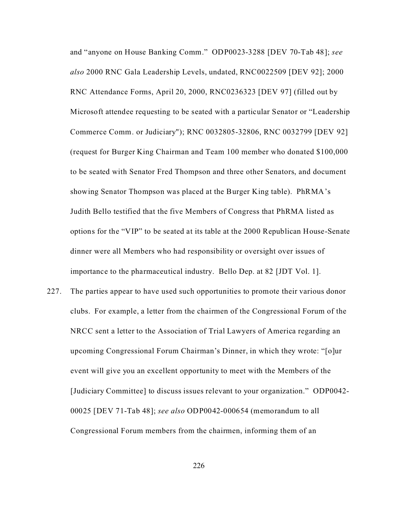and "anyone on House Banking Comm." ODP0023-3288 [DEV 70-Tab 48]; *see also* 2000 RNC Gala Leadership Levels, undated, RNC0022509 [DEV 92]; 2000 RNC Attendance Forms, April 20, 2000, RNC0236323 [DEV 97] (filled out by Microsoft attendee requesting to be seated with a particular Senator or "Leadership Commerce Comm. or Judiciary"); RNC 0032805-32806, RNC 0032799 [DEV 92] (request for Burger King Chairman and Team 100 member who donated \$100,000 to be seated with Senator Fred Thompson and three other Senators, and document showing Senator Thompson was placed at the Burger King table). PhRMA's Judith Bello testified that the five Members of Congress that PhRMA listed as options for the "VIP" to be seated at its table at the 2000 Republican House-Senate dinner were all Members who had responsibility or oversight over issues of importance to the pharmaceutical industry. Bello Dep. at 82 [JDT Vol. 1].

227. The parties appear to have used such opportunities to promote their various donor clubs. For example, a letter from the chairmen of the Congressional Forum of the NRCC sent a letter to the Association of Trial Lawyers of America regarding an upcoming Congressional Forum Chairman's Dinner, in which they wrote: "[o]ur event will give you an excellent opportunity to meet with the Members of the [Judiciary Committee] to discuss issues relevant to your organization." ODP0042- 00025 [DEV 71-Tab 48]; *see also* ODP0042-000654 (memorandum to all Congressional Forum members from the chairmen, informing them of an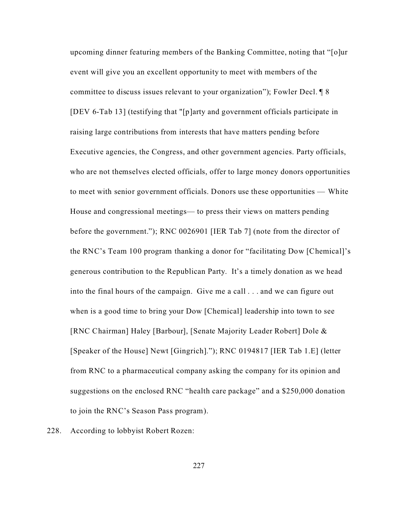upcoming dinner featuring members of the Banking Committee, noting that "[o]ur event will give you an excellent opportunity to meet with members of the committee to discuss issues relevant to your organization"); Fowler Decl. ¶ 8 [DEV 6-Tab 13] (testifying that "[p]arty and government officials participate in raising large contributions from interests that have matters pending before Executive agencies, the Congress, and other government agencies. Party officials, who are not themselves elected officials, offer to large money donors opportunities to meet with senior government officials. Donors use these opportunities — White House and congressional meetings— to press their views on matters pending before the government."); RNC 0026901 [IER Tab 7] (note from the director of the RNC's Team 100 program thanking a donor for "facilitating Dow [Chemical]'s generous contribution to the Republican Party. It's a timely donation as we head into the final hours of the campaign. Give me a call . . . and we can figure out when is a good time to bring your Dow [Chemical] leadership into town to see [RNC Chairman] Haley [Barbour], [Senate Majority Leader Robert] Dole & [Speaker of the House] Newt [Gingrich]."); RNC 0194817 [IER Tab 1.E] (letter from RNC to a pharmaceutical company asking the company for its opinion and suggestions on the enclosed RNC "health care package" and a \$250,000 donation to join the RNC's Season Pass program).

228. According to lobbyist Robert Rozen: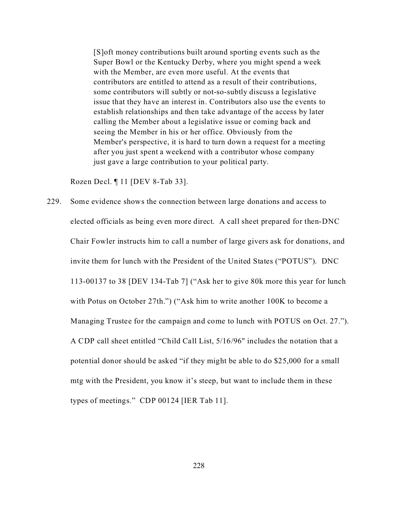[S]oft money contributions built around sporting events such as the Super Bowl or the Kentucky Derby, where you might spend a week with the Member, are even more useful. At the events that contributors are entitled to attend as a result of their contributions, some contributors will subtly or not-so-subtly discuss a legislative issue that they have an interest in. Contributors also use the events to establish relationships and then take advantage of the access by later calling the Member about a legislative issue or coming back and seeing the Member in his or her office. Obviously from the Member's perspective, it is hard to turn down a request for a meeting after you just spent a weekend with a contributor whose company just gave a large contribution to your political party.

Rozen Decl. ¶ 11 [DEV 8-Tab 33].

229. Some evidence shows the connection between large donations and access to elected officials as being even more direct. A call sheet prepared for then-DNC Chair Fowler instructs him to call a number of large givers ask for donations, and invite them for lunch with the President of the United States ("POTUS"). DNC 113-00137 to 38 [DEV 134-Tab 7] ("Ask her to give 80k more this year for lunch with Potus on October 27th.") ("Ask him to write another 100K to become a Managing Trustee for the campaign and come to lunch with POTUS on Oct. 27."). A CDP call sheet entitled "Child Call List, 5/16/96" includes the notation that a potential donor should be asked "if they might be able to do \$25,000 for a small mtg with the President, you know it's steep, but want to include them in these types of meetings." CDP 00124 [IER Tab 11].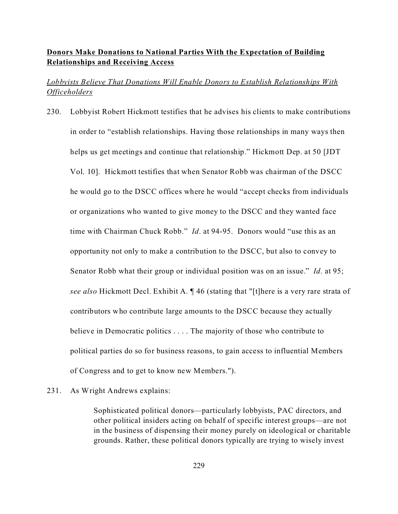## **Donors Make Donations to National Parties With the Expectation of Building Relationships and Receiving Access**

# *Lobbyists Believe That Donations Will Enable Donors to Establish Relationships With Officeholders*

230. Lobbyist Robert Hickmott testifies that he advises his clients to make contributions in order to "establish relationships. Having those relationships in many ways then helps us get meetings and continue that relationship." Hickmott Dep. at 50 [JDT Vol. 10]. Hickmott testifies that when Senator Robb was chairman of the DSCC he would go to the DSCC offices where he would "accept checks from individuals or organizations who wanted to give money to the DSCC and they wanted face time with Chairman Chuck Robb." *Id*. at 94-95. Donors would "use this as an opportunity not only to make a contribution to the DSCC, but also to convey to Senator Robb what their group or individual position was on an issue." *Id*. at 95; *see also* Hickmott Decl. Exhibit A. ¶ 46 (stating that "[t]here is a very rare strata of contributors who contribute large amounts to the DSCC because they actually believe in Democratic politics . . . . The majority of those who contribute to political parties do so for business reasons, to gain access to influential Members of Congress and to get to know new Members.").

## 231. As Wright Andrews explains:

Sophisticated political donors—particularly lobbyists, PAC directors, and other political insiders acting on behalf of specific interest groups—are not in the business of dispensing their money purely on ideological or charitable grounds. Rather, these political donors typically are trying to wisely invest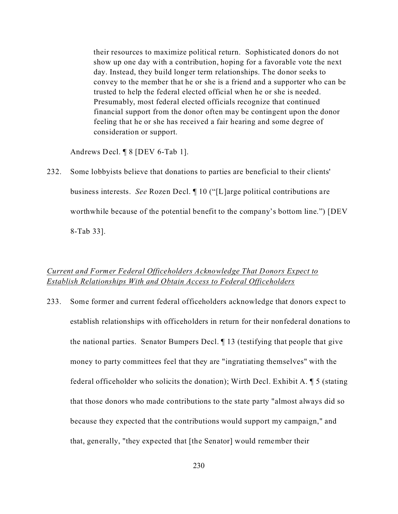their resources to maximize political return. Sophisticated donors do not show up one day with a contribution, hoping for a favorable vote the next day. Instead, they build longer term relationships. The donor seeks to convey to the member that he or she is a friend and a supporter who can be trusted to help the federal elected official when he or she is needed. Presumably, most federal elected officials recognize that continued financial support from the donor often may be contingent upon the donor feeling that he or she has received a fair hearing and some degree of consideration or support.

Andrews Decl. ¶ 8 [DEV 6-Tab 1].

232. Some lobbyists believe that donations to parties are beneficial to their clients' business interests. *See* Rozen Decl. ¶ 10 ("[L]arge political contributions are worthwhile because of the potential benefit to the company's bottom line.") [DEV

8-Tab 33].

## *Current and Former Federal Officeholders Acknowledge That Donors Expect to Establish Relationships With and Obtain Access to Federal Officeholders*

233. Some former and current federal officeholders acknowledge that donors expect to establish relationships with officeholders in return for their nonfederal donations to the national parties. Senator Bumpers Decl. ¶ 13 (testifying that people that give money to party committees feel that they are "ingratiating themselves" with the federal officeholder who solicits the donation); Wirth Decl. Exhibit A. ¶ 5 (stating that those donors who made contributions to the state party "almost always did so because they expected that the contributions would support my campaign," and that, generally, "they expected that [the Senator] would remember their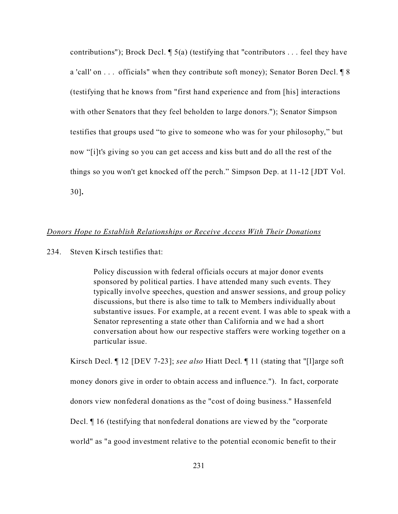contributions"); Brock Decl.  $\sqrt{ }$  5(a) (testifying that "contributors ... feel they have a 'call' on . . . officials" when they contribute soft money); Senator Boren Decl. ¶ 8 (testifying that he knows from "first hand experience and from [his] interactions with other Senators that they feel beholden to large donors."); Senator Simpson testifies that groups used "to give to someone who was for your philosophy," but now "[i]t's giving so you can get access and kiss butt and do all the rest of the things so you won't get knocked off the perch." Simpson Dep. at 11-12 [JDT Vol. 30]**.**

## *Donors Hope to Establish Relationships or Receive Access With Their Donations*

234. Steven Kirsch testifies that:

Policy discussion with federal officials occurs at major donor events sponsored by political parties. I have attended many such events. They typically involve speeches, question and answer sessions, and group policy discussions, but there is also time to talk to Members individually about substantive issues. For example, at a recent event. I was able to speak with a Senator representing a state other than California and we had a short conversation about how our respective staffers were working together on a particular issue.

Kirsch Decl. ¶ 12 [DEV 7-23]; *see also* Hiatt Decl. ¶ 11 (stating that "[l]arge soft money donors give in order to obtain access and influence.").In fact, corporate donors view nonfederal donations as the "cost of doing business." Hassenfeld Decl. ¶ 16 (testifying that nonfederal donations are viewed by the "corporate world" as "a good investment relative to the potential economic benefit to their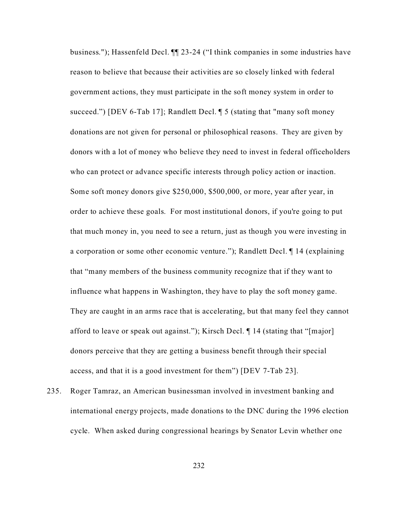business."); Hassenfeld Decl. ¶¶ 23-24 ("I think companies in some industries have reason to believe that because their activities are so closely linked with federal government actions, they must participate in the soft money system in order to succeed.") [DEV 6-Tab 17]; Randlett Decl. ¶ 5 (stating that "many soft money donations are not given for personal or philosophical reasons. They are given by donors with a lot of money who believe they need to invest in federal officeholders who can protect or advance specific interests through policy action or inaction. Some soft money donors give \$250,000, \$500,000, or more, year after year, in order to achieve these goals. For most institutional donors, if you're going to put that much money in, you need to see a return, just as though you were investing in a corporation or some other economic venture."); Randlett Decl. ¶ 14 (explaining that "many members of the business community recognize that if they want to influence what happens in Washington, they have to play the soft money game. They are caught in an arms race that is accelerating, but that many feel they cannot afford to leave or speak out against."); Kirsch Decl. ¶ 14 (stating that "[major] donors perceive that they are getting a business benefit through their special access, and that it is a good investment for them") [DEV 7-Tab 23].

235. Roger Tamraz, an American businessman involved in investment banking and international energy projects, made donations to the DNC during the 1996 election cycle. When asked during congressional hearings by Senator Levin whether one

232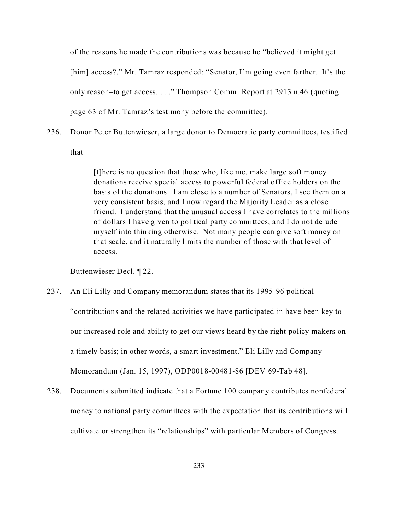of the reasons he made the contributions was because he "believed it might get [him] access?," Mr. Tamraz responded: "Senator, I'm going even farther. It's the only reason–to get access. . . ." Thompson Comm. Report at 2913 n.46 (quoting page 63 of Mr. Tamraz's testimony before the committee).

236. Donor Peter Buttenwieser, a large donor to Democratic party committees, testified

that

[t]here is no question that those who, like me, make large soft money donations receive special access to powerful federal office holders on the basis of the donations. I am close to a number of Senators, I see them on a very consistent basis, and I now regard the Majority Leader as a close friend. I understand that the unusual access I have correlates to the millions of dollars I have given to political party committees, and I do not delude myself into thinking otherwise. Not many people can give soft money on that scale, and it naturally limits the number of those with that level of access.

Buttenwieser Decl. ¶ 22.

- 237. An Eli Lilly and Company memorandum states that its 1995-96 political "contributions and the related activities we have participated in have been key to our increased role and ability to get our views heard by the right policy makers on a timely basis; in other words, a smart investment." Eli Lilly and Company Memorandum (Jan. 15, 1997), ODP0018-00481-86 [DEV 69-Tab 48].
- 238. Documents submitted indicate that a Fortune 100 company contributes nonfederal money to national party committees with the expectation that its contributions will cultivate or strengthen its "relationships" with particular Members of Congress.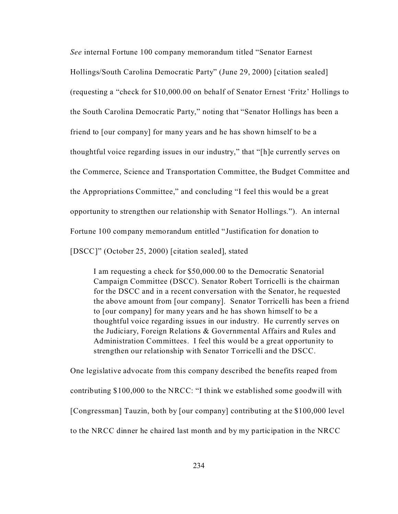*See* internal Fortune 100 company memorandum titled "Senator Earnest Hollings/South Carolina Democratic Party" (June 29, 2000) [citation sealed] (requesting a "check for \$10,000.00 on behalf of Senator Ernest 'Fritz' Hollings to the South Carolina Democratic Party," noting that "Senator Hollings has been a friend to [our company] for many years and he has shown himself to be a thoughtful voice regarding issues in our industry," that "[h]e currently serves on the Commerce, Science and Transportation Committee, the Budget Committee and the Appropriations Committee," and concluding "I feel this would be a great opportunity to strengthen our relationship with Senator Hollings."). An internal Fortune 100 company memorandum entitled "Justification for donation to

[DSCC]" (October 25, 2000) [citation sealed], stated

I am requesting a check for \$50,000.00 to the Democratic Senatorial Campaign Committee (DSCC). Senator Robert Torricelli is the chairman for the DSCC and in a recent conversation with the Senator, he requested the above amount from [our company]. Senator Torricelli has been a friend to [our company] for many years and he has shown himself to be a thoughtful voice regarding issues in our industry. He currently serves on the Judiciary, Foreign Relations & Governmental Affairs and Rules and Administration Committees. I feel this would be a great opportunity to strengthen our relationship with Senator Torricelli and the DSCC.

One legislative advocate from this company described the benefits reaped from contributing \$100,000 to the NRCC: "I think we established some goodwill with [Congressman] Tauzin, both by [our company] contributing at the \$100,000 level to the NRCC dinner he chaired last month and by my participation in the NRCC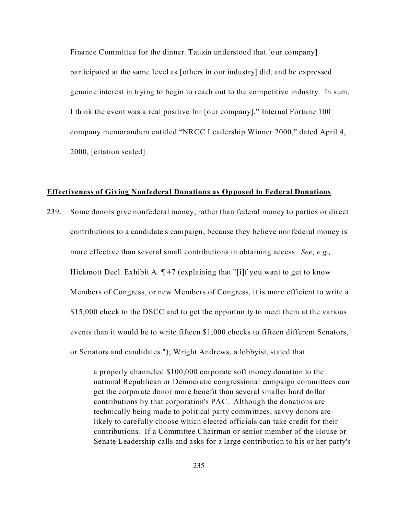Finance Committee for the dinner. Tauzin understood that [our company] participated at the same level as [others in our industry] did, and he expressed genuine interest in trying to begin to reach out to the competitive industry. In sum, I think the event was a real positive for [our company]." Internal Fortune 100 company memorandum entitled "NRCC Leadership Winner 2000," dated April 4, 2000, [citation sealed].

#### **Effectiveness of Giving Nonfederal Donations as Opposed to Federal Donations**

239. Some donors give nonfederal money, rather than federal money to parties or direct contributions to a candidate's campaign, because they believe nonfederal money is more effective than several small contributions in obtaining access.*See, e.g.,* Hickmott Decl. Exhibit A. ¶ 47 (explaining that "[i]f you want to get to know Members of Congress, or new Members of Congress, it is more efficient to write a \$15,000 check to the DSCC and to get the opportunity to meet them at the various events than it would be to write fifteen \$1,000 checks to fifteen different Senators, or Senators and candidates."); Wright Andrews, a lobbyist, stated that

> a properly channeled \$100,000 corporate soft money donation to the national Republican or Democratic congressional campaign committees can get the corporate donor more benefit than several smaller hard dollar contributions by that corporation's PAC. Although the donations are technically being made to political party committees, savvy donors are likely to carefully choose which elected officials can take credit for their contributions. If a Committee Chairman or senior member of the House or Senate Leadership calls and asks for a large contribution to his or her party's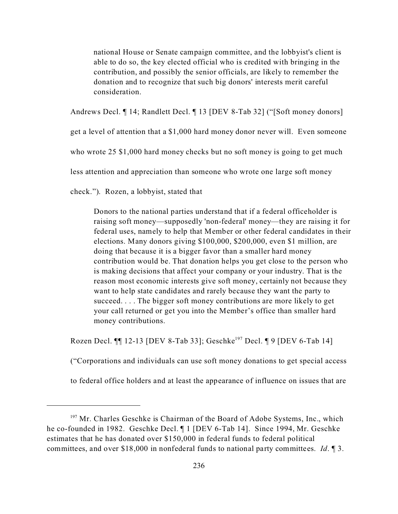national House or Senate campaign committee, and the lobbyist's client is able to do so, the key elected official who is credited with bringing in the contribution, and possibly the senior officials, are likely to remember the donation and to recognize that such big donors' interests merit careful consideration.

Andrews Decl. ¶ 14; Randlett Decl. ¶ 13 [DEV 8-Tab 32] ("[Soft money donors]

get a level of attention that a \$1,000 hard money donor never will. Even someone

who wrote 25 \$1,000 hard money checks but no soft money is going to get much

less attention and appreciation than someone who wrote one large soft money

check."). Rozen, a lobbyist, stated that

Donors to the national parties understand that if a federal officeholder is raising soft money—supposedly 'non-federal' money—they are raising it for federal uses, namely to help that Member or other federal candidates in their elections. Many donors giving \$100,000, \$200,000, even \$1 million, are doing that because it is a bigger favor than a smaller hard money contribution would be. That donation helps you get close to the person who is making decisions that affect your company or your industry. That is the reason most economic interests give soft money, certainly not because they want to help state candidates and rarely because they want the party to succeed. . . . The bigger soft money contributions are more likely to get your call returned or get you into the Member's office than smaller hard money contributions.

Rozen Decl.  $\P$  12-13 [DEV 8-Tab 33]; Geschke<sup>197</sup> Decl.  $\P$  9 [DEV 6-Tab 14]

("Corporations and individuals can use soft money donations to get special access

to federal office holders and at least the appearance of influence on issues that are

<sup>&</sup>lt;sup>197</sup> Mr. Charles Geschke is Chairman of the Board of Adobe Systems, Inc., which he co-founded in 1982. Geschke Decl. ¶ 1 [DEV 6-Tab 14]. Since 1994, Mr. Geschke estimates that he has donated over \$150,000 in federal funds to federal political committees, and over \$18,000 in nonfederal funds to national party committees. *Id*. ¶ 3.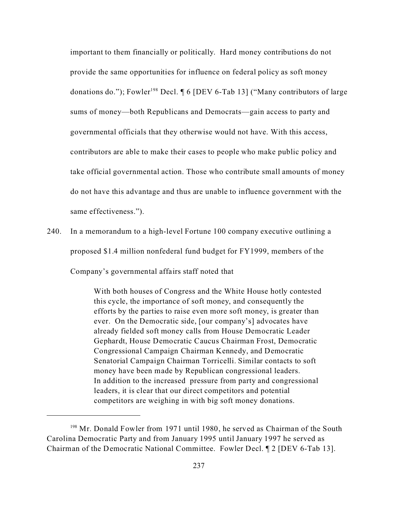important to them financially or politically. Hard money contributions do not provide the same opportunities for influence on federal policy as soft money donations do."); Fowler<sup>198</sup> Decl.  $\P 6$  [DEV 6-Tab 13] ("Many contributors of large sums of money—both Republicans and Democrats—gain access to party and governmental officials that they otherwise would not have. With this access, contributors are able to make their cases to people who make public policy and take official governmental action. Those who contribute small amounts of money do not have this advantage and thus are unable to influence government with the same effectiveness.").

240. In a memorandum to a high-level Fortune 100 company executive outlining a proposed \$1.4 million nonfederal fund budget for FY1999, members of the Company's governmental affairs staff noted that

> With both houses of Congress and the White House hotly contested this cycle, the importance of soft money, and consequently the efforts by the parties to raise even more soft money, is greater than ever. On the Democratic side, [our company's] advocates have already fielded soft money calls from House Democratic Leader Gephardt, House Democratic Caucus Chairman Frost, Democratic Congressional Campaign Chairman Kennedy, and Democratic Senatorial Campaign Chairman Torricelli. Similar contacts to soft money have been made by Republican congressional leaders. In addition to the increased pressure from party and congressional leaders, it is clear that our direct competitors and potential competitors are weighing in with big soft money donations.

<sup>&</sup>lt;sup>198</sup> Mr. Donald Fowler from 1971 until 1980, he served as Chairman of the South Carolina Democratic Party and from January 1995 until January 1997 he served as Chairman of the Democratic National Committee. Fowler Decl. ¶ 2 [DEV 6-Tab 13].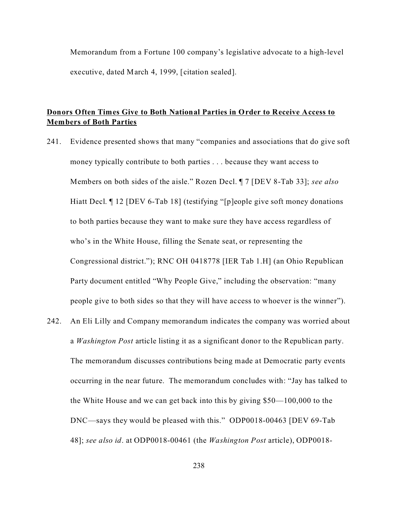Memorandum from a Fortune 100 company's legislative advocate to a high-level executive, dated March 4, 1999, [citation sealed].

# **Donors Often Times Give to Both National Parties in Order to Receive Access to Members of Both Parties**

- 241. Evidence presented shows that many "companies and associations that do give soft money typically contribute to both parties . . . because they want access to Members on both sides of the aisle." Rozen Decl. ¶ 7 [DEV 8-Tab 33]; *see also* Hiatt Decl. ¶ 12 [DEV 6-Tab 18] (testifying "[p]eople give soft money donations to both parties because they want to make sure they have access regardless of who's in the White House, filling the Senate seat, or representing the Congressional district."); RNC OH 0418778 [IER Tab 1.H] (an Ohio Republican Party document entitled "Why People Give," including the observation: "many people give to both sides so that they will have access to whoever is the winner").
- 242. An Eli Lilly and Company memorandum indicates the company was worried about a *Washington Post* article listing it as a significant donor to the Republican party. The memorandum discusses contributions being made at Democratic party events occurring in the near future. The memorandum concludes with: "Jay has talked to the White House and we can get back into this by giving \$50—100,000 to the DNC—says they would be pleased with this." ODP0018-00463 [DEV 69-Tab 48]; *see also id*. at ODP0018-00461 (the *Washington Post* article), ODP0018-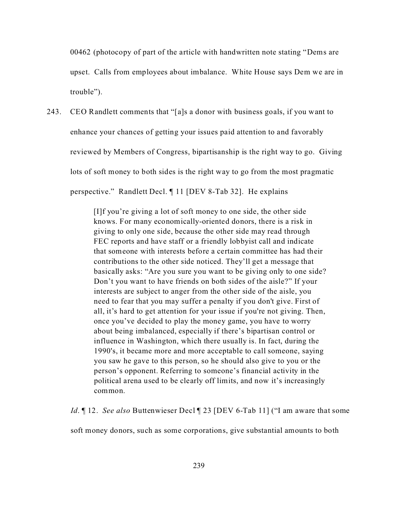00462 (photocopy of part of the article with handwritten note stating "Dems are upset. Calls from employees about imbalance. White House says Dem we are in trouble").

243. CEO Randlett comments that "[a]s a donor with business goals, if you want to enhance your chances of getting your issues paid attention to and favorably reviewed by Members of Congress, bipartisanship is the right way to go. Giving lots of soft money to both sides is the right way to go from the most pragmatic perspective." Randlett Decl. ¶ 11 [DEV 8-Tab 32]. He explains

> [I]f you're giving a lot of soft money to one side, the other side knows. For many economically-oriented donors, there is a risk in giving to only one side, because the other side may read through FEC reports and have staff or a friendly lobbyist call and indicate that someone with interests before a certain committee has had their contributions to the other side noticed. They'll get a message that basically asks: "Are you sure you want to be giving only to one side? Don't you want to have friends on both sides of the aisle?" If your interests are subject to anger from the other side of the aisle, you need to fear that you may suffer a penalty if you don't give. First of all, it's hard to get attention for your issue if you're not giving. Then, once you've decided to play the money game, you have to worry about being imbalanced, especially if there's bipartisan control or influence in Washington, which there usually is. In fact, during the 1990's, it became more and more acceptable to call someone, saying you saw he gave to this person, so he should also give to you or the person's opponent. Referring to someone's financial activity in the political arena used to be clearly off limits, and now it's increasingly common.

*Id*. ¶ 12. *See also* Buttenwieser Decl ¶ 23 [DEV 6-Tab 11] ("I am aware that some

soft money donors, such as some corporations, give substantial amounts to both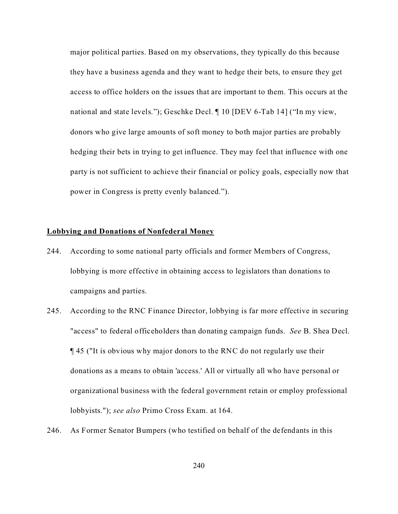major political parties. Based on my observations, they typically do this because they have a business agenda and they want to hedge their bets, to ensure they get access to office holders on the issues that are important to them. This occurs at the national and state levels."); Geschke Decl. ¶ 10 [DEV 6-Tab 14] ("In my view, donors who give large amounts of soft money to both major parties are probably hedging their bets in trying to get influence. They may feel that influence with one party is not sufficient to achieve their financial or policy goals, especially now that power in Congress is pretty evenly balanced.").

## **Lobbying and Donations of Nonfederal Money**

- 244. According to some national party officials and former Members of Congress, lobbying is more effective in obtaining access to legislators than donations to campaigns and parties.
- 245. According to the RNC Finance Director, lobbying is far more effective in securing "access" to federal officeholders than donating campaign funds. *See* B. Shea Decl. ¶ 45 ("It is obvious why major donors to the RNC do not regularly use their donations as a means to obtain 'access.' All or virtually all who have personal or organizational business with the federal government retain or employ professional lobbyists."); *see also* Primo Cross Exam. at 164.
- 246. As Former Senator Bumpers (who testified on behalf of the defendants in this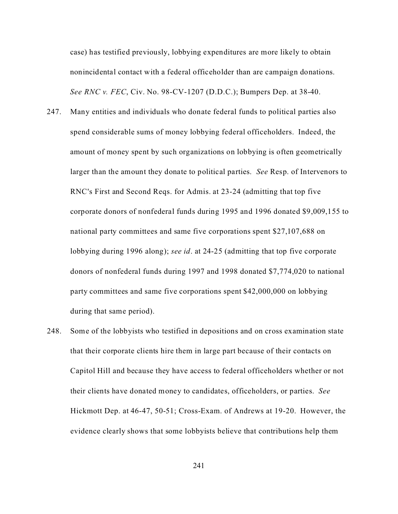case) has testified previously, lobbying expenditures are more likely to obtain nonincidental contact with a federal officeholder than are campaign donations. *See RNC v. FEC*, Civ. No. 98-CV-1207 (D.D.C.); Bumpers Dep. at 38-40.

- 247. Many entities and individuals who donate federal funds to political parties also spend considerable sums of money lobbying federal officeholders. Indeed, the amount of money spent by such organizations on lobbying is often geometrically larger than the amount they donate to political parties. *See* Resp. of Intervenors to RNC's First and Second Reqs. for Admis. at 23-24 (admitting that top five corporate donors of nonfederal funds during 1995 and 1996 donated \$9,009,155 to national party committees and same five corporations spent \$27,107,688 on lobbying during 1996 along); *see id*. at 24-25 (admitting that top five corporate donors of nonfederal funds during 1997 and 1998 donated \$7,774,020 to national party committees and same five corporations spent \$42,000,000 on lobbying during that same period).
- 248. Some of the lobbyists who testified in depositions and on cross examination state that their corporate clients hire them in large part because of their contacts on Capitol Hill and because they have access to federal officeholders whether or not their clients have donated money to candidates, officeholders, or parties. *See* Hickmott Dep. at 46-47, 50-51; Cross-Exam. of Andrews at 19-20.However, the evidence clearly shows that some lobbyists believe that contributions help them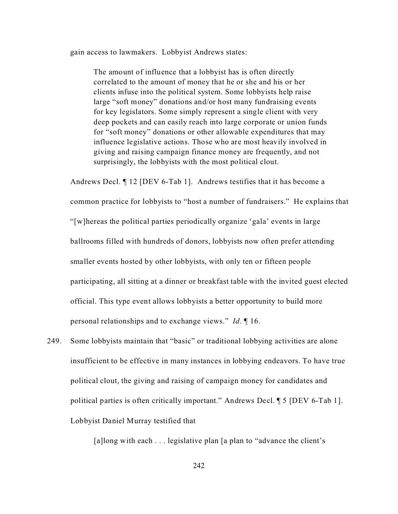gain access to lawmakers. Lobbyist Andrews states:

The amount of influence that a lobbyist has is often directly correlated to the amount of money that he or she and his or her clients infuse into the political system. Some lobbyists help raise large "soft money" donations and/or host many fundraising events for key legislators. Some simply represent a single client with very deep pockets and can easily reach into large corporate or union funds for "soft money" donations or other allowable expenditures that may influence legislative actions. Those who are most heavily involved in giving and raising campaign finance money are frequently, and not surprisingly, the lobbyists with the most political clout.

Andrews Decl. ¶ 12 [DEV 6-Tab 1]. Andrews testifies that it has become a common practice for lobbyists to "host a number of fundraisers." He explains that "[w]hereas the political parties periodically organize 'gala' events in large ballrooms filled with hundreds of donors, lobbyists now often prefer attending smaller events hosted by other lobbyists, with only ten or fifteen people participating, all sitting at a dinner or breakfast table with the invited guest elected official. This type event allows lobbyists a better opportunity to build more personal relationships and to exchange views." *Id*. ¶ 16.

249. Some lobbyists maintain that "basic" or traditional lobbying activities are alone insufficient to be effective in many instances in lobbying endeavors. To have true political clout, the giving and raising of campaign money for candidates and political parties is often critically important." Andrews Decl. ¶ 5 [DEV 6-Tab 1]. Lobbyist Daniel Murray testified that

[a]long with each . . . legislative plan [a plan to "advance the client's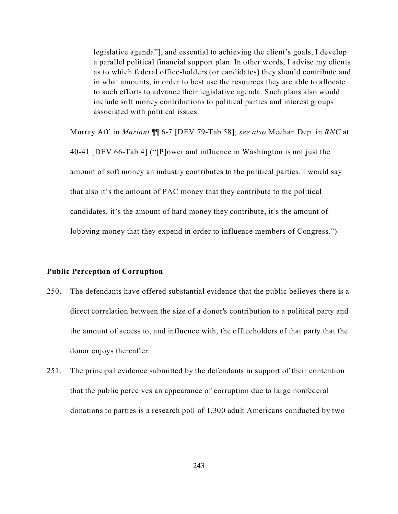legislative agenda"], and essential to achieving the client's goals, I develop a parallel political financial support plan. In other words, I advise my clients as to which federal office-holders (or candidates) they should contribute and in what amounts, in order to best use the resources they are able to allocate to such efforts to advance their legislative agenda. Such plans also would include soft money contributions to political parties and interest groups associated with political issues.

Murray Aff. in *Mariani* ¶¶ 6-7 [DEV 79-Tab 58]; *see also* Meehan Dep. in *RNC* at 40-41 [DEV 66-Tab 4] ("[P]ower and influence in Washington is not just the amount of soft money an industry contributes to the political parties. I would say that also it's the amount of PAC money that they contribute to the political candidates, it's the amount of hard money they contribute, it's the amount of lobbying money that they expend in order to influence members of Congress.").

## **Public Perception of Corruption**

- 250. The defendants have offered substantial evidence that the public believes there is a direct correlation between the size of a donor's contribution to a political party and the amount of access to, and influence with, the officeholders of that party that the donor enjoys thereafter.
- 251. The principal evidence submitted by the defendants in support of their contention that the public perceives an appearance of corruption due to large nonfederal donations to parties is a research poll of 1,300 adult Americans conducted by two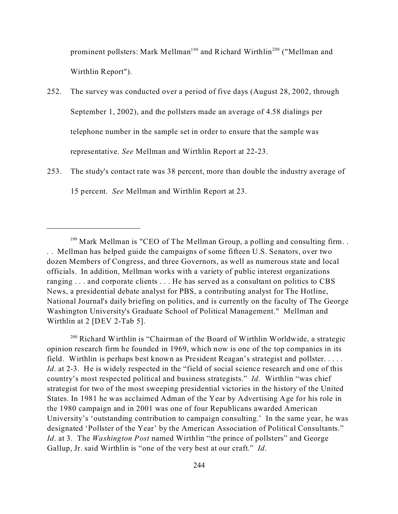prominent pollsters: Mark Mellman<sup>199</sup> and Richard Wirthlin<sup>200</sup> ("Mellman and Wirthlin Report").

- 252. The survey was conducted over a period of five days (August 28, 2002, through September 1, 2002), and the pollsters made an average of 4.58 dialings per telephone number in the sample set in order to ensure that the sample was representative. *See* Mellman and Wirthlin Report at 22-23.
- 253. The study's contact rate was 38 percent, more than double the industry average of 15 percent. *See* Mellman and Wirthlin Report at 23.

<sup>200</sup> Richard Wirthlin is "Chairman of the Board of Wirthlin Worldwide, a strategic opinion research firm he founded in 1969, which now is one of the top companies in its field. Wirthlin is perhaps best known as President Reagan's strategist and pollster. . . . . *Id*. at 2-3. He is widely respected in the "field of social science research and one of this country's most respected political and business strategists." *Id*. Wirthlin "was chief strategist for two of the most sweeping presidential victories in the history of the United States. In 1981 he was acclaimed Adman of the Year by Advertising Age for his role in the 1980 campaign and in 2001 was one of four Republicans awarded American University's 'outstanding contribution to campaign consulting.' In the same year, he was designated 'Pollster of the Year' by the American Association of Political Consultants." *Id*. at 3. The *Washington Post* named Wirthlin "the prince of pollsters" and George Gallup, Jr. said Wirthlin is "one of the very best at our craft." *Id*.

<sup>&</sup>lt;sup>199</sup> Mark Mellman is "CEO of The Mellman Group, a polling and consulting firm... . . Mellman has helped guide the campaigns of some fifteen U.S. Senators, over two dozen Members of Congress, and three Governors, as well as numerous state and local officials. In addition, Mellman works with a variety of public interest organizations ranging . . . and corporate clients . . . He has served as a consultant on politics to CBS News, a presidential debate analyst for PBS, a contributing analyst for The Hotline, National Journal's daily briefing on politics, and is currently on the faculty of The George Washington University's Graduate School of Political Management." Mellman and Wirthlin at 2 [DEV 2-Tab 5].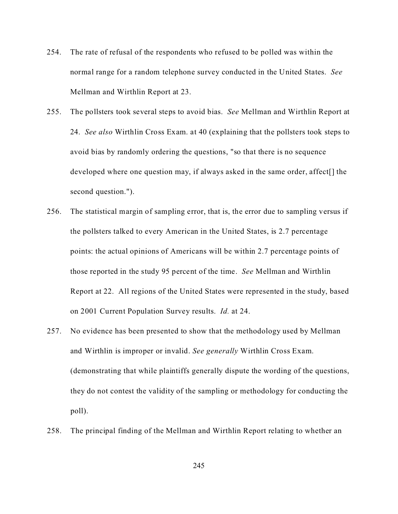- 254. The rate of refusal of the respondents who refused to be polled was within the normal range for a random telephone survey conducted in the United States. *See* Mellman and Wirthlin Report at 23.
- 255. The pollsters took several steps to avoid bias. *See* Mellman and Wirthlin Report at 24. *See also* Wirthlin Cross Exam. at 40 (explaining that the pollsters took steps to avoid bias by randomly ordering the questions, "so that there is no sequence developed where one question may, if always asked in the same order, affect[] the second question.").
- 256. The statistical margin of sampling error, that is, the error due to sampling versus if the pollsters talked to every American in the United States, is 2.7 percentage points: the actual opinions of Americans will be within 2.7 percentage points of those reported in the study 95 percent of the time. *See* Mellman and Wirthlin Report at 22. All regions of the United States were represented in the study, based on 2001 Current Population Survey results. *Id.* at 24.
- 257. No evidence has been presented to show that the methodology used by Mellman and Wirthlin is improper or invalid. *See generally* Wirthlin Cross Exam. (demonstrating that while plaintiffs generally dispute the wording of the questions, they do not contest the validity of the sampling or methodology for conducting the poll).
- 258. The principal finding of the Mellman and Wirthlin Report relating to whether an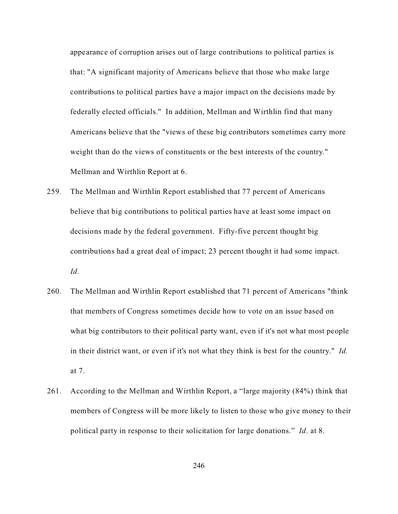appearance of corruption arises out of large contributions to political parties is that: "A significant majority of Americans believe that those who make large contributions to political parties have a major impact on the decisions made by federally elected officials." In addition, Mellman and Wirthlin find that many Americans believe that the "views of these big contributors sometimes carry more weight than do the views of constituents or the best interests of the country." Mellman and Wirthlin Report at 6.

- 259. The Mellman and Wirthlin Report established that 77 percent of Americans believe that big contributions to political parties have at least some impact on decisions made by the federal government. Fifty-five percent thought big contributions had a great deal of impact; 23 percent thought it had some impact. *Id.*
- 260. The Mellman and Wirthlin Report established that 71 percent of Americans "think that members of Congress sometimes decide how to vote on an issue based on what big contributors to their political party want, even if it's not what most people in their district want, or even if it's not what they think is best for the country." *Id.* at 7.
- 261. According to the Mellman and Wirthlin Report, a "large majority (84%) think that members of Congress will be more likely to listen to those who give money to their political party in response to their solicitation for large donations." *Id*. at 8.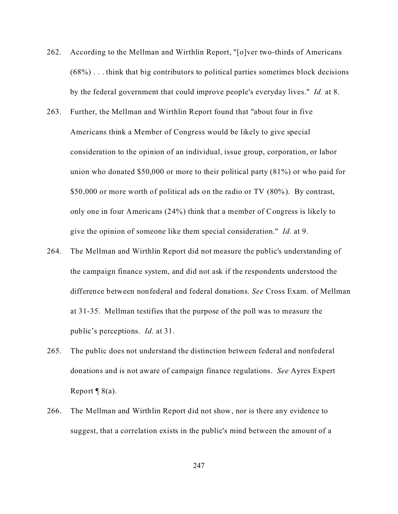- 262. According to the Mellman and Wirthlin Report, "[o]ver two-thirds of Americans (68%) . . . think that big contributors to political parties sometimes block decisions by the federal government that could improve people's everyday lives." *Id.* at 8.
- 263. Further, the Mellman and Wirthlin Report found that "about four in five Americans think a Member of Congress would be likely to give special consideration to the opinion of an individual, issue group, corporation, or labor union who donated \$50,000 or more to their political party (81%) or who paid for \$50,000 or more worth of political ads on the radio or TV (80%). By contrast, only one in four Americans (24%) think that a member of Congress is likely to give the opinion of someone like them special consideration." *Id.* at 9.
- 264. The Mellman and Wirthlin Report did not measure the public's understanding of the campaign finance system, and did not ask if the respondents understood the difference between nonfederal and federal donations. *See* Cross Exam. of Mellman at 31-35. Mellman testifies that the purpose of the poll was to measure the public's perceptions. *Id*. at 31.
- 265. The public does not understand the distinction between federal and nonfederal donations and is not aware of campaign finance regulations. *See* Ayres Expert Report  $\P$  8(a).
- 266. The Mellman and Wirthlin Report did not show, nor is there any evidence to suggest, that a correlation exists in the public's mind between the amount of a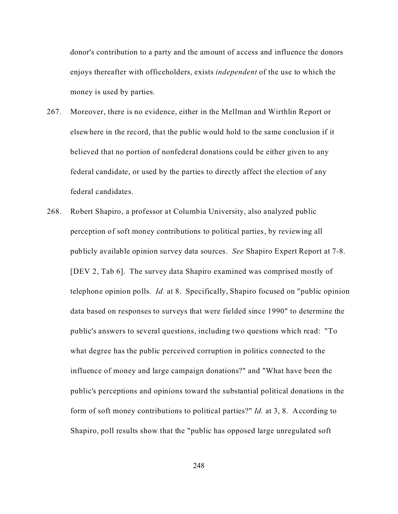donor's contribution to a party and the amount of access and influence the donors enjoys thereafter with officeholders, exists *independent* of the use to which the money is used by parties.

- 267. Moreover, there is no evidence, either in the Mellman and Wirthlin Report or elsewhere in the record, that the public would hold to the same conclusion if it believed that no portion of nonfederal donations could be either given to any federal candidate, or used by the parties to directly affect the election of any federal candidates.
- 268. Robert Shapiro, a professor at Columbia University, also analyzed public perception of soft money contributions to political parties, by reviewing all publicly available opinion survey data sources. *See* Shapiro Expert Report at 7-8. [DEV 2, Tab 6]. The survey data Shapiro examined was comprised mostly of telephone opinion polls. *Id.* at 8. Specifically, Shapiro focused on "public opinion data based on responses to surveys that were fielded since 1990" to determine the public's answers to several questions, including two questions which read: "To what degree has the public perceived corruption in politics connected to the influence of money and large campaign donations?" and "What have been the public's perceptions and opinions toward the substantial political donations in the form of soft money contributions to political parties?" *Id.* at 3, 8. According to Shapiro, poll results show that the "public has opposed large unregulated soft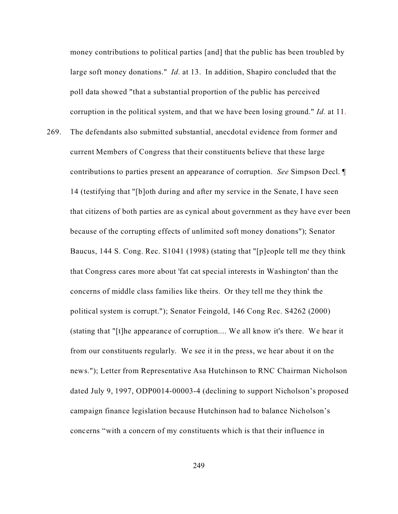money contributions to political parties [and] that the public has been troubled by large soft money donations." *Id.* at 13. In addition, Shapiro concluded that the poll data showed "that a substantial proportion of the public has perceived corruption in the political system, and that we have been losing ground." *Id.* at 11.

269. The defendants also submitted substantial, anecdotal evidence from former and current Members of Congress that their constituents believe that these large contributions to parties present an appearance of corruption. *See* Simpson Decl. ¶ 14 (testifying that "[b]oth during and after my service in the Senate, I have seen that citizens of both parties are as cynical about government as they have ever been because of the corrupting effects of unlimited soft money donations"); Senator Baucus, 144 S. Cong. Rec. S1041 (1998) (stating that "[p]eople tell me they think that Congress cares more about 'fat cat special interests in Washington' than the concerns of middle class families like theirs. Or they tell me they think the political system is corrupt."); Senator Feingold, 146 Cong Rec. S4262 (2000) (stating that "[t]he appearance of corruption.... We all know it's there. We hear it from our constituents regularly. We see it in the press, we hear about it on the news."); Letter from Representative Asa Hutchinson to RNC Chairman Nicholson dated July 9, 1997, ODP0014-00003-4 (declining to support Nicholson's proposed campaign finance legislation because Hutchinson had to balance Nicholson's concerns "with a concern of my constituents which is that their influence in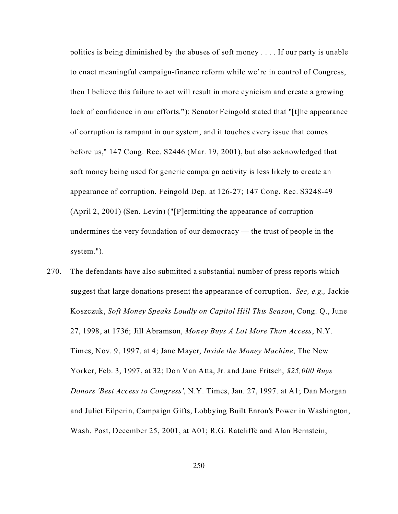politics is being diminished by the abuses of soft money . . . . If our party is unable to enact meaningful campaign-finance reform while we're in control of Congress, then I believe this failure to act will result in more cynicism and create a growing lack of confidence in our efforts."); Senator Feingold stated that "[t]he appearance of corruption is rampant in our system, and it touches every issue that comes before us," 147 Cong. Rec. S2446 (Mar. 19, 2001), but also acknowledged that soft money being used for generic campaign activity is less likely to create an appearance of corruption, Feingold Dep. at 126-27; 147 Cong. Rec. S3248-49 (April 2, 2001) (Sen. Levin) ("[P]ermitting the appearance of corruption undermines the very foundation of our democracy — the trust of people in the system.").

270. The defendants have also submitted a substantial number of press reports which suggest that large donations present the appearance of corruption. *See, e.g.,* Jackie Koszczuk, *Soft Money Speaks Loudly on Capitol Hill This Season*, Cong. Q., June 27, 1998, at 1736; Jill Abramson, *Money Buys A Lot More Than Access*, N.Y. Times, Nov. 9, 1997, at 4; Jane Mayer, *Inside the Money Machine*, The New Yorker, Feb. 3, 1997, at 32; Don Van Atta, Jr. and Jane Fritsch, *\$25,000 Buys Donors 'Best Access to Congress'*, N.Y. Times, Jan. 27, 1997. at A1; Dan Morgan and Juliet Eilperin, Campaign Gifts, Lobbying Built Enron's Power in Washington, Wash. Post, December 25, 2001, at A01; R.G. Ratcliffe and Alan Bernstein,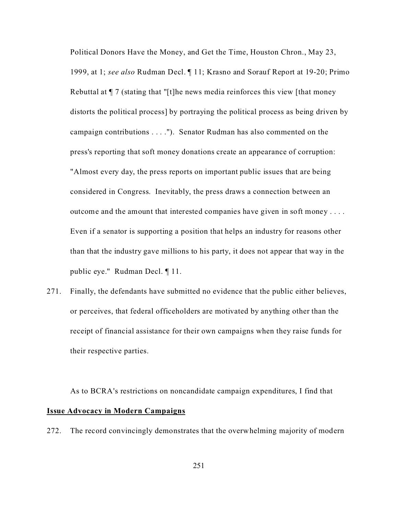Political Donors Have the Money, and Get the Time, Houston Chron., May 23, 1999, at 1; *see also* Rudman Decl. ¶ 11; Krasno and Sorauf Report at 19-20; Primo Rebuttal at ¶ 7 (stating that "[t]he news media reinforces this view [that money distorts the political process] by portraying the political process as being driven by campaign contributions . . . ."). Senator Rudman has also commented on the press's reporting that soft money donations create an appearance of corruption: "Almost every day, the press reports on important public issues that are being considered in Congress. Inevitably, the press draws a connection between an outcome and the amount that interested companies have given in soft money . . . . Even if a senator is supporting a position that helps an industry for reasons other than that the industry gave millions to his party, it does not appear that way in the public eye." Rudman Decl. ¶ 11.

271. Finally, the defendants have submitted no evidence that the public either believes, or perceives, that federal officeholders are motivated by anything other than the receipt of financial assistance for their own campaigns when they raise funds for their respective parties.

As to BCRA's restrictions on noncandidate campaign expenditures, I find that **Issue Advocacy in Modern Campaigns**

272. The record convincingly demonstrates that the overwhelming majority of modern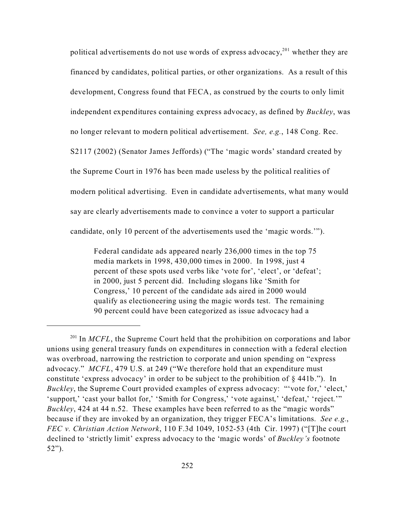political advertisements do not use words of express advocacy,<sup>201</sup> whether they are financed by candidates, political parties, or other organizations. As a result of this development, Congress found that FECA, as construed by the courts to only limit independent expenditures containing express advocacy, as defined by *Buckley*, was no longer relevant to modern political advertisement. *See, e.g.*, 148 Cong. Rec. S2117 (2002) (Senator James Jeffords) ("The 'magic words' standard created by the Supreme Court in 1976 has been made useless by the political realities of modern political advertising. Even in candidate advertisements, what many would say are clearly advertisements made to convince a voter to support a particular candidate, only 10 percent of the advertisements used the 'magic words.'").

Federal candidate ads appeared nearly 236,000 times in the top 75 media markets in 1998, 430,000 times in 2000. In 1998, just 4 percent of these spots used verbs like 'vote for', 'elect', or 'defeat'; in 2000, just 5 percent did. Including slogans like 'Smith for Congress,' 10 percent of the candidate ads aired in 2000 would qualify as electioneering using the magic words test. The remaining 90 percent could have been categorized as issue advocacy had a

<sup>&</sup>lt;sup>201</sup> In *MCFL*, the Supreme Court held that the prohibition on corporations and labor unions using general treasury funds on expenditures in connection with a federal election was overbroad, narrowing the restriction to corporate and union spending on "express advocacy." *MCFL*, 479 U.S. at 249 ("We therefore hold that an expenditure must constitute 'express advocacy' in order to be subject to the prohibition of § 441b."). In *Buckley*, the Supreme Court provided examples of express advocacy: "'vote for,' 'elect,' 'support,' 'cast your ballot for,' 'Smith for Congress,' 'vote against,' 'defeat,' 'reject.'" *Buckley*, 424 at 44 n.52. These examples have been referred to as the "magic words" because if they are invoked by an organization, they trigger FECA's limitations. *See e.g.*, *FEC v. Christian Action Network*, 110 F.3d 1049, 1052-53 (4th Cir. 1997) ("[T]he court declined to 'strictly limit' express advocacy to the 'magic words' of *Buckley's* footnote 52").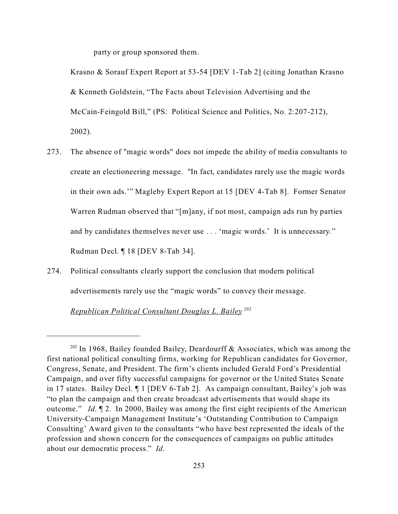party or group sponsored them.

Krasno & Sorauf Expert Report at 53-54 [DEV 1-Tab 2] (citing Jonathan Krasno & Kenneth Goldstein, "The Facts about Television Advertising and the McCain-Feingold Bill," (PS: Political Science and Politics, No. 2:207-212), 2002).

- 273. The absence of "magic words" does not impede the ability of media consultants to create an electioneering message. "In fact, candidates rarely use the magic words in their own ads.'" Magleby Expert Report at 15 [DEV 4-Tab 8]. Former Senator Warren Rudman observed that "[m]any, if not most, campaign ads run by parties and by candidates themselves never use . . . 'magic words.' It is unnecessary." Rudman Decl. ¶ 18 [DEV 8-Tab 34].
- 274. Political consultants clearly support the conclusion that modern political advertisements rarely use the "magic words" to convey their message.

*Republican Political Consultant Douglas L. Bailey* <sup>202</sup>

 $202$  In 1968, Bailey founded Bailey, Deardourff & Associates, which was among the first national political consulting firms, working for Republican candidates for Governor, Congress, Senate, and President. The firm's clients included Gerald Ford's Presidential Campaign, and over fifty successful campaigns for governor or the United States Senate in 17 states. Bailey Decl. ¶ 1 [DEV 6-Tab 2]. As campaign consultant, Bailey's job was "to plan the campaign and then create broadcast advertisements that would shape its outcome." *Id*. ¶ 2. In 2000, Bailey was among the first eight recipients of the American University-Campaign Management Institute's 'Outstanding Contribution to Campaign Consulting' Award given to the consultants "who have best represented the ideals of the profession and shown concern for the consequences of campaigns on public attitudes about our democratic process." *Id*.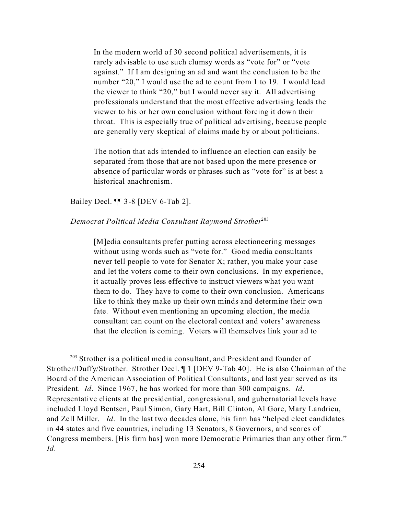In the modern world of 30 second political advertisements, it is rarely advisable to use such clumsy words as "vote for" or "vote against." If I am designing an ad and want the conclusion to be the number "20," I would use the ad to count from 1 to 19. I would lead the viewer to think "20," but I would never say it. All advertising professionals understand that the most effective advertising leads the viewer to his or her own conclusion without forcing it down their throat. This is especially true of political advertising, because people are generally very skeptical of claims made by or about politicians.

The notion that ads intended to influence an election can easily be separated from those that are not based upon the mere presence or absence of particular words or phrases such as "vote for" is at best a historical anachronism.

Bailey Decl. ¶¶ 3-8 [DEV 6-Tab 2].

## *Democrat Political Media Consultant Raymond Strother*<sup>203</sup>

[M]edia consultants prefer putting across electioneering messages without using words such as "vote for." Good media consultants never tell people to vote for Senator X; rather, you make your case and let the voters come to their own conclusions. In my experience, it actually proves less effective to instruct viewers what you want them to do. They have to come to their own conclusion. Americans like to think they make up their own minds and determine their own fate. Without even mentioning an upcoming election, the media consultant can count on the electoral context and voters' awareness that the election is coming. Voters will themselves link your ad to

 $203$  Strother is a political media consultant, and President and founder of Strother/Duffy/Strother. Strother Decl. ¶ 1 [DEV 9-Tab 40]. He is also Chairman of the Board of the American Association of Political Consultants, and last year served as its President. *Id*. Since 1967, he has worked for more than 300 campaigns. *Id*. Representative clients at the presidential, congressional, and gubernatorial levels have included Lloyd Bentsen, Paul Simon, Gary Hart, Bill Clinton, Al Gore, Mary Landrieu, and Zell Miller. *Id*. In the last two decades alone, his firm has "helped elect candidates in 44 states and five countries, including 13 Senators, 8 Governors, and scores of Congress members. [His firm has] won more Democratic Primaries than any other firm." *Id*.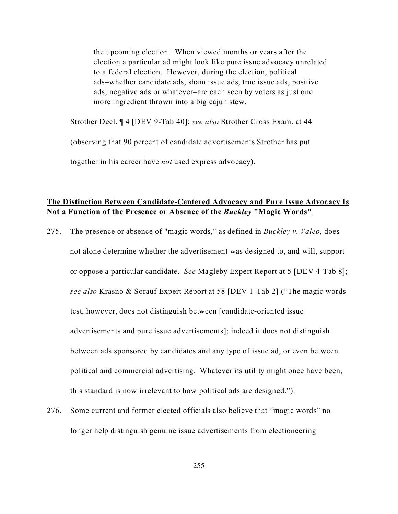the upcoming election. When viewed months or years after the election a particular ad might look like pure issue advocacy unrelated to a federal election. However, during the election, political ads–whether candidate ads, sham issue ads, true issue ads, positive ads, negative ads or whatever–are each seen by voters as just one more ingredient thrown into a big cajun stew.

Strother Decl. ¶ 4 [DEV 9-Tab 40]; *see also* Strother Cross Exam. at 44

(observing that 90 percent of candidate advertisements Strother has put

together in his career have *not* used express advocacy).

## **The Distinction Between Candidate-Centered Advocacy and Pure Issue Advocacy Is Not a Function of the Presence or Absence of the** *Buckley* **"Magic Words"**

- 275. The presence or absence of "magic words," as defined in *Buckley v. Valeo*, does not alone determine whether the advertisement was designed to, and will, support or oppose a particular candidate. *See* Magleby Expert Report at 5 [DEV 4-Tab 8]; *see also* Krasno & Sorauf Expert Report at 58 [DEV 1-Tab 2] ("The magic words test, however, does not distinguish between [candidate-oriented issue advertisements and pure issue advertisements]; indeed it does not distinguish between ads sponsored by candidates and any type of issue ad, or even between political and commercial advertising. Whatever its utility might once have been, this standard is now irrelevant to how political ads are designed.").
- 276. Some current and former elected officials also believe that "magic words" no longer help distinguish genuine issue advertisements from electioneering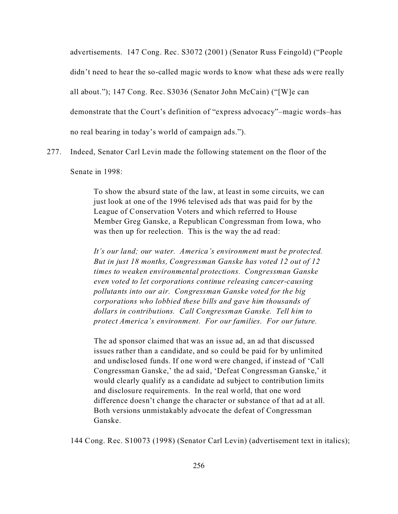advertisements. 147 Cong. Rec. S3072 (2001) (Senator Russ Feingold) ("People didn't need to hear the so-called magic words to know what these ads were really all about."); 147 Cong. Rec. S3036 (Senator John McCain) ("[W]e can demonstrate that the Court's definition of "express advocacy"–magic words–has no real bearing in today's world of campaign ads.").

277. Indeed, Senator Carl Levin made the following statement on the floor of the

Senate in 1998:

To show the absurd state of the law, at least in some circuits, we can just look at one of the 1996 televised ads that was paid for by the League of Conservation Voters and which referred to House Member Greg Ganske, a Republican Congressman from Iowa, who was then up for reelection. This is the way the ad read:

*It's our land; our water. America's environment must be protected. But in just 18 months, Congressman Ganske has voted 12 out of 12 times to weaken environmental protections. Congressman Ganske even voted to let corporations continue releasing cancer-causing pollutants into our air. Congressman Ganske voted for the big corporations who lobbied these bills and gave him thousands of dollars in contributions. Call Congressman Ganske. Tell him to protect America's environment. For our families. For our future.*

The ad sponsor claimed that was an issue ad, an ad that discussed issues rather than a candidate, and so could be paid for by unlimited and undisclosed funds. If one word were changed, if instead of 'Call Congressman Ganske,' the ad said, 'Defeat Congressman Ganske,' it would clearly qualify as a candidate ad subject to contribution limits and disclosure requirements. In the real world, that one word difference doesn't change the character or substance of that ad at all. Both versions unmistakably advocate the defeat of Congressman Ganske.

144 Cong. Rec. S10073 (1998) (Senator Carl Levin) (advertisement text in italics);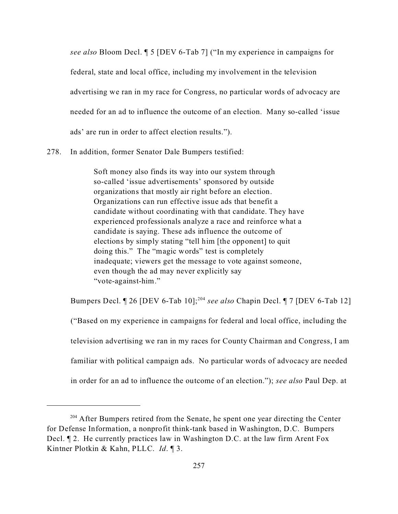*see also* Bloom Decl. ¶ 5 [DEV 6-Tab 7] ("In my experience in campaigns for federal, state and local office, including my involvement in the television advertising we ran in my race for Congress, no particular words of advocacy are needed for an ad to influence the outcome of an election. Many so-called 'issue ads' are run in order to affect election results.").

278. In addition, former Senator Dale Bumpers testified:

Soft money also finds its way into our system through so-called 'issue advertisements' sponsored by outside organizations that mostly air right before an election. Organizations can run effective issue ads that benefit a candidate without coordinating with that candidate. They have experienced professionals analyze a race and reinforce what a candidate is saying. These ads influence the outcome of elections by simply stating "tell him [the opponent] to quit doing this." The "magic words" test is completely inadequate; viewers get the message to vote against someone, even though the ad may never explicitly say "vote-against-him."

Bumpers Decl. ¶ 26 [DEV 6-Tab 10];<sup>204</sup> *see also* Chapin Decl. ¶ 7 [DEV 6-Tab 12] ("Based on my experience in campaigns for federal and local office, including the television advertising we ran in my races for County Chairman and Congress, I am familiar with political campaign ads. No particular words of advocacy are needed

in order for an ad to influence the outcome of an election."); *see also* Paul Dep. at

<sup>&</sup>lt;sup>204</sup> After Bumpers retired from the Senate, he spent one year directing the Center for Defense Information, a nonprofit think-tank based in Washington, D.C. Bumpers Decl. ¶ 2. He currently practices law in Washington D.C. at the law firm Arent Fox Kintner Plotkin & Kahn, PLLC. *Id*. ¶ 3.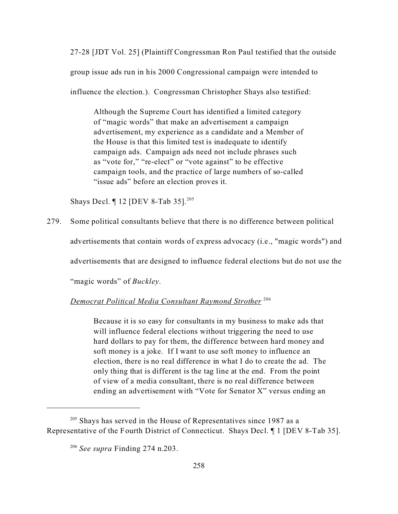27-28 [JDT Vol. 25] (Plaintiff Congressman Ron Paul testified that the outside group issue ads run in his 2000 Congressional campaign were intended to influence the election.). Congressman Christopher Shays also testified:

Although the Supreme Court has identified a limited category of "magic words" that make an advertisement a campaign advertisement, my experience as a candidate and a Member of the House is that this limited test is inadequate to identify campaign ads. Campaign ads need not include phrases such as "vote for," "re-elect" or "vote against" to be effective campaign tools, and the practice of large numbers of so-called "issue ads" before an election proves it.

Shays Decl. ¶ 12 [DEV 8-Tab 35].<sup>205</sup>

279. Some political consultants believe that there is no difference between political

advertisements that contain words of express advocacy (i.e., "magic words") and

advertisements that are designed to influence federal elections but do not use the

"magic words" of *Buckley*.

*Democrat Political Media Consultant Raymond Strother* <sup>206</sup>

Because it is so easy for consultants in my business to make ads that will influence federal elections without triggering the need to use hard dollars to pay for them, the difference between hard money and soft money is a joke. If I want to use soft money to influence an election, there is no real difference in what I do to create the ad. The only thing that is different is the tag line at the end. From the point of view of a media consultant, there is no real difference between ending an advertisement with "Vote for Senator X" versus ending an

 $205$  Shays has served in the House of Representatives since 1987 as a Representative of the Fourth District of Connecticut. Shays Decl. ¶ 1 [DEV 8-Tab 35].

<sup>206</sup> *See supra* Finding 274 n.203.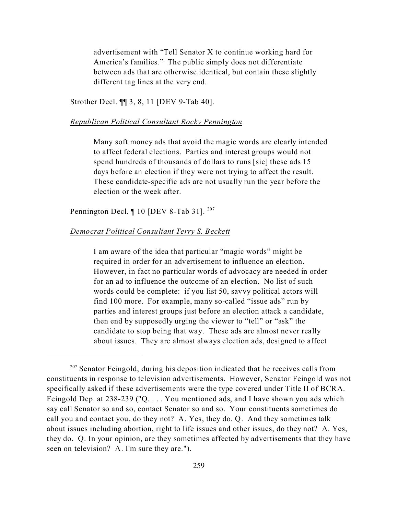advertisement with "Tell Senator X to continue working hard for America's families." The public simply does not differentiate between ads that are otherwise identical, but contain these slightly different tag lines at the very end.

Strother Decl. ¶¶ 3, 8, 11 [DEV 9-Tab 40].

### *Republican Political Consultant Rocky Pennington*

Many soft money ads that avoid the magic words are clearly intended to affect federal elections. Parties and interest groups would not spend hundreds of thousands of dollars to runs [sic] these ads 15 days before an election if they were not trying to affect the result. These candidate-specific ads are not usually run the year before the election or the week after.

Pennington Decl.  $\P$  10 [DEV 8-Tab 31].<sup>207</sup>

### *Democrat Political Consultant Terry S. Beckett*

I am aware of the idea that particular "magic words" might be required in order for an advertisement to influence an election. However, in fact no particular words of advocacy are needed in order for an ad to influence the outcome of an election. No list of such words could be complete: if you list 50, savvy political actors will find 100 more. For example, many so-called "issue ads" run by parties and interest groups just before an election attack a candidate, then end by supposedly urging the viewer to "tell" or "ask" the candidate to stop being that way. These ads are almost never really about issues. They are almost always election ads, designed to affect

 $207$  Senator Feingold, during his deposition indicated that he receives calls from constituents in response to television advertisements. However, Senator Feingold was not specifically asked if these advertisements were the type covered under Title II of BCRA. Feingold Dep. at 238-239 ("Q. . . . You mentioned ads, and I have shown you ads which say call Senator so and so, contact Senator so and so. Your constituents sometimes do call you and contact you, do they not? A. Yes, they do. Q. And they sometimes talk about issues including abortion, right to life issues and other issues, do they not? A. Yes, they do. Q. In your opinion, are they sometimes affected by advertisements that they have seen on television? A. I'm sure they are.").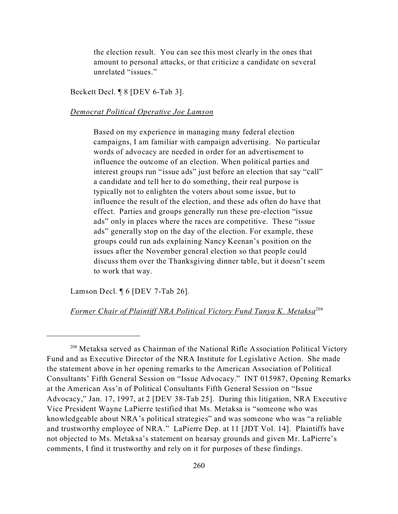the election result. You can see this most clearly in the ones that amount to personal attacks, or that criticize a candidate on several unrelated "issues."

Beckett Decl. ¶ 8 [DEV 6-Tab 3].

## *Democrat Political Operative Joe Lamson*

Based on my experience in managing many federal election campaigns, I am familiar with campaign advertising. No particular words of advocacy are needed in order for an advertisement to influence the outcome of an election. When political parties and interest groups run "issue ads" just before an election that say "call" a candidate and tell her to do something, their real purpose is typically not to enlighten the voters about some issue, but to influence the result of the election, and these ads often do have that effect. Parties and groups generally run these pre-election "issue ads" only in places where the races are competitive. These "issue ads" generally stop on the day of the election. For example, these groups could run ads explaining Nancy Keenan's position on the issues after the November general election so that people could discuss them over the Thanksgiving dinner table, but it doesn't seem to work that way.

Lamson Decl. ¶ 6 [DEV 7-Tab 26].

### *Former Chair of Plaintiff NRA Political Victory Fund Tanya K. Metaksa*208

<sup>208</sup> Metaksa served as Chairman of the National Rifle Association Political Victory Fund and as Executive Director of the NRA Institute for Legislative Action. She made the statement above in her opening remarks to the American Association of Political Consultants' Fifth General Session on "Issue Advocacy." INT 015987, Opening Remarks at the American Ass'n of Political Consultants Fifth General Session on "Issue Advocacy," Jan. 17, 1997, at 2 [DEV 38-Tab 25]. During this litigation, NRA Executive Vice President Wayne LaPierre testified that Ms. Metaksa is "someone who was knowledgeable about NRA's political strategies" and was someone who was "a reliable and trustworthy employee of NRA." LaPierre Dep. at 11 [JDT Vol. 14]. Plaintiffs have not objected to Ms. Metaksa's statement on hearsay grounds and given Mr. LaPierre's comments, I find it trustworthy and rely on it for purposes of these findings.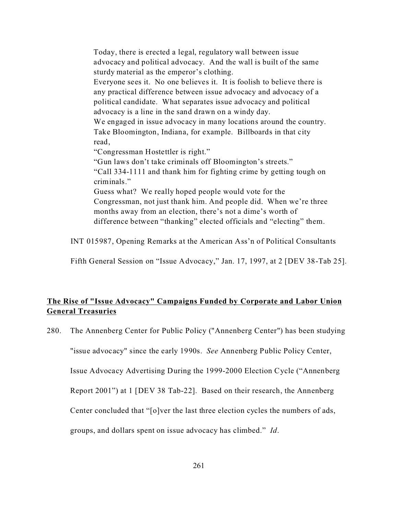Today, there is erected a legal, regulatory wall between issue advocacy and political advocacy. And the wall is built of the same sturdy material as the emperor's clothing. Everyone sees it. No one believes it. It is foolish to believe there is any practical difference between issue advocacy and advocacy of a political candidate. What separates issue advocacy and political advocacy is a line in the sand drawn on a windy day. We engaged in issue advocacy in many locations around the country. Take Bloomington, Indiana, for example. Billboards in that city read, "Congressman Hostettler is right." "Gun laws don't take criminals off Bloomington's streets." "Call 334-1111 and thank him for fighting crime by getting tough on criminals." Guess what? We really hoped people would vote for the Congressman, not just thank him. And people did. When we're three months away from an election, there's not a dime's worth of difference between "thanking" elected officials and "electing" them.

INT 015987, Opening Remarks at the American Ass'n of Political Consultants

Fifth General Session on "Issue Advocacy," Jan. 17, 1997, at 2 [DEV 38-Tab 25].

# **The Rise of "Issue Advocacy" Campaigns Funded by Corporate and Labor Union General Treasuries**

280. The Annenberg Center for Public Policy ("Annenberg Center") has been studying

"issue advocacy" since the early 1990s. *See* Annenberg Public Policy Center,

Issue Advocacy Advertising During the 1999-2000 Election Cycle ("Annenberg

Report 2001") at 1 [DEV 38 Tab-22]. Based on their research, the Annenberg

Center concluded that "[o]ver the last three election cycles the numbers of ads,

groups, and dollars spent on issue advocacy has climbed." *Id*.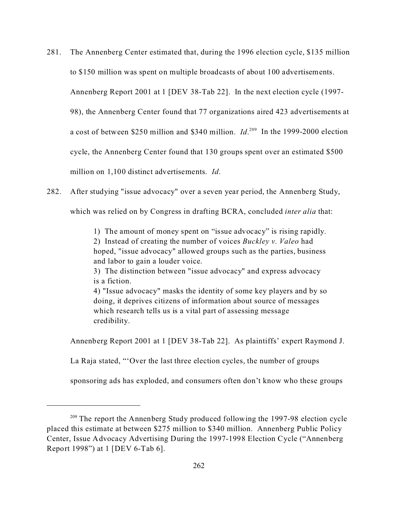- 281. The Annenberg Center estimated that, during the 1996 election cycle, \$135 million to \$150 million was spent on multiple broadcasts of about 100 advertisements. Annenberg Report 2001 at 1 [DEV 38-Tab 22]. In the next election cycle (1997- 98), the Annenberg Center found that 77 organizations aired 423 advertisements at a cost of between \$250 million and \$340 million. *Id*.<sup>209</sup> In the 1999-2000 election cycle, the Annenberg Center found that 130 groups spent over an estimated \$500 million on 1,100 distinct advertisements. *Id*.
- 282. After studying "issue advocacy" over a seven year period, the Annenberg Study, which was relied on by Congress in drafting BCRA, concluded *inter alia* that:

1) The amount of money spent on "issue advocacy" is rising rapidly. 2) Instead of creating the number of voices *Buckley v. Valeo* had hoped, "issue advocacy" allowed groups such as the parties, business and labor to gain a louder voice.

3) The distinction between "issue advocacy" and express advocacy is a fiction.

4) "Issue advocacy" masks the identity of some key players and by so doing, it deprives citizens of information about source of messages which research tells us is a vital part of assessing message credibility.

Annenberg Report 2001 at 1 [DEV 38-Tab 22]. As plaintiffs' expert Raymond J.

La Raja stated, "'Over the last three election cycles, the number of groups

sponsoring ads has exploded, and consumers often don't know who these groups

 $209$  The report the Annenberg Study produced following the 1997-98 election cycle placed this estimate at between \$275 million to \$340 million. Annenberg Public Policy Center, Issue Advocacy Advertising During the 1997-1998 Election Cycle ("Annenberg Report 1998") at 1 [DEV 6-Tab 6].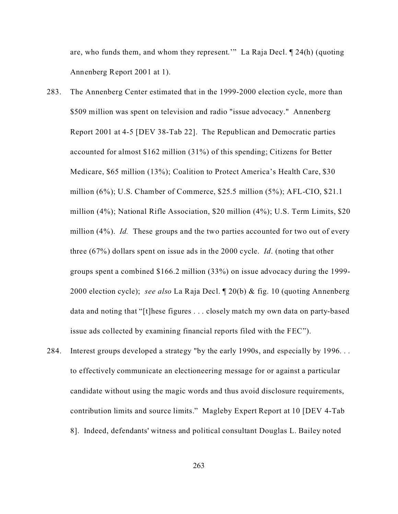are, who funds them, and whom they represent.'" La Raja Decl. ¶ 24(h) (quoting Annenberg Report 2001 at 1).

- 283. The Annenberg Center estimated that in the 1999-2000 election cycle, more than \$509 million was spent on television and radio "issue advocacy." Annenberg Report 2001 at 4-5 [DEV 38-Tab 22]. The Republican and Democratic parties accounted for almost \$162 million (31%) of this spending; Citizens for Better Medicare, \$65 million (13%); Coalition to Protect America's Health Care, \$30 million (6%); U.S. Chamber of Commerce, \$25.5 million (5%); AFL-CIO, \$21.1 million (4%); National Rifle Association, \$20 million (4%); U.S. Term Limits, \$20 million (4%). *Id.* These groups and the two parties accounted for two out of every three (67%) dollars spent on issue ads in the 2000 cycle. *Id*. (noting that other groups spent a combined \$166.2 million (33%) on issue advocacy during the 1999- 2000 election cycle); *see also* La Raja Decl. ¶ 20(b) & fig. 10 (quoting Annenberg data and noting that "[t]hese figures . . . closely match my own data on party-based issue ads collected by examining financial reports filed with the FEC").
- 284. Interest groups developed a strategy "by the early 1990s, and especially by 1996. . . to effectively communicate an electioneering message for or against a particular candidate without using the magic words and thus avoid disclosure requirements, contribution limits and source limits." Magleby Expert Report at 10 [DEV 4-Tab 8]. Indeed, defendants' witness and political consultant Douglas L. Bailey noted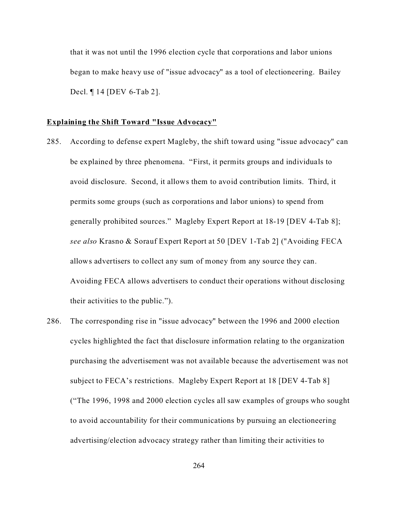that it was not until the 1996 election cycle that corporations and labor unions began to make heavy use of "issue advocacy" as a tool of electioneering. Bailey Decl. ¶ 14 [DEV 6-Tab 2].

## **Explaining the Shift Toward "Issue Advocacy"**

- 285. According to defense expert Magleby, the shift toward using "issue advocacy" can be explained by three phenomena. "First, it permits groups and individuals to avoid disclosure. Second, it allows them to avoid contribution limits. Third, it permits some groups (such as corporations and labor unions) to spend from generally prohibited sources." Magleby Expert Report at 18-19 [DEV 4-Tab 8]; *see also* Krasno & Sorauf Expert Report at 50 [DEV 1-Tab 2] ("Avoiding FECA allows advertisers to collect any sum of money from any source they can. Avoiding FECA allows advertisers to conduct their operations without disclosing their activities to the public.").
- 286. The corresponding rise in "issue advocacy" between the 1996 and 2000 election cycles highlighted the fact that disclosure information relating to the organization purchasing the advertisement was not available because the advertisement was not subject to FECA's restrictions. Magleby Expert Report at 18 [DEV 4-Tab 8] ("The 1996, 1998 and 2000 election cycles all saw examples of groups who sought to avoid accountability for their communications by pursuing an electioneering advertising/election advocacy strategy rather than limiting their activities to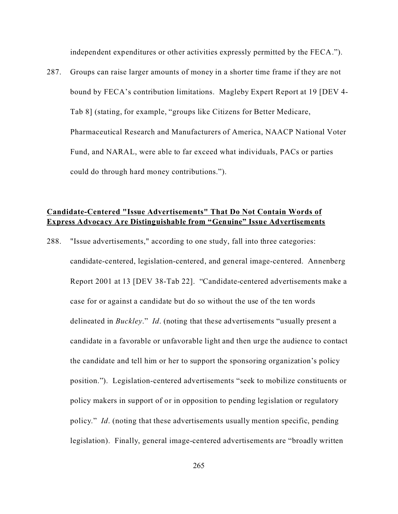independent expenditures or other activities expressly permitted by the FECA.").

287. Groups can raise larger amounts of money in a shorter time frame if they are not bound by FECA's contribution limitations. Magleby Expert Report at 19 [DEV 4- Tab 8] (stating, for example, "groups like Citizens for Better Medicare, Pharmaceutical Research and Manufacturers of America, NAACP National Voter Fund, and NARAL, were able to far exceed what individuals, PACs or parties could do through hard money contributions.").

# **Candidate-Centered "Issue Advertisements" That Do Not Contain Words of Express Advocacy Are Distinguishable from "Genuine" Issue Advertisements**

288. "Issue advertisements," according to one study, fall into three categories: candidate-centered, legislation-centered, and general image-centered. Annenberg Report 2001 at 13 [DEV 38-Tab 22]. "Candidate-centered advertisements make a case for or against a candidate but do so without the use of the ten words delineated in *Buckley*." *Id*. (noting that these advertisements "usually present a candidate in a favorable or unfavorable light and then urge the audience to contact the candidate and tell him or her to support the sponsoring organization's policy position."). Legislation-centered advertisements "seek to mobilize constituents or policy makers in support of or in opposition to pending legislation or regulatory policy." *Id*. (noting that these advertisements usually mention specific, pending legislation). Finally, general image-centered advertisements are "broadly written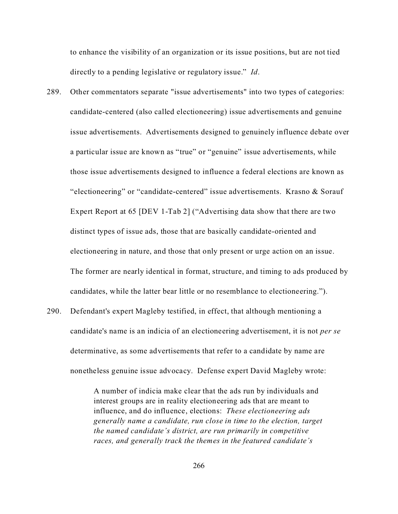to enhance the visibility of an organization or its issue positions, but are not tied directly to a pending legislative or regulatory issue." *Id*.

- 289. Other commentators separate "issue advertisements" into two types of categories: candidate-centered (also called electioneering) issue advertisements and genuine issue advertisements. Advertisements designed to genuinely influence debate over a particular issue are known as "true" or "genuine" issue advertisements, while those issue advertisements designed to influence a federal elections are known as "electioneering" or "candidate-centered" issue advertisements. Krasno & Sorauf Expert Report at 65 [DEV 1-Tab 2] ("Advertising data show that there are two distinct types of issue ads, those that are basically candidate-oriented and electioneering in nature, and those that only present or urge action on an issue. The former are nearly identical in format, structure, and timing to ads produced by candidates, while the latter bear little or no resemblance to electioneering.").
- 290. Defendant's expert Magleby testified, in effect, that although mentioning a candidate's name is an indicia of an electioneering advertisement, it is not *per se* determinative, as some advertisements that refer to a candidate by name are nonetheless genuine issue advocacy. Defense expert David Magleby wrote:

A number of indicia make clear that the ads run by individuals and interest groups are in reality electioneering ads that are meant to influence, and do influence, elections: *These electioneering ads generally name a candidate, run close in time to the election, target the named candidate's district, are run primarily in competitive races, and generally track the themes in the featured candidate's*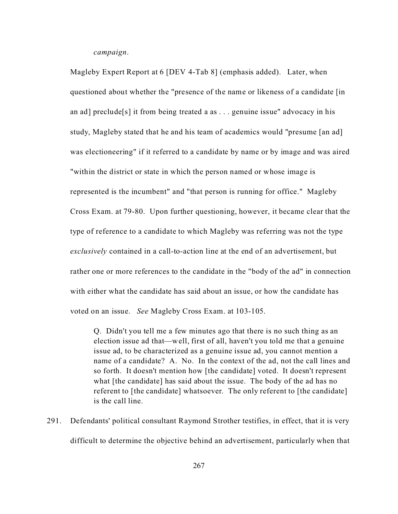*campaign*.

Magleby Expert Report at 6 [DEV 4-Tab 8] (emphasis added). Later, when questioned about whether the "presence of the name or likeness of a candidate [in an ad] preclude<sup>[s]</sup> it from being treated a as . . . genuine issue" advocacy in his study, Magleby stated that he and his team of academics would "presume [an ad] was electioneering" if it referred to a candidate by name or by image and was aired "within the district or state in which the person named or whose image is represented is the incumbent" and "that person is running for office." Magleby Cross Exam. at 79-80. Upon further questioning, however, it became clear that the type of reference to a candidate to which Magleby was referring was not the type *exclusively* contained in a call-to-action line at the end of an advertisement, but rather one or more references to the candidate in the "body of the ad" in connection with either what the candidate has said about an issue, or how the candidate has voted on an issue. *See* Magleby Cross Exam. at 103-105.

Q. Didn't you tell me a few minutes ago that there is no such thing as an election issue ad that—well, first of all, haven't you told me that a genuine issue ad, to be characterized as a genuine issue ad, you cannot mention a name of a candidate? A. No. In the context of the ad, not the call lines and so forth. It doesn't mention how [the candidate] voted. It doesn't represent what [the candidate] has said about the issue. The body of the ad has no referent to [the candidate] whatsoever. The only referent to [the candidate] is the call line.

291. Defendants' political consultant Raymond Strother testifies, in effect, that it is very difficult to determine the objective behind an advertisement, particularly when that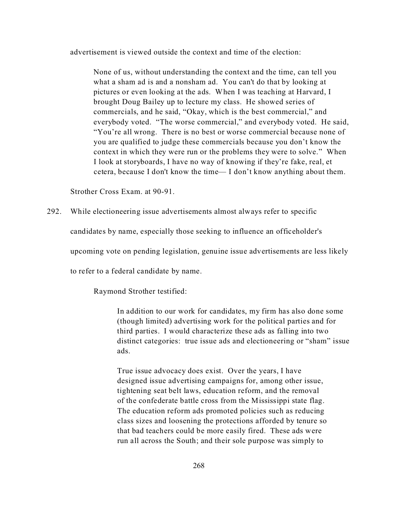advertisement is viewed outside the context and time of the election:

None of us, without understanding the context and the time, can tell you what a sham ad is and a nonsham ad. You can't do that by looking at pictures or even looking at the ads. When I was teaching at Harvard, I brought Doug Bailey up to lecture my class. He showed series of commercials, and he said, "Okay, which is the best commercial," and everybody voted. "The worse commercial," and everybody voted. He said, "You're all wrong. There is no best or worse commercial because none of you are qualified to judge these commercials because you don't know the context in which they were run or the problems they were to solve." When I look at storyboards, I have no way of knowing if they're fake, real, et cetera, because I don't know the time— I don't know anything about them.

Strother Cross Exam. at 90-91.

292. While electioneering issue advertisements almost always refer to specific

candidates by name, especially those seeking to influence an officeholder's

upcoming vote on pending legislation, genuine issue advertisements are less likely

to refer to a federal candidate by name.

Raymond Strother testified:

In addition to our work for candidates, my firm has also done some (though limited) advertising work for the political parties and for third parties. I would characterize these ads as falling into two distinct categories: true issue ads and electioneering or "sham" issue ads.

True issue advocacy does exist. Over the years, I have designed issue advertising campaigns for, among other issue, tightening seat belt laws, education reform, and the removal of the confederate battle cross from the Mississippi state flag. The education reform ads promoted policies such as reducing class sizes and loosening the protections afforded by tenure so that bad teachers could be more easily fired. These ads were run all across the South; and their sole purpose was simply to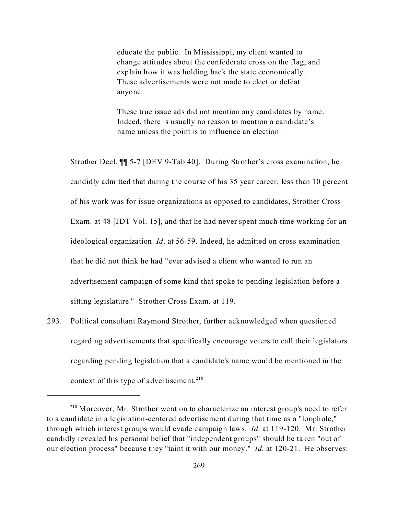educate the public. In Mississippi, my client wanted to change attitudes about the confederate cross on the flag, and explain how it was holding back the state economically. These advertisements were not made to elect or defeat anyone.

These true issue ads did not mention any candidates by name. Indeed, there is usually no reason to mention a candidate's name unless the point is to influence an election.

Strother Decl. ¶¶ 5-7 [DEV 9-Tab 40]. During Strother's cross examination, he candidly admitted that during the course of his 35 year career, less than 10 percent of his work was for issue organizations as opposed to candidates, Strother Cross Exam. at 48 [JDT Vol. 15], and that he had never spent much time working for an ideological organization. *Id*. at 56-59. Indeed, he admitted on cross examination that he did not think he had "ever advised a client who wanted to run an advertisement campaign of some kind that spoke to pending legislation before a sitting legislature." Strother Cross Exam. at 119.

293. Political consultant Raymond Strother, further acknowledged when questioned regarding advertisements that specifically encourage voters to call their legislators regarding pending legislation that a candidate's name would be mentioned in the context of this type of advertisement. $2^{10}$ 

<sup>&</sup>lt;sup>210</sup> Moreover, Mr. Strother went on to characterize an interest group's need to refer to a candidate in a legislation-centered advertisement during that time as a "loophole," through which interest groups would evade campaign laws. *Id.* at 119-120. Mr. Strother candidly revealed his personal belief that "independent groups" should be taken "out of our election process" because they "taint it with our money." *Id.* at 120-21. He observes: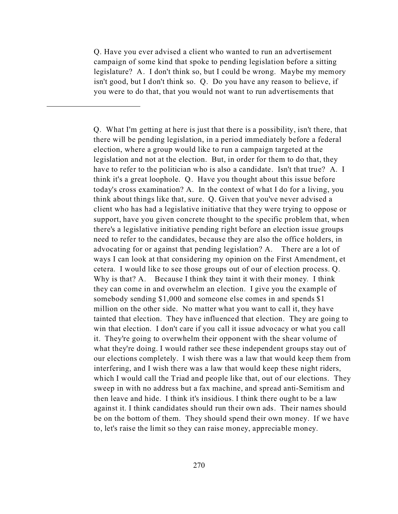Q. Have you ever advised a client who wanted to run an advertisement campaign of some kind that spoke to pending legislation before a sitting legislature? A. I don't think so, but I could be wrong. Maybe my memory isn't good, but I don't think so. Q. Do you have any reason to believe, if you were to do that, that you would not want to run advertisements that

Q. What I'm getting at here is just that there is a possibility, isn't there, that there will be pending legislation, in a period immediately before a federal election, where a group would like to run a campaign targeted at the legislation and not at the election. But, in order for them to do that, they have to refer to the politician who is also a candidate. Isn't that true? A. I think it's a great loophole. Q. Have you thought about this issue before today's cross examination? A. In the context of what I do for a living, you think about things like that, sure. Q. Given that you've never advised a client who has had a legislative initiative that they were trying to oppose or support, have you given concrete thought to the specific problem that, when there's a legislative initiative pending right before an election issue groups need to refer to the candidates, because they are also the office holders, in advocating for or against that pending legislation? A. There are a lot of ways I can look at that considering my opinion on the First Amendment, et cetera. I would like to see those groups out of our of election process. Q. Why is that? A. Because I think they taint it with their money. I think they can come in and overwhelm an election. I give you the example of somebody sending \$1,000 and someone else comes in and spends \$1 million on the other side. No matter what you want to call it, they have tainted that election. They have influenced that election. They are going to win that election. I don't care if you call it issue advocacy or what you call it. They're going to overwhelm their opponent with the shear volume of what they're doing. I would rather see these independent groups stay out of our elections completely. I wish there was a law that would keep them from interfering, and I wish there was a law that would keep these night riders, which I would call the Triad and people like that, out of our elections. They sweep in with no address but a fax machine, and spread anti-Semitism and then leave and hide. I think it's insidious. I think there ought to be a law against it. I think candidates should run their own ads. Their names should be on the bottom of them. They should spend their own money. If we have to, let's raise the limit so they can raise money, appreciable money.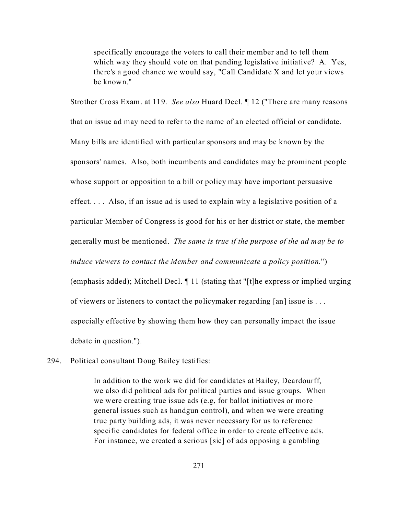specifically encourage the voters to call their member and to tell them which way they should vote on that pending legislative initiative? A. Yes, there's a good chance we would say, "Call Candidate X and let your views be known."

Strother Cross Exam. at 119. *See also* Huard Decl. ¶ 12 ("There are many reasons that an issue ad may need to refer to the name of an elected official or candidate. Many bills are identified with particular sponsors and may be known by the sponsors' names. Also, both incumbents and candidates may be prominent people whose support or opposition to a bill or policy may have important persuasive effect. . . . Also, if an issue ad is used to explain why a legislative position of a particular Member of Congress is good for his or her district or state, the member generally must be mentioned. *The same is true if the purpose of the ad may be to induce viewers to contact the Member and communicate a policy position*.") (emphasis added); Mitchell Decl. ¶ 11 (stating that "[t]he express or implied urging of viewers or listeners to contact the policymaker regarding [an] issue is . . . especially effective by showing them how they can personally impact the issue debate in question.").

294. Political consultant Doug Bailey testifies:

In addition to the work we did for candidates at Bailey, Deardourff, we also did political ads for political parties and issue groups. When we were creating true issue ads (e.g, for ballot initiatives or more general issues such as handgun control), and when we were creating true party building ads, it was never necessary for us to reference specific candidates for federal office in order to create effective ads. For instance, we created a serious [sic] of ads opposing a gambling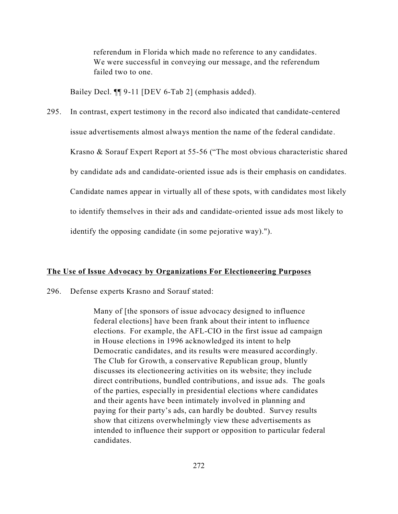referendum in Florida which made no reference to any candidates. We were successful in conveying our message, and the referendum failed two to one.

Bailey Decl. ¶¶ 9-11 [DEV 6-Tab 2] (emphasis added).

295. In contrast, expert testimony in the record also indicated that candidate-centered issue advertisements almost always mention the name of the federal candidate. Krasno & Sorauf Expert Report at 55-56 ("The most obvious characteristic shared by candidate ads and candidate-oriented issue ads is their emphasis on candidates. Candidate names appear in virtually all of these spots, with candidates most likely to identify themselves in their ads and candidate-oriented issue ads most likely to identify the opposing candidate (in some pejorative way).").

## **The Use of Issue Advocacy by Organizations For Electioneering Purposes**

296. Defense experts Krasno and Sorauf stated:

Many of [the sponsors of issue advocacy designed to influence federal elections] have been frank about their intent to influence elections. For example, the AFL-CIO in the first issue ad campaign in House elections in 1996 acknowledged its intent to help Democratic candidates, and its results were measured accordingly. The Club for Growth, a conservative Republican group, bluntly discusses its electioneering activities on its website; they include direct contributions, bundled contributions, and issue ads. The goals of the parties, especially in presidential elections where candidates and their agents have been intimately involved in planning and paying for their party's ads, can hardly be doubted. Survey results show that citizens overwhelmingly view these advertisements as intended to influence their support or opposition to particular federal candidates.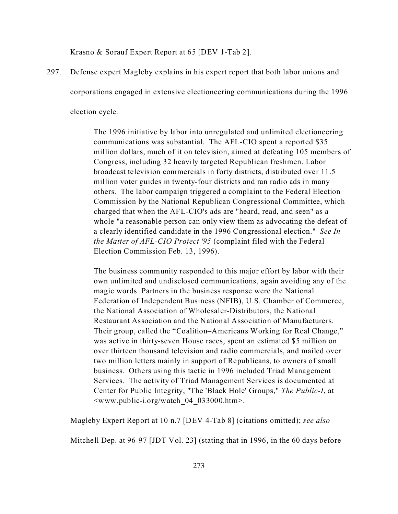Krasno & Sorauf Expert Report at 65 [DEV 1-Tab 2].

297. Defense expert Magleby explains in his expert report that both labor unions and

corporations engaged in extensive electioneering communications during the 1996

election cycle.

The 1996 initiative by labor into unregulated and unlimited electioneering communications was substantial. The AFL-CIO spent a reported \$35 million dollars, much of it on television, aimed at defeating 105 members of Congress, including 32 heavily targeted Republican freshmen. Labor broadcast television commercials in forty districts, distributed over 11.5 million voter guides in twenty-four districts and ran radio ads in many others. The labor campaign triggered a complaint to the Federal Election Commission by the National Republican Congressional Committee, which charged that when the AFL-CIO's ads are "heard, read, and seen" as a whole "a reasonable person can only view them as advocating the defeat of a clearly identified candidate in the 1996 Congressional election." *See In the Matter of AFL-CIO Project '95* (complaint filed with the Federal Election Commission Feb. 13, 1996).

The business community responded to this major effort by labor with their own unlimited and undisclosed communications, again avoiding any of the magic words. Partners in the business response were the National Federation of Independent Business (NFIB), U.S. Chamber of Commerce, the National Association of Wholesaler-Distributors, the National Restaurant Association and the National Association of Manufacturers. Their group, called the "Coalition–Americans Working for Real Change," was active in thirty-seven House races, spent an estimated \$5 million on over thirteen thousand television and radio commercials, and mailed over two million letters mainly in support of Republicans, to owners of small business. Others using this tactic in 1996 included Triad Management Services. The activity of Triad Management Services is documented at Center for Public Integrity, "The 'Black Hole' Groups," *The Public-I*, at <www.public-i.org/watch\_04\_033000.htm>.

Magleby Expert Report at 10 n.7 [DEV 4-Tab 8] (citations omitted); *see also*

Mitchell Dep. at 96-97 [JDT Vol. 23] (stating that in 1996, in the 60 days before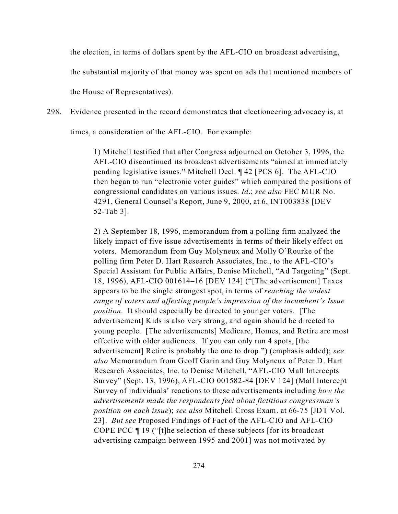the election, in terms of dollars spent by the AFL-CIO on broadcast advertising,

the substantial majority of that money was spent on ads that mentioned members of

the House of Representatives).

298. Evidence presented in the record demonstrates that electioneering advocacy is, at

times, a consideration of the AFL-CIO. For example:

1) Mitchell testified that after Congress adjourned on October 3, 1996, the AFL-CIO discontinued its broadcast advertisements "aimed at immediately pending legislative issues." Mitchell Decl. ¶ 42 [PCS 6]. The AFL-CIO then began to run "electronic voter guides" which compared the positions of congressional candidates on various issues. *Id*.; *see also* FEC MUR No. 4291, General Counsel's Report, June 9, 2000, at 6, INT003838 [DEV 52-Tab 3].

2) A September 18, 1996, memorandum from a polling firm analyzed the likely impact of five issue advertisements in terms of their likely effect on voters. Memorandum from Guy Molyneux and Molly O'Rourke of the polling firm Peter D. Hart Research Associates, Inc., to the AFL-CIO's Special Assistant for Public Affairs, Denise Mitchell, "Ad Targeting" (Sept. 18, 1996), AFL-CIO 001614–16 [DEV 124] ("[The advertisement] Taxes appears to be the single strongest spot, in terms of *reaching the widest range of voters and affecting people's impression of the incumbent's Issue position*. It should especially be directed to younger voters. [The advertisement] Kids is also very strong, and again should be directed to young people. [The advertisements] Medicare, Homes, and Retire are most effective with older audiences. If you can only run 4 spots, [the advertisement] Retire is probably the one to drop.") (emphasis added); *see also* Memorandum from Geoff Garin and Guy Molyneux of Peter D. Hart Research Associates, Inc. to Denise Mitchell, "AFL-CIO Mall Intercepts Survey" (Sept. 13, 1996), AFL-CIO 001582-84 [DEV 124] (Mall Intercept Survey of individuals' reactions to these advertisements including *how the advertisements made the respondents feel about fictitious congressman's position on each issue*); *see also* Mitchell Cross Exam. at 66-75 [JDT Vol. 23]. *But see* Proposed Findings of Fact of the AFL-CIO and AFL-CIO COPE PCC ¶ 19 ("[t]he selection of these subjects [for its broadcast advertising campaign between 1995 and 2001] was not motivated by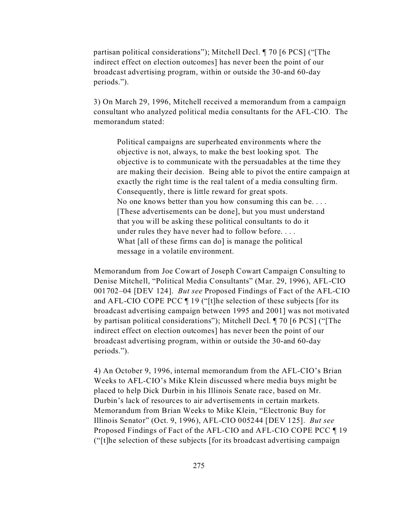partisan political considerations"); Mitchell Decl. ¶ 70 [6 PCS] ("[The indirect effect on election outcomes] has never been the point of our broadcast advertising program, within or outside the 30-and 60-day periods.").

3) On March 29, 1996, Mitchell received a memorandum from a campaign consultant who analyzed political media consultants for the AFL-CIO. The memorandum stated:

Political campaigns are superheated environments where the objective is not, always, to make the best looking spot. The objective is to communicate with the persuadables at the time they are making their decision. Being able to pivot the entire campaign at exactly the right time is the real talent of a media consulting firm. Consequently, there is little reward for great spots. No one knows better than you how consuming this can be. . . . [These advertisements can be done], but you must understand that you will be asking these political consultants to do it under rules they have never had to follow before. . . . What [all of these firms can do] is manage the political message in a volatile environment.

Memorandum from Joe Cowart of Joseph Cowart Campaign Consulting to Denise Mitchell, "Political Media Consultants" (Mar. 29, 1996), AFL-CIO 001702–04 [DEV 124]. *But see* Proposed Findings of Fact of the AFL-CIO and AFL-CIO COPE PCC ¶ 19 ("[t]he selection of these subjects [for its broadcast advertising campaign between 1995 and 2001] was not motivated by partisan political considerations"); Mitchell Decl. ¶ 70 [6 PCS] ("[The indirect effect on election outcomes] has never been the point of our broadcast advertising program, within or outside the 30-and 60-day periods.").

4) An October 9, 1996, internal memorandum from the AFL-CIO's Brian Weeks to AFL-CIO's Mike Klein discussed where media buys might be placed to help Dick Durbin in his Illinois Senate race, based on Mr. Durbin's lack of resources to air advertisements in certain markets. Memorandum from Brian Weeks to Mike Klein, "Electronic Buy for Illinois Senator" (Oct. 9, 1996), AFL-CIO 005244 [DEV 125]. *But see* Proposed Findings of Fact of the AFL-CIO and AFL-CIO COPE PCC ¶ 19 ("[t]he selection of these subjects [for its broadcast advertising campaign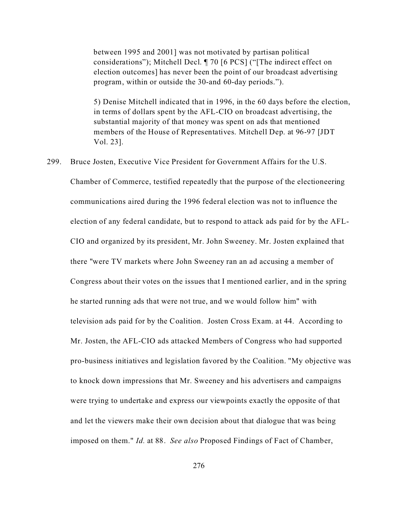between 1995 and 2001] was not motivated by partisan political considerations"); Mitchell Decl. ¶ 70 [6 PCS] ("[The indirect effect on election outcomes] has never been the point of our broadcast advertising program, within or outside the 30-and 60-day periods.").

5) Denise Mitchell indicated that in 1996, in the 60 days before the election, in terms of dollars spent by the AFL-CIO on broadcast advertising, the substantial majority of that money was spent on ads that mentioned members of the House of Representatives. Mitchell Dep. at 96-97 [JDT Vol. 23].

299. Bruce Josten, Executive Vice President for Government Affairs for the U.S.

Chamber of Commerce, testified repeatedly that the purpose of the electioneering communications aired during the 1996 federal election was not to influence the election of any federal candidate, but to respond to attack ads paid for by the AFL-CIO and organized by its president, Mr. John Sweeney. Mr. Josten explained that there "were TV markets where John Sweeney ran an ad accusing a member of Congress about their votes on the issues that I mentioned earlier, and in the spring he started running ads that were not true, and we would follow him" with television ads paid for by the Coalition. Josten Cross Exam. at 44. According to Mr. Josten, the AFL-CIO ads attacked Members of Congress who had supported pro-business initiatives and legislation favored by the Coalition. "My objective was to knock down impressions that Mr. Sweeney and his advertisers and campaigns were trying to undertake and express our viewpoints exactly the opposite of that and let the viewers make their own decision about that dialogue that was being imposed on them." *Id.* at 88. *See also* Proposed Findings of Fact of Chamber,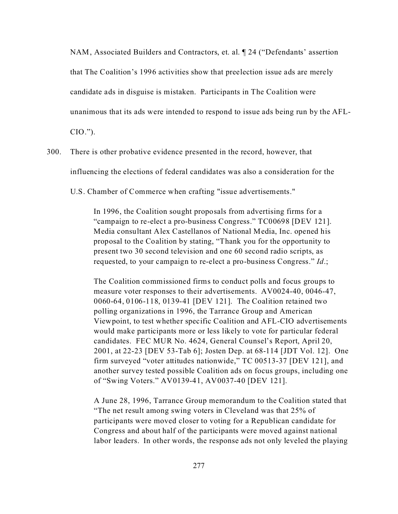NAM, Associated Builders and Contractors, et. al. ¶ 24 ("Defendants' assertion

that The Coalition's 1996 activities show that preelection issue ads are merely

candidate ads in disguise is mistaken. Participants in The Coalition were

unanimous that its ads were intended to respond to issue ads being run by the AFL-

CIO.").

300. There is other probative evidence presented in the record, however, that influencing the elections of federal candidates was also a consideration for the

U.S. Chamber of Commerce when crafting "issue advertisements."

In 1996, the Coalition sought proposals from advertising firms for a "campaign to re-elect a pro-business Congress." TC00698 [DEV 121]. Media consultant Alex Castellanos of National Media, Inc. opened his proposal to the Coalition by stating, "Thank you for the opportunity to present two 30 second television and one 60 second radio scripts, as requested, to your campaign to re-elect a pro-business Congress." *Id*.;

The Coalition commissioned firms to conduct polls and focus groups to measure voter responses to their advertisements. AV0024-40, 0046-47, 0060-64, 0106-118, 0139-41 [DEV 121]. The Coalition retained two polling organizations in 1996, the Tarrance Group and American Viewpoint, to test whether specific Coalition and AFL-CIO advertisements would make participants more or less likely to vote for particular federal candidates. FEC MUR No. 4624, General Counsel's Report, April 20, 2001, at 22-23 [DEV 53-Tab 6]; Josten Dep. at 68-114 [JDT Vol. 12]. One firm surveyed "voter attitudes nationwide," TC 00513-37 [DEV 121], and another survey tested possible Coalition ads on focus groups, including one of "Swing Voters." AV0139-41, AV0037-40 [DEV 121].

A June 28, 1996, Tarrance Group memorandum to the Coalition stated that "The net result among swing voters in Cleveland was that 25% of participants were moved closer to voting for a Republican candidate for Congress and about half of the participants were moved against national labor leaders. In other words, the response ads not only leveled the playing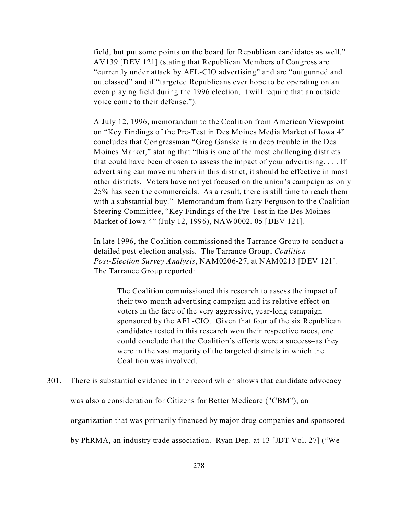field, but put some points on the board for Republican candidates as well." AV139 [DEV 121] (stating that Republican Members of Congress are "currently under attack by AFL-CIO advertising" and are "outgunned and outclassed" and if "targeted Republicans ever hope to be operating on an even playing field during the 1996 election, it will require that an outside voice come to their defense.").

A July 12, 1996, memorandum to the Coalition from American Viewpoint on "Key Findings of the Pre-Test in Des Moines Media Market of Iowa 4" concludes that Congressman "Greg Ganske is in deep trouble in the Des Moines Market," stating that "this is one of the most challenging districts that could have been chosen to assess the impact of your advertising. . . . If advertising can move numbers in this district, it should be effective in most other districts. Voters have not yet focused on the union's campaign as only 25% has seen the commercials. As a result, there is still time to reach them with a substantial buy." Memorandum from Gary Ferguson to the Coalition Steering Committee, "Key Findings of the Pre-Test in the Des Moines Market of Iowa 4" (July 12, 1996), NAW0002, 05 [DEV 121].

In late 1996, the Coalition commissioned the Tarrance Group to conduct a detailed post-election analysis. The Tarrance Group, *Coalition Post-Election Survey Analysis*, NAM0206-27, at NAM0213 [DEV 121]. The Tarrance Group reported:

The Coalition commissioned this research to assess the impact of their two-month advertising campaign and its relative effect on voters in the face of the very aggressive, year-long campaign sponsored by the AFL-CIO. Given that four of the six Republican candidates tested in this research won their respective races, one could conclude that the Coalition's efforts were a success–as they were in the vast majority of the targeted districts in which the Coalition was involved.

301. There is substantial evidence in the record which shows that candidate advocacy was also a consideration for Citizens for Better Medicare ("CBM"), an organization that was primarily financed by major drug companies and sponsored by PhRMA, an industry trade association. Ryan Dep. at 13 [JDT Vol. 27] ("We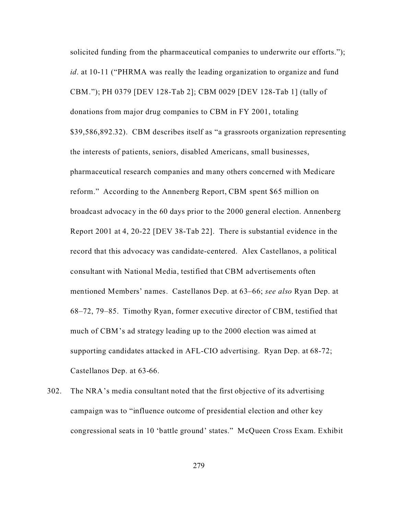solicited funding from the pharmaceutical companies to underwrite our efforts."); *id*. at 10-11 ("PHRMA was really the leading organization to organize and fund CBM."); PH 0379 [DEV 128-Tab 2]; CBM 0029 [DEV 128-Tab 1] (tally of donations from major drug companies to CBM in FY 2001, totaling \$39,586,892.32). CBM describes itself as "a grassroots organization representing the interests of patients, seniors, disabled Americans, small businesses, pharmaceutical research companies and many others concerned with Medicare reform." According to the Annenberg Report, CBM spent \$65 million on broadcast advocacy in the 60 days prior to the 2000 general election. Annenberg Report 2001 at 4, 20-22 [DEV 38-Tab 22]. There is substantial evidence in the record that this advocacy was candidate-centered. Alex Castellanos, a political consultant with National Media, testified that CBM advertisements often mentioned Members' names. Castellanos Dep. at 63–66; *see also* Ryan Dep. at 68–72, 79–85. Timothy Ryan, former executive director of CBM, testified that much of CBM's ad strategy leading up to the 2000 election was aimed at supporting candidates attacked in AFL-CIO advertising. Ryan Dep. at 68-72; Castellanos Dep. at 63-66.

302. The NRA's media consultant noted that the first objective of its advertising campaign was to "influence outcome of presidential election and other key congressional seats in 10 'battle ground' states." McQueen Cross Exam. Exhibit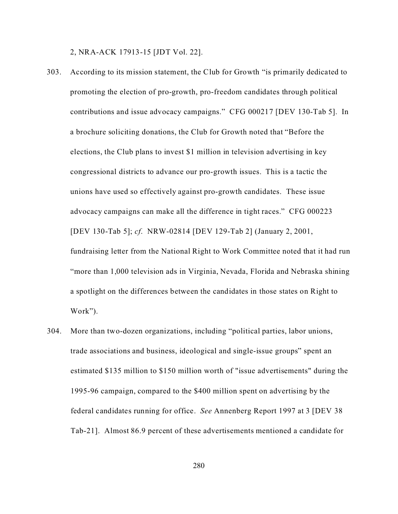2, NRA-ACK 17913-15 [JDT Vol. 22].

303. According to its mission statement, the Club for Growth "is primarily dedicated to promoting the election of pro-growth, pro-freedom candidates through political contributions and issue advocacy campaigns." CFG 000217 [DEV 130-Tab 5]. In a brochure soliciting donations, the Club for Growth noted that "Before the elections, the Club plans to invest \$1 million in television advertising in key congressional districts to advance our pro-growth issues. This is a tactic the unions have used so effectively against pro-growth candidates. These issue advocacy campaigns can make all the difference in tight races." CFG 000223 [DEV 130-Tab 5]; *cf*. NRW-02814 [DEV 129-Tab 2] (January 2, 2001, fundraising letter from the National Right to Work Committee noted that it had run "more than 1,000 television ads in Virginia, Nevada, Florida and Nebraska shining a spotlight on the differences between the candidates in those states on Right to

Work").

304. More than two-dozen organizations, including "political parties, labor unions, trade associations and business, ideological and single-issue groups" spent an estimated \$135 million to \$150 million worth of "issue advertisements" during the 1995-96 campaign, compared to the \$400 million spent on advertising by the federal candidates running for office. *See* Annenberg Report 1997 at 3 [DEV 38 Tab-21]. Almost 86.9 percent of these advertisements mentioned a candidate for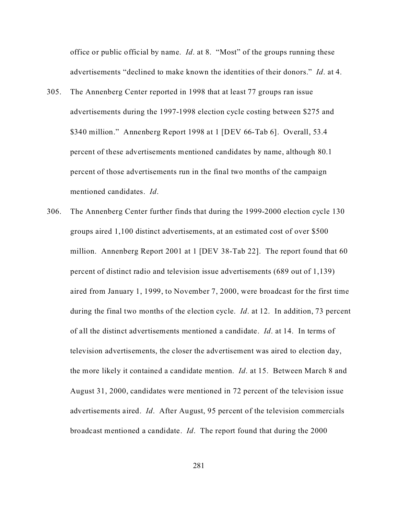office or public official by name. *Id*. at 8. "Most" of the groups running these advertisements "declined to make known the identities of their donors." *Id*. at 4.

- 305. The Annenberg Center reported in 1998 that at least 77 groups ran issue advertisements during the 1997-1998 election cycle costing between \$275 and \$340 million." Annenberg Report 1998 at 1 [DEV 66-Tab 6]. Overall, 53.4 percent of these advertisements mentioned candidates by name, although 80.1 percent of those advertisements run in the final two months of the campaign mentioned candidates. *Id*.
- 306. The Annenberg Center further finds that during the 1999-2000 election cycle 130 groups aired 1,100 distinct advertisements, at an estimated cost of over \$500 million. Annenberg Report 2001 at 1 [DEV 38-Tab 22]. The report found that 60 percent of distinct radio and television issue advertisements (689 out of 1,139) aired from January 1, 1999, to November 7, 2000, were broadcast for the first time during the final two months of the election cycle. *Id*. at 12. In addition, 73 percent of all the distinct advertisements mentioned a candidate. *Id*. at 14. In terms of television advertisements, the closer the advertisement was aired to election day, the more likely it contained a candidate mention. *Id*. at 15. Between March 8 and August 31, 2000, candidates were mentioned in 72 percent of the television issue advertisements aired. *Id*. After August, 95 percent of the television commercials broadcast mentioned a candidate. *Id*. The report found that during the 2000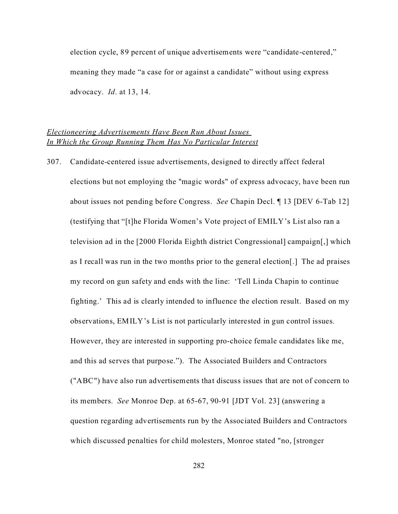election cycle, 89 percent of unique advertisements were "candidate-centered," meaning they made "a case for or against a candidate" without using express advocacy. *Id*. at 13, 14.

# *Electioneering Advertisements Have Been Run About Issues In Which the Group Running Them Has No Particular Interest*

307. Candidate-centered issue advertisements, designed to directly affect federal elections but not employing the "magic words" of express advocacy, have been run about issues not pending before Congress. *See* Chapin Decl. ¶ 13 [DEV 6-Tab 12] (testifying that "[t]he Florida Women's Vote project of EMILY's List also ran a television ad in the [2000 Florida Eighth district Congressional] campaign[,] which as I recall was run in the two months prior to the general election[.] The ad praises my record on gun safety and ends with the line: 'Tell Linda Chapin to continue fighting.' This ad is clearly intended to influence the election result. Based on my observations, EMILY's List is not particularly interested in gun control issues. However, they are interested in supporting pro-choice female candidates like me, and this ad serves that purpose."). The Associated Builders and Contractors ("ABC") have also run advertisements that discuss issues that are not of concern to its members. *See* Monroe Dep. at 65-67, 90-91 [JDT Vol. 23] (answering a question regarding advertisements run by the Associated Builders and Contractors which discussed penalties for child molesters, Monroe stated "no, [stronger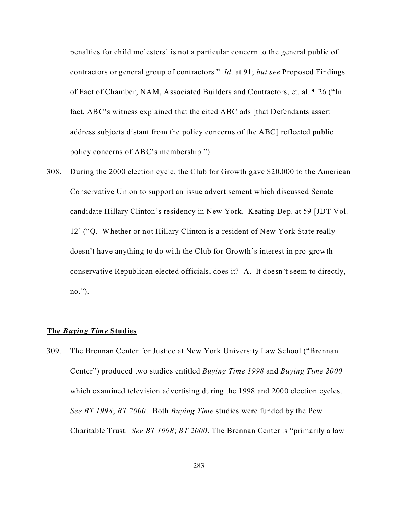penalties for child molesters] is not a particular concern to the general public of contractors or general group of contractors." *Id*. at 91; *but see* Proposed Findings of Fact of Chamber, NAM, Associated Builders and Contractors, et. al. ¶ 26 ("In fact, ABC's witness explained that the cited ABC ads [that Defendants assert address subjects distant from the policy concerns of the ABC] reflected public policy concerns of ABC's membership.").

308. During the 2000 election cycle, the Club for Growth gave \$20,000 to the American Conservative Union to support an issue advertisement which discussed Senate candidate Hillary Clinton's residency in New York. Keating Dep. at 59 [JDT Vol. 12] ("Q. Whether or not Hillary Clinton is a resident of New York State really doesn't have anything to do with the Club for Growth's interest in pro-growth conservative Republican elected officials, does it? A. It doesn't seem to directly, no.").

#### **The** *Buying Time* **Studies**

309. The Brennan Center for Justice at New York University Law School ("Brennan Center") produced two studies entitled *Buying Time 1998* and *Buying Time 2000* which examined television advertising during the 1998 and 2000 election cycles. *See BT 1998*; *BT 2000*. Both *Buying Time* studies were funded by the Pew Charitable Trust. *See BT 1998*; *BT 2000*. The Brennan Center is "primarily a law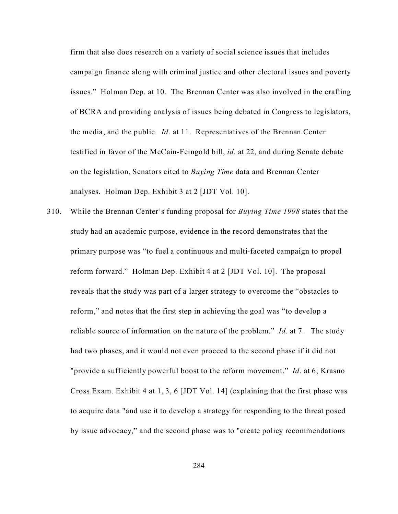firm that also does research on a variety of social science issues that includes campaign finance along with criminal justice and other electoral issues and poverty issues." Holman Dep. at 10. The Brennan Center was also involved in the crafting of BCRA and providing analysis of issues being debated in Congress to legislators, the media, and the public. *Id*. at 11. Representatives of the Brennan Center testified in favor of the McCain-Feingold bill, *id*. at 22, and during Senate debate on the legislation, Senators cited to *Buying Time* data and Brennan Center analyses. Holman Dep. Exhibit 3 at 2 [JDT Vol. 10].

310. While the Brennan Center's funding proposal for *Buying Time 1998* states that the study had an academic purpose, evidence in the record demonstrates that the primary purpose was "to fuel a continuous and multi-faceted campaign to propel reform forward." Holman Dep. Exhibit 4 at 2 [JDT Vol. 10]. The proposal reveals that the study was part of a larger strategy to overcome the "obstacles to reform," and notes that the first step in achieving the goal was "to develop a reliable source of information on the nature of the problem." *Id*. at 7. The study had two phases, and it would not even proceed to the second phase if it did not "provide a sufficiently powerful boost to the reform movement." *Id*. at 6; Krasno Cross Exam. Exhibit 4 at 1, 3, 6 [JDT Vol. 14] (explaining that the first phase was to acquire data "and use it to develop a strategy for responding to the threat posed by issue advocacy," and the second phase was to "create policy recommendations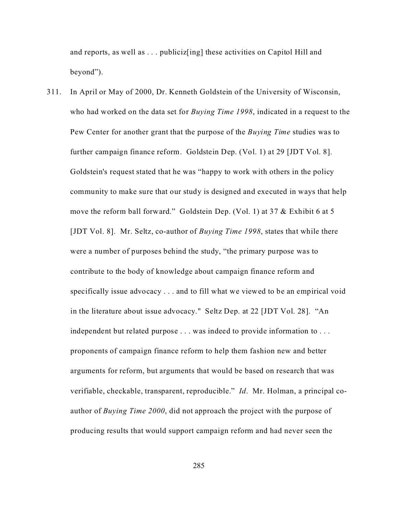and reports, as well as . . . publiciz[ing] these activities on Capitol Hill and beyond").

311. In April or May of 2000, Dr. Kenneth Goldstein of the University of Wisconsin, who had worked on the data set for *Buying Time 1998*, indicated in a request to the Pew Center for another grant that the purpose of the *Buying Time* studies was to further campaign finance reform. Goldstein Dep. (Vol. 1) at 29 [JDT Vol. 8]. Goldstein's request stated that he was "happy to work with others in the policy community to make sure that our study is designed and executed in ways that help move the reform ball forward." Goldstein Dep. (Vol. 1) at 37 & Exhibit 6 at 5 [JDT Vol. 8]. Mr. Seltz, co-author of *Buying Time 1998*, states that while there were a number of purposes behind the study, "the primary purpose was to contribute to the body of knowledge about campaign finance reform and specifically issue advocacy . . . and to fill what we viewed to be an empirical void in the literature about issue advocacy." Seltz Dep. at 22 [JDT Vol. 28]. "An independent but related purpose . . . was indeed to provide information to . . . proponents of campaign finance reform to help them fashion new and better arguments for reform, but arguments that would be based on research that was verifiable, checkable, transparent, reproducible." *Id*. Mr. Holman, a principal coauthor of *Buying Time 2000*, did not approach the project with the purpose of producing results that would support campaign reform and had never seen the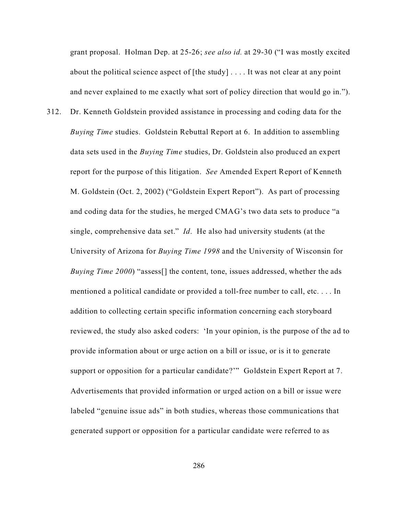grant proposal. Holman Dep. at 25-26; *see also id.* at 29-30 ("I was mostly excited about the political science aspect of [the study] . . . . It was not clear at any point and never explained to me exactly what sort of policy direction that would go in.").

312. Dr. Kenneth Goldstein provided assistance in processing and coding data for the *Buying Time* studies. Goldstein Rebuttal Report at 6. In addition to assembling data sets used in the *Buying Time* studies, Dr. Goldstein also produced an expert report for the purpose of this litigation. *See* Amended Expert Report of Kenneth M. Goldstein (Oct. 2, 2002) ("Goldstein Expert Report"). As part of processing and coding data for the studies, he merged CMAG's two data sets to produce "a single, comprehensive data set." *Id*. He also had university students (at the University of Arizona for *Buying Time 1998* and the University of Wisconsin for *Buying Time 2000*) "assess[] the content, tone, issues addressed, whether the ads mentioned a political candidate or provided a toll-free number to call, etc. . . . In addition to collecting certain specific information concerning each storyboard reviewed, the study also asked coders: 'In your opinion, is the purpose of the ad to provide information about or urge action on a bill or issue, or is it to generate support or opposition for a particular candidate?" Goldstein Expert Report at 7. Advertisements that provided information or urged action on a bill or issue were labeled "genuine issue ads" in both studies, whereas those communications that generated support or opposition for a particular candidate were referred to as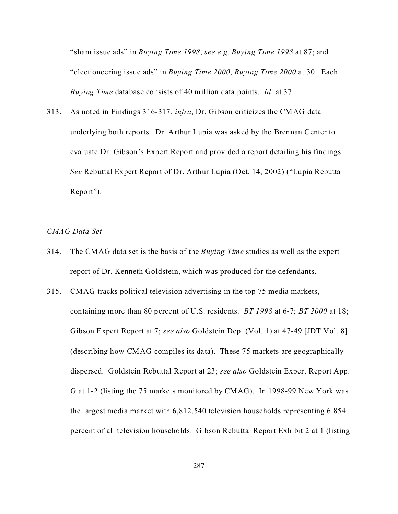"sham issue ads" in *Buying Time 1998*, *see e.g. Buying Time 1998* at 87; and "electioneering issue ads" in *Buying Time 2000*, *Buying Time 2000* at 30. Each *Buying Time* database consists of 40 million data points. *Id*. at 37.

313. As noted in Findings 316-317, *infra*, Dr. Gibson criticizes the CMAG data underlying both reports. Dr. Arthur Lupia was asked by the Brennan Center to evaluate Dr. Gibson's Expert Report and provided a report detailing his findings. *See* Rebuttal Expert Report of Dr. Arthur Lupia (Oct. 14, 2002) ("Lupia Rebuttal Report").

### *CMAG Data Set*

- 314. The CMAG data set is the basis of the *Buying Time* studies as well as the expert report of Dr. Kenneth Goldstein, which was produced for the defendants.
- 315. CMAG tracks political television advertising in the top 75 media markets, containing more than 80 percent of U.S. residents. *BT 1998* at 6-7; *BT 2000* at 18; Gibson Expert Report at 7; *see also* Goldstein Dep. (Vol. 1) at 47-49 [JDT Vol. 8] (describing how CMAG compiles its data). These 75 markets are geographically dispersed. Goldstein Rebuttal Report at 23; *see also* Goldstein Expert Report App. G at 1-2 (listing the 75 markets monitored by CMAG). In 1998-99 New York was the largest media market with 6,812,540 television households representing 6.854 percent of all television households. Gibson Rebuttal Report Exhibit 2 at 1 (listing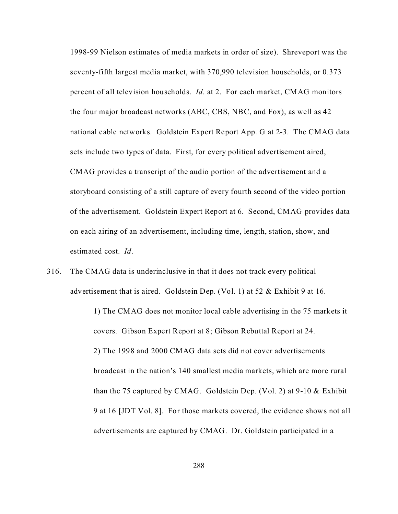1998-99 Nielson estimates of media markets in order of size). Shreveport was the seventy-fifth largest media market, with 370,990 television households, or 0.373 percent of all television households. *Id*. at 2. For each market, CMAG monitors the four major broadcast networks (ABC, CBS, NBC, and Fox), as well as 42 national cable networks. Goldstein Expert Report App. G at 2-3. The CMAG data sets include two types of data. First, for every political advertisement aired, CMAG provides a transcript of the audio portion of the advertisement and a storyboard consisting of a still capture of every fourth second of the video portion of the advertisement. Goldstein Expert Report at 6. Second, CMAG provides data on each airing of an advertisement, including time, length, station, show, and estimated cost. *Id*.

316. The CMAG data is underinclusive in that it does not track every political advertisement that is aired. Goldstein Dep. (Vol. 1) at 52 & Exhibit 9 at 16.

> 1) The CMAG does not monitor local cable advertising in the 75 markets it covers. Gibson Expert Report at 8; Gibson Rebuttal Report at 24. 2) The 1998 and 2000 CMAG data sets did not cover advertisements broadcast in the nation's 140 smallest media markets, which are more rural than the 75 captured by CMAG. Goldstein Dep. (Vol. 2) at 9-10 & Exhibit 9 at 16 [JDT Vol. 8]. For those markets covered, the evidence shows not all advertisements are captured by CMAG. Dr. Goldstein participated in a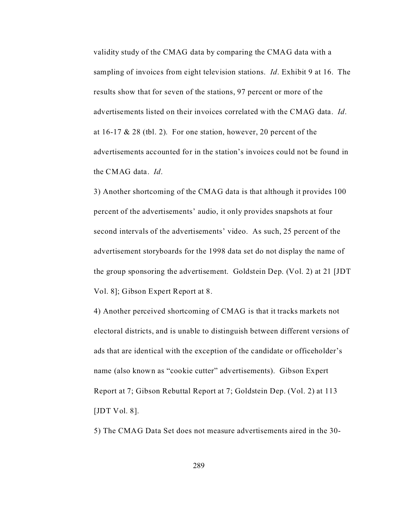validity study of the CMAG data by comparing the CMAG data with a sampling of invoices from eight television stations. *Id*. Exhibit 9 at 16. The results show that for seven of the stations, 97 percent or more of the advertisements listed on their invoices correlated with the CMAG data. *Id*. at  $16-17 \& 28$  (tbl. 2). For one station, however, 20 percent of the advertisements accounted for in the station's invoices could not be found in the CMAG data. *Id*.

3) Another shortcoming of the CMAG data is that although it provides 100 percent of the advertisements' audio, it only provides snapshots at four second intervals of the advertisements' video. As such, 25 percent of the advertisement storyboards for the 1998 data set do not display the name of the group sponsoring the advertisement. Goldstein Dep. (Vol. 2) at 21 [JDT Vol. 8]; Gibson Expert Report at 8.

4) Another perceived shortcoming of CMAG is that it tracks markets not electoral districts, and is unable to distinguish between different versions of ads that are identical with the exception of the candidate or officeholder's name (also known as "cookie cutter" advertisements). Gibson Expert Report at 7; Gibson Rebuttal Report at 7; Goldstein Dep. (Vol. 2) at 113 [JDT Vol. 8].

5) The CMAG Data Set does not measure advertisements aired in the 30-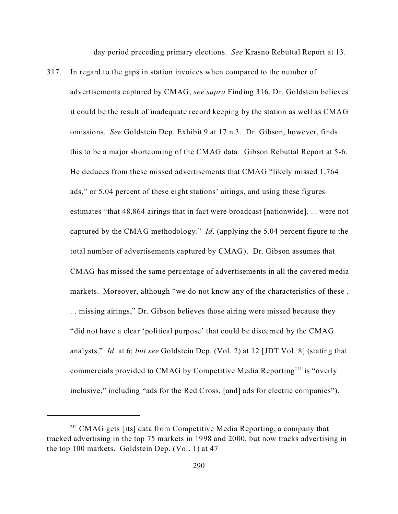day period preceding primary elections. *See* Krasno Rebuttal Report at 13.

317. In regard to the gaps in station invoices when compared to the number of advertisements captured by CMAG, *see supra* Finding 316, Dr. Goldstein believes it could be the result of inadequate record keeping by the station as well as CMAG omissions. *See* Goldstein Dep. Exhibit 9 at 17 n.3. Dr. Gibson, however, finds this to be a major shortcoming of the CMAG data. Gibson Rebuttal Report at 5-6. He deduces from these missed advertisements that CMAG "likely missed 1,764 ads," or 5.04 percent of these eight stations' airings, and using these figures estimates "that 48,864 airings that in fact were broadcast [nationwide]. . . were not captured by the CMAG methodology." *Id*. (applying the 5.04 percent figure to the total number of advertisements captured by CMAG). Dr. Gibson assumes that CMAG has missed the same percentage of advertisements in all the covered media markets. Moreover, although "we do not know any of the characteristics of these . . . missing airings," Dr. Gibson believes those airing were missed because they "did not have a clear 'political purpose' that could be discerned by the CMAG analysts." *Id*. at 6; *but see* Goldstein Dep. (Vol. 2) at 12 [JDT Vol. 8] (stating that commercials provided to CMAG by Competitive Media Reporting<sup>211</sup> is "overly" inclusive," including "ads for the Red Cross, [and] ads for electric companies").

<sup>&</sup>lt;sup>211</sup> CMAG gets [its] data from Competitive Media Reporting, a company that tracked advertising in the top 75 markets in 1998 and 2000, but now tracks advertising in the top 100 markets. Goldstein Dep. (Vol. 1) at 47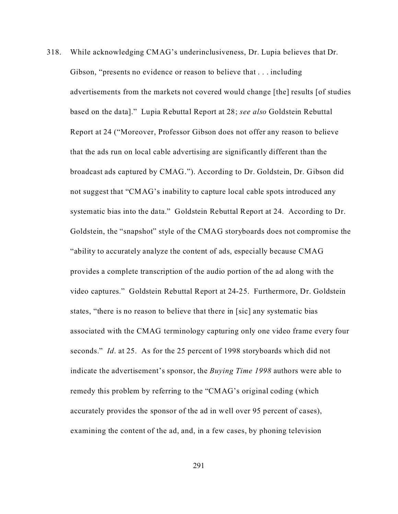318. While acknowledging CMAG's underinclusiveness, Dr. Lupia believes that Dr. Gibson, "presents no evidence or reason to believe that . . . including advertisements from the markets not covered would change [the] results [of studies based on the data]." Lupia Rebuttal Report at 28; *see also* Goldstein Rebuttal Report at 24 ("Moreover, Professor Gibson does not offer any reason to believe that the ads run on local cable advertising are significantly different than the broadcast ads captured by CMAG."). According to Dr. Goldstein, Dr. Gibson did not suggest that "CMAG's inability to capture local cable spots introduced any systematic bias into the data." Goldstein Rebuttal Report at 24. According to Dr. Goldstein, the "snapshot" style of the CMAG storyboards does not compromise the "ability to accurately analyze the content of ads, especially because CMAG provides a complete transcription of the audio portion of the ad along with the video captures." Goldstein Rebuttal Report at 24-25. Furthermore, Dr. Goldstein states, "there is no reason to believe that there in [sic] any systematic bias associated with the CMAG terminology capturing only one video frame every four seconds." *Id*. at 25. As for the 25 percent of 1998 storyboards which did not indicate the advertisement's sponsor, the *Buying Time 1998* authors were able to remedy this problem by referring to the "CMAG's original coding (which accurately provides the sponsor of the ad in well over 95 percent of cases), examining the content of the ad, and, in a few cases, by phoning television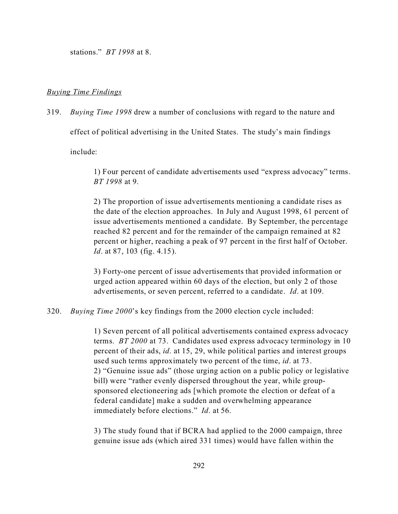stations." *BT 1998* at 8.

### *Buying Time Findings*

319. *Buying Time 1998* drew a number of conclusions with regard to the nature and

effect of political advertising in the United States. The study's main findings

include:

1) Four percent of candidate advertisements used "express advocacy" terms. *BT 1998* at 9.

2) The proportion of issue advertisements mentioning a candidate rises as the date of the election approaches. In July and August 1998, 61 percent of issue advertisements mentioned a candidate. By September, the percentage reached 82 percent and for the remainder of the campaign remained at 82 percent or higher, reaching a peak of 97 percent in the first half of October. *Id*. at 87, 103 (fig. 4.15).

3) Forty-one percent of issue advertisements that provided information or urged action appeared within 60 days of the election, but only 2 of those advertisements, or seven percent, referred to a candidate. *Id*. at 109.

320. *Buying Time 2000*'s key findings from the 2000 election cycle included:

1) Seven percent of all political advertisements contained express advocacy terms. *BT 2000* at 73. Candidates used express advocacy terminology in 10 percent of their ads, *id*. at 15, 29, while political parties and interest groups used such terms approximately two percent of the time, *id*. at 73. 2) "Genuine issue ads" (those urging action on a public policy or legislative bill) were "rather evenly dispersed throughout the year, while groupsponsored electioneering ads [which promote the election or defeat of a federal candidate] make a sudden and overwhelming appearance immediately before elections." *Id*. at 56.

3) The study found that if BCRA had applied to the 2000 campaign, three genuine issue ads (which aired 331 times) would have fallen within the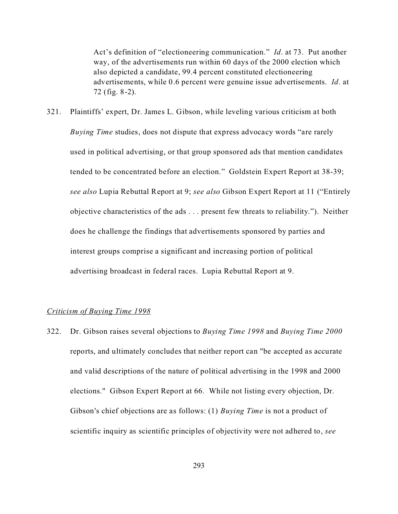Act's definition of "electioneering communication." *Id*. at 73. Put another way, of the advertisements run within 60 days of the 2000 election which also depicted a candidate, 99.4 percent constituted electioneering advertisements, while 0.6 percent were genuine issue advertisements. *Id*. at 72 (fig. 8-2).

321. Plaintiffs' expert, Dr. James L. Gibson, while leveling various criticism at both *Buying Time* studies, does not dispute that express advocacy words "are rarely used in political advertising, or that group sponsored ads that mention candidates tended to be concentrated before an election." Goldstein Expert Report at 38-39; *see also* Lupia Rebuttal Report at 9; *see also* Gibson Expert Report at 11 ("Entirely objective characteristics of the ads . . . present few threats to reliability."). Neither does he challenge the findings that advertisements sponsored by parties and interest groups comprise a significant and increasing portion of political advertising broadcast in federal races. Lupia Rebuttal Report at 9.

## *Criticism of Buying Time 1998*

322. Dr. Gibson raises several objections to *Buying Time 1998* and *Buying Time 2000* reports, and ultimately concludes that neither report can "be accepted as accurate and valid descriptions of the nature of political advertising in the 1998 and 2000 elections." Gibson Expert Report at 66. While not listing every objection, Dr. Gibson's chief objections are as follows: (1) *Buying Time* is not a product of scientific inquiry as scientific principles of objectivity were not adhered to, *see*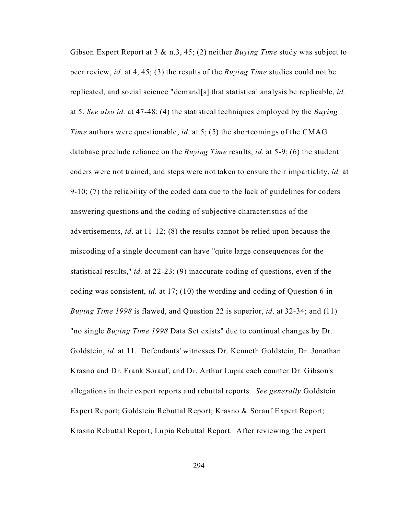Gibson Expert Report at 3 & n.3, 45; (2) neither *Buying Time* study was subject to peer review, *id.* at 4, 45; (3) the results of the *Buying Time* studies could not be replicated, and social science "demand[s] that statistical analysis be replicable, *id.* at 5. *See also id.* at 47-48; (4) the statistical techniques employed by the *Buying Time* authors were questionable, *id.* at 5; (5) the shortcomings of the CMAG database preclude reliance on the *Buying Time* results, *id.* at 5-9; (6) the student coders were not trained, and steps were not taken to ensure their impartiality, *id.* at 9-10; (7) the reliability of the coded data due to the lack of guidelines for coders answering questions and the coding of subjective characteristics of the advertisements, *id*. at 11-12; (8) the results cannot be relied upon because the miscoding of a single document can have "quite large consequences for the statistical results," *id.* at 22-23; (9) inaccurate coding of questions, even if the coding was consistent, *id.* at 17; (10) the wording and coding of Question 6 in *Buying Time 1998* is flawed, and Question 22 is superior, *id*. at 32-34; and (11) "no single *Buying Time 1998* Data Set exists" due to continual changes by Dr. Goldstein, *id.* at 11. Defendants' witnesses Dr. Kenneth Goldstein, Dr. Jonathan Krasno and Dr. Frank Sorauf, and Dr. Arthur Lupia each counter Dr. Gibson's allegations in their expert reports and rebuttal reports. *See generally* Goldstein Expert Report; Goldstein Rebuttal Report; Krasno & Sorauf Expert Report; Krasno Rebuttal Report; Lupia Rebuttal Report. After reviewing the expert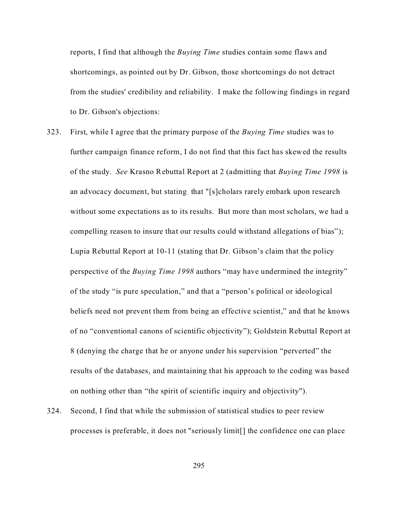reports, I find that although the *Buying Time* studies contain some flaws and shortcomings, as pointed out by Dr. Gibson, those shortcomings do not detract from the studies' credibility and reliability. I make the following findings in regard to Dr. Gibson's objections:

- 323. First, while I agree that the primary purpose of the *Buying Time* studies was to further campaign finance reform, I do not find that this fact has skewed the results of the study. *See* Krasno Rebuttal Report at 2 (admitting that *Buying Time 1998* is an advocacy document, but stating that "[s]cholars rarely embark upon research without some expectations as to its results. But more than most scholars, we had a compelling reason to insure that our results could withstand allegations of bias"); Lupia Rebuttal Report at 10-11 (stating that Dr. Gibson's claim that the policy perspective of the *Buying Time 1998* authors "may have undermined the integrity" of the study "is pure speculation," and that a "person's political or ideological beliefs need not prevent them from being an effective scientist," and that he knows of no "conventional canons of scientific objectivity"); Goldstein Rebuttal Report at 8 (denying the charge that he or anyone under his supervision "perverted" the results of the databases, and maintaining that his approach to the coding was based on nothing other than "the spirit of scientific inquiry and objectivity").
- 324. Second, I find that while the submission of statistical studies to peer review processes is preferable, it does not "seriously limit[] the confidence one can place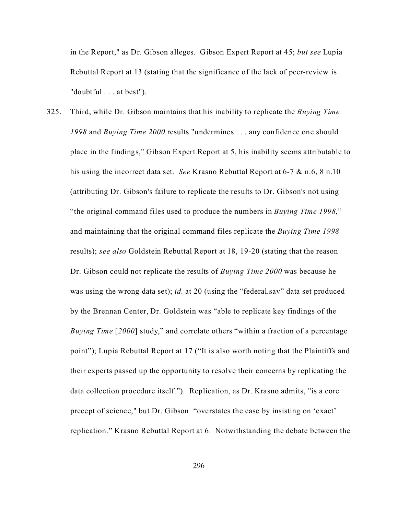in the Report," as Dr. Gibson alleges. Gibson Expert Report at 45; *but see* Lupia Rebuttal Report at 13 (stating that the significance of the lack of peer-review is "doubtful . . . at best").

325. Third, while Dr. Gibson maintains that his inability to replicate the *Buying Time 1998* and *Buying Time 2000* results "undermines . . . any confidence one should place in the findings," Gibson Expert Report at 5, his inability seems attributable to his using the incorrect data set. *See* Krasno Rebuttal Report at 6-7 & n.6, 8 n.10 (attributing Dr. Gibson's failure to replicate the results to Dr. Gibson's not using "the original command files used to produce the numbers in *Buying Time 1998*," and maintaining that the original command files replicate the *Buying Time 1998* results); *see also* Goldstein Rebuttal Report at 18, 19-20 (stating that the reason Dr. Gibson could not replicate the results of *Buying Time 2000* was because he was using the wrong data set); *id.* at 20 (using the "federal.sav" data set produced by the Brennan Center, Dr. Goldstein was "able to replicate key findings of the *Buying Time* [*2000*] study," and correlate others "within a fraction of a percentage point"); Lupia Rebuttal Report at 17 ("It is also worth noting that the Plaintiffs and their experts passed up the opportunity to resolve their concerns by replicating the data collection procedure itself."). Replication, as Dr. Krasno admits, "is a core precept of science," but Dr. Gibson "overstates the case by insisting on 'exact' replication." Krasno Rebuttal Report at 6. Notwithstanding the debate between the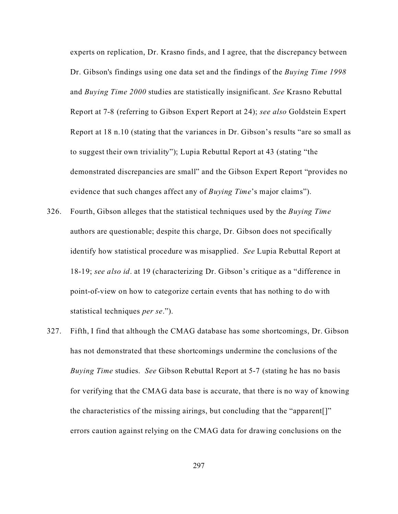experts on replication, Dr. Krasno finds, and I agree, that the discrepancy between Dr. Gibson's findings using one data set and the findings of the *Buying Time 1998* and *Buying Time 2000* studies are statistically insignificant. *See* Krasno Rebuttal Report at 7-8 (referring to Gibson Expert Report at 24); *see also* Goldstein Expert Report at 18 n.10 (stating that the variances in Dr. Gibson's results "are so small as to suggest their own triviality"); Lupia Rebuttal Report at 43 (stating "the demonstrated discrepancies are small" and the Gibson Expert Report "provides no evidence that such changes affect any of *Buying Time*'s major claims").

- 326. Fourth, Gibson alleges that the statistical techniques used by the *Buying Time* authors are questionable; despite this charge, Dr. Gibson does not specifically identify how statistical procedure was misapplied. *See* Lupia Rebuttal Report at 18-19; *see also id*. at 19 (characterizing Dr. Gibson's critique as a "difference in point-of-view on how to categorize certain events that has nothing to do with statistical techniques *per se*.").
- 327. Fifth, I find that although the CMAG database has some shortcomings, Dr. Gibson has not demonstrated that these shortcomings undermine the conclusions of the *Buying Time* studies. *See* Gibson Rebuttal Report at 5-7 (stating he has no basis for verifying that the CMAG data base is accurate, that there is no way of knowing the characteristics of the missing airings, but concluding that the "apparent[]" errors caution against relying on the CMAG data for drawing conclusions on the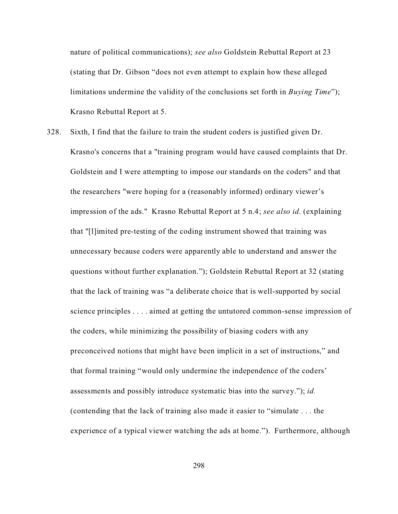nature of political communications); *see also* Goldstein Rebuttal Report at 23 (stating that Dr. Gibson "does not even attempt to explain how these alleged limitations undermine the validity of the conclusions set forth in *Buying Time*"); Krasno Rebuttal Report at 5.

328. Sixth, I find that the failure to train the student coders is justified given Dr. Krasno's concerns that a "training program would have caused complaints that Dr. Goldstein and I were attempting to impose our standards on the coders" and that the researchers "were hoping for a (reasonably informed) ordinary viewer's impression of the ads." Krasno Rebuttal Report at 5 n.4; *see also id.* (explaining that "[l]imited pre-testing of the coding instrument showed that training was unnecessary because coders were apparently able to understand and answer the questions without further explanation."); Goldstein Rebuttal Report at 32 (stating that the lack of training was "a deliberate choice that is well-supported by social science principles . . . . aimed at getting the untutored common-sense impression of the coders, while minimizing the possibility of biasing coders with any preconceived notions that might have been implicit in a set of instructions," and that formal training "would only undermine the independence of the coders' assessments and possibly introduce systematic bias into the survey."); *id.* (contending that the lack of training also made it easier to "simulate . . . the experience of a typical viewer watching the ads at home."). Furthermore, although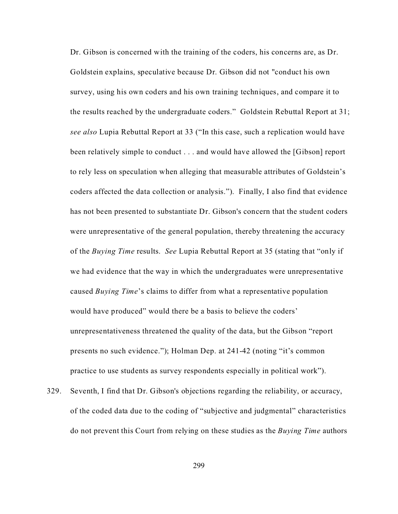Dr. Gibson is concerned with the training of the coders, his concerns are, as Dr. Goldstein explains, speculative because Dr. Gibson did not "conduct his own survey, using his own coders and his own training techniques, and compare it to the results reached by the undergraduate coders." Goldstein Rebuttal Report at 31; *see also* Lupia Rebuttal Report at 33 ("In this case, such a replication would have been relatively simple to conduct . . . and would have allowed the [Gibson] report to rely less on speculation when alleging that measurable attributes of Goldstein's coders affected the data collection or analysis."). Finally, I also find that evidence has not been presented to substantiate Dr. Gibson's concern that the student coders were unrepresentative of the general population, thereby threatening the accuracy of the *Buying Time* results. *See* Lupia Rebuttal Report at 35 (stating that "only if we had evidence that the way in which the undergraduates were unrepresentative caused *Buying Time*'s claims to differ from what a representative population would have produced" would there be a basis to believe the coders' unrepresentativeness threatened the quality of the data, but the Gibson "report presents no such evidence."); Holman Dep. at 241-42 (noting "it's common practice to use students as survey respondents especially in political work").

329. Seventh, I find that Dr. Gibson's objections regarding the reliability, or accuracy, of the coded data due to the coding of "subjective and judgmental" characteristics do not prevent this Court from relying on these studies as the *Buying Time* authors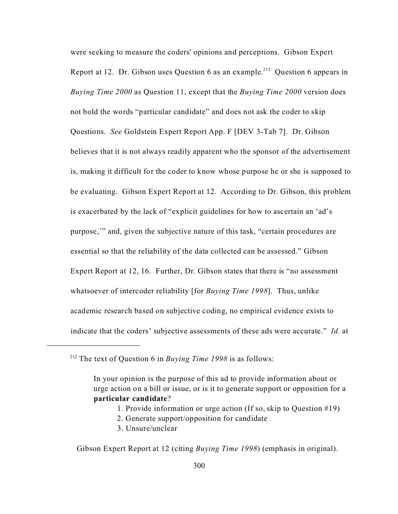were seeking to measure the coders' opinions and perceptions. Gibson Expert Report at 12. Dr. Gibson uses Question 6 as an example.<sup>212</sup> Question 6 appears in *Buying Time 2000* as Question 11, except that the *Buying Time 2000* version does not bold the words "particular candidate" and does not ask the coder to skip Questions. *See* Goldstein Expert Report App. F [DEV 3-Tab 7]. Dr. Gibson believes that it is not always readily apparent who the sponsor of the advertisement is, making it difficult for the coder to know whose purpose he or she is supposed to be evaluating. Gibson Expert Report at 12. According to Dr. Gibson, this problem is exacerbated by the lack of "explicit guidelines for how to ascertain an 'ad's purpose,'" and, given the subjective nature of this task, "certain procedures are essential so that the reliability of the data collected can be assessed." Gibson Expert Report at 12, 16. Further, Dr. Gibson states that there is "no assessment whatsoever of intercoder reliability [for *Buying Time 1998*]. Thus, unlike academic research based on subjective coding, no empirical evidence exists to indicate that the coders' subjective assessments of these ads were accurate." *Id.* at

- 1. Provide information or urge action (If so, skip to Question #19)
- 2. Generate support/opposition for candidate
- 3. Unsure/unclear

Gibson Expert Report at 12 (citing *Buying Time 1998*) (emphasis in original).

<sup>212</sup> The text of Question 6 in *Buying Time 1998* is as follows:

In your opinion is the purpose of this ad to provide information about or urge action on a bill or issue, or is it to generate support or opposition for a **particular candidate**?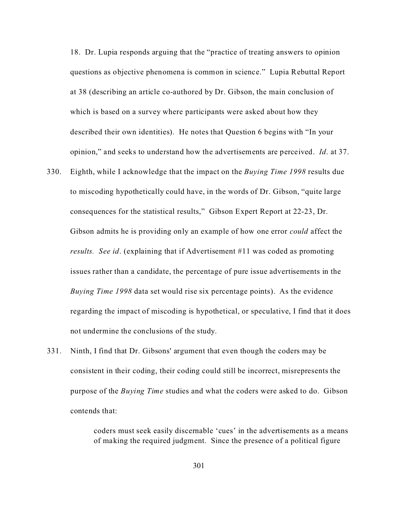18. Dr. Lupia responds arguing that the "practice of treating answers to opinion questions as objective phenomena is common in science." Lupia Rebuttal Report at 38 (describing an article co-authored by Dr. Gibson, the main conclusion of which is based on a survey where participants were asked about how they described their own identities). He notes that Question 6 begins with "In your opinion," and seeks to understand how the advertisements are perceived. *Id*. at 37.

- 330. Eighth, while I acknowledge that the impact on the *Buying Time 1998* results due to miscoding hypothetically could have, in the words of Dr. Gibson, "quite large consequences for the statistical results," Gibson Expert Report at 22-23, Dr. Gibson admits he is providing only an example of how one error *could* affect the *results. See id*. (explaining that if Advertisement #11 was coded as promoting issues rather than a candidate, the percentage of pure issue advertisements in the *Buying Time 1998* data set would rise six percentage points). As the evidence regarding the impact of miscoding is hypothetical, or speculative, I find that it does not undermine the conclusions of the study.
- 331. Ninth, I find that Dr. Gibsons' argument that even though the coders may be consistent in their coding, their coding could still be incorrect, misrepresents the purpose of the *Buying Time* studies and what the coders were asked to do. Gibson contends that:

coders must seek easily discernable 'cues' in the advertisements as a means of making the required judgment. Since the presence of a political figure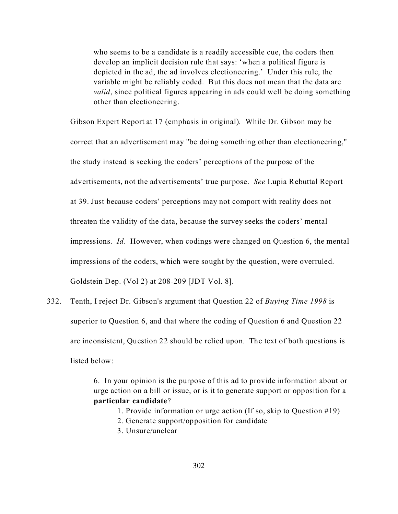who seems to be a candidate is a readily accessible cue, the coders then develop an implicit decision rule that says: 'when a political figure is depicted in the ad, the ad involves electioneering.' Under this rule, the variable might be reliably coded. But this does not mean that the data are *valid*, since political figures appearing in ads could well be doing something other than electioneering.

Gibson Expert Report at 17 (emphasis in original). While Dr. Gibson may be correct that an advertisement may "be doing something other than electioneering," the study instead is seeking the coders' perceptions of the purpose of the advertisements, not the advertisements' true purpose. *See* Lupia Rebuttal Report at 39. Just because coders' perceptions may not comport with reality does not threaten the validity of the data, because the survey seeks the coders' mental impressions. *Id*. However, when codings were changed on Question 6, the mental impressions of the coders, which were sought by the question, were overruled. Goldstein Dep. (Vol 2) at 208-209 [JDT Vol. 8].

332. Tenth, I reject Dr. Gibson's argument that Question 22 of *Buying Time 1998* is superior to Question 6, and that where the coding of Question 6 and Question 22 are inconsistent, Question 22 should be relied upon. The text of both questions is listed below:

> 6. In your opinion is the purpose of this ad to provide information about or urge action on a bill or issue, or is it to generate support or opposition for a **particular candidate**?

- 1. Provide information or urge action (If so, skip to Question #19)
- 2. Generate support/opposition for candidate
- 3. Unsure/unclear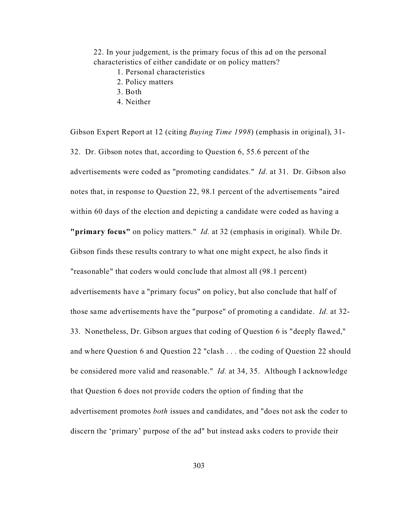22. In your judgement, is the primary focus of this ad on the personal characteristics of either candidate or on policy matters?

- 1. Personal characteristics
- 2. Policy matters
- 3. Both
- 4. Neither

Gibson Expert Report at 12 (citing *Buying Time 1998*) (emphasis in original), 31- 32. Dr. Gibson notes that, according to Question 6, 55.6 percent of the advertisements were coded as "promoting candidates." *Id*. at 31. Dr. Gibson also notes that, in response to Question 22, 98.1 percent of the advertisements "aired within 60 days of the election and depicting a candidate were coded as having a **"primary focus"** on policy matters." *Id.* at 32 (emphasis in original). While Dr. Gibson finds these results contrary to what one might expect, he also finds it "reasonable" that coders would conclude that almost all (98.1 percent) advertisements have a "primary focus" on policy, but also conclude that half of those same advertisements have the "purpose" of promoting a candidate. *Id.* at 32- 33. Nonetheless, Dr. Gibson argues that coding of Question 6 is "deeply flawed," and where Question 6 and Question 22 "clash . . . the coding of Question 22 should be considered more valid and reasonable." *Id.* at 34, 35. Although I acknowledge that Question 6 does not provide coders the option of finding that the advertisement promotes *both* issues and candidates, and "does not ask the coder to discern the 'primary' purpose of the ad" but instead asks coders to provide their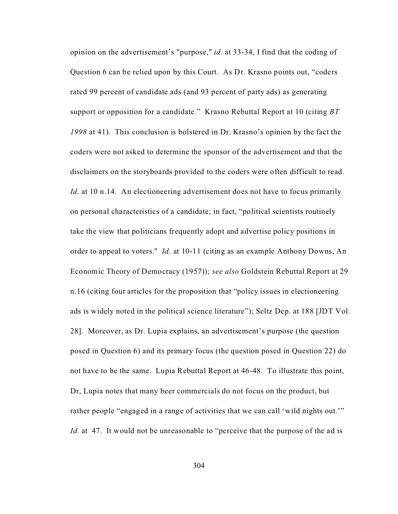opinion on the advertisement's "purpose," *id*. at 33-34, I find that the coding of Question 6 can be relied upon by this Court. As Dr. Krasno points out, "coders rated 99 percent of candidate ads (and 93 percent of party ads) as generating support or opposition for a candidate." Krasno Rebuttal Report at 10 (citing *BT 1998* at 41). This conclusion is bolstered in Dr. Krasno's opinion by the fact the coders were not asked to determine the sponsor of the advertisement and that the disclaimers on the storyboards provided to the coders were often difficult to read. *Id.* at 10 n.14. An electioneering advertisement does not have to focus primarily on personal characteristics of a candidate; in fact, "political scientists routinely take the view that politicians frequently adopt and advertise policy positions in order to appeal to voters." *Id*. at 10-11 (citing as an example Anthony Downs, An Economic Theory of Democracy (1957)); *see also* Goldstein Rebuttal Report at 29 n.16 (citing four articles for the proposition that "policy issues in electioneering ads is widely noted in the political science literature"); Seltz Dep. at 188 [JDT Vol. 28]. Moreover, as Dr. Lupia explains, an advertisement's purpose (the question posed in Question 6) and its primary focus (the question posed in Question 22) do not have to be the same. Lupia Rebuttal Report at 46-48. To illustrate this point, Dr, Lupia notes that many beer commercials do not focus on the product, but rather people "engaged in a range of activities that we can call 'wild nights out.'" *Id.* at 47. It would not be unreasonable to "perceive that the purpose of the ad is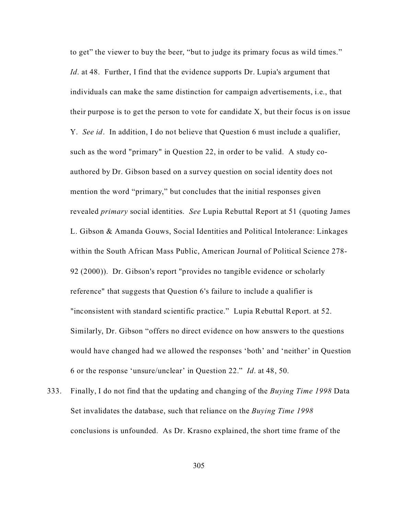to get" the viewer to buy the beer, "but to judge its primary focus as wild times." *Id.* at 48. Further, I find that the evidence supports Dr. Lupia's argument that individuals can make the same distinction for campaign advertisements, i.e., that their purpose is to get the person to vote for candidate X, but their focus is on issue Y. *See id*. In addition, I do not believe that Question 6 must include a qualifier, such as the word "primary" in Question 22, in order to be valid. A study coauthored by Dr. Gibson based on a survey question on social identity does not mention the word "primary," but concludes that the initial responses given revealed *primary* social identities. *See* Lupia Rebuttal Report at 51 (quoting James L. Gibson & Amanda Gouws, Social Identities and Political Intolerance: Linkages within the South African Mass Public, American Journal of Political Science 278- 92 (2000)). Dr. Gibson's report "provides no tangible evidence or scholarly reference" that suggests that Question 6's failure to include a qualifier is "inconsistent with standard scientific practice." Lupia Rebuttal Report. at 52. Similarly, Dr. Gibson "offers no direct evidence on how answers to the questions would have changed had we allowed the responses 'both' and 'neither' in Question 6 or the response 'unsure/unclear' in Question 22." *Id*. at 48, 50.

333. Finally, I do not find that the updating and changing of the *Buying Time 1998* Data Set invalidates the database, such that reliance on the *Buying Time 1998* conclusions is unfounded. As Dr. Krasno explained, the short time frame of the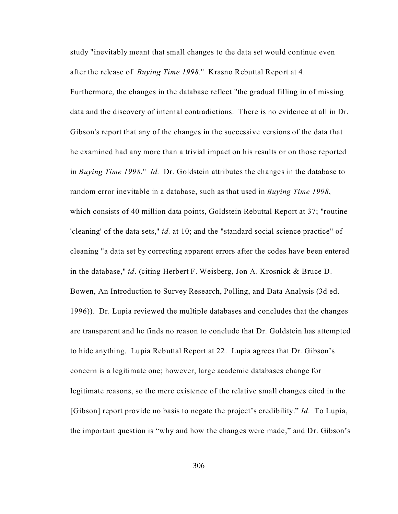study "inevitably meant that small changes to the data set would continue even after the release of *Buying Time 1998*." Krasno Rebuttal Report at 4.

Furthermore, the changes in the database reflect "the gradual filling in of missing data and the discovery of internal contradictions. There is no evidence at all in Dr. Gibson's report that any of the changes in the successive versions of the data that he examined had any more than a trivial impact on his results or on those reported in *Buying Time 1998*." *Id.* Dr. Goldstein attributes the changes in the database to random error inevitable in a database, such as that used in *Buying Time 1998*, which consists of 40 million data points, Goldstein Rebuttal Report at 37; "routine 'cleaning' of the data sets," *id.* at 10; and the "standard social science practice" of cleaning "a data set by correcting apparent errors after the codes have been entered in the database," *id*. (citing Herbert F. Weisberg, Jon A. Krosnick & Bruce D. Bowen, An Introduction to Survey Research, Polling, and Data Analysis (3d ed. 1996)). Dr. Lupia reviewed the multiple databases and concludes that the changes are transparent and he finds no reason to conclude that Dr. Goldstein has attempted to hide anything. Lupia Rebuttal Report at 22. Lupia agrees that Dr. Gibson's concern is a legitimate one; however, large academic databases change for legitimate reasons, so the mere existence of the relative small changes cited in the [Gibson] report provide no basis to negate the project's credibility." *Id*. To Lupia, the important question is "why and how the changes were made," and Dr. Gibson's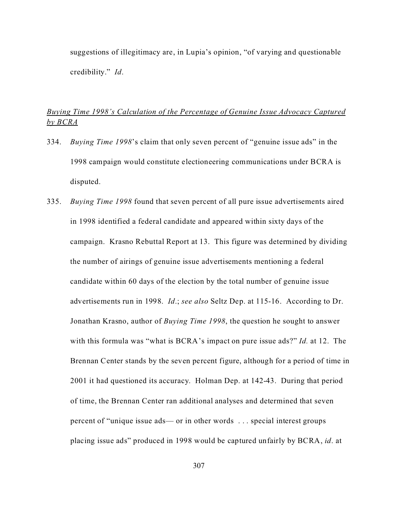suggestions of illegitimacy are, in Lupia's opinion, "of varying and questionable credibility." *Id*.

# *Buying Time 1998's Calculation of the Percentage of Genuine Issue Advocacy Captured by BCRA*

- 334. *Buying Time 1998*'s claim that only seven percent of "genuine issue ads" in the 1998 campaign would constitute electioneering communications under BCRA is disputed.
- 335. *Buying Time 1998* found that seven percent of all pure issue advertisements aired in 1998 identified a federal candidate and appeared within sixty days of the campaign. Krasno Rebuttal Report at 13. This figure was determined by dividing the number of airings of genuine issue advertisements mentioning a federal candidate within 60 days of the election by the total number of genuine issue advertisements run in 1998. *Id*.; *see also* Seltz Dep. at 115-16. According to Dr. Jonathan Krasno, author of *Buying Time 1998*, the question he sought to answer with this formula was "what is BCRA's impact on pure issue ads?" *Id.* at 12. The Brennan Center stands by the seven percent figure, although for a period of time in 2001 it had questioned its accuracy. Holman Dep. at 142-43. During that period of time, the Brennan Center ran additional analyses and determined that seven percent of "unique issue ads— or in other words . . . special interest groups placing issue ads" produced in 1998 would be captured unfairly by BCRA, *id*. at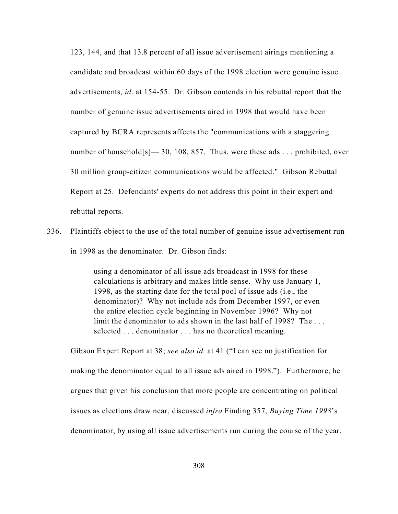123, 144, and that 13.8 percent of all issue advertisement airings mentioning a candidate and broadcast within 60 days of the 1998 election were genuine issue advertisements, *id*. at 154-55. Dr. Gibson contends in his rebuttal report that the number of genuine issue advertisements aired in 1998 that would have been captured by BCRA represents affects the "communications with a staggering number of household[s]—30, 108, 857. Thus, were these ads ... prohibited, over 30 million group-citizen communications would be affected." Gibson Rebuttal Report at 25. Defendants' experts do not address this point in their expert and rebuttal reports.

336. Plaintiffs object to the use of the total number of genuine issue advertisement run in 1998 as the denominator. Dr. Gibson finds:

> using a denominator of all issue ads broadcast in 1998 for these calculations is arbitrary and makes little sense. Why use January 1, 1998, as the starting date for the total pool of issue ads (i.e., the denominator)? Why not include ads from December 1997, or even the entire election cycle beginning in November 1996? Why not limit the denominator to ads shown in the last half of 1998? The . . . selected . . . denominator . . . has no theoretical meaning.

Gibson Expert Report at 38; *see also id.* at 41 ("I can see no justification for making the denominator equal to all issue ads aired in 1998."). Furthermore, he argues that given his conclusion that more people are concentrating on political issues as elections draw near, discussed *infra* Finding 357, *Buying Time 1998*'s denominator, by using all issue advertisements run during the course of the year,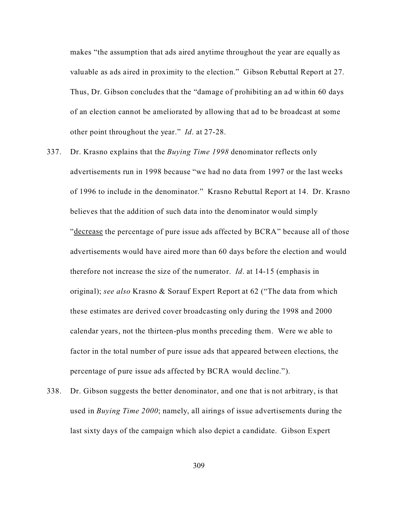makes "the assumption that ads aired anytime throughout the year are equally as valuable as ads aired in proximity to the election." Gibson Rebuttal Report at 27. Thus, Dr. Gibson concludes that the "damage of prohibiting an ad within 60 days of an election cannot be ameliorated by allowing that ad to be broadcast at some other point throughout the year." *Id*. at 27-28.

- 337. Dr. Krasno explains that the *Buying Time 1998* denominator reflects only advertisements run in 1998 because "we had no data from 1997 or the last weeks of 1996 to include in the denominator." Krasno Rebuttal Report at 14. Dr. Krasno believes that the addition of such data into the denominator would simply "decrease the percentage of pure issue ads affected by BCRA" because all of those advertisements would have aired more than 60 days before the election and would therefore not increase the size of the numerator. *Id*. at 14-15 (emphasis in original); *see also* Krasno & Sorauf Expert Report at 62 ("The data from which these estimates are derived cover broadcasting only during the 1998 and 2000 calendar years, not the thirteen-plus months preceding them. Were we able to factor in the total number of pure issue ads that appeared between elections, the percentage of pure issue ads affected by BCRA would decline.").
- 338. Dr. Gibson suggests the better denominator, and one that is not arbitrary, is that used in *Buying Time 2000*; namely, all airings of issue advertisements during the last sixty days of the campaign which also depict a candidate. Gibson Expert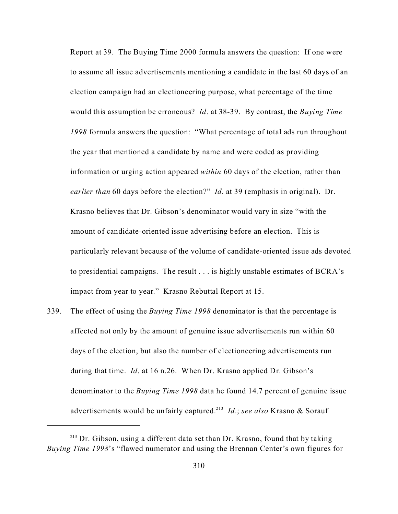Report at 39. The Buying Time 2000 formula answers the question: If one were to assume all issue advertisements mentioning a candidate in the last 60 days of an election campaign had an electioneering purpose, what percentage of the time would this assumption be erroneous? *Id*. at 38-39. By contrast, the *Buying Time 1998* formula answers the question: "What percentage of total ads run throughout the year that mentioned a candidate by name and were coded as providing information or urging action appeared *within* 60 days of the election, rather than *earlier than* 60 days before the election?" *Id*. at 39 (emphasis in original). Dr. Krasno believes that Dr. Gibson's denominator would vary in size "with the amount of candidate-oriented issue advertising before an election. This is particularly relevant because of the volume of candidate-oriented issue ads devoted to presidential campaigns. The result . . . is highly unstable estimates of BCRA's impact from year to year." Krasno Rebuttal Report at 15.

339. The effect of using the *Buying Time 1998* denominator is that the percentage is affected not only by the amount of genuine issue advertisements run within 60 days of the election, but also the number of electioneering advertisements run during that time. *Id*. at 16 n.26. When Dr. Krasno applied Dr. Gibson's denominator to the *Buying Time 1998* data he found 14.7 percent of genuine issue advertisements would be unfairly captured.<sup>213</sup> *Id*.; *see also* Krasno & Sorauf

<sup>&</sup>lt;sup>213</sup> Dr. Gibson, using a different data set than Dr. Krasno, found that by taking *Buying Time 1998*'s "flawed numerator and using the Brennan Center's own figures for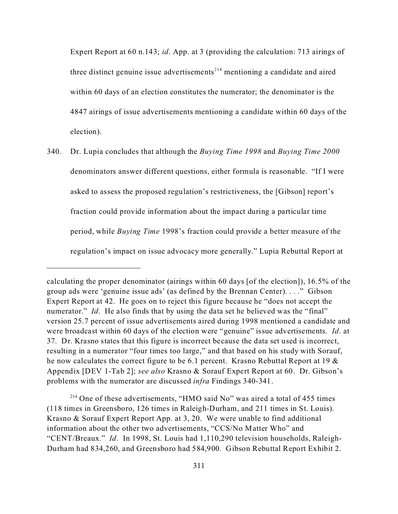Expert Report at 60 n.143; *id*. App. at 3 (providing the calculation: 713 airings of three distinct genuine issue advertisements<sup> $214$ </sup> mentioning a candidate and aired within 60 days of an election constitutes the numerator; the denominator is the 4847 airings of issue advertisements mentioning a candidate within 60 days of the election).

340. Dr. Lupia concludes that although the *Buying Time 1998* and *Buying Time 2000* denominators answer different questions, either formula is reasonable. "If I were asked to assess the proposed regulation's restrictiveness, the [Gibson] report's fraction could provide information about the impact during a particular time period, while *Buying Time* 1998's fraction could provide a better measure of the regulation's impact on issue advocacy more generally." Lupia Rebuttal Report at

<sup>214</sup> One of these advertisements, "HMO said No" was aired a total of 455 times (118 times in Greensboro, 126 times in Raleigh-Durham, and 211 times in St. Louis). Krasno & Sorauf Expert Report App. at 3, 20. We were unable to find additional information about the other two advertisements, "CCS/No Matter Who" and "CENT/Breaux." *Id*. In 1998, St. Louis had 1,110,290 television households, Raleigh-Durham had 834,260, and Greensboro had 584,900. Gibson Rebuttal Report Exhibit 2.

calculating the proper denominator (airings within 60 days [of the election]), 16.5% of the group ads were 'genuine issue ads' (as defined by the Brennan Center). . . ." Gibson Expert Report at 42. He goes on to reject this figure because he "does not accept the numerator." *Id*. He also finds that by using the data set he believed was the "final" version 25.7 percent of issue advertisements aired during 1998 mentioned a candidate and were broadcast within 60 days of the election were "genuine" issue advertisements. *Id*. at 37. Dr. Krasno states that this figure is incorrect because the data set used is incorrect, resulting in a numerator "four times too large," and that based on his study with Sorauf, he now calculates the correct figure to be 6.1 percent. Krasno Rebuttal Report at 19 & Appendix [DEV 1-Tab 2]; *see also* Krasno & Sorauf Expert Report at 60. Dr. Gibson's problems with the numerator are discussed *infra* Findings 340-341.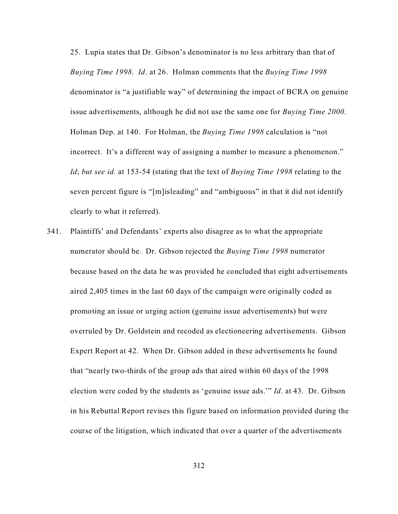25. Lupia states that Dr. Gibson's denominator is no less arbitrary than that of *Buying Time 1998*. *Id*. at 26. Holman comments that the *Buying Time 1998* denominator is "a justifiable way" of determining the impact of BCRA on genuine issue advertisements, although he did not use the same one for *Buying Time 2000*. Holman Dep. at 140. For Holman, the *Buying Time 1998* calculation is "not incorrect. It's a different way of assigning a number to measure a phenomenon." *Id*; *but see id.* at 153-54 (stating that the text of *Buying Time 1998* relating to the seven percent figure is "[m]isleading" and "ambiguous" in that it did not identify clearly to what it referred).

341. Plaintiffs' and Defendants' experts also disagree as to what the appropriate numerator should be. Dr. Gibson rejected the *Buying Time 1998* numerator because based on the data he was provided he concluded that eight advertisements aired 2,405 times in the last 60 days of the campaign were originally coded as promoting an issue or urging action (genuine issue advertisements) but were overruled by Dr. Goldstein and recoded as electioneering advertisements. Gibson Expert Report at 42. When Dr. Gibson added in these advertisements he found that "nearly two-thirds of the group ads that aired within 60 days of the 1998 election were coded by the students as 'genuine issue ads.'" *Id*. at 43. Dr. Gibson in his Rebuttal Report revises this figure based on information provided during the course of the litigation, which indicated that over a quarter of the advertisements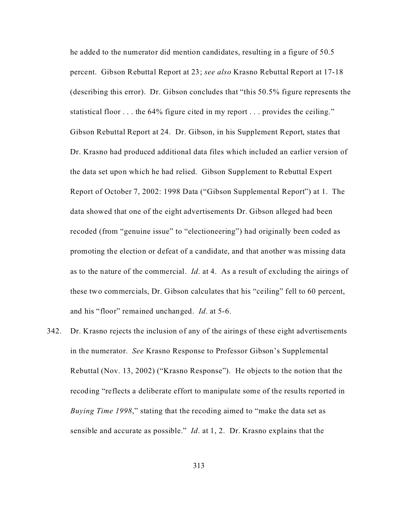he added to the numerator did mention candidates, resulting in a figure of 50.5 percent. Gibson Rebuttal Report at 23; *see also* Krasno Rebuttal Report at 17-18 (describing this error). Dr. Gibson concludes that "this 50.5% figure represents the statistical floor . . . the 64% figure cited in my report . . . provides the ceiling." Gibson Rebuttal Report at 24. Dr. Gibson, in his Supplement Report, states that Dr. Krasno had produced additional data files which included an earlier version of the data set upon which he had relied. Gibson Supplement to Rebuttal Expert Report of October 7, 2002: 1998 Data ("Gibson Supplemental Report") at 1. The data showed that one of the eight advertisements Dr. Gibson alleged had been recoded (from "genuine issue" to "electioneering") had originally been coded as promoting the election or defeat of a candidate, and that another was missing data as to the nature of the commercial. *Id*. at 4. As a result of excluding the airings of these two commercials, Dr. Gibson calculates that his "ceiling" fell to 60 percent, and his "floor" remained unchanged. *Id*. at 5-6.

342. Dr. Krasno rejects the inclusion of any of the airings of these eight advertisements in the numerator. *See* Krasno Response to Professor Gibson's Supplemental Rebuttal (Nov. 13, 2002) ("Krasno Response"). He objects to the notion that the recoding "reflects a deliberate effort to manipulate some of the results reported in *Buying Time 1998*," stating that the recoding aimed to "make the data set as sensible and accurate as possible." *Id*. at 1, 2. Dr. Krasno explains that the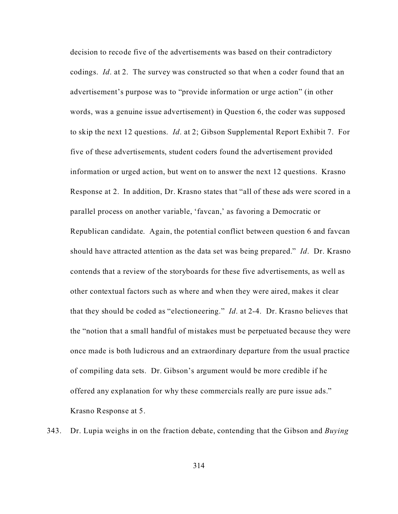decision to recode five of the advertisements was based on their contradictory codings. *Id*. at 2. The survey was constructed so that when a coder found that an advertisement's purpose was to "provide information or urge action" (in other words, was a genuine issue advertisement) in Question 6, the coder was supposed to skip the next 12 questions. *Id*. at 2; Gibson Supplemental Report Exhibit 7. For five of these advertisements, student coders found the advertisement provided information or urged action, but went on to answer the next 12 questions. Krasno Response at 2. In addition, Dr. Krasno states that "all of these ads were scored in a parallel process on another variable, 'favcan,' as favoring a Democratic or Republican candidate. Again, the potential conflict between question 6 and favcan should have attracted attention as the data set was being prepared." *Id*. Dr. Krasno contends that a review of the storyboards for these five advertisements, as well as other contextual factors such as where and when they were aired, makes it clear that they should be coded as "electioneering." *Id*. at 2-4. Dr. Krasno believes that the "notion that a small handful of mistakes must be perpetuated because they were once made is both ludicrous and an extraordinary departure from the usual practice of compiling data sets. Dr. Gibson's argument would be more credible if he offered any explanation for why these commercials really are pure issue ads." Krasno Response at 5.

343. Dr. Lupia weighs in on the fraction debate, contending that the Gibson and *Buying*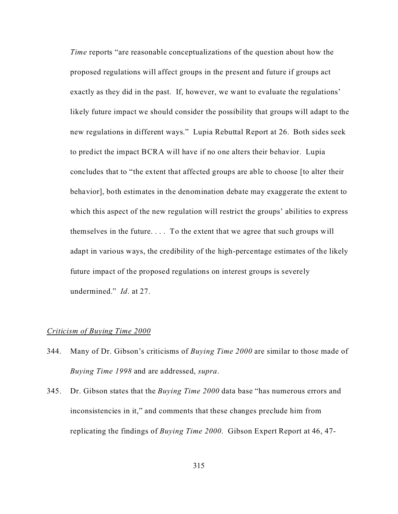*Time* reports "are reasonable conceptualizations of the question about how the proposed regulations will affect groups in the present and future if groups act exactly as they did in the past. If, however, we want to evaluate the regulations' likely future impact we should consider the possibility that groups will adapt to the new regulations in different ways." Lupia Rebuttal Report at 26. Both sides seek to predict the impact BCRA will have if no one alters their behavior. Lupia concludes that to "the extent that affected groups are able to choose [to alter their behavior], both estimates in the denomination debate may exaggerate the extent to which this aspect of the new regulation will restrict the groups' abilities to express themselves in the future. . . . To the extent that we agree that such groups will adapt in various ways, the credibility of the high-percentage estimates of the likely future impact of the proposed regulations on interest groups is severely undermined." *Id*. at 27.

### *Criticism of Buying Time 2000*

- 344. Many of Dr. Gibson's criticisms of *Buying Time 2000* are similar to those made of *Buying Time 1998* and are addressed, *supra*.
- 345. Dr. Gibson states that the *Buying Time 2000* data base "has numerous errors and inconsistencies in it," and comments that these changes preclude him from replicating the findings of *Buying Time 2000*. Gibson Expert Report at 46, 47-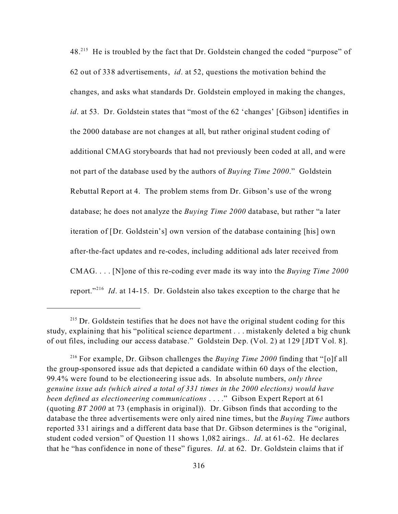48<sup>215</sup> He is troubled by the fact that Dr. Goldstein changed the coded "purpose" of 62 out of 338 advertisements, *id*. at 52, questions the motivation behind the changes, and asks what standards Dr. Goldstein employed in making the changes, *id*. at 53. Dr. Goldstein states that "most of the 62 'changes' [Gibson] identifies in the 2000 database are not changes at all, but rather original student coding of additional CMAG storyboards that had not previously been coded at all, and were not part of the database used by the authors of *Buying Time 2000*." Goldstein Rebuttal Report at 4. The problem stems from Dr. Gibson's use of the wrong database; he does not analyze the *Buying Time 2000* database, but rather "a later iteration of [Dr. Goldstein's] own version of the database containing [his] own after-the-fact updates and re-codes, including additional ads later received from CMAG. . . . [N]one of this re-coding ever made its way into the *Buying Time 2000* report."<sup>216</sup> *Id.* at 14-15. Dr. Goldstein also takes exception to the charge that he

 $215$  Dr. Goldstein testifies that he does not have the original student coding for this study, explaining that his "political science department . . . mistakenly deleted a big chunk of out files, including our access database." Goldstein Dep. (Vol. 2) at 129 [JDT Vol. 8].

<sup>216</sup> For example, Dr. Gibson challenges the *Buying Time 2000* finding that "[o]f all the group-sponsored issue ads that depicted a candidate within 60 days of the election, 99.4% were found to be electioneering issue ads. In absolute numbers, *only three genuine issue ads (which aired a total of 331 times in the 2000 elections) would have been defined as electioneering communications* . . . ." Gibson Expert Report at 61 (quoting *BT 2000* at 73 (emphasis in original)). Dr. Gibson finds that according to the database the three advertisements were only aired nine times, but the *Buying Time* authors reported 331 airings and a different data base that Dr. Gibson determines is the "original, student coded version" of Question 11 shows 1,082 airings.. *Id*. at 61-62. He declares that he "has confidence in none of these" figures. *Id*. at 62. Dr. Goldstein claims that if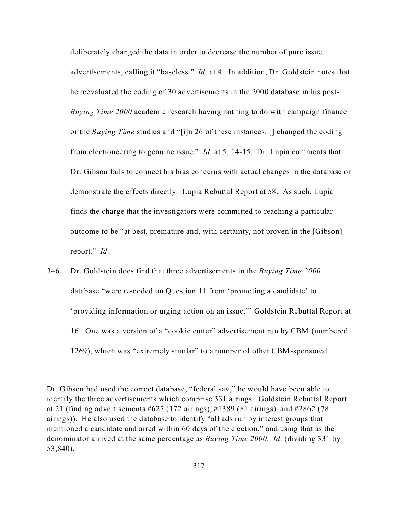deliberately changed the data in order to decrease the number of pure issue advertisements, calling it "baseless." *Id*. at 4. In addition, Dr. Goldstein notes that he reevaluated the coding of 30 advertisements in the 2000 database in his post-*Buying Time 2000* academic research having nothing to do with campaign finance or the *Buying Time* studies and "[i]n 26 of these instances, [] changed the coding from electioneering to genuine issue." *Id*. at 5, 14-15. Dr. Lupia comments that Dr. Gibson fails to connect his bias concerns with actual changes in the database or demonstrate the effects directly. Lupia Rebuttal Report at 58. As such, Lupia finds the charge that the investigators were committed to reaching a particular outcome to be "at best, premature and, with certainty, not proven in the [Gibson] report." *Id*.

346. Dr. Goldstein does find that three advertisements in the *Buying Time 2000* database "were re-coded on Question 11 from 'promoting a candidate' to 'providing information or urging action on an issue.'" Goldstein Rebuttal Report at 16. One was a version of a "cookie cutter" advertisement run by CBM (numbered 1269), which was "extremely similar" to a number of other CBM-sponsored

Dr. Gibson had used the correct database, "federal.sav," he would have been able to identify the three advertisements which comprise 331 airings. Goldstein Rebuttal Report at 21 (finding advertisements  $#627$  (172 airings),  $#1389$  (81 airings), and  $#2862$  (78 airings)). He also used the database to identify "all ads run by interest groups that mentioned a candidate and aired within 60 days of the election," and using that as the denominator arrived at the same percentage as *Buying Time 2000*. *Id*. (dividing 331 by 53,840).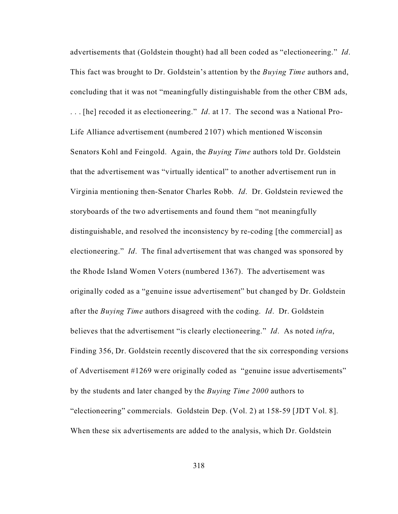advertisements that (Goldstein thought) had all been coded as "electioneering." *Id*. This fact was brought to Dr. Goldstein's attention by the *Buying Time* authors and, concluding that it was not "meaningfully distinguishable from the other CBM ads, . . . [he] recoded it as electioneering." *Id*. at 17. The second was a National Pro-Life Alliance advertisement (numbered 2107) which mentioned Wisconsin Senators Kohl and Feingold. Again, the *Buying Time* authors told Dr. Goldstein that the advertisement was "virtually identical" to another advertisement run in Virginia mentioning then-Senator Charles Robb. *Id*. Dr. Goldstein reviewed the storyboards of the two advertisements and found them "not meaningfully distinguishable, and resolved the inconsistency by re-coding [the commercial] as electioneering." *Id*. The final advertisement that was changed was sponsored by the Rhode Island Women Voters (numbered 1367). The advertisement was originally coded as a "genuine issue advertisement" but changed by Dr. Goldstein after the *Buying Time* authors disagreed with the coding. *Id*. Dr. Goldstein believes that the advertisement "is clearly electioneering." *Id*. As noted *infra*, Finding 356, Dr. Goldstein recently discovered that the six corresponding versions of Advertisement #1269 were originally coded as "genuine issue advertisements" by the students and later changed by the *Buying Time 2000* authors to "electioneering" commercials. Goldstein Dep. (Vol. 2) at 158-59 [JDT Vol. 8]. When these six advertisements are added to the analysis, which Dr. Goldstein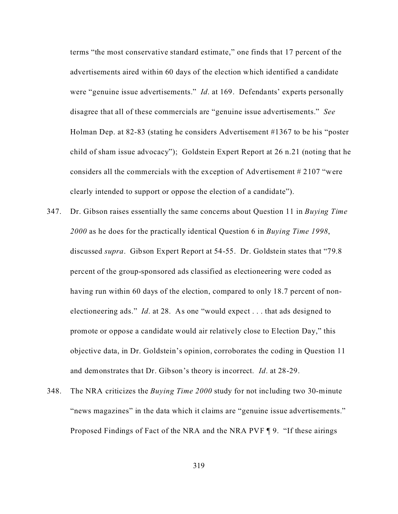terms "the most conservative standard estimate," one finds that 17 percent of the advertisements aired within 60 days of the election which identified a candidate were "genuine issue advertisements." *Id*. at 169. Defendants' experts personally disagree that all of these commercials are "genuine issue advertisements." *See* Holman Dep. at 82-83 (stating he considers Advertisement #1367 to be his "poster child of sham issue advocacy"); Goldstein Expert Report at 26 n.21 (noting that he considers all the commercials with the exception of Advertisement # 2107 "were clearly intended to support or oppose the election of a candidate").

- 347. Dr. Gibson raises essentially the same concerns about Question 11 in *Buying Time 2000* as he does for the practically identical Question 6 in *Buying Time 1998*, discussed *supra*. Gibson Expert Report at 54-55. Dr. Goldstein states that "79.8 percent of the group-sponsored ads classified as electioneering were coded as having run within 60 days of the election, compared to only 18.7 percent of nonelectioneering ads." *Id*. at 28. As one "would expect . . . that ads designed to promote or oppose a candidate would air relatively close to Election Day," this objective data, in Dr. Goldstein's opinion, corroborates the coding in Question 11 and demonstrates that Dr. Gibson's theory is incorrect. *Id*. at 28-29.
- 348. The NRA criticizes the *Buying Time 2000* study for not including two 30-minute "news magazines" in the data which it claims are "genuine issue advertisements." Proposed Findings of Fact of the NRA and the NRA PVF ¶ 9. "If these airings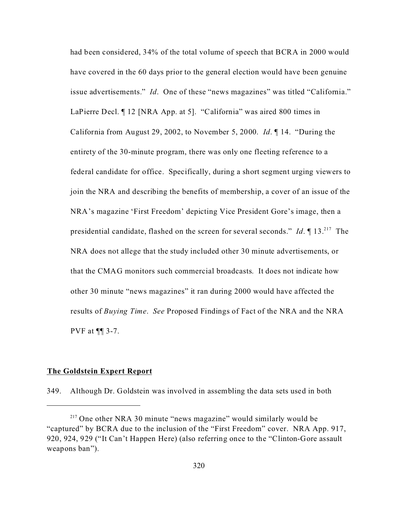had been considered, 34% of the total volume of speech that BCRA in 2000 would have covered in the 60 days prior to the general election would have been genuine issue advertisements." *Id*. One of these "news magazines" was titled "California." LaPierre Decl. ¶ 12 [NRA App. at 5]. "California" was aired 800 times in California from August 29, 2002, to November 5, 2000. *Id*. ¶ 14. "During the entirety of the 30-minute program, there was only one fleeting reference to a federal candidate for office. Specifically, during a short segment urging viewers to join the NRA and describing the benefits of membership, a cover of an issue of the NRA's magazine 'First Freedom' depicting Vice President Gore's image, then a presidential candidate, flashed on the screen for several seconds." *Id*. ¶ 13.<sup>217</sup> The NRA does not allege that the study included other 30 minute advertisements, or that the CMAG monitors such commercial broadcasts. It does not indicate how other 30 minute "news magazines" it ran during 2000 would have affected the results of *Buying Time*. *See* Proposed Findings of Fact of the NRA and the NRA PVF at ¶¶ 3-7.

### **The Goldstein Expert Report**

349. Although Dr. Goldstein was involved in assembling the data sets used in both

 $217$  One other NRA 30 minute "news magazine" would similarly would be "captured" by BCRA due to the inclusion of the "First Freedom" cover. NRA App. 917, 920, 924, 929 ("It Can't Happen Here) (also referring once to the "Clinton-Gore assault weapons ban").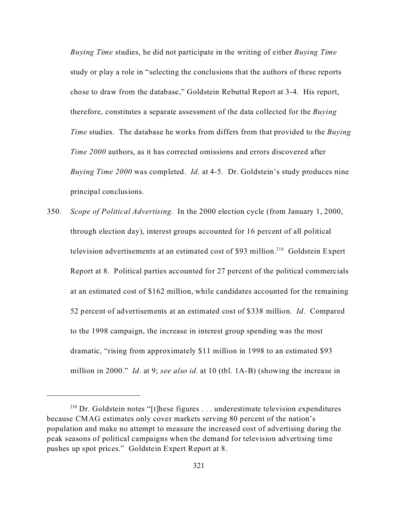*Buying Time* studies, he did not participate in the writing of either *Buying Time* study or play a role in "selecting the conclusions that the authors of these reports chose to draw from the database," Goldstein Rebuttal Report at 3-4. His report, therefore, constitutes a separate assessment of the data collected for the *Buying Time* studies. The database he works from differs from that provided to the *Buying Time 2000* authors, as it has corrected omissions and errors discovered after *Buying Time 2000* was completed. *Id*. at 4-5. Dr. Goldstein's study produces nine principal conclusions.

350. *Scope of Political Advertising*. In the 2000 election cycle (from January 1, 2000, through election day), interest groups accounted for 16 percent of all political television advertisements at an estimated cost of \$93 million.<sup>218</sup> Goldstein Expert Report at 8. Political parties accounted for 27 percent of the political commercials at an estimated cost of \$162 million, while candidates accounted for the remaining 52 percent of advertisements at an estimated cost of \$338 million. *Id*. Compared to the 1998 campaign, the increase in interest group spending was the most dramatic, "rising from approximately \$11 million in 1998 to an estimated \$93 million in 2000." *Id*. at 9; *see also id.* at 10 (tbl. 1A-B) (showing the increase in

 $218$  Dr. Goldstein notes "[t]hese figures ... underestimate television expenditures because CMAG estimates only cover markets serving 80 percent of the nation's population and make no attempt to measure the increased cost of advertising during the peak seasons of political campaigns when the demand for television advertising time pushes up spot prices." Goldstein Expert Report at 8.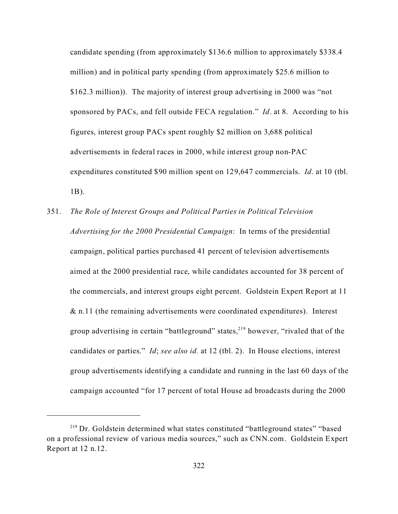candidate spending (from approximately \$136.6 million to approximately \$338.4 million) and in political party spending (from approximately \$25.6 million to \$162.3 million)). The majority of interest group advertising in 2000 was "not sponsored by PACs, and fell outside FECA regulation." *Id*. at 8. According to his figures, interest group PACs spent roughly \$2 million on 3,688 political advertisements in federal races in 2000, while interest group non-PAC expenditures constituted \$90 million spent on 129,647 commercials. *Id*. at 10 (tbl. 1B).

351. *The Role of Interest Groups and Political Parties in Political Television Advertising for the 2000 Presidential Campaign*: In terms of the presidential campaign, political parties purchased 41 percent of television advertisements aimed at the 2000 presidential race, while candidates accounted for 38 percent of the commercials, and interest groups eight percent. Goldstein Expert Report at 11  $&$  n.11 (the remaining advertisements were coordinated expenditures). Interest group advertising in certain "battleground" states,  $219$  however, "rivaled that of the candidates or parties." *Id*; *see also id.* at 12 (tbl. 2). In House elections, interest group advertisements identifying a candidate and running in the last 60 days of the campaign accounted "for 17 percent of total House ad broadcasts during the 2000

<sup>&</sup>lt;sup>219</sup> Dr. Goldstein determined what states constituted "battleground states" "based on a professional review of various media sources," such as CNN.com. Goldstein Expert Report at 12 n.12.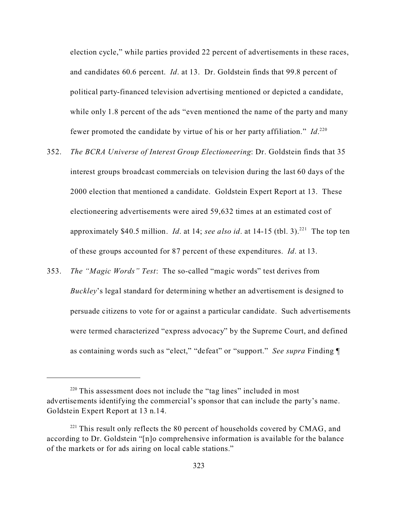election cycle," while parties provided 22 percent of advertisements in these races, and candidates 60.6 percent. *Id*. at 13. Dr. Goldstein finds that 99.8 percent of political party-financed television advertising mentioned or depicted a candidate, while only 1.8 percent of the ads "even mentioned the name of the party and many fewer promoted the candidate by virtue of his or her party affiliation." *Id*.<sup>220</sup>

- 352. *The BCRA Universe of Interest Group Electioneering*: Dr. Goldstein finds that 35 interest groups broadcast commercials on television during the last 60 days of the 2000 election that mentioned a candidate. Goldstein Expert Report at 13. These electioneering advertisements were aired 59,632 times at an estimated cost of approximately \$40.5 million. *Id.* at 14; *see also id.* at 14-15 (tbl. 3).<sup>221</sup> The top ten of these groups accounted for 87 percent of these expenditures. *Id*. at 13.
- 353. *The "Magic Words" Test*: The so-called "magic words" test derives from *Buckley*'s legal standard for determining whether an advertisement is designed to persuade citizens to vote for or against a particular candidate. Such advertisements were termed characterized "express advocacy" by the Supreme Court, and defined as containing words such as "elect," "defeat" or "support." *See supra* Finding ¶

 $220$  This assessment does not include the "tag lines" included in most advertisements identifying the commercial's sponsor that can include the party's name. Goldstein Expert Report at 13 n.14.

 $221$  This result only reflects the 80 percent of households covered by CMAG, and according to Dr. Goldstein "[n]o comprehensive information is available for the balance of the markets or for ads airing on local cable stations."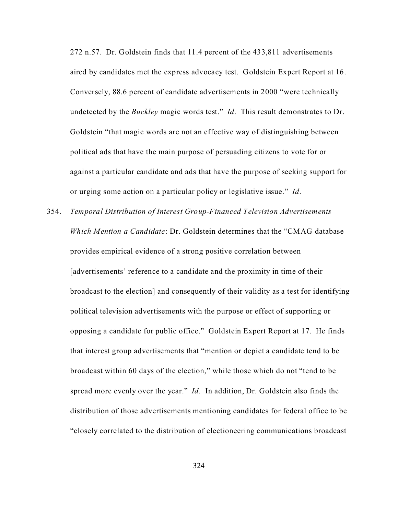272 n.57. Dr. Goldstein finds that 11.4 percent of the 433,811 advertisements aired by candidates met the express advocacy test. Goldstein Expert Report at 16. Conversely, 88.6 percent of candidate advertisements in 2000 "were technically undetected by the *Buckley* magic words test." *Id*. This result demonstrates to Dr. Goldstein "that magic words are not an effective way of distinguishing between political ads that have the main purpose of persuading citizens to vote for or against a particular candidate and ads that have the purpose of seeking support for or urging some action on a particular policy or legislative issue." *Id*.

354. *Temporal Distribution of Interest Group-Financed Television Advertisements Which Mention a Candidate*: Dr. Goldstein determines that the "CMAG database provides empirical evidence of a strong positive correlation between [advertisements' reference to a candidate and the proximity in time of their broadcast to the election] and consequently of their validity as a test for identifying political television advertisements with the purpose or effect of supporting or opposing a candidate for public office." Goldstein Expert Report at 17. He finds that interest group advertisements that "mention or depict a candidate tend to be broadcast within 60 days of the election," while those which do not "tend to be spread more evenly over the year." *Id*. In addition, Dr. Goldstein also finds the distribution of those advertisements mentioning candidates for federal office to be "closely correlated to the distribution of electioneering communications broadcast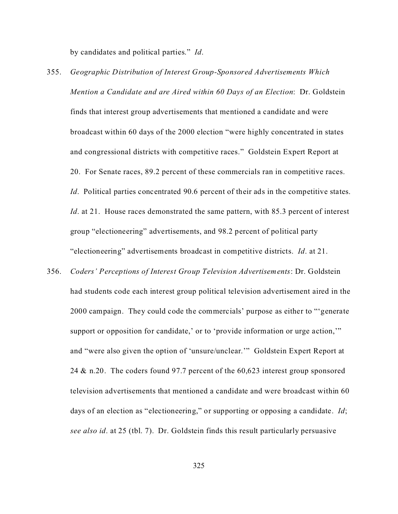by candidates and political parties." *Id*.

- 355. *Geographic Distribution of Interest Group-Sponsored Advertisements Which Mention a Candidate and are Aired within 60 Days of an Election*: Dr. Goldstein finds that interest group advertisements that mentioned a candidate and were broadcast within 60 days of the 2000 election "were highly concentrated in states and congressional districts with competitive races." Goldstein Expert Report at 20. For Senate races, 89.2 percent of these commercials ran in competitive races. *Id.* Political parties concentrated 90.6 percent of their ads in the competitive states. *Id.* at 21. House races demonstrated the same pattern, with 85.3 percent of interest group "electioneering" advertisements, and 98.2 percent of political party "electioneering" advertisements broadcast in competitive districts. *Id*. at 21.
- 356. *Coders' Perceptions of Interest Group Television Advertisements*: Dr. Goldstein had students code each interest group political television advertisement aired in the 2000 campaign. They could code the commercials' purpose as either to "'generate support or opposition for candidate,' or to 'provide information or urge action," and "were also given the option of 'unsure/unclear.'" Goldstein Expert Report at 24 & n.20. The coders found 97.7 percent of the 60,623 interest group sponsored television advertisements that mentioned a candidate and were broadcast within 60 days of an election as "electioneering," or supporting or opposing a candidate. *Id*; *see also id*. at 25 (tbl. 7). Dr. Goldstein finds this result particularly persuasive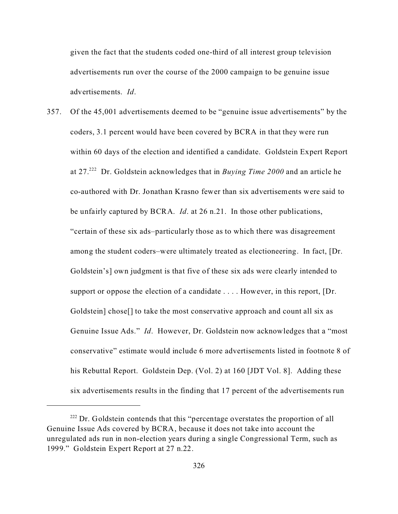given the fact that the students coded one-third of all interest group television advertisements run over the course of the 2000 campaign to be genuine issue advertisements. *Id*.

357. Of the 45,001 advertisements deemed to be "genuine issue advertisements" by the coders, 3.1 percent would have been covered by BCRA in that they were run within 60 days of the election and identified a candidate. Goldstein Expert Report at 27.<sup>222</sup> Dr. Goldstein acknowledges that in *Buying Time 2000* and an article he co-authored with Dr. Jonathan Krasno fewer than six advertisements were said to be unfairly captured by BCRA. *Id*. at 26 n.21. In those other publications, "certain of these six ads–particularly those as to which there was disagreement among the student coders–were ultimately treated as electioneering. In fact, [Dr. Goldstein's] own judgment is that five of these six ads were clearly intended to support or oppose the election of a candidate . . . . However, in this report, [Dr. Goldstein] chose[] to take the most conservative approach and count all six as Genuine Issue Ads." *Id*. However, Dr. Goldstein now acknowledges that a "most conservative" estimate would include 6 more advertisements listed in footnote 8 of his Rebuttal Report. Goldstein Dep. (Vol. 2) at 160 [JDT Vol. 8]. Adding these six advertisements results in the finding that 17 percent of the advertisements run

 $222$  Dr. Goldstein contends that this "percentage overstates the proportion of all Genuine Issue Ads covered by BCRA, because it does not take into account the unregulated ads run in non-election years during a single Congressional Term, such as 1999." Goldstein Expert Report at 27 n.22.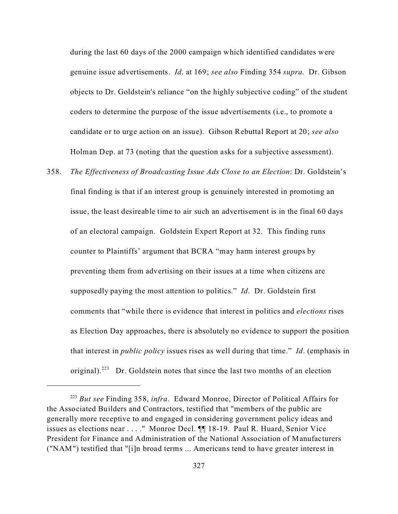during the last 60 days of the 2000 campaign which identified candidates were genuine issue advertisements. *Id*. at 169; *see also* Finding 354 *supra.* Dr. Gibson objects to Dr. Goldstein's reliance "on the highly subjective coding" of the student coders to determine the purpose of the issue advertisements (i.e., to promote a candidate or to urge action on an issue). Gibson Rebuttal Report at 20; *see also* Holman Dep. at 73 (noting that the question asks for a subjective assessment).

358. *The Effectiveness of Broadcasting Issue Ads Close to an Election*: Dr. Goldstein's final finding is that if an interest group is genuinely interested in promoting an issue, the least desireable time to air such an advertisement is in the final 60 days of an electoral campaign. Goldstein Expert Report at 32. This finding runs counter to Plaintiffs' argument that BCRA "may harm interest groups by preventing them from advertising on their issues at a time when citizens are supposedly paying the most attention to politics." *Id*. Dr. Goldstein first comments that "while there is evidence that interest in politics and *elections* rises as Election Day approaches, there is absolutely no evidence to support the position that interest in *public policy* issues rises as well during that time." *Id*. (emphasis in original).<sup>223</sup> Dr. Goldstein notes that since the last two months of an election

<sup>223</sup> *But see* Finding 358, *infra*. Edward Monroe, Director of Political Affairs for the Associated Builders and Contractors, testified that "members of the public are generally more receptive to and engaged in considering government policy ideas and issues as elections near . . . ." Monroe Decl. ¶¶ 18-19. Paul R. Huard, Senior Vice President for Finance and Administration of the National Association of Manufacturers ("NAM") testified that "[i]n broad terms ... Americans tend to have greater interest in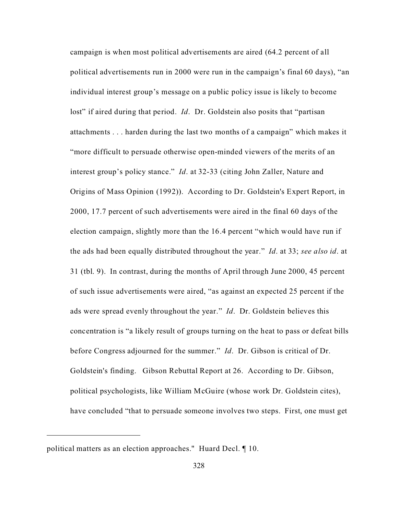campaign is when most political advertisements are aired (64.2 percent of all political advertisements run in 2000 were run in the campaign's final 60 days), "an individual interest group's message on a public policy issue is likely to become lost" if aired during that period. *Id.* Dr. Goldstein also posits that "partisan" attachments . . . harden during the last two months of a campaign" which makes it "more difficult to persuade otherwise open-minded viewers of the merits of an interest group's policy stance." *Id*. at 32-33 (citing John Zaller, Nature and Origins of Mass Opinion (1992)). According to Dr. Goldstein's Expert Report, in 2000, 17.7 percent of such advertisements were aired in the final 60 days of the election campaign, slightly more than the 16.4 percent "which would have run if the ads had been equally distributed throughout the year." *Id*. at 33; *see also id*. at 31 (tbl. 9). In contrast, during the months of April through June 2000, 45 percent of such issue advertisements were aired, "as against an expected 25 percent if the ads were spread evenly throughout the year." *Id*. Dr. Goldstein believes this concentration is "a likely result of groups turning on the heat to pass or defeat bills before Congress adjourned for the summer." *Id*. Dr. Gibson is critical of Dr. Goldstein's finding. Gibson Rebuttal Report at 26. According to Dr. Gibson, political psychologists, like William McGuire (whose work Dr. Goldstein cites), have concluded "that to persuade someone involves two steps. First, one must get

political matters as an election approaches." Huard Decl. ¶ 10.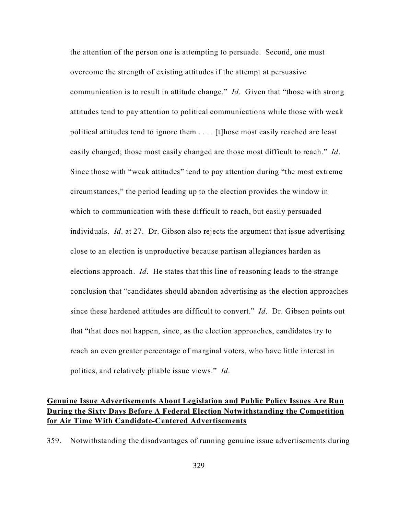the attention of the person one is attempting to persuade. Second, one must overcome the strength of existing attitudes if the attempt at persuasive communication is to result in attitude change." *Id*. Given that "those with strong attitudes tend to pay attention to political communications while those with weak political attitudes tend to ignore them . . . . [t]hose most easily reached are least easily changed; those most easily changed are those most difficult to reach." *Id*. Since those with "weak attitudes" tend to pay attention during "the most extreme circumstances," the period leading up to the election provides the window in which to communication with these difficult to reach, but easily persuaded individuals. *Id*. at 27. Dr. Gibson also rejects the argument that issue advertising close to an election is unproductive because partisan allegiances harden as elections approach. *Id*. He states that this line of reasoning leads to the strange conclusion that "candidates should abandon advertising as the election approaches since these hardened attitudes are difficult to convert." *Id*. Dr. Gibson points out that "that does not happen, since, as the election approaches, candidates try to reach an even greater percentage of marginal voters, who have little interest in politics, and relatively pliable issue views." *Id*.

## **Genuine Issue Advertisements About Legislation and Public Policy Issues Are Run During the Sixty Days Before A Federal Election Notwithstanding the Competition for Air Time With Candidate-Centered Advertisements**

359. Notwithstanding the disadvantages of running genuine issue advertisements during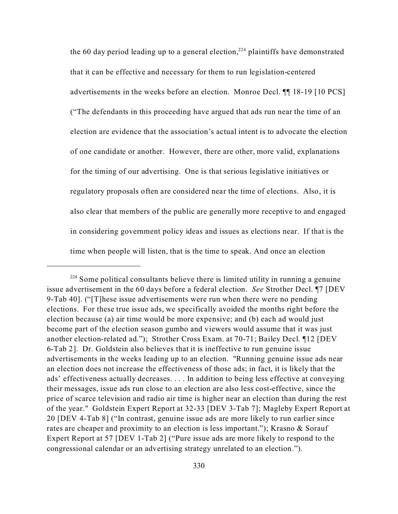the 60 day period leading up to a general election,<sup>224</sup> plaintiffs have demonstrated that it can be effective and necessary for them to run legislation-centered advertisements in the weeks before an election. Monroe Decl. ¶¶ 18-19 [10 PCS] ("The defendants in this proceeding have argued that ads run near the time of an election are evidence that the association's actual intent is to advocate the election of one candidate or another. However, there are other, more valid, explanations for the timing of our advertising. One is that serious legislative initiatives or regulatory proposals often are considered near the time of elections. Also, it is also clear that members of the public are generally more receptive to and engaged in considering government policy ideas and issues as elections near. If that is the time when people will listen, that is the time to speak. And once an election

<sup>&</sup>lt;sup>224</sup> Some political consultants believe there is limited utility in running a genuine issue advertisement in the 60 days before a federal election. *See* Strother Decl. ¶7 [DEV 9-Tab 40]. ("[T]hese issue advertisements were run when there were no pending elections. For these true issue ads, we specifically avoided the months right before the election because (a) air time would be more expensive; and (b) each ad would just become part of the election season gumbo and viewers would assume that it was just another election-related ad."); Strother Cross Exam. at 70-71; Bailey Decl. ¶12 [DEV 6-Tab 2]. Dr. Goldstein also believes that it is ineffective to run genuine issue advertisements in the weeks leading up to an election. "Running genuine issue ads near an election does not increase the effectiveness of those ads; in fact, it is likely that the ads' effectiveness actually decreases. . . . In addition to being less effective at conveying their messages, issue ads run close to an election are also less cost-effective, since the price of scarce television and radio air time is higher near an election than during the rest of the year." Goldstein Expert Report at 32-33 [DEV 3-Tab 7]; Magleby Expert Report at 20 [DEV 4-Tab 8] ("In contrast, genuine issue ads are more likely to run earlier since rates are cheaper and proximity to an election is less important."); Krasno & Sorauf Expert Report at 57 [DEV 1-Tab 2] ("Pure issue ads are more likely to respond to the congressional calendar or an advertising strategy unrelated to an election.").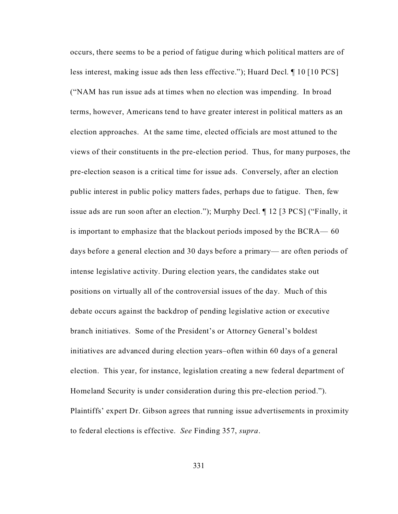occurs, there seems to be a period of fatigue during which political matters are of less interest, making issue ads then less effective."); Huard Decl. ¶ 10 [10 PCS] ("NAM has run issue ads at times when no election was impending. In broad terms, however, Americans tend to have greater interest in political matters as an election approaches. At the same time, elected officials are most attuned to the views of their constituents in the pre-election period. Thus, for many purposes, the pre-election season is a critical time for issue ads. Conversely, after an election public interest in public policy matters fades, perhaps due to fatigue. Then, few issue ads are run soon after an election."); Murphy Decl. ¶ 12 [3 PCS] ("Finally, it is important to emphasize that the blackout periods imposed by the BCRA— 60 days before a general election and 30 days before a primary— are often periods of intense legislative activity. During election years, the candidates stake out positions on virtually all of the controversial issues of the day. Much of this debate occurs against the backdrop of pending legislative action or executive branch initiatives. Some of the President's or Attorney General's boldest initiatives are advanced during election years–often within 60 days of a general election. This year, for instance, legislation creating a new federal department of Homeland Security is under consideration during this pre-election period."). Plaintiffs' expert Dr. Gibson agrees that running issue advertisements in proximity to federal elections is effective. *See* Finding 357, *supra*.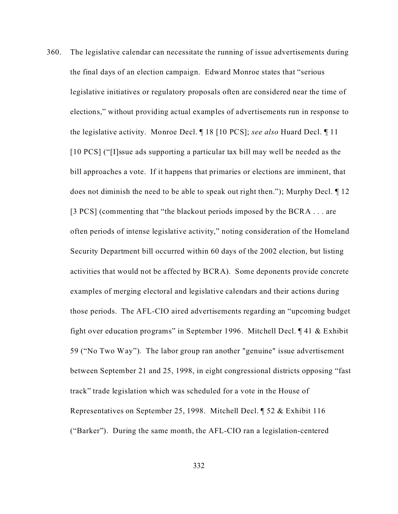360. The legislative calendar can necessitate the running of issue advertisements during the final days of an election campaign. Edward Monroe states that "serious legislative initiatives or regulatory proposals often are considered near the time of elections," without providing actual examples of advertisements run in response to the legislative activity. Monroe Decl. ¶ 18 [10 PCS]; *see also* Huard Decl. ¶ 11 [10 PCS] ("[I]ssue ads supporting a particular tax bill may well be needed as the bill approaches a vote. If it happens that primaries or elections are imminent, that does not diminish the need to be able to speak out right then."); Murphy Decl. ¶ 12 [3 PCS] (commenting that "the blackout periods imposed by the BCRA . . . are often periods of intense legislative activity," noting consideration of the Homeland Security Department bill occurred within 60 days of the 2002 election, but listing activities that would not be affected by BCRA). Some deponents provide concrete examples of merging electoral and legislative calendars and their actions during those periods. The AFL-CIO aired advertisements regarding an "upcoming budget fight over education programs" in September 1996. Mitchell Decl. ¶ 41 & Exhibit 59 ("No Two Way"). The labor group ran another "genuine" issue advertisement between September 21 and 25, 1998, in eight congressional districts opposing "fast track" trade legislation which was scheduled for a vote in the House of Representatives on September 25, 1998. Mitchell Decl. ¶ 52 & Exhibit 116 ("Barker"). During the same month, the AFL-CIO ran a legislation-centered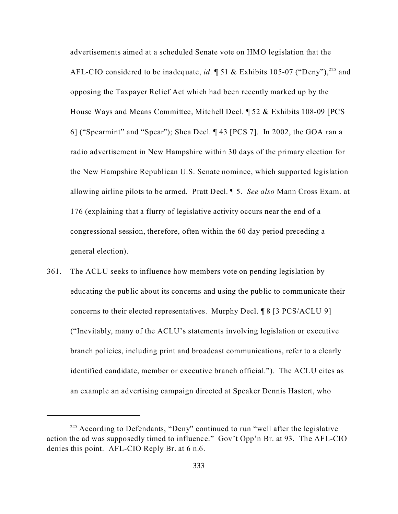advertisements aimed at a scheduled Senate vote on HMO legislation that the AFL-CIO considered to be inadequate, *id*. **[51 & Exhibits 105-07 ("Deny")**,<sup>225</sup> and opposing the Taxpayer Relief Act which had been recently marked up by the House Ways and Means Committee, Mitchell Decl. ¶ 52 & Exhibits 108-09 [PCS 6] ("Spearmint" and "Spear"); Shea Decl. ¶ 43 [PCS 7]. In 2002, the GOA ran a radio advertisement in New Hampshire within 30 days of the primary election for the New Hampshire Republican U.S. Senate nominee, which supported legislation allowing airline pilots to be armed. Pratt Decl. ¶ 5. *See also* Mann Cross Exam. at 176 (explaining that a flurry of legislative activity occurs near the end of a congressional session, therefore, often within the 60 day period preceding a general election).

361. The ACLU seeks to influence how members vote on pending legislation by educating the public about its concerns and using the public to communicate their concerns to their elected representatives. Murphy Decl. ¶ 8 [3 PCS/ACLU 9] ("Inevitably, many of the ACLU's statements involving legislation or executive branch policies, including print and broadcast communications, refer to a clearly identified candidate, member or executive branch official."). The ACLU cites as an example an advertising campaign directed at Speaker Dennis Hastert, who

<sup>&</sup>lt;sup>225</sup> According to Defendants, "Deny" continued to run "well after the legislative action the ad was supposedly timed to influence." Gov't Opp'n Br. at 93. The AFL-CIO denies this point. AFL-CIO Reply Br. at 6 n.6.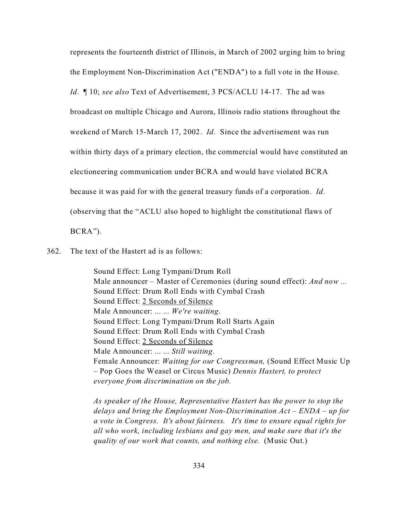represents the fourteenth district of Illinois, in March of 2002 urging him to bring

the Employment Non-Discrimination Act ("ENDA") to a full vote in the House.

*Id*. ¶ 10; *see also* Text of Advertisement, 3 PCS/ACLU 14-17. The ad was

broadcast on multiple Chicago and Aurora, Illinois radio stations throughout the

weekend of March 15-March 17, 2002. *Id*. Since the advertisement was run

within thirty days of a primary election, the commercial would have constituted an

electioneering communication under BCRA and would have violated BCRA

because it was paid for with the general treasury funds of a corporation. *Id*.

(observing that the "ACLU also hoped to highlight the constitutional flaws of

BCRA").

362. The text of the Hastert ad is as follows:

Sound Effect: Long Tympani/Drum Roll Male announcer – Master of Ceremonies (during sound effect): *And now ...* Sound Effect: Drum Roll Ends with Cymbal Crash Sound Effect: 2 Seconds of Silence Male Announcer: ... ... *We're waiting*. Sound Effect: Long Tympani/Drum Roll Starts Again Sound Effect: Drum Roll Ends with Cymbal Crash Sound Effect: 2 Seconds of Silence Male Announcer: ... ... *Still waiting*. Female Announcer: *Waiting for our Congressman,* (Sound Effect Music Up – Pop Goes the Weasel or Circus Music) *Dennis Hastert, to protect everyone from discrimination on the job.*

*As speaker of the House, Representative Hastert has the power to stop the delays and bring the Employment Non-Discrimination Act – ENDA – up for a vote in Congress. It's about fairness. It's time to ensure equal rights for all who work, including lesbians and gay men, and make sure that it's the quality of our work that counts, and nothing else.* (Music Out.)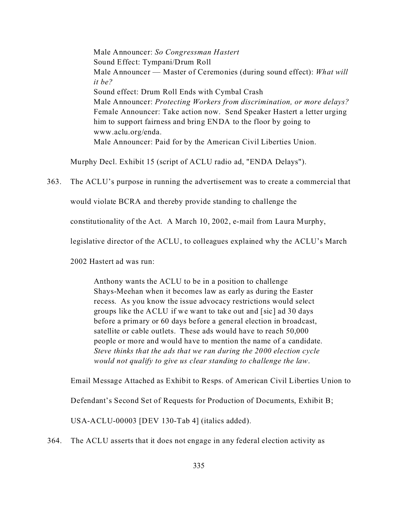Male Announcer: *So Congressman Hastert* Sound Effect: Tympani/Drum Roll Male Announcer — Master of Ceremonies (during sound effect): *What will it be?* Sound effect: Drum Roll Ends with Cymbal Crash Male Announcer: *Protecting Workers from discrimination, or more delays?* Female Announcer: Take action now. Send Speaker Hastert a letter urging him to support fairness and bring ENDA to the floor by going to www.aclu.org/enda. Male Announcer: Paid for by the American Civil Liberties Union.

Murphy Decl. Exhibit 15 (script of ACLU radio ad, "ENDA Delays").

363. The ACLU's purpose in running the advertisement was to create a commercial that

would violate BCRA and thereby provide standing to challenge the

constitutionality of the Act. A March 10, 2002, e-mail from Laura Murphy,

legislative director of the ACLU, to colleagues explained why the ACLU's March

2002 Hastert ad was run:

Anthony wants the ACLU to be in a position to challenge Shays-Meehan when it becomes law as early as during the Easter recess. As you know the issue advocacy restrictions would select groups like the ACLU if we want to take out and [sic] ad 30 days before a primary or 60 days before a general election in broadcast, satellite or cable outlets. These ads would have to reach 50,000 people or more and would have to mention the name of a candidate. *Steve thinks that the ads that we ran during the 2000 election cycle would not qualify to give us clear standing to challenge the law*.

Email Message Attached as Exhibit to Resps. of American Civil Liberties Union to

Defendant's Second Set of Requests for Production of Documents, Exhibit B;

USA-ACLU-00003 [DEV 130-Tab 4] (italics added).

364. The ACLU asserts that it does not engage in any federal election activity as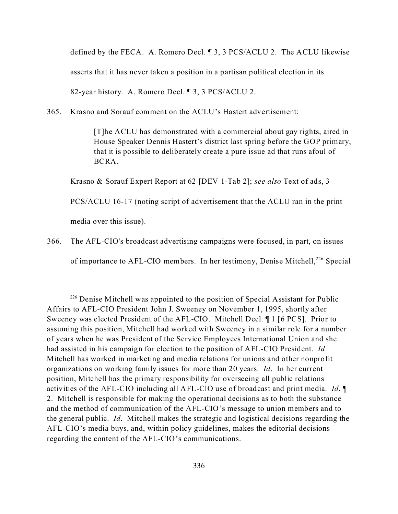defined by the FECA. A. Romero Decl. ¶ 3, 3 PCS/ACLU 2. The ACLU likewise asserts that it has never taken a position in a partisan political election in its 82-year history. A. Romero Decl. ¶ 3, 3 PCS/ACLU 2.

365. Krasno and Sorauf comment on the ACLU's Hastert advertisement:

[T]he ACLU has demonstrated with a commercial about gay rights, aired in House Speaker Dennis Hastert's district last spring before the GOP primary, that it is possible to deliberately create a pure issue ad that runs afoul of BCRA.

Krasno & Sorauf Expert Report at 62 [DEV 1-Tab 2]; *see also* Text of ads, 3

PCS/ACLU 16-17 (noting script of advertisement that the ACLU ran in the print

media over this issue).

366. The AFL-CIO's broadcast advertising campaigns were focused, in part, on issues

of importance to AFL-CIO members. In her testimony, Denise Mitchell,<sup>226</sup> Special

 $226$  Denise Mitchell was appointed to the position of Special Assistant for Public Affairs to AFL-CIO President John J. Sweeney on November 1, 1995, shortly after Sweeney was elected President of the AFL-CIO. Mitchell Decl. ¶ 1 [6 PCS]. Prior to assuming this position, Mitchell had worked with Sweeney in a similar role for a number of years when he was President of the Service Employees International Union and she had assisted in his campaign for election to the position of AFL-CIO President. *Id*. Mitchell has worked in marketing and media relations for unions and other nonprofit organizations on working family issues for more than 20 years. *Id*. In her current position, Mitchell has the primary responsibility for overseeing all public relations activities of the AFL-CIO including all AFL-ClO use of broadcast and print media. *Id*. ¶ 2. Mitchell is responsible for making the operational decisions as to both the substance and the method of communication of the AFL-CIO's message to union members and to the general public. *Id*. Mitchell makes the strategic and logistical decisions regarding the AFL-CIO's media buys, and, within policy guidelines, makes the editorial decisions regarding the content of the AFL-CIO's communications.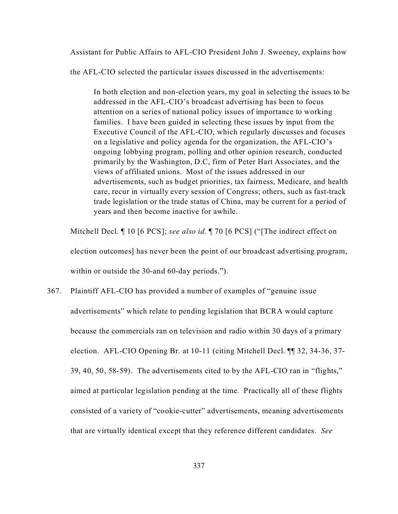Assistant for Public Affairs to AFL-CIO President John J. Sweeney, explains how

the AFL-CIO selected the particular issues discussed in the advertisements:

In both election and non-election years, my goal in selecting the issues to be addressed in the AFL-CIO's broadcast advertising has been to focus attention on a series of national policy issues of importance to working families. I have been guided in selecting these issues by input from the Executive Council of the AFL-CIO, which regularly discusses and focuses on a legislative and policy agenda for the organization, the AFL-CIO's ongoing lobbying program, polling and other opinion research, conducted primarily by the Washington, D.C, firm of Peter Hart Associates, and the views of affiliated unions. Most of the issues addressed in our advertisements, such as budget priorities, tax fairness, Medicare, and health care, recur in virtually every session of Congress; others, such as fast-track trade legislation or the trade status of China, may be current for a period of years and then become inactive for awhile.

Mitchell Decl. ¶ 10 [6 PCS]; *see also id.* ¶ 70 [6 PCS] ("[The indirect effect on election outcomes] has never been the point of our broadcast advertising program, within or outside the 30-and 60-day periods.").

367. Plaintiff AFL-CIO has provided a number of examples of "genuine issue advertisements" which relate to pending legislation that BCRA would capture because the commercials ran on television and radio within 30 days of a primary election. AFL-CIO Opening Br. at 10-11 (citing Mitchell Decl. ¶¶ 32, 34-36, 37- 39, 40, 50, 58-59). The advertisements cited to by the AFL-CIO ran in "flights," aimed at particular legislation pending at the time. Practically all of these flights consisted of a variety of "cookie-cutter" advertisements, meaning advertisements that are virtually identical except that they reference different candidates. *See*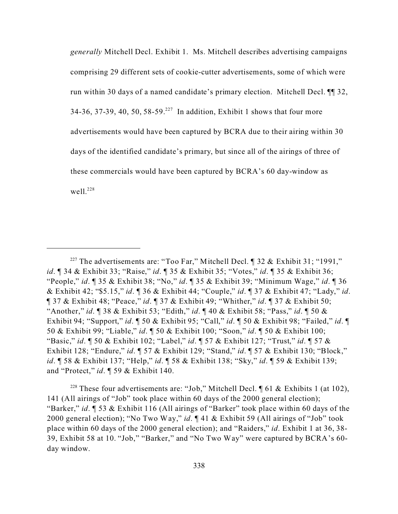*generally* Mitchell Decl. Exhibit 1. Ms. Mitchell describes advertising campaigns comprising 29 different sets of cookie-cutter advertisements, some of which were run within 30 days of a named candidate's primary election. Mitchell Decl. ¶¶ 32, 34-36, 37-39, 40, 50, 58-59.<sup>227</sup> In addition, Exhibit 1 shows that four more advertisements would have been captured by BCRA due to their airing within 30 days of the identified candidate's primary, but since all of the airings of three of these commercials would have been captured by BCRA's 60 day-window as well $^{228}$ 

<sup>228</sup> These four advertisements are: "Job," Mitchell Decl.  $\P$  61 & Exhibits 1 (at 102), 141 (All airings of "Job" took place within 60 days of the 2000 general election); "Barker," *id*. ¶ 53 & Exhibit 116 (All airings of "Barker" took place within 60 days of the 2000 general election); "No Two Way," *id*. ¶ 41 & Exhibit 59 (All airings of "Job" took place within 60 days of the 2000 general election); and "Raiders," *id*. Exhibit 1 at 36, 38- 39, Exhibit 58 at 10. "Job," "Barker," and "No Two Way" were captured by BCRA's 60 day window.

<sup>&</sup>lt;sup>227</sup> The advertisements are: "Too Far," Mitchell Decl.  $\parallel$  32 & Exhibit 31; "1991," *id*. ¶ 34 & Exhibit 33; "Raise," *id*. ¶ 35 & Exhibit 35; "Votes," *id*. ¶ 35 & Exhibit 36; "People," *id*. ¶ 35 & Exhibit 38; "No," *id*. ¶ 35 & Exhibit 39; "Minimum Wage," *id*. ¶ 36 & Exhibit 42; "\$5.15," *id*. ¶ 36 & Exhibit 44; "Couple," *id*. ¶ 37 & Exhibit 47; "Lady," *id*. ¶ 37 & Exhibit 48; "Peace," *id*. ¶ 37 & Exhibit 49; "Whither," *id*. ¶ 37 & Exhibit 50; "Another," *id*. ¶ 38 & Exhibit 53; "Edith," *id*. ¶ 40 & Exhibit 58; "Pass," *id*. ¶ 50 & Exhibit 94; "Support," *id*. ¶ 50 & Exhibit 95; "Call," *id*. ¶ 50 & Exhibit 98; "Failed," *id*. ¶ 50 & Exhibit 99; "Liable," *id*. ¶ 50 & Exhibit 100; "Soon," *id*. ¶ 50 & Exhibit 100; "Basic," *id*. ¶ 50 & Exhibit 102; "Label," *id*. ¶ 57 & Exhibit 127; "Trust," *id*. ¶ 57 & Exhibit 128; "Endure," *id*. ¶ 57 & Exhibit 129; "Stand," *id*. ¶ 57 & Exhibit 130; "Block," *id*. ¶ 58 & Exhibit 137; "Help," *id*. ¶ 58 & Exhibit 138; "Sky," *id*. ¶ 59 & Exhibit 139; and "Protect," *id*. ¶ 59 & Exhibit 140.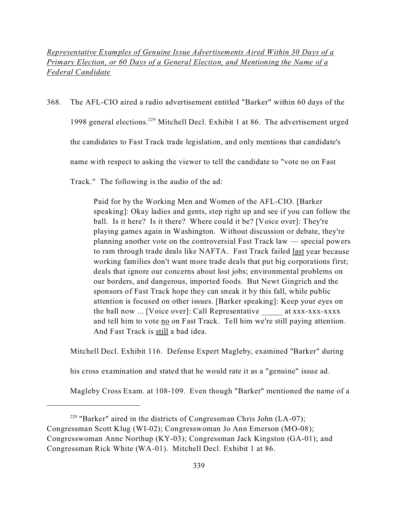*Representative Examples of Genuine Issue Advertisements Aired Within 30 Days of a Primary Election, or 60 Days of a General Election, and Mentioning the Name of a Federal Candidate*

368. The AFL-CIO aired a radio advertisement entitled "Barker" within 60 days of the

1998 general elections.<sup>229</sup> Mitchell Decl. Exhibit 1 at 86. The advertisement urged

the candidates to Fast Track trade legislation, and only mentions that candidate's

name with respect to asking the viewer to tell the candidate to "vote no on Fast

Track." The following is the audio of the ad:

 Paid for by the Working Men and Women of the AFL-CIO. [Barker speaking]: Okay ladies and gents, step right up and see if you can follow the ball. Is it here? Is it there? Where could it be? [Voice over]: They're playing games again in Washington. Without discussion or debate, they're planning another vote on the controversial Fast Track law — special powers to ram through trade deals like NAFTA. Fast Track failed last year because working families don't want more trade deals that put big corporations first; deals that ignore our concerns about lost jobs; environmental problems on our borders, and dangerous, imported foods. But Newt Gingrich and the sponsors of Fast Track hope they can sneak it by this fall, while public attention is focused on other issues. [Barker speaking]: Keep your eyes on the ball now ... [Voice over]: Call Representative \_\_\_\_\_ at xxx-xxx-xxxx and tell him to vote no on Fast Track. Tell him we're still paying attention. And Fast Track is still a bad idea.

Mitchell Decl. Exhibit 116. Defense Expert Magleby, examined "Barker" during

his cross examination and stated that he would rate it as a "genuine" issue ad.

Magleby Cross Exam. at 108-109. Even though "Barker" mentioned the name of a

<sup>229</sup> "Barker" aired in the districts of Congressman Chris John (LA-07); Congressman Scott Klug (WI-02); Congresswoman Jo Ann Emerson (MO-08); Congresswoman Anne Northup (KY-03); Congressman Jack Kingston (GA-01); and Congressman Rick White (WA-01). Mitchell Decl. Exhibit 1 at 86.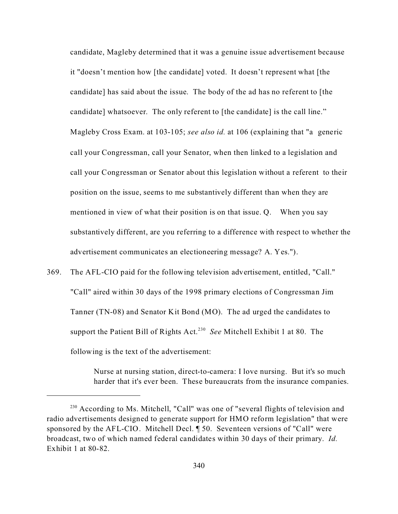candidate, Magleby determined that it was a genuine issue advertisement because it "doesn't mention how [the candidate] voted. It doesn't represent what [the candidate] has said about the issue. The body of the ad has no referent to [the candidate] whatsoever. The only referent to [the candidate] is the call line." Magleby Cross Exam. at 103-105; *see also id.* at 106 (explaining that "a generic call your Congressman, call your Senator, when then linked to a legislation and call your Congressman or Senator about this legislation without a referent to their position on the issue, seems to me substantively different than when they are mentioned in view of what their position is on that issue. Q. When you say substantively different, are you referring to a difference with respect to whether the advertisement communicates an electioneering message? A. Yes.").

369. The AFL-CIO paid for the following television advertisement, entitled, "Call." "Call" aired within 30 days of the 1998 primary elections of Congressman Jim Tanner (TN-08) and Senator Kit Bond (MO). The ad urged the candidates to support the Patient Bill of Rights Act.<sup>230</sup> See Mitchell Exhibit 1 at 80. The following is the text of the advertisement:

> Nurse at nursing station, direct-to-camera: I love nursing. But it's so much harder that it's ever been. These bureaucrats from the insurance companies.

<sup>&</sup>lt;sup>230</sup> According to Ms. Mitchell, "Call" was one of "several flights of television and radio advertisements designed to generate support for HMO reform legislation" that were sponsored by the AFL-CIO. Mitchell Decl. ¶ 50. Seventeen versions of "Call" were broadcast, two of which named federal candidates within 30 days of their primary. *Id.* Exhibit 1 at 80-82.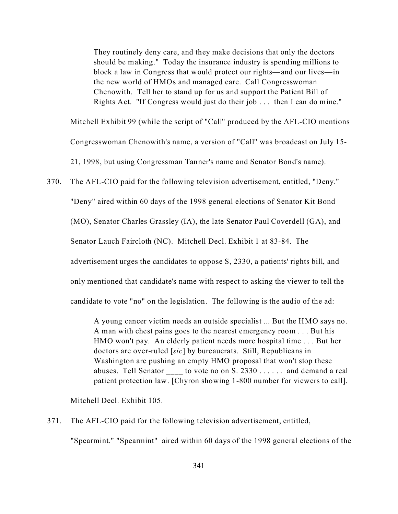They routinely deny care, and they make decisions that only the doctors should be making." Today the insurance industry is spending millions to block a law in Congress that would protect our rights—and our lives—in the new world of HMOs and managed care. Call Congresswoman Chenowith. Tell her to stand up for us and support the Patient Bill of Rights Act. "If Congress would just do their job . . . then I can do mine."

Mitchell Exhibit 99 (while the script of "Call" produced by the AFL-CIO mentions Congresswoman Chenowith's name, a version of "Call" was broadcast on July 15- 21, 1998, but using Congressman Tanner's name and Senator Bond's name).

370. The AFL-CIO paid for the following television advertisement, entitled, "Deny." "Deny" aired within 60 days of the 1998 general elections of Senator Kit Bond (MO), Senator Charles Grassley (IA), the late Senator Paul Coverdell (GA), and Senator Lauch Faircloth (NC). Mitchell Decl. Exhibit 1 at 83-84. The advertisement urges the candidates to oppose S, 2330, a patients' rights bill, and only mentioned that candidate's name with respect to asking the viewer to tell the candidate to vote "no" on the legislation. The following is the audio of the ad:

> A young cancer victim needs an outside specialist ... But the HMO says no. A man with chest pains goes to the nearest emergency room . . . But his HMO won't pay. An elderly patient needs more hospital time . . . But her doctors are over-ruled [*sic*] by bureaucrats. Still, Republicans in Washington are pushing an empty HMO proposal that won't stop these abuses. Tell Senator \_\_\_\_\_\_ to vote no on S. 2330 . . . . . . and demand a real patient protection law. [Chyron showing 1-800 number for viewers to call].

Mitchell Decl. Exhibit 105.

371. The AFL-CIO paid for the following television advertisement, entitled,

"Spearmint." "Spearmint" aired within 60 days of the 1998 general elections of the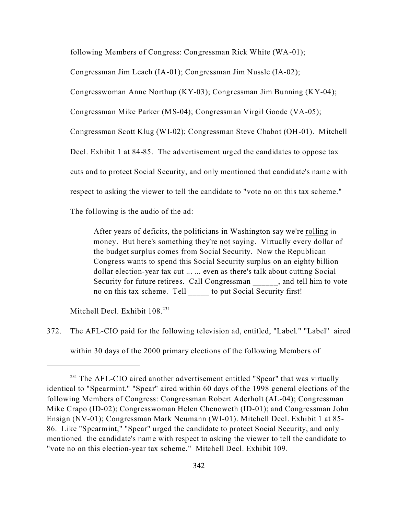following Members of Congress: Congressman Rick White (WA-01);

Congressman Jim Leach (IA-01); Congressman Jim Nussle (IA-02);

Congresswoman Anne Northup (KY-03); Congressman Jim Bunning (KY-04);

Congressman Mike Parker (MS-04); Congressman Virgil Goode (VA-05);

Congressman Scott Klug (WI-02); Congressman Steve Chabot (OH-01). Mitchell

Decl. Exhibit 1 at 84-85. The advertisement urged the candidates to oppose tax

cuts and to protect Social Security, and only mentioned that candidate's name with

respect to asking the viewer to tell the candidate to "vote no on this tax scheme."

The following is the audio of the ad:

After years of deficits, the politicians in Washington say we're rolling in money. But here's something they're not saying. Virtually every dollar of the budget surplus comes from Social Security. Now the Republican Congress wants to spend this Social Security surplus on an eighty billion dollar election-year tax cut ... ... even as there's talk about cutting Social Security for future retirees. Call Congressman, and tell him to vote no on this tax scheme. Tell to put Social Security first!

Mitchell Decl. Exhibit 108.<sup>231</sup>

372. The AFL-CIO paid for the following television ad, entitled, "Label." "Label" aired within 30 days of the 2000 primary elections of the following Members of

 $231$  The AFL-CIO aired another advertisement entitled "Spear" that was virtually identical to "Spearmint." "Spear" aired within 60 days of the 1998 general elections of the following Members of Congress: Congressman Robert Aderholt (AL-04); Congressman Mike Crapo (ID-02); Congresswoman Helen Chenoweth (ID-01); and Congressman John Ensign (NV-01); Congressman Mark Neumann (WI-01). Mitchell Decl. Exhibit 1 at 85- 86. Like "Spearmint," "Spear" urged the candidate to protect Social Security, and only mentioned the candidate's name with respect to asking the viewer to tell the candidate to "vote no on this election-year tax scheme." Mitchell Decl. Exhibit 109.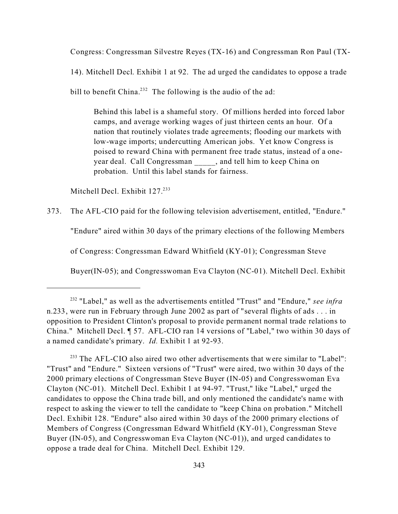Congress: Congressman Silvestre Reyes (TX-16) and Congressman Ron Paul (TX-

14). Mitchell Decl. Exhibit 1 at 92. The ad urged the candidates to oppose a trade bill to benefit China.<sup>232</sup> The following is the audio of the ad:

 Behind this label is a shameful story. Of millions herded into forced labor camps, and average working wages of just thirteen cents an hour. Of a nation that routinely violates trade agreements; flooding our markets with low-wage imports; undercutting American jobs. Yet know Congress is poised to reward China with permanent free trade status, instead of a oneyear deal. Call Congressman, and tell him to keep China on probation. Until this label stands for fairness.

Mitchell Decl. Exhibit 127.<sup>233</sup>

373. The AFL-CIO paid for the following television advertisement, entitled, "Endure."

"Endure" aired within 30 days of the primary elections of the following Members

of Congress: Congressman Edward Whitfield (KY-01); Congressman Steve

Buyer(IN-05); and Congresswoman Eva Clayton (NC-01). Mitchell Decl. Exhibit

<sup>232</sup> "Label," as well as the advertisements entitled "Trust" and "Endure," *see infra* n.233, were run in February through June 2002 as part of "several flights of ads . . . in opposition to President Clinton's proposal to provide permanent normal trade relations to China." Mitchell Decl. ¶ 57. AFL-CIO ran 14 versions of "Label," two within 30 days of a named candidate's primary. *Id.* Exhibit 1 at 92-93.

 $233$  The AFL-CIO also aired two other advertisements that were similar to "Label": "Trust" and "Endure." Sixteen versions of "Trust" were aired, two within 30 days of the 2000 primary elections of Congressman Steve Buyer (IN-05) and Congresswoman Eva Clayton (NC-01). Mitchell Decl. Exhibit 1 at 94-97. "Trust," like "Label," urged the candidates to oppose the China trade bill, and only mentioned the candidate's name with respect to asking the viewer to tell the candidate to "keep China on probation." Mitchell Decl. Exhibit 128. "Endure" also aired within 30 days of the 2000 primary elections of Members of Congress (Congressman Edward Whitfield (KY-01), Congressman Steve Buyer (IN-05), and Congresswoman Eva Clayton (NC-01)), and urged candidates to oppose a trade deal for China. Mitchell Decl. Exhibit 129.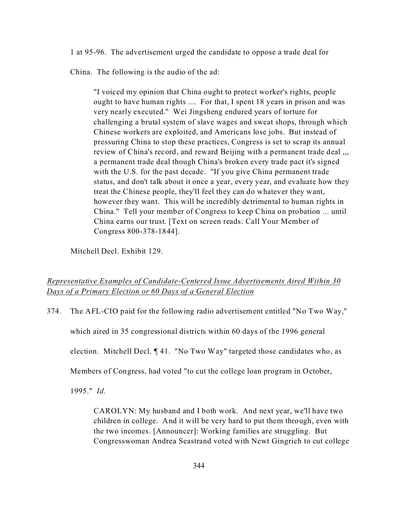1 at 95-96. The advertisement urged the candidate to oppose a trade deal for

China. The following is the audio of the ad:

"I voiced my opinion that China ought to protect worker's rights, people ought to have human rights .... For that, I spent 18 years in prison and was very nearly executed." Wei Jingsheng endured years of torture for challenging a brutal system of slave wages and sweat shops, through which Chinese workers are exploited, and Americans lose jobs. But instead of pressuring China to stop these practices, Congress is set to scrap its annual review of China's record, and reward Beijing with a permanent trade deal ... a permanent trade deal though China's broken every trade pact it's signed with the U.S. for the past decade. "If you give China permanent trade status, and don't talk about it once a year, every year, and evaluate how they treat the Chinese people, they'll feel they can do whatever they want, however they want. This will be incredibly detrimental to human rights in China." Tell your member of Congress to keep China on probation ... until China earns our trust. [Text on screen reads: Call Your Member of Congress 800-378-1844].

Mitchell Decl. Exhibit 129.

## *Representative Examples of Candidate-Centered Issue Advertisements Aired Within 30 Days of a Primary Election or 60 Days of a General Election*

374. The AFL-CIO paid for the following radio advertisement entitled "No Two Way,"

which aired in 35 congressional districts within 60 days of the 1996 general

election. Mitchell Decl. ¶ 41. "No Two Way" targeted those candidates who, as

Members of Congress, had voted "to cut the college loan program in October,

1995." *Id.*

CAROLYN: My husband and I both work. And next year, we'll have two children in college. And it will be very hard to put them through, even with the two incomes. [Announcer]: Working families are struggling. But Congresswoman Andrea Seastrand voted with Newt Gingrich to cut college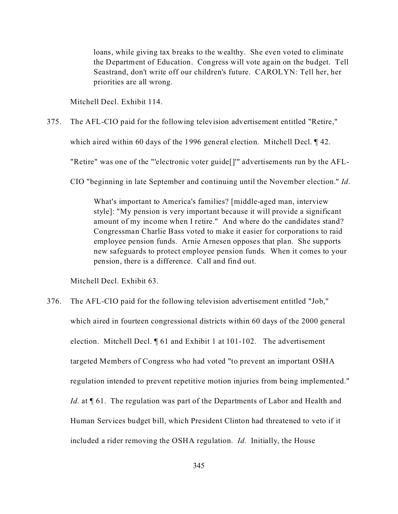loans, while giving tax breaks to the wealthy. She even voted to eliminate the Department of Education. Congress will vote again on the budget. Tell Seastrand, don't write off our children's future. CAROLYN: Tell her, her priorities are all wrong.

Mitchell Decl. Exhibit 114.

375. The AFL-CIO paid for the following television advertisement entitled "Retire,"

which aired within 60 days of the 1996 general election. Mitchell Decl. 142.

"Retire" was one of the "'electronic voter guide[]'" advertisements run by the AFL-

CIO "beginning in late September and continuing until the November election." *Id*.

What's important to America's families? [middle-aged man, interview style]: "My pension is very important because it will provide a significant amount of my income when I retire." And where do the candidates stand? Congressman Charlie Bass voted to make it easier for corporations to raid employee pension funds. Arnie Arnesen opposes that plan. She supports new safeguards to protect employee pension funds. When it comes to your pension, there is a difference. Call and find out.

Mitchell Decl. Exhibit 63.

376. The AFL-CIO paid for the following television advertisement entitled "Job," which aired in fourteen congressional districts within 60 days of the 2000 general election. Mitchell Decl. ¶ 61 and Exhibit 1 at 101-102. The advertisement targeted Members of Congress who had voted "to prevent an important OSHA regulation intended to prevent repetitive motion injuries from being implemented." *Id.* at  $\P$  61. The regulation was part of the Departments of Labor and Health and Human Services budget bill, which President Clinton had threatened to veto if it included a rider removing the OSHA regulation. *Id.* Initially, the House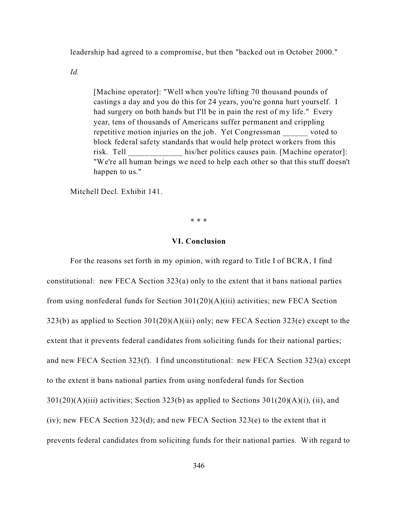leadership had agreed to a compromise, but then "backed out in October 2000."

*Id.*

[Machine operator]: "Well when you're lifting 70 thousand pounds of castings a day and you do this for 24 years, you're gonna hurt yourself. I had surgery on both hands but I'll be in pain the rest of my life." Every year, tens of thousands of Americans suffer permanent and crippling repetitive motion injuries on the job. Yet Congressman voted to block federal safety standards that would help protect workers from this risk. Tell his/her politics causes pain. [Machine operator]: "We're all human beings we need to help each other so that this stuff doesn't happen to us."

Mitchell Decl. Exhibit 141.

**\* \* \***

## **VI. Conclusion**

For the reasons set forth in my opinion, with regard to Title I of BCRA, I find constitutional: new FECA Section 323(a) only to the extent that it bans national parties from using nonfederal funds for Section 301(20)(A)(iii) activities; new FECA Section 323(b) as applied to Section 301(20)(A)(iii) only; new FECA Section 323(e) except to the extent that it prevents federal candidates from soliciting funds for their national parties; and new FECA Section 323(f). I find unconstitutional: new FECA Section 323(a) except to the extent it bans national parties from using nonfederal funds for Section  $301(20)(A)(iii)$  activities; Section 323(b) as applied to Sections  $301(20)(A)(i)$ , (ii), and (iv); new FECA Section 323(d); and new FECA Section 323(e) to the extent that it prevents federal candidates from soliciting funds for their national parties. With regard to